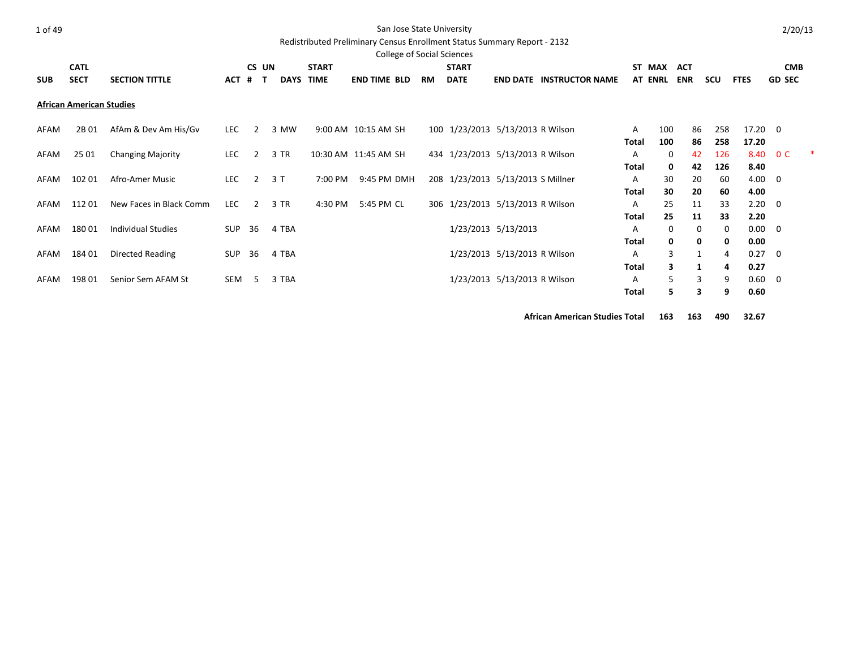### San Jose State University

Redistributed Preliminary Census Enrollment Status Summary Report - 2132

|            | <b>College of Social Sciences</b><br><b>CATL</b><br><b>START</b><br>ST MAX<br><b>ACT</b><br>CS UN<br><b>START</b><br><b>CMB</b> |                           |            |                   |             |                      |                     |  |           |                                   |                              |                                 |              |                |            |     |                |                |  |
|------------|---------------------------------------------------------------------------------------------------------------------------------|---------------------------|------------|-------------------|-------------|----------------------|---------------------|--|-----------|-----------------------------------|------------------------------|---------------------------------|--------------|----------------|------------|-----|----------------|----------------|--|
|            |                                                                                                                                 |                           |            |                   |             |                      |                     |  |           |                                   |                              |                                 |              |                |            |     |                |                |  |
| <b>SUB</b> | <b>SECT</b>                                                                                                                     | <b>SECTION TITTLE</b>     | ACT        | $\mathbf{T}$<br># | <b>DAYS</b> | <b>TIME</b>          | <b>END TIME BLD</b> |  | <b>RM</b> | <b>DATE</b>                       |                              | <b>END DATE INSTRUCTOR NAME</b> |              | <b>AT ENRL</b> | <b>ENR</b> | scu | <b>FTES</b>    | <b>GD SEC</b>  |  |
|            | <b>African American Studies</b>                                                                                                 |                           |            |                   |             |                      |                     |  |           |                                   |                              |                                 |              |                |            |     |                |                |  |
| AFAM       | 2B 01                                                                                                                           | AfAm & Dev Am His/Gv      | LEC .      | 2                 | 3 MW        |                      | 9:00 AM 10:15 AM SH |  |           | 100 1/23/2013 5/13/2013 R Wilson  |                              |                                 | A            | 100            | 86         | 258 | $17.20 \t 0$   |                |  |
|            |                                                                                                                                 |                           |            |                   |             |                      |                     |  |           |                                   |                              |                                 | Total        | 100            | 86         | 258 | 17.20          |                |  |
| AFAM       | 25 01                                                                                                                           | <b>Changing Majority</b>  | LEC        | 2                 | 3 TR        | 10:30 AM 11:45 AM SH |                     |  |           | 434 1/23/2013 5/13/2013 R Wilson  |                              |                                 | Α            | 0              | 42         | 126 | 8.40           | 0 <sup>C</sup> |  |
|            |                                                                                                                                 |                           |            |                   |             |                      |                     |  |           |                                   |                              |                                 | Total        | 0              | 42         | 126 | 8.40           |                |  |
| AFAM       | 102 01                                                                                                                          | Afro-Amer Music           | LEC        | $\overline{2}$    | 3 T         | 7:00 PM              | 9:45 PM DMH         |  |           | 208 1/23/2013 5/13/2013 S Millner |                              |                                 | A            | 30             | 20         | 60  | $4.00 \ 0$     |                |  |
|            |                                                                                                                                 |                           |            |                   |             |                      |                     |  |           |                                   |                              |                                 | Total        | 30             | 20         | 60  | 4.00           |                |  |
| AFAM       | 112 01                                                                                                                          | New Faces in Black Comm   | LEC        | 2                 | 3 TR        | 4:30 PM              | 5:45 PM CL          |  |           | 306 1/23/2013 5/13/2013 R Wilson  |                              |                                 | A            | 25             | 11         | 33  | 2.20           | - 0            |  |
|            |                                                                                                                                 |                           |            |                   |             |                      |                     |  |           |                                   |                              |                                 | Total        | 25             | 11         | 33  | 2.20           |                |  |
| AFAM       | 18001                                                                                                                           | <b>Individual Studies</b> | <b>SUP</b> | 36                | 4 TBA       |                      |                     |  |           |                                   | 1/23/2013 5/13/2013          |                                 | A            | 0              | 0          | 0   | $0.00 \quad 0$ |                |  |
|            |                                                                                                                                 |                           |            |                   |             |                      |                     |  |           |                                   |                              |                                 | Total        | 0              | 0          | 0   | 0.00           |                |  |
| AFAM       | 184 01                                                                                                                          | Directed Reading          | SUP        | 36                | 4 TBA       |                      |                     |  |           |                                   | 1/23/2013 5/13/2013 R Wilson |                                 | A            | 3              | 1          | 4   | 0.27           | - 0            |  |
|            |                                                                                                                                 |                           |            |                   |             |                      |                     |  |           |                                   |                              |                                 | <b>Total</b> | 3              | 1          | 4   | 0.27           |                |  |
| AFAM       | 198 01                                                                                                                          | Senior Sem AFAM St        | SEM        | -5                | 3 TBA       |                      |                     |  |           |                                   | 1/23/2013 5/13/2013 R Wilson |                                 | A            | 5              | 3          | 9   | 0.60           | $\overline{0}$ |  |
|            |                                                                                                                                 |                           |            |                   |             |                      |                     |  |           |                                   |                              |                                 | Total        | 5              | 3          | 9   | 0.60           |                |  |

**African American Studies Total 163 163 490 32.67**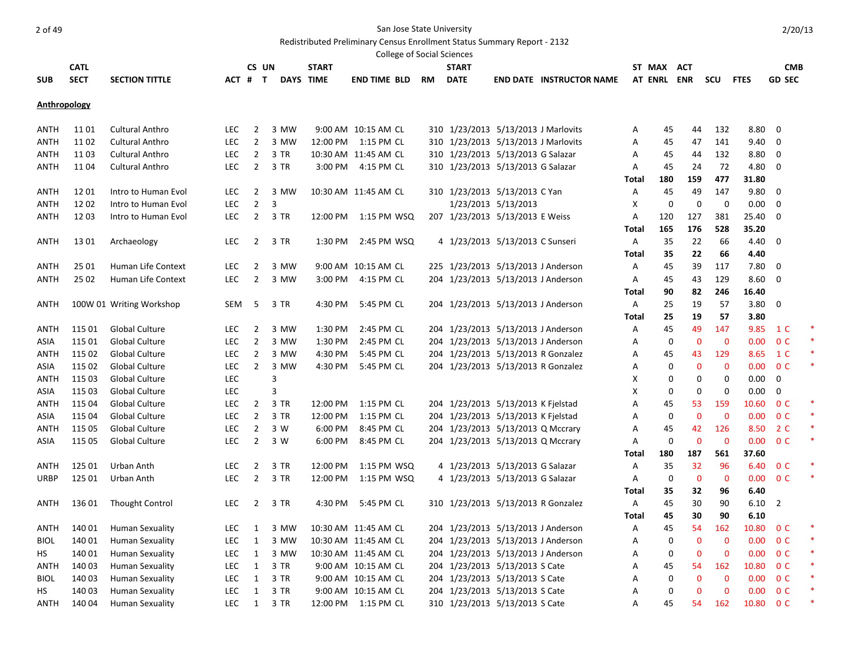Redistributed Preliminary Census Enrollment Status Summary Report - 2132

|              | <b>College of Social Sciences</b><br><b>CATL</b><br>CS UN<br><b>START</b><br><b>START</b><br>ST MAX ACT<br><b>CMB</b><br><b>SECT</b><br><b>DAYS TIME</b><br><b>GD SEC</b><br><b>SECTION TITTLE</b><br>ACT # T<br><b>END TIME BLD</b><br>RM<br><b>DATE</b><br><b>END DATE INSTRUCTOR NAME</b><br>AT ENRL ENR<br>scu<br><b>FTES</b> |                          |            |                |                |          |                             |  |                                     |                     |                                    |       |     |              |             |       |                |   |
|--------------|-----------------------------------------------------------------------------------------------------------------------------------------------------------------------------------------------------------------------------------------------------------------------------------------------------------------------------------|--------------------------|------------|----------------|----------------|----------|-----------------------------|--|-------------------------------------|---------------------|------------------------------------|-------|-----|--------------|-------------|-------|----------------|---|
|              |                                                                                                                                                                                                                                                                                                                                   |                          |            |                |                |          |                             |  |                                     |                     |                                    |       |     |              |             |       |                |   |
| <b>SUB</b>   |                                                                                                                                                                                                                                                                                                                                   |                          |            |                |                |          |                             |  |                                     |                     |                                    |       |     |              |             |       |                |   |
|              |                                                                                                                                                                                                                                                                                                                                   |                          |            |                |                |          |                             |  |                                     |                     |                                    |       |     |              |             |       |                |   |
| Anthropology |                                                                                                                                                                                                                                                                                                                                   |                          |            |                |                |          |                             |  |                                     |                     |                                    |       |     |              |             |       |                |   |
| ANTH         | 11 01                                                                                                                                                                                                                                                                                                                             | Cultural Anthro          | LEC        | 2              | 3 MW           |          | 9:00 AM 10:15 AM CL         |  | 310 1/23/2013 5/13/2013 J Marlovits |                     |                                    | Α     | 45  | 44           | 132         | 8.80  | 0              |   |
| <b>ANTH</b>  | 11 02                                                                                                                                                                                                                                                                                                                             | <b>Cultural Anthro</b>   | <b>LEC</b> | $\overline{2}$ | 3 MW           |          | 12:00 PM 1:15 PM CL         |  | 310 1/23/2013 5/13/2013 J Marlovits |                     |                                    | A     | 45  | 47           | 141         | 9.40  | 0              |   |
| <b>ANTH</b>  | 11 03                                                                                                                                                                                                                                                                                                                             | <b>Cultural Anthro</b>   | <b>LEC</b> | $\overline{2}$ | 3 TR           |          | 10:30 AM 11:45 AM CL        |  | 310 1/23/2013 5/13/2013 G Salazar   |                     |                                    | A     | 45  | 44           | 132         | 8.80  | $\mathbf 0$    |   |
| ANTH         | 11 04                                                                                                                                                                                                                                                                                                                             | <b>Cultural Anthro</b>   | <b>LEC</b> | $\overline{2}$ | 3 TR           |          | 3:00 PM 4:15 PM CL          |  | 310 1/23/2013 5/13/2013 G Salazar   |                     |                                    | Α     | 45  | 24           | 72          | 4.80  | 0              |   |
|              |                                                                                                                                                                                                                                                                                                                                   |                          |            |                |                |          |                             |  |                                     |                     |                                    | Total | 180 | 159          | 477         | 31.80 |                |   |
| ANTH         | 1201                                                                                                                                                                                                                                                                                                                              | Intro to Human Evol      | <b>LEC</b> | $\overline{2}$ | 3 MW           |          | 10:30 AM 11:45 AM CL        |  | 310 1/23/2013 5/13/2013 C Yan       |                     |                                    | Α     | 45  | 49           | 147         | 9.80  | 0              |   |
| <b>ANTH</b>  | 1202                                                                                                                                                                                                                                                                                                                              | Intro to Human Evol      | <b>LEC</b> | $\overline{2}$ | $\overline{3}$ |          |                             |  |                                     | 1/23/2013 5/13/2013 |                                    | X     | 0   | 0            | 0           | 0.00  | 0              |   |
| <b>ANTH</b>  | 1203                                                                                                                                                                                                                                                                                                                              | Intro to Human Evol      | LEC        | $\overline{2}$ | 3 TR           |          | 12:00 PM  1:15 PM  WSQ      |  | 207 1/23/2013 5/13/2013 E Weiss     |                     |                                    | Α     | 120 | 127          | 381         | 25.40 | 0              |   |
|              |                                                                                                                                                                                                                                                                                                                                   |                          |            |                |                |          |                             |  |                                     |                     |                                    | Total | 165 | 176          | 528         | 35.20 |                |   |
| ANTH         | 13 01                                                                                                                                                                                                                                                                                                                             | Archaeology              | <b>LEC</b> | 2              | 3 TR           | 1:30 PM  | 2:45 PM WSQ                 |  | 4 1/23/2013 5/13/2013 C Sunseri     |                     |                                    | Α     | 35  | 22           | 66          | 4.40  | 0              |   |
|              |                                                                                                                                                                                                                                                                                                                                   |                          |            |                |                |          |                             |  |                                     |                     |                                    | Total | 35  | 22           | 66          | 4.40  |                |   |
| <b>ANTH</b>  | 25 01                                                                                                                                                                                                                                                                                                                             | Human Life Context       | LEC        | 2              | 3 MW           |          | 9:00 AM 10:15 AM CL         |  | 225 1/23/2013 5/13/2013 J Anderson  |                     |                                    | Α     | 45  | 39           | 117         | 7.80  | 0              |   |
| ANTH         | 25 02                                                                                                                                                                                                                                                                                                                             | Human Life Context       | <b>LEC</b> | $\overline{2}$ | 3 MW           |          | 3:00 PM 4:15 PM CL          |  | 204 1/23/2013 5/13/2013 J Anderson  |                     |                                    | Α     | 45  | 43           | 129         | 8.60  | - 0            |   |
|              |                                                                                                                                                                                                                                                                                                                                   |                          |            |                |                |          |                             |  |                                     |                     |                                    | Total | 90  | 82           | 246         | 16.40 |                |   |
| ANTH         |                                                                                                                                                                                                                                                                                                                                   | 100W 01 Writing Workshop | SEM        | 5              | 3 TR           | 4:30 PM  | 5:45 PM CL                  |  | 204 1/23/2013 5/13/2013 J Anderson  |                     |                                    | Α     | 25  | 19           | 57          | 3.80  | $\mathbf 0$    |   |
|              |                                                                                                                                                                                                                                                                                                                                   |                          |            |                |                |          |                             |  |                                     |                     |                                    | Total | 25  | 19           | 57          | 3.80  |                |   |
| ANTH         | 115 01                                                                                                                                                                                                                                                                                                                            | Global Culture           | LEC        | 2              | 3 MW           | 1:30 PM  | 2:45 PM CL                  |  | 204 1/23/2013 5/13/2013 J Anderson  |                     |                                    | Α     | 45  | 49           | 147         | 9.85  | 1 C            |   |
| ASIA         | 115 01                                                                                                                                                                                                                                                                                                                            | <b>Global Culture</b>    | <b>LEC</b> | $\overline{2}$ | 3 MW           | 1:30 PM  | 2:45 PM CL                  |  | 204 1/23/2013 5/13/2013 J Anderson  |                     |                                    | Α     | 0   | $\mathbf 0$  | $\mathbf 0$ | 0.00  | 0 <sup>C</sup> |   |
| <b>ANTH</b>  | 115 02                                                                                                                                                                                                                                                                                                                            | <b>Global Culture</b>    | <b>LEC</b> | $\overline{2}$ | 3 MW           | 4:30 PM  | 5:45 PM CL                  |  |                                     |                     | 204 1/23/2013 5/13/2013 R Gonzalez | Α     | 45  | 43           | 129         | 8.65  | 1 C            |   |
| ASIA         | 115 02                                                                                                                                                                                                                                                                                                                            | Global Culture           | LEC        | $\overline{2}$ | 3 MW           | 4:30 PM  | 5:45 PM CL                  |  | 204 1/23/2013 5/13/2013 R Gonzalez  |                     |                                    | Α     | 0   | $\mathbf 0$  | 0           | 0.00  | 0 <sup>C</sup> |   |
| <b>ANTH</b>  | 115 03                                                                                                                                                                                                                                                                                                                            | Global Culture           | <b>LEC</b> |                | 3              |          |                             |  |                                     |                     |                                    | X     | 0   | 0            | 0           | 0.00  | $\mathbf 0$    |   |
| ASIA         | 115 03                                                                                                                                                                                                                                                                                                                            | Global Culture           | <b>LEC</b> |                | 3              |          |                             |  |                                     |                     |                                    | X     | 0   | 0            | 0           | 0.00  | 0              |   |
| <b>ANTH</b>  | 115 04                                                                                                                                                                                                                                                                                                                            | Global Culture           | <b>LEC</b> | $\overline{2}$ | 3 TR           | 12:00 PM | 1:15 PM CL                  |  | 204 1/23/2013 5/13/2013 K Fielstad  |                     |                                    | Α     | 45  | 53           | 159         | 10.60 | 0 <sup>C</sup> | * |
| ASIA         | 115 04                                                                                                                                                                                                                                                                                                                            | Global Culture           | <b>LEC</b> | $\overline{2}$ | 3 TR           | 12:00 PM | 1:15 PM CL                  |  | 204 1/23/2013 5/13/2013 K Fjelstad  |                     |                                    | Α     | 0   | $\mathbf{0}$ | $\mathbf 0$ | 0.00  | 0 <sup>C</sup> |   |
| <b>ANTH</b>  | 115 05                                                                                                                                                                                                                                                                                                                            | Global Culture           | <b>LEC</b> | $\overline{2}$ | 3 W            | 6:00 PM  | 8:45 PM CL                  |  | 204 1/23/2013 5/13/2013 Q Mccrary   |                     |                                    | Α     | 45  | 42           | 126         | 8.50  | 2 C            |   |
| ASIA         | 115 05                                                                                                                                                                                                                                                                                                                            | Global Culture           | LEC        | $\overline{2}$ | 3 W            | 6:00 PM  | 8:45 PM CL                  |  | 204 1/23/2013 5/13/2013 Q Mccrary   |                     |                                    | Α     | 0   | $\mathbf 0$  | $\mathbf 0$ | 0.00  | 0 <sup>C</sup> |   |
|              |                                                                                                                                                                                                                                                                                                                                   |                          |            |                |                |          |                             |  |                                     |                     |                                    | Total | 180 | 187          | 561         | 37.60 |                |   |
| ANTH         | 125 01                                                                                                                                                                                                                                                                                                                            | Urban Anth               | LEC        | $\overline{2}$ | 3 TR           | 12:00 PM | 1:15 PM WSQ                 |  | 4 1/23/2013 5/13/2013 G Salazar     |                     |                                    | Α     | 35  | 32           | 96          |       | 6.40 0 C       |   |
| URBP         | 125 01                                                                                                                                                                                                                                                                                                                            | Urban Anth               | <b>LEC</b> | $\overline{2}$ | 3 TR           |          | 12:00 PM   1:15 PM   WSQ    |  | 4 1/23/2013 5/13/2013 G Salazar     |                     |                                    | Α     | 0   | $\mathbf 0$  | $\bf{0}$    | 0.00  | 0 <sup>C</sup> |   |
|              |                                                                                                                                                                                                                                                                                                                                   |                          |            |                |                |          |                             |  |                                     |                     |                                    | Total | 35  | 32           | 96          | 6.40  |                |   |
| ANTH         | 136 01                                                                                                                                                                                                                                                                                                                            | <b>Thought Control</b>   | <b>LEC</b> | $\overline{2}$ | 3 TR           |          | 4:30 PM 5:45 PM CL          |  |                                     |                     | 310 1/23/2013 5/13/2013 R Gonzalez | Α     | 45  | 30           | 90          | 6.10  | 2              |   |
|              |                                                                                                                                                                                                                                                                                                                                   |                          |            |                |                |          |                             |  |                                     |                     |                                    | Total | 45  | 30           | 90          | 6.10  |                |   |
| ANTH         | 140 01                                                                                                                                                                                                                                                                                                                            | Human Sexuality          | LEC        |                |                |          | 1 3 MW 10:30 AM 11:45 AM CL |  | 204 1/23/2013 5/13/2013 J Anderson  |                     |                                    | Α     | 45  | 54           | 162         | 10.80 | 0 <sup>C</sup> |   |
| <b>BIOL</b>  | 140 01                                                                                                                                                                                                                                                                                                                            | <b>Human Sexuality</b>   | <b>LEC</b> | 1              | 3 MW           |          | 10:30 AM 11:45 AM CL        |  | 204 1/23/2013 5/13/2013 J Anderson  |                     |                                    | Α     | 0   | 0            | 0           |       | $0.00 \t 0 C$  |   |
| HS           | 140 01                                                                                                                                                                                                                                                                                                                            | <b>Human Sexuality</b>   | <b>LEC</b> | $\mathbf{1}$   | 3 MW           |          | 10:30 AM 11:45 AM CL        |  | 204 1/23/2013 5/13/2013 J Anderson  |                     |                                    | Α     | 0   | 0            | $\bf{0}$    |       | $0.00 \t 0 C$  |   |
| ANTH         | 140 03                                                                                                                                                                                                                                                                                                                            | <b>Human Sexuality</b>   | <b>LEC</b> | $\mathbf{1}$   | 3 TR           |          | 9:00 AM 10:15 AM CL         |  | 204 1/23/2013 5/13/2013 S Cate      |                     |                                    | Α     | 45  | 54           | 162         |       | 10.80 O C      |   |
| <b>BIOL</b>  | 140 03                                                                                                                                                                                                                                                                                                                            | <b>Human Sexuality</b>   | <b>LEC</b> | $\mathbf{1}$   | 3 TR           |          | 9:00 AM 10:15 AM CL         |  | 204 1/23/2013 5/13/2013 S Cate      |                     |                                    | A     | 0   | 0            | $\bf{0}$    |       | $0.00 \t 0 C$  |   |
| HS           | 140 03                                                                                                                                                                                                                                                                                                                            | <b>Human Sexuality</b>   | <b>LEC</b> | $\mathbf{1}$   | 3 TR           |          | 9:00 AM 10:15 AM CL         |  | 204 1/23/2013 5/13/2013 S Cate      |                     |                                    | Α     | 0   | 0            | 0           |       | 0.00 0 C       |   |
| ANTH         | 140 04                                                                                                                                                                                                                                                                                                                            | <b>Human Sexuality</b>   | LEC        | 1              | 3 TR           |          | 12:00 PM 1:15 PM CL         |  | 310 1/23/2013 5/13/2013 S Cate      |                     |                                    | Α     | 45  | 54           | 162         |       | 10.80 0 C      |   |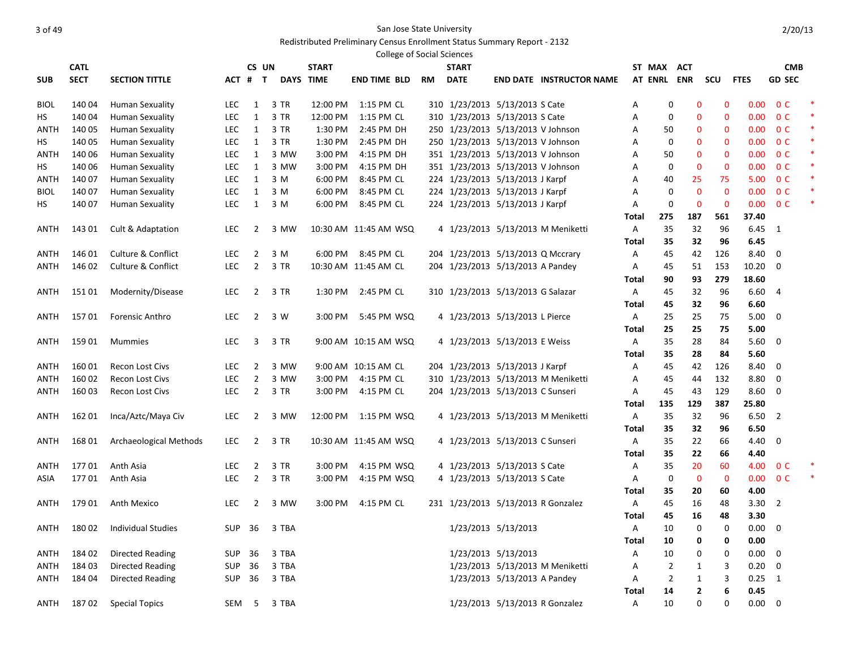### Redistributed Preliminary Census Enrollment Status Summary Report - 2132

|             |             |                               |            |                |              |                  | <b>College of Social Sciences</b> |    |                                    |                              |                                     |       |                |              |             |                   |                         |        |
|-------------|-------------|-------------------------------|------------|----------------|--------------|------------------|-----------------------------------|----|------------------------------------|------------------------------|-------------------------------------|-------|----------------|--------------|-------------|-------------------|-------------------------|--------|
|             | <b>CATL</b> |                               |            | CS UN          |              | <b>START</b>     |                                   |    | <b>START</b>                       |                              |                                     |       | ST MAX ACT     |              |             |                   | <b>CMB</b>              |        |
| <b>SUB</b>  | <b>SECT</b> | <b>SECTION TITTLE</b>         |            | ACT # T        |              | <b>DAYS TIME</b> | <b>END TIME BLD</b>               | RM | <b>DATE</b>                        |                              | <b>END DATE INSTRUCTOR NAME</b>     |       |                | AT ENRL ENR  | scu         | <b>FTES</b>       | <b>GD SEC</b>           |        |
| <b>BIOL</b> | 14004       | Human Sexuality               | <b>LEC</b> | 1              | 3 TR         | 12:00 PM         | 1:15 PM CL                        |    | 310 1/23/2013 5/13/2013 S Cate     |                              |                                     | Α     | 0              | $\mathbf 0$  | 0           | 0.00              | 0 <sup>C</sup>          |        |
| НS          | 140 04      | Human Sexuality               | <b>LEC</b> | $\mathbf{1}$   | 3 TR         | 12:00 PM         | 1:15 PM CL                        |    | 310 1/23/2013 5/13/2013 S Cate     |                              |                                     | Α     | 0              | $\mathbf 0$  | 0           |                   | 0.00 0 C                |        |
| ANTH        | 140 05      | Human Sexuality               | LEC        | $\mathbf{1}$   | 3 TR         | 1:30 PM          | 2:45 PM DH                        |    | 250 1/23/2013 5/13/2013 V Johnson  |                              |                                     | А     | 50             | $\mathbf 0$  | 0           | 0.00              | 0 <sup>C</sup>          | ∗      |
| HS          | 140 05      | Human Sexuality               | LEC        | $\mathbf{1}$   | 3 TR         | 1:30 PM          | 2:45 PM DH                        |    | 250 1/23/2013 5/13/2013 V Johnson  |                              |                                     | Α     | 0              | $\mathbf 0$  | 0           | 0.00              | 0 <sup>C</sup>          | ∗      |
| ANTH        | 140 06      | Human Sexuality               | <b>LEC</b> | $\mathbf{1}$   | 3 MW         | 3:00 PM          | 4:15 PM DH                        |    | 351 1/23/2013 5/13/2013 V Johnson  |                              |                                     | А     | 50             | $\mathbf 0$  | 0           | 0.00              | 0 <sup>C</sup>          | ∗      |
| HS          | 140 06      | Human Sexuality               | <b>LEC</b> | $\mathbf{1}$   | 3 MW         | 3:00 PM          | 4:15 PM DH                        |    | 351 1/23/2013 5/13/2013 V Johnson  |                              |                                     | А     | 0              | $\mathbf 0$  | 0           | 0.00              | 0 <sup>C</sup>          | ∗      |
| <b>ANTH</b> | 140 07      | Human Sexuality               | LEC        | $\mathbf{1}$   | 3 M          | 6:00 PM          | 8:45 PM CL                        |    | 224 1/23/2013 5/13/2013 J Karpf    |                              |                                     | Α     | 40             | 25           | 75          | 5.00              | 0 <sup>C</sup>          | $\ast$ |
| <b>BIOL</b> | 140 07      | <b>Human Sexuality</b>        | LEC        | $\mathbf{1}$   | 3 M          | 6:00 PM          | 8:45 PM CL                        |    | 224 1/23/2013 5/13/2013 J Karpf    |                              |                                     | Α     | 0              | $\mathbf 0$  | $\mathbf 0$ | 0.00              | 0 <sup>C</sup>          |        |
| НS          | 140 07      | <b>Human Sexuality</b>        | LEC        | $\mathbf{1}$   | 3 M          | 6:00 PM          | 8:45 PM CL                        |    | 224 1/23/2013 5/13/2013 J Karpf    |                              |                                     | Α     | 0              | $\mathbf 0$  | $\mathbf 0$ | 0.00              | 0 <sup>C</sup>          | $\ast$ |
|             |             |                               |            |                |              |                  |                                   |    |                                    |                              |                                     | Total | 275            | 187          | 561         | 37.40             |                         |        |
| ANTH        | 143 01      | Cult & Adaptation             | <b>LEC</b> | $\overline{2}$ | 3 MW         |                  | 10:30 AM 11:45 AM WSQ             |    |                                    |                              | 4 1/23/2013 5/13/2013 M Meniketti   | Α     | 35             | 32           | 96          | $6.45$ 1          |                         |        |
|             |             |                               |            |                |              |                  |                                   |    |                                    |                              |                                     | Total | 35             | 32           | 96          | 6.45              |                         |        |
| ANTH        | 146 01      | Culture & Conflict            | <b>LEC</b> | $\overline{2}$ | 3 M          |                  | 6:00 PM 8:45 PM CL                |    | 204 1/23/2013 5/13/2013 Q Mccrary  |                              |                                     | Α     | 45             | 42           | 126         | 8.40              | 0                       |        |
| ANTH        | 146 02      | <b>Culture &amp; Conflict</b> | <b>LEC</b> | $\overline{2}$ | 3 TR         |                  | 10:30 AM 11:45 AM CL              |    | 204 1/23/2013 5/13/2013 A Pandey   |                              |                                     | Α     | 45             | 51           | 153         | 10.20             | 0                       |        |
|             |             |                               |            |                |              |                  |                                   |    |                                    |                              |                                     | Total | 90             | 93           | 279         | 18.60             |                         |        |
| ANTH        | 15101       | Modernity/Disease             | LEC        | $\overline{2}$ | 3 TR         | 1:30 PM          | 2:45 PM CL                        |    | 310 1/23/2013 5/13/2013 G Salazar  |                              |                                     | Α     | 45             | 32           | 96          | 6.60              | $\overline{4}$          |        |
|             |             |                               |            |                |              |                  |                                   |    |                                    |                              |                                     | Total | 45             | 32           | 96          | 6.60              |                         |        |
| ANTH        | 15701       | <b>Forensic Anthro</b>        | <b>LEC</b> | $\overline{2}$ | 3 W          | $3:00$ PM        | 5:45 PM WSQ                       |    | 4 1/23/2013 5/13/2013 L Pierce     |                              |                                     | Α     | 25             | 25           | 75          | 5.00              | $\overline{0}$          |        |
|             |             |                               |            |                |              |                  |                                   |    |                                    |                              |                                     | Total | 25             | 25           | 75          | 5.00              |                         |        |
| ANTH        | 159 01      | <b>Mummies</b>                | <b>LEC</b> | 3              | 3 TR         |                  | 9:00 AM 10:15 AM WSQ              |    | 4 1/23/2013 5/13/2013 E Weiss      |                              |                                     | Α     | 35             | 28           | 84          | 5.60              | $\overline{\mathbf{0}}$ |        |
|             |             |                               |            |                |              |                  |                                   |    |                                    |                              |                                     | Total | 35             | 28           | 84          | 5.60              |                         |        |
| ANTH        | 16001       | <b>Recon Lost Civs</b>        | <b>LEC</b> | 2              | 3 MW         |                  | 9:00 AM 10:15 AM CL               |    | 204 1/23/2013 5/13/2013 J Karpf    |                              |                                     | Α     | 45             | 42           | 126         | 8.40              | $\overline{0}$          |        |
| ANTH        | 160 02      | <b>Recon Lost Civs</b>        | <b>LEC</b> | $\overline{2}$ | 3 MW         | 3:00 PM          | 4:15 PM CL                        |    |                                    |                              | 310 1/23/2013 5/13/2013 M Meniketti | Α     | 45             | 44           | 132         | 8.80              | 0                       |        |
| ANTH        | 160 03      | <b>Recon Lost Civs</b>        | LEC        | $\overline{2}$ | 3 TR         | 3:00 PM          | 4:15 PM CL                        |    | 204 1/23/2013 5/13/2013 C Sunseri  |                              |                                     | Α     | 45             | 43           | 129         | 8.60              | 0                       |        |
|             |             |                               |            |                |              |                  |                                   |    |                                    |                              |                                     | Total | 135            | 129          | 387         | 25.80             |                         |        |
| ANTH        | 162 01      | Inca/Aztc/Maya Civ            | <b>LEC</b> | $\overline{2}$ | 3 MW         |                  | 12:00 PM  1:15 PM  WSQ            |    |                                    |                              | 4 1/23/2013 5/13/2013 M Meniketti   | Α     | 35             | 32           | 96          | $6.50$ 2          |                         |        |
|             |             |                               |            |                |              |                  |                                   |    |                                    |                              |                                     | Total | 35             | 32           | 96          | 6.50              |                         |        |
| ANTH        | 168 01      | Archaeological Methods        | <b>LEC</b> | $\overline{2}$ | 3 TR         |                  | 10:30 AM 11:45 AM WSQ             |    | 4 1/23/2013 5/13/2013 C Sunseri    |                              |                                     | Α     | 35             | 22           | 66          | 4.40              | 0                       |        |
|             |             |                               |            |                |              |                  |                                   |    |                                    |                              |                                     | Total | 35             | 22           | 66          | 4.40              |                         |        |
| ANTH        | 17701       | Anth Asia                     | <b>LEC</b> | 2              | 3 TR         | 3:00 PM          | 4:15 PM WSQ                       |    | 4 1/23/2013 5/13/2013 S Cate       |                              |                                     | Α     | 35             | 20           | 60          | 4.00              | 0 <sup>C</sup>          |        |
| ASIA        | 17701       | Anth Asia                     | <b>LEC</b> | $\overline{2}$ | 3 TR         | $3:00$ PM        | 4:15 PM WSQ                       |    | 4 1/23/2013 5/13/2013 S Cate       |                              |                                     | A     | 0              | $\mathbf 0$  | $\mathbf 0$ | 0.00 <sub>1</sub> | 0 <sup>C</sup>          |        |
|             |             |                               |            |                |              |                  |                                   |    |                                    |                              |                                     | Total | 35             | 20           | 60          | 4.00              |                         |        |
| ANTH        | 179 01      | Anth Mexico                   | <b>LEC</b> | 2              | 3 MW         | 3:00 PM          | 4:15 PM CL                        |    | 231 1/23/2013 5/13/2013 R Gonzalez |                              |                                     | Α     | 45             | 16           | 48          | 3.30              | $\overline{2}$          |        |
|             |             |                               |            |                |              |                  |                                   |    |                                    |                              |                                     | Total | 45             | 16           | 48          | 3.30              |                         |        |
| ANTH        |             | 180 02 Individual Studies     |            |                | SUP 36 3 TBA |                  |                                   |    |                                    | 1/23/2013 5/13/2013          |                                     | Α     | $10\,$         | 0            | 0           | $0.00\quad$ $0$   |                         |        |
|             |             |                               |            |                |              |                  |                                   |    |                                    |                              |                                     | Total | 10             | 0            | 0           | 0.00              |                         |        |
| ANTH        | 184 02      | <b>Directed Reading</b>       | SUP        | 36             | 3 TBA        |                  |                                   |    |                                    | 1/23/2013 5/13/2013          |                                     | Α     | 10             | 0            | 0           | $0.00 \t 0$       |                         |        |
| ANTH        | 184 03      | <b>Directed Reading</b>       | SUP        | 36             | 3 TBA        |                  |                                   |    |                                    |                              | 1/23/2013 5/13/2013 M Meniketti     | Α     | $\overline{2}$ | $\mathbf{1}$ | 3           | $0.20 \ 0$        |                         |        |
| ANTH        | 184 04      | <b>Directed Reading</b>       | SUP        | 36             | 3 TBA        |                  |                                   |    |                                    | 1/23/2013 5/13/2013 A Pandey |                                     | Α     | $\overline{2}$ | $\mathbf{1}$ | 3           | $0.25$ 1          |                         |        |
|             |             |                               |            |                |              |                  |                                   |    |                                    |                              |                                     | Total | 14             | 2            | 6           | 0.45              |                         |        |
| ANTH        | 18702       | <b>Special Topics</b>         | SEM        | 5              | 3 TBA        |                  |                                   |    |                                    |                              | 1/23/2013 5/13/2013 R Gonzalez      | Α     | 10             | 0            | 0           | $0.00 \t 0$       |                         |        |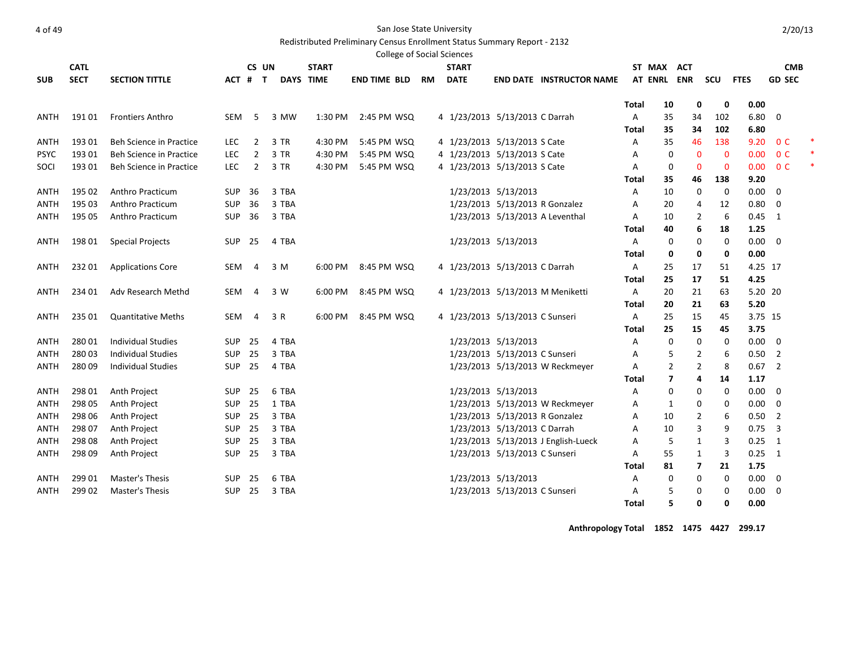Redistributed Preliminary Census Enrollment Status Summary Report - 2132

|             | <b>College of Social Sciences</b><br><b>CATL</b><br>CS UN<br><b>START</b><br><b>START</b><br>ST MAX<br><b>ACT</b><br><b>CMB</b> |                                |            |                |       |                  |                     |           |                                 |                               |                                     |       |                |                         |              |             |                |        |
|-------------|---------------------------------------------------------------------------------------------------------------------------------|--------------------------------|------------|----------------|-------|------------------|---------------------|-----------|---------------------------------|-------------------------------|-------------------------------------|-------|----------------|-------------------------|--------------|-------------|----------------|--------|
|             |                                                                                                                                 |                                |            |                |       |                  |                     |           |                                 |                               |                                     |       |                |                         |              |             |                |        |
| <b>SUB</b>  | <b>SECT</b>                                                                                                                     | <b>SECTION TITTLE</b>          | ACT #      | $\mathbf{T}$   |       | <b>DAYS TIME</b> | <b>END TIME BLD</b> | <b>RM</b> | <b>DATE</b>                     |                               | <b>END DATE INSTRUCTOR NAME</b>     |       | AT ENRL ENR    |                         | scu          | <b>FTES</b> | <b>GD SEC</b>  |        |
|             |                                                                                                                                 |                                |            |                |       |                  |                     |           |                                 |                               |                                     | Total | 10             | 0                       | 0            | 0.00        |                |        |
| ANTH        | 19101                                                                                                                           | <b>Frontiers Anthro</b>        | <b>SEM</b> | 5              | 3 MW  | 1:30 PM          | 2:45 PM WSQ         |           | 4 1/23/2013 5/13/2013 C Darrah  |                               |                                     | Α     | 35             | 34                      | 102          | 6.80        | 0              |        |
|             |                                                                                                                                 |                                |            |                |       |                  |                     |           |                                 |                               |                                     | Total | 35             | 34                      | 102          | 6.80        |                |        |
| ANTH        | 193 01                                                                                                                          | Beh Science in Practice        | <b>LEC</b> | $\overline{2}$ | 3 TR  | 4:30 PM          | 5:45 PM WSQ         |           | 4 1/23/2013 5/13/2013 S Cate    |                               |                                     | Α     | 35             | 46                      | 138          | 9.20        | 0 <sup>C</sup> | ×      |
| <b>PSYC</b> | 193 01                                                                                                                          | Beh Science in Practice        | <b>LEC</b> | $\overline{2}$ | 3 TR  | 4:30 PM          | 5:45 PM WSQ         |           | 4 1/23/2013 5/13/2013 S Cate    |                               |                                     | Α     | 0              | $\mathbf{0}$            | $\mathbf{0}$ | 0.00        | 0 <sup>C</sup> |        |
| SOCI        | 19301                                                                                                                           | <b>Beh Science in Practice</b> | <b>LEC</b> | $\overline{2}$ | 3 TR  | 4:30 PM          | 5:45 PM WSQ         |           | 4 1/23/2013 5/13/2013 S Cate    |                               |                                     | A     | 0              | $\mathbf{0}$            | $\mathbf 0$  | 0.00        | 0 <sup>C</sup> | $\ast$ |
|             |                                                                                                                                 |                                |            |                |       |                  |                     |           |                                 |                               |                                     | Total | 35             | 46                      | 138          | 9.20        |                |        |
| ANTH        | 195 02                                                                                                                          | <b>Anthro Practicum</b>        | <b>SUP</b> | 36             | 3 TBA |                  |                     |           |                                 | 1/23/2013 5/13/2013           |                                     | Α     | 10             | 0                       | 0            | 0.00        | $\overline{0}$ |        |
| <b>ANTH</b> | 195 03                                                                                                                          | <b>Anthro Practicum</b>        | <b>SUP</b> | 36             | 3 TBA |                  |                     |           |                                 |                               | 1/23/2013 5/13/2013 R Gonzalez      | Α     | 20             | 4                       | 12           | 0.80        | 0              |        |
| ANTH        | 195 05                                                                                                                          | <b>Anthro Practicum</b>        | SUP        | 36             | 3 TBA |                  |                     |           |                                 |                               | 1/23/2013 5/13/2013 A Leventhal     | Α     | 10             | $\overline{2}$          | 6            | 0.45        | $\mathbf{1}$   |        |
|             |                                                                                                                                 |                                |            |                |       |                  |                     |           |                                 |                               |                                     | Total | 40             | 6                       | 18           | 1.25        |                |        |
| ANTH        | 198 01                                                                                                                          | <b>Special Projects</b>        | SUP        | 25             | 4 TBA |                  |                     |           |                                 | 1/23/2013 5/13/2013           |                                     | Α     | 0              | 0                       | 0            | 0.00        | 0              |        |
|             |                                                                                                                                 |                                |            |                |       |                  |                     |           |                                 |                               |                                     | Total | $\mathbf 0$    | 0                       | 0            | 0.00        |                |        |
| ANTH        | 232 01                                                                                                                          | <b>Applications Core</b>       | <b>SEM</b> | $\overline{4}$ | 3 M   | 6:00 PM          | 8:45 PM WSQ         |           | 4 1/23/2013 5/13/2013 C Darrah  |                               |                                     | Α     | 25             | 17                      | 51           | 4.25 17     |                |        |
|             |                                                                                                                                 |                                |            |                |       |                  |                     |           |                                 |                               |                                     | Total | 25             | 17                      | 51           | 4.25        |                |        |
| ANTH        | 234 01                                                                                                                          | Adv Research Methd             | <b>SEM</b> | $\overline{4}$ | 3 W   | 6:00 PM          | 8:45 PM WSQ         |           |                                 |                               | 4 1/23/2013 5/13/2013 M Meniketti   | A     | 20             | 21                      | 63           | 5.20 20     |                |        |
|             |                                                                                                                                 |                                |            |                |       |                  |                     |           |                                 |                               |                                     | Total | 20             | 21                      | 63           | 5.20        |                |        |
| ANTH        | 235 01                                                                                                                          | <b>Quantitative Meths</b>      | <b>SEM</b> | $\overline{4}$ | 3 R   | 6:00 PM          | 8:45 PM WSQ         |           | 4 1/23/2013 5/13/2013 C Sunseri |                               |                                     | Α     | 25             | 15                      | 45           | 3.75 15     |                |        |
|             |                                                                                                                                 |                                |            |                |       |                  |                     |           |                                 |                               |                                     | Total | 25             | 15                      | 45           | 3.75        |                |        |
| ANTH        | 280 01                                                                                                                          | <b>Individual Studies</b>      | <b>SUP</b> | 25             | 4 TBA |                  |                     |           |                                 | 1/23/2013 5/13/2013           |                                     | Α     | 0              | $\mathbf 0$             | 0            | $0.00\,$    | $\overline{0}$ |        |
| ANTH        | 28003                                                                                                                           | <b>Individual Studies</b>      | <b>SUP</b> | 25             | 3 TBA |                  |                     |           |                                 | 1/23/2013 5/13/2013 C Sunseri |                                     | Α     | 5              | $\overline{2}$          | 6            | 0.50        | $\overline{2}$ |        |
| ANTH        | 28009                                                                                                                           | Individual Studies             | <b>SUP</b> | 25             | 4 TBA |                  |                     |           |                                 |                               | 1/23/2013 5/13/2013 W Reckmeyer     | Α     | 2              | $\overline{2}$          | 8            | 0.67        | $\overline{2}$ |        |
|             |                                                                                                                                 |                                |            |                |       |                  |                     |           |                                 |                               |                                     | Total | $\overline{7}$ | 4                       | 14           | 1.17        |                |        |
| <b>ANTH</b> | 298 01                                                                                                                          | Anth Project                   | <b>SUP</b> | 25             | 6 TBA |                  |                     |           |                                 | 1/23/2013 5/13/2013           |                                     | Α     | 0              | 0                       | 0            | 0.00        | $\overline{0}$ |        |
| ANTH        | 298 05                                                                                                                          | Anth Project                   | SUP        | 25             | 1 TBA |                  |                     |           |                                 |                               | 1/23/2013 5/13/2013 W Reckmeyer     | Α     | $\mathbf{1}$   | 0                       | 0            | 0.00        | 0              |        |
| ANTH        | 298 06                                                                                                                          | Anth Project                   | SUP        | 25             | 3 TBA |                  |                     |           |                                 |                               | 1/23/2013 5/13/2013 R Gonzalez      | Α     | 10             | $\overline{2}$          | 6            | 0.50        | $\overline{2}$ |        |
| ANTH        | 298 07                                                                                                                          | Anth Project                   | <b>SUP</b> | 25             | 3 TBA |                  |                     |           |                                 | 1/23/2013 5/13/2013 C Darrah  |                                     | Α     | 10             | 3                       | 9            | 0.75        | $\overline{3}$ |        |
| ANTH        | 298 08                                                                                                                          | Anth Project                   | <b>SUP</b> | 25             | 3 TBA |                  |                     |           |                                 |                               | 1/23/2013 5/13/2013 J English-Lueck | Α     | 5              | 1                       | 3            | 0.25        | 1              |        |
| ANTH        | 298 09                                                                                                                          | Anth Project                   | <b>SUP</b> | 25             | 3 TBA |                  |                     |           |                                 | 1/23/2013 5/13/2013 C Sunseri |                                     | Α     | 55             | $\mathbf{1}$            | 3            | 0.25        | $\overline{1}$ |        |
|             |                                                                                                                                 |                                |            |                |       |                  |                     |           |                                 |                               |                                     | Total | 81             | $\overline{\mathbf{z}}$ | 21           | 1.75        |                |        |
| ANTH        | 299 01                                                                                                                          | <b>Master's Thesis</b>         | <b>SUP</b> | 25             | 6 TBA |                  |                     |           |                                 | 1/23/2013 5/13/2013           |                                     | Α     | 0              | 0                       | 0            | 0.00        | $\overline{0}$ |        |
| ANTH        | 299 02                                                                                                                          | <b>Master's Thesis</b>         | <b>SUP</b> | 25             | 3 TBA |                  |                     |           |                                 | 1/23/2013 5/13/2013 C Sunseri |                                     | Α     | 5              | 0                       | 0            | 0.00        | 0              |        |
|             |                                                                                                                                 |                                |            |                |       |                  |                     |           |                                 |                               |                                     | Total | 5              | 0                       | $\mathbf 0$  | 0.00        |                |        |

**Anthropology Total 1852 1475 4427 299.17**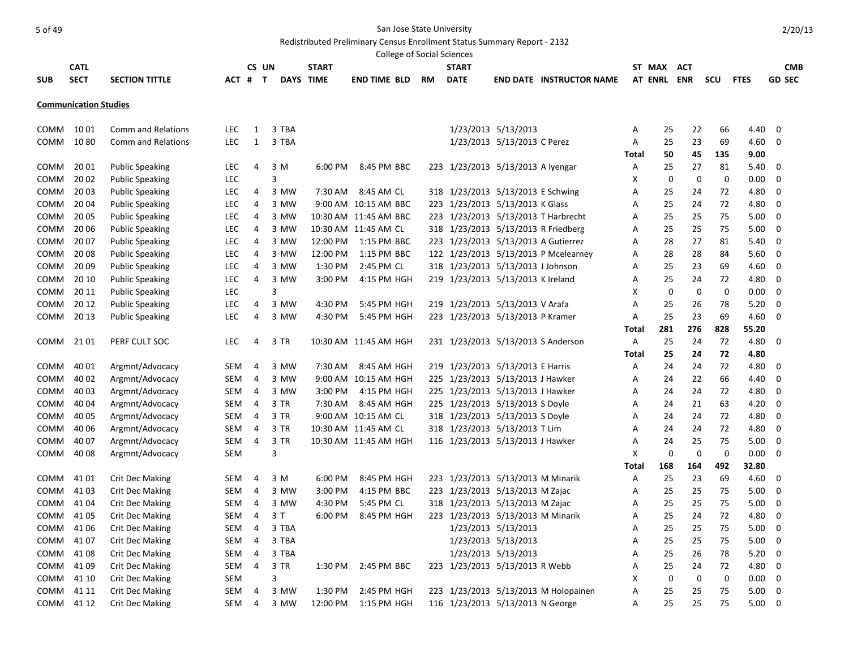# Redistributed Preliminary Census Enrollment Status Summary Report - 2132

|             |                              |                           |            |                |       |                  |              | <b>College of Social Sciences</b> |           |              |                                     |                                      |       |                |            |     |             |               |
|-------------|------------------------------|---------------------------|------------|----------------|-------|------------------|--------------|-----------------------------------|-----------|--------------|-------------------------------------|--------------------------------------|-------|----------------|------------|-----|-------------|---------------|
|             | <b>CATL</b>                  |                           |            |                | CS UN |                  | <b>START</b> |                                   |           | <b>START</b> |                                     |                                      |       | ST MAX         | <b>ACT</b> |     |             | <b>CMB</b>    |
| <b>SUB</b>  | <b>SECT</b>                  | <b>SECTION TITTLE</b>     | ACT # T    |                |       | <b>DAYS TIME</b> |              | <b>END TIME BLD</b>               | <b>RM</b> | <b>DATE</b>  |                                     | <b>END DATE INSTRUCTOR NAME</b>      |       | <b>AT ENRL</b> | <b>ENR</b> | scu | <b>FTES</b> | <b>GD SEC</b> |
|             | <b>Communication Studies</b> |                           |            |                |       |                  |              |                                   |           |              |                                     |                                      |       |                |            |     |             |               |
|             |                              |                           |            |                |       |                  |              |                                   |           |              |                                     |                                      |       |                |            |     |             |               |
| COMM        | 10 01                        | <b>Comm and Relations</b> | LEC.       | 1              |       | 3 TBA            |              |                                   |           |              | 1/23/2013 5/13/2013                 |                                      | А     | 25             | 22         | 66  | 4.40        | 0             |
| COMM        | 1080                         | <b>Comm and Relations</b> | <b>LEC</b> | 1              |       | 3 TBA            |              |                                   |           |              | 1/23/2013 5/13/2013 C Perez         |                                      | Α     | 25             | 23         | 69  | 4.60        | 0             |
|             |                              |                           |            |                |       |                  |              |                                   |           |              |                                     |                                      | Total | 50             | 45         | 135 | 9.00        |               |
| COMM        | 20 01                        | <b>Public Speaking</b>    | <b>LEC</b> | 4              |       | 3 M              | 6:00 PM      | 8:45 PM BBC                       |           |              | 223 1/23/2013 5/13/2013 A Iyengar   |                                      | Α     | 25             | 27         | 81  | 5.40        | 0             |
| COMM        | 20 02                        | <b>Public Speaking</b>    | <b>LEC</b> |                |       | 3                |              |                                   |           |              |                                     |                                      | х     | 0              | 0          | 0   | 0.00        | 0             |
| <b>COMM</b> | 20 03                        | <b>Public Speaking</b>    | LEC        | 4              |       | 3 MW             | 7:30 AM      | 8:45 AM CL                        |           |              | 318 1/23/2013 5/13/2013 E Schwing   |                                      | Α     | 25             | 24         | 72  | 4.80        | 0             |
| <b>COMM</b> | 20 04                        | <b>Public Speaking</b>    | LEC        | 4              |       | 3 MW             |              | 9:00 AM 10:15 AM BBC              |           |              | 223 1/23/2013 5/13/2013 K Glass     |                                      | А     | 25             | 24         | 72  | 4.80        | 0             |
| <b>COMM</b> | 20 05                        | <b>Public Speaking</b>    | LEC        | 4              |       | 3 MW             |              | 10:30 AM 11:45 AM BBC             |           |              |                                     | 223 1/23/2013 5/13/2013 T Harbrecht  | Α     | 25             | 25         | 75  | 5.00        | 0             |
| COMM        | 20 06                        | <b>Public Speaking</b>    | LEC        | 4              |       | 3 MW             |              | 10:30 AM 11:45 AM CL              |           |              |                                     | 318 1/23/2013 5/13/2013 R Friedberg  | А     | 25             | 25         | 75  | 5.00        | 0             |
| <b>COMM</b> | 20 07                        | <b>Public Speaking</b>    | LEC        | 4              |       | 3 MW             | 12:00 PM     | 1:15 PM BBC                       |           |              | 223 1/23/2013 5/13/2013 A Gutierrez |                                      | А     | 28             | 27         | 81  | 5.40        | 0             |
| <b>COMM</b> | 20 08                        | <b>Public Speaking</b>    | LEC        | 4              |       | 3 MW             | 12:00 PM     | 1:15 PM BBC                       |           |              |                                     | 122 1/23/2013 5/13/2013 P Mcelearney | Α     | 28             | 28         | 84  | 5.60        | 0             |
| <b>COMM</b> | 20 09                        | <b>Public Speaking</b>    | LEC        | 4              |       | 3 MW             | 1:30 PM      | 2:45 PM CL                        |           |              | 318 1/23/2013 5/13/2013 J Johnson   |                                      | А     | 25             | 23         | 69  | 4.60        | 0             |
| COMM        | 20 10                        | <b>Public Speaking</b>    | LEC        | 4              |       | 3 MW             | 3:00 PM      | 4:15 PM HGH                       |           |              | 219 1/23/2013 5/13/2013 K Ireland   |                                      | Α     | 25             | 24         | 72  | 4.80        | 0             |
| COMM        | 20 11                        | <b>Public Speaking</b>    | LEC        |                |       | 3                |              |                                   |           |              |                                     |                                      | X     | 0              | 0          | 0   | 0.00        | 0             |
| COMM        | 20 12                        | <b>Public Speaking</b>    | LEC        | 4              |       | 3 MW             | 4:30 PM      | 5:45 PM HGH                       |           |              | 219 1/23/2013 5/13/2013 V Arafa     |                                      | Α     | 25             | 26         | 78  | 5.20        | 0             |
| COMM        | 20 13                        | <b>Public Speaking</b>    | LEC        | 4              |       | 3 MW             | 4:30 PM      | 5:45 PM HGH                       |           |              | 223 1/23/2013 5/13/2013 P Kramer    |                                      | Α     | 25             | 23         | 69  | 4.60        | 0             |
|             |                              |                           |            |                |       |                  |              |                                   |           |              |                                     |                                      | Total | 281            | 276        | 828 | 55.20       |               |
| COMM        | 21 01                        | PERF CULT SOC             | LEC        | 4              |       | 3 TR             |              | 10:30 AM 11:45 AM HGH             |           |              | 231 1/23/2013 5/13/2013 S Anderson  |                                      | Α     | 25             | 24         | 72  | 4.80        | 0             |
|             |                              |                           |            |                |       |                  |              |                                   |           |              |                                     |                                      | Total | 25             | 24         | 72  | 4.80        |               |
| COMM        | 40 01                        | Argmnt/Advocacy           | SEM        | 4              |       | 3 MW             | 7:30 AM      | 8:45 AM HGH                       |           |              | 219 1/23/2013 5/13/2013 E Harris    |                                      | Α     | 24             | 24         | 72  | 4.80        | 0             |
| COMM        | 40 02                        | Argmnt/Advocacy           | SEM        | 4              |       | 3 MW             |              | 9:00 AM 10:15 AM HGH              |           |              | 225 1/23/2013 5/13/2013 J Hawker    |                                      | Α     | 24             | 22         | 66  | 4.40        | 0             |
| <b>COMM</b> | 40 03                        | Argmnt/Advocacy           | SEM        | 4              |       | 3 MW             | 3:00 PM      | 4:15 PM HGH                       |           |              | 225 1/23/2013 5/13/2013 J Hawker    |                                      | Α     | 24             | 24         | 72  | 4.80        | 0             |
| COMM        | 40 04                        | Argmnt/Advocacy           | SEM        | $\overline{4}$ |       | 3 TR             | 7:30 AM      | 8:45 AM HGH                       |           |              | 225 1/23/2013 5/13/2013 S Doyle     |                                      | Α     | 24             | 21         | 63  | 4.20        | 0             |
| COMM        | 40 05                        | Argmnt/Advocacy           | SEM        | 4              |       | 3 TR             |              | 9:00 AM 10:15 AM CL               |           |              | 318 1/23/2013 5/13/2013 S Doyle     |                                      | Α     | 24             | 24         | 72  | 4.80        | 0             |
| <b>COMM</b> | 40 06                        | Argmnt/Advocacy           | SEM        | 4              |       | 3 TR             |              | 10:30 AM 11:45 AM CL              |           |              | 318 1/23/2013 5/13/2013 T Lim       |                                      | Α     | 24             | 24         | 72  | 4.80        | 0             |
| <b>COMM</b> | 40 07                        | Argmnt/Advocacy           | SEM        | 4              |       | 3 TR             |              | 10:30 AM 11:45 AM HGH             |           |              | 116 1/23/2013 5/13/2013 J Hawker    |                                      | А     | 24             | 25         | 75  | 5.00        | 0             |
| COMM        | 40 08                        | Argmnt/Advocacy           | SEM        |                |       | 3                |              |                                   |           |              |                                     |                                      | х     | $\mathbf 0$    | 0          | 0   | 0.00        | 0             |
|             |                              |                           |            |                |       |                  |              |                                   |           |              |                                     |                                      | Total | 168            | 164        | 492 | 32.80       |               |
| COMM        | 41 01                        | <b>Crit Dec Making</b>    | SEM        | 4              |       | 3 M              | 6:00 PM      | 8:45 PM HGH                       |           |              | 223 1/23/2013 5/13/2013 M Minarik   |                                      | Α     | 25             | 23         | 69  | 4.60        | 0             |
| COMM        | 41 03                        | <b>Crit Dec Making</b>    | SEM        | 4              |       | 3 MW             | 3:00 PM      | 4:15 PM BBC                       |           |              | 223 1/23/2013 5/13/2013 M Zajac     |                                      | Α     | 25             | 25         | 75  | 5.00        | 0             |
| COMM        | 41 04                        | <b>Crit Dec Making</b>    | SEM        | $\overline{4}$ |       | 3 MW             | 4:30 PM      | 5:45 PM CL                        |           |              | 318 1/23/2013 5/13/2013 M Zajac     |                                      | Α     | 25             | 25         | 75  | 5.00        | 0             |
| COMM        | 41 05                        | <b>Crit Dec Making</b>    | SEM        | 4              |       | 3 T              | 6:00 PM      | 8:45 PM HGH                       |           |              | 223 1/23/2013 5/13/2013 M Minarik   |                                      | Α     | 25             | 24         | 72  | 4.80        | 0             |
|             | COMM 4106                    | <b>Crit Dec Making</b>    | SEM 4      |                |       | 3 TBA            |              |                                   |           |              | 1/23/2013 5/13/2013                 |                                      | A     | 25             | 25         | 75  | 5.00        | 0             |
|             | COMM 4107                    | <b>Crit Dec Making</b>    | SEM        | 4              |       | 3 TBA            |              |                                   |           |              | 1/23/2013 5/13/2013                 |                                      | Α     | 25             | 25         | 75  | 5.00        | 0             |
| COMM        | 41 08                        | <b>Crit Dec Making</b>    | SEM        | 4              |       | 3 TBA            |              |                                   |           |              | 1/23/2013 5/13/2013                 |                                      | Α     | 25             | 26         | 78  | 5.20        | 0             |
| COMM        | 41 09                        | <b>Crit Dec Making</b>    | SEM        | 4              |       | 3 TR             |              | 1:30 PM 2:45 PM BBC               |           |              | 223 1/23/2013 5/13/2013 R Webb      |                                      | Α     | 25             | 24         | 72  | 4.80        | 0             |
| COMM        | 41 10                        | <b>Crit Dec Making</b>    | SEM        |                |       | 3                |              |                                   |           |              |                                     |                                      | x     | 0              | 0          | 0   | $0.00 \t 0$ |               |
|             | COMM 41 11                   | <b>Crit Dec Making</b>    | SEM        | 4              |       | 3 MW             |              | 1:30 PM 2:45 PM HGH               |           |              |                                     | 223 1/23/2013 5/13/2013 M Holopainen | А     | 25             | 25         | 75  | $5.00 \t 0$ |               |
|             | COMM 41 12                   | <b>Crit Dec Making</b>    | SEM        | 4              |       | 3 MW             |              | 12:00 PM 1:15 PM HGH              |           |              | 116 1/23/2013 5/13/2013 N George    |                                      | Α     | 25             | 25         | 75  | $5.00 \t 0$ |               |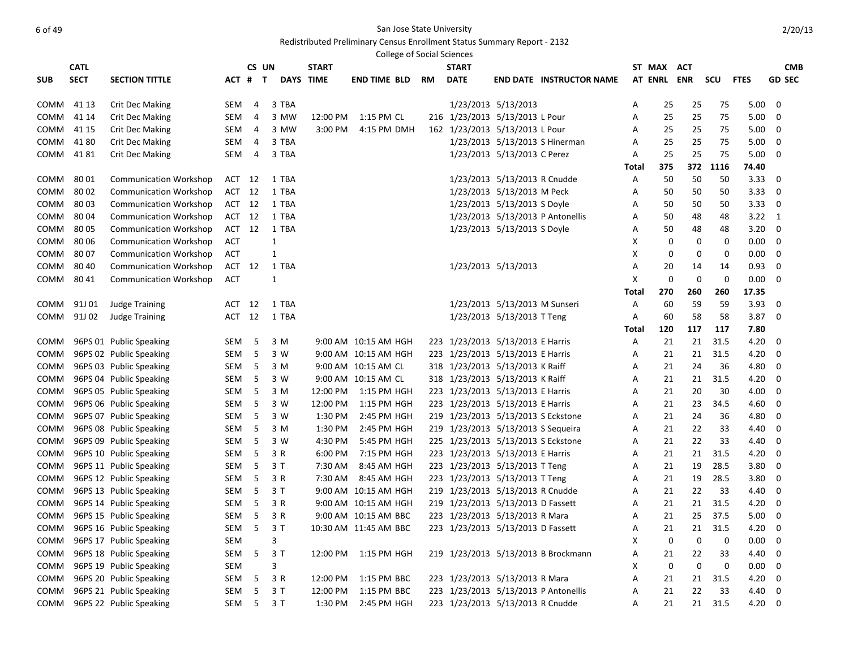| <b>CATL</b><br>CS UN<br><b>START</b><br><b>START</b><br>ST MAX<br><b>CMB</b><br>ACT<br><b>SECT</b><br><b>DATE</b><br>AT ENRL ENR<br><b>GD SEC</b><br><b>SECTION TITTLE</b><br>DAYS TIME<br>end time bld<br><b>END DATE INSTRUCTOR NAME</b><br>scu<br><b>FTES</b><br><b>SUB</b><br>ACT # T<br>RM<br>1/23/2013 5/13/2013<br>SEM<br>3 TBA<br>25<br>5.00<br>0<br>COMM<br>41 13<br><b>Crit Dec Making</b><br>4<br>25<br>75<br>A<br>216 1/23/2013 5/13/2013 L Pour<br><b>Crit Dec Making</b><br>3 MW<br>12:00 PM<br>1:15 PM CL<br>25<br>25<br>75<br>5.00<br>COMM<br>41 14<br>SEM<br>4<br>0<br>A<br>162 1/23/2013 5/13/2013 L Pour<br>COMM<br><b>Crit Dec Making</b><br>SEM<br>3 MW<br>3:00 PM<br>4:15 PM DMH<br>25<br>25<br>75<br>5.00<br>0<br>41 15<br>4<br>Α<br>3 TBA<br>1/23/2013 5/13/2013 S Hinerman<br>25<br>25<br>5.00<br>COMM<br>4180<br><b>Crit Dec Making</b><br>SEM<br>75<br>0<br>4<br>A<br>3 TBA<br>1/23/2013 5/13/2013 C Perez<br>25<br>25<br>75<br>COMM<br>4181<br><b>Crit Dec Making</b><br>SEM<br>5.00<br>0<br>4<br>Α<br>375<br>372<br>1116<br>74.40<br>Total<br>1/23/2013 5/13/2013 R Cnudde<br>80 01<br><b>Communication Workshop</b><br>1 TBA<br>50<br>50<br>50<br>3.33<br>0<br>COMM<br>ACT 12<br>Α<br>1 TBA<br>1/23/2013 5/13/2013 M Peck<br>COMM<br>8002<br><b>Communication Workshop</b><br>ACT 12<br>50<br>50<br>50<br>3.33<br>0<br>A<br><b>Communication Workshop</b><br>1 TBA<br>1/23/2013 5/13/2013 S Doyle<br>3.33<br>COMM<br>8003<br>ACT 12<br>50<br>50<br>50<br>0<br>Α<br>1/23/2013 5/13/2013 P Antonellis<br>COMM<br>8004<br><b>Communication Workshop</b><br>ACT 12<br>1 TBA<br>50<br>48<br>$3.22 \quad 1$<br>Α<br>48<br>1 TBA<br>1/23/2013 5/13/2013 S Doyle<br>COMM<br>8005<br><b>Communication Workshop</b><br>ACT 12<br>48<br>3.20<br>0<br>Α<br>50<br>48<br>$\mathbf{1}$<br>COMM<br>8006<br><b>Communication Workshop</b><br>ACT<br>Х<br>0<br>0<br>0<br>$0.00\,$<br>0<br>$\mathbf{1}$<br>COMM<br>8007<br><b>Communication Workshop</b><br>ACT<br>х<br>0<br>0<br>0<br>$0.00\,$<br>0<br>80 40<br>1/23/2013 5/13/2013<br>0.93<br>COMM<br><b>Communication Workshop</b><br>ACT<br>12<br>1 TBA<br>20<br>14<br>0<br>Α<br>14<br>0<br>COMM<br>8041<br><b>Communication Workshop</b><br>ACT<br>1<br>Х<br>0<br>0<br>0.00<br>0<br>17.35<br>270<br>260<br>260<br>Total<br>1 TBA<br>1/23/2013 5/13/2013 M Sunseri<br>3.93<br>91J 01<br><b>Judge Training</b><br>12<br>60<br>59<br>59<br>COMM<br>ACT<br>Α<br>0<br>1/23/2013 5/13/2013 T Teng<br>3.87<br>COMM<br>91J 02<br><b>Judge Training</b><br>ACT 12<br>1 TBA<br>60<br>58<br>58<br>0<br>Α<br>120<br>117<br>117<br>7.80<br>Total<br>96PS 01 Public Speaking<br>3 M<br>9:00 AM 10:15 AM HGH<br>223 1/23/2013 5/13/2013 E Harris<br>21<br>21<br>31.5<br>4.20<br>COMM<br>SEM<br>5<br>Α<br>0<br>223 1/23/2013 5/13/2013 E Harris<br>COMM<br>96PS 02 Public Speaking<br>SEM<br>-5<br>3 W<br>9:00 AM 10:15 AM HGH<br>21<br>21<br>31.5<br>4.20<br>0<br>А<br>96PS 03 Public Speaking<br>318 1/23/2013 5/13/2013 K Raiff<br>COMM<br>SEM<br>-5<br>3 M<br>9:00 AM 10:15 AM CL<br>21<br>24<br>36<br>4.80<br>0<br>А<br>96PS 04 Public Speaking<br>SEM<br>-5<br>3 W<br>9:00 AM 10:15 AM CL<br>318 1/23/2013 5/13/2013 K Raiff<br>21<br>21<br>31.5<br>4.20<br>0<br>COMM<br>Α<br>223 1/23/2013 5/13/2013 E Harris<br>96PS 05 Public Speaking<br>SEM<br>3 M<br>12:00 PM<br>1:15 PM HGH<br>21<br>20<br>30<br>4.00<br>0<br>COMM<br>5<br>Α<br>223 1/23/2013 5/13/2013 E Harris<br>COMM<br>96PS 06 Public Speaking<br>SEM<br>5<br>3 W<br>12:00 PM<br>1:15 PM HGH<br>21<br>23<br>4.60<br>0<br>Α<br>34.5<br>96PS 07 Public Speaking<br>219 1/23/2013 5/13/2013 S Eckstone<br>SEM<br>-5<br>3 W<br>1:30 PM<br>2:45 PM HGH<br>21<br>24<br>36<br>4.80<br>0<br>COMM<br>А<br>219 1/23/2013 5/13/2013 S Sequeira<br>96PS 08 Public Speaking<br>SEM<br>1:30 PM<br>2:45 PM HGH<br>22<br>0<br>COMM<br>-5<br>3 M<br>Α<br>21<br>33<br>4.40<br>96PS 09 Public Speaking<br>225 1/23/2013 5/13/2013 S Eckstone<br>SEM<br>3 W<br>4:30 PM<br>5:45 PM HGH<br>22<br>33<br>4.40<br>0<br>COMM<br>- 5<br>Α<br>21<br>223 1/23/2013 5/13/2013 E Harris<br>96PS 10 Public Speaking<br>SEM<br>3 R<br>6:00 PM<br>7:15 PM HGH<br>21<br>31.5<br>4.20<br>0<br>COMM<br>- 5<br>21<br>Α<br>223 1/23/2013 5/13/2013 T Teng<br>28.5<br>96PS 11 Public Speaking<br>SEM<br>-5<br>3 T<br>7:30 AM<br>8:45 AM HGH<br>19<br>3.80<br>0<br>COMM<br>21<br>A<br>223 1/23/2013 5/13/2013 T Teng<br>96PS 12 Public Speaking<br>-5<br>3 R<br>7:30 AM<br>8:45 AM HGH<br>19<br>28.5<br>3.80<br>0<br>COMM<br>SEM<br>21<br>A<br>3T<br>219 1/23/2013 5/13/2013 R Cnudde<br>96PS 13 Public Speaking<br>SEM<br>-5<br>9:00 AM 10:15 AM HGH<br>22<br>33<br>4.40<br>0<br><b>COMM</b><br>21<br>A<br>3 R<br>219 1/23/2013 5/13/2013 D Fassett<br>4.20<br>COMM<br>96PS 14 Public Speaking<br>SEM<br>-5<br>9:00 AM 10:15 AM HGH<br>21<br>21<br>31.5<br>0<br>A<br>-5<br>223 1/23/2013 5/13/2013 R Mara<br>25<br>37.5<br>5.00<br>COMM<br>96PS 15 Public Speaking<br>SEM<br>3 R<br>9:00 AM 10:15 AM BBC<br>21<br>0<br>A<br>SEM 5 3 T<br>223 1/23/2013 5/13/2013 D Fassett<br>21 31.5<br>$4.20 \ 0$<br>COMM 96PS 16 Public Speaking<br>21<br>10:30 AM 11:45 AM BBC<br>Α<br>$\boldsymbol{0}$<br>$\mathbf 0$<br>96PS 17 Public Speaking<br>SEM<br>3<br>х<br>0<br>$0.00\,$<br>COMM<br>$\overline{\mathbf{0}}$<br>5<br>3T<br>96PS 18 Public Speaking<br>SEM<br>12:00 PM 1:15 PM HGH<br>219 1/23/2013 5/13/2013 B Brockmann<br>22<br>4.40<br>COMM<br>Α<br>21<br>33<br>0<br>96PS 19 Public Speaking<br>COMM<br>SEM<br>3<br>X<br>0<br>0<br>0<br>0.00<br>$\overline{\mathbf{0}}$<br>223 1/23/2013 5/13/2013 R Mara<br>COMM<br>96PS 20 Public Speaking<br>SEM<br>5<br>3 R<br>12:00 PM<br>1:15 PM BBC<br>21<br>31.5<br>4.20<br>Α<br>21<br>$\overline{0}$<br>223 1/23/2013 5/13/2013 P Antonellis<br>22<br>96PS 21 Public Speaking<br>-5<br>3T<br>12:00 PM<br>1:15 PM BBC<br>21<br>33<br>4.40<br>COMM<br>SEM<br>Α<br>$\overline{\mathbf{0}}$<br>96PS 22 Public Speaking<br>223 1/23/2013 5/13/2013 R Cnudde<br>SEM 5 3 T<br>21 31.5<br>$4.20\ 0$ |      | <b>College of Social Sciences</b> |  |  |  |  |         |             |  |  |  |  |   |    |  |  |  |
|-----------------------------------------------------------------------------------------------------------------------------------------------------------------------------------------------------------------------------------------------------------------------------------------------------------------------------------------------------------------------------------------------------------------------------------------------------------------------------------------------------------------------------------------------------------------------------------------------------------------------------------------------------------------------------------------------------------------------------------------------------------------------------------------------------------------------------------------------------------------------------------------------------------------------------------------------------------------------------------------------------------------------------------------------------------------------------------------------------------------------------------------------------------------------------------------------------------------------------------------------------------------------------------------------------------------------------------------------------------------------------------------------------------------------------------------------------------------------------------------------------------------------------------------------------------------------------------------------------------------------------------------------------------------------------------------------------------------------------------------------------------------------------------------------------------------------------------------------------------------------------------------------------------------------------------------------------------------------------------------------------------------------------------------------------------------------------------------------------------------------------------------------------------------------------------------------------------------------------------------------------------------------------------------------------------------------------------------------------------------------------------------------------------------------------------------------------------------------------------------------------------------------------------------------------------------------------------------------------------------------------------------------------------------------------------------------------------------------------------------------------------------------------------------------------------------------------------------------------------------------------------------------------------------------------------------------------------------------------------------------------------------------------------------------------------------------------------------------------------------------------------------------------------------------------------------------------------------------------------------------------------------------------------------------------------------------------------------------------------------------------------------------------------------------------------------------------------------------------------------------------------------------------------------------------------------------------------------------------------------------------------------------------------------------------------------------------------------------------------------------------------------------------------------------------------------------------------------------------------------------------------------------------------------------------------------------------------------------------------------------------------------------------------------------------------------------------------------------------------------------------------------------------------------------------------------------------------------------------------------------------------------------------------------------------------------------------------------------------------------------------------------------------------------------------------------------------------------------------------------------------------------------------------------------------------------------------------------------------------------------------------------------------------------------------------------------------------------------------------------------------------------------------------------------------------------------------------------------------------------------------------------------------------------------------------------------------------------------------------------------------------------------------------------------------------------------------------------------------------------------------------------------------------------------------------------------------------------------------------------------------------------------------------------------------------------------------------------------------------------------------------------------------------------------------------------------------------------------------------------------------------------------------------------------------------------------------------------------------------------------------------------------------------------------------------------------------------------------------------------------------------------------------------------------------------------------------------------------------------------------------------------------------------------------------------------------------------------------------------------------------------------|------|-----------------------------------|--|--|--|--|---------|-------------|--|--|--|--|---|----|--|--|--|
|                                                                                                                                                                                                                                                                                                                                                                                                                                                                                                                                                                                                                                                                                                                                                                                                                                                                                                                                                                                                                                                                                                                                                                                                                                                                                                                                                                                                                                                                                                                                                                                                                                                                                                                                                                                                                                                                                                                                                                                                                                                                                                                                                                                                                                                                                                                                                                                                                                                                                                                                                                                                                                                                                                                                                                                                                                                                                                                                                                                                                                                                                                                                                                                                                                                                                                                                                                                                                                                                                                                                                                                                                                                                                                                                                                                                                                                                                                                                                                                                                                                                                                                                                                                                                                                                                                                                                                                                                                                                                                                                                                                                                                                                                                                                                                                                                                                                                                                                                                                                                                                                                                                                                                                                                                                                                                                                                                                                                                                                                                                                                                                                                                                                                                                                                                                                                                                                                                                                                                                                                 |      |                                   |  |  |  |  |         |             |  |  |  |  |   |    |  |  |  |
|                                                                                                                                                                                                                                                                                                                                                                                                                                                                                                                                                                                                                                                                                                                                                                                                                                                                                                                                                                                                                                                                                                                                                                                                                                                                                                                                                                                                                                                                                                                                                                                                                                                                                                                                                                                                                                                                                                                                                                                                                                                                                                                                                                                                                                                                                                                                                                                                                                                                                                                                                                                                                                                                                                                                                                                                                                                                                                                                                                                                                                                                                                                                                                                                                                                                                                                                                                                                                                                                                                                                                                                                                                                                                                                                                                                                                                                                                                                                                                                                                                                                                                                                                                                                                                                                                                                                                                                                                                                                                                                                                                                                                                                                                                                                                                                                                                                                                                                                                                                                                                                                                                                                                                                                                                                                                                                                                                                                                                                                                                                                                                                                                                                                                                                                                                                                                                                                                                                                                                                                                 |      |                                   |  |  |  |  |         |             |  |  |  |  |   |    |  |  |  |
|                                                                                                                                                                                                                                                                                                                                                                                                                                                                                                                                                                                                                                                                                                                                                                                                                                                                                                                                                                                                                                                                                                                                                                                                                                                                                                                                                                                                                                                                                                                                                                                                                                                                                                                                                                                                                                                                                                                                                                                                                                                                                                                                                                                                                                                                                                                                                                                                                                                                                                                                                                                                                                                                                                                                                                                                                                                                                                                                                                                                                                                                                                                                                                                                                                                                                                                                                                                                                                                                                                                                                                                                                                                                                                                                                                                                                                                                                                                                                                                                                                                                                                                                                                                                                                                                                                                                                                                                                                                                                                                                                                                                                                                                                                                                                                                                                                                                                                                                                                                                                                                                                                                                                                                                                                                                                                                                                                                                                                                                                                                                                                                                                                                                                                                                                                                                                                                                                                                                                                                                                 |      |                                   |  |  |  |  |         |             |  |  |  |  |   |    |  |  |  |
|                                                                                                                                                                                                                                                                                                                                                                                                                                                                                                                                                                                                                                                                                                                                                                                                                                                                                                                                                                                                                                                                                                                                                                                                                                                                                                                                                                                                                                                                                                                                                                                                                                                                                                                                                                                                                                                                                                                                                                                                                                                                                                                                                                                                                                                                                                                                                                                                                                                                                                                                                                                                                                                                                                                                                                                                                                                                                                                                                                                                                                                                                                                                                                                                                                                                                                                                                                                                                                                                                                                                                                                                                                                                                                                                                                                                                                                                                                                                                                                                                                                                                                                                                                                                                                                                                                                                                                                                                                                                                                                                                                                                                                                                                                                                                                                                                                                                                                                                                                                                                                                                                                                                                                                                                                                                                                                                                                                                                                                                                                                                                                                                                                                                                                                                                                                                                                                                                                                                                                                                                 |      |                                   |  |  |  |  |         |             |  |  |  |  |   |    |  |  |  |
|                                                                                                                                                                                                                                                                                                                                                                                                                                                                                                                                                                                                                                                                                                                                                                                                                                                                                                                                                                                                                                                                                                                                                                                                                                                                                                                                                                                                                                                                                                                                                                                                                                                                                                                                                                                                                                                                                                                                                                                                                                                                                                                                                                                                                                                                                                                                                                                                                                                                                                                                                                                                                                                                                                                                                                                                                                                                                                                                                                                                                                                                                                                                                                                                                                                                                                                                                                                                                                                                                                                                                                                                                                                                                                                                                                                                                                                                                                                                                                                                                                                                                                                                                                                                                                                                                                                                                                                                                                                                                                                                                                                                                                                                                                                                                                                                                                                                                                                                                                                                                                                                                                                                                                                                                                                                                                                                                                                                                                                                                                                                                                                                                                                                                                                                                                                                                                                                                                                                                                                                                 |      |                                   |  |  |  |  |         |             |  |  |  |  |   |    |  |  |  |
|                                                                                                                                                                                                                                                                                                                                                                                                                                                                                                                                                                                                                                                                                                                                                                                                                                                                                                                                                                                                                                                                                                                                                                                                                                                                                                                                                                                                                                                                                                                                                                                                                                                                                                                                                                                                                                                                                                                                                                                                                                                                                                                                                                                                                                                                                                                                                                                                                                                                                                                                                                                                                                                                                                                                                                                                                                                                                                                                                                                                                                                                                                                                                                                                                                                                                                                                                                                                                                                                                                                                                                                                                                                                                                                                                                                                                                                                                                                                                                                                                                                                                                                                                                                                                                                                                                                                                                                                                                                                                                                                                                                                                                                                                                                                                                                                                                                                                                                                                                                                                                                                                                                                                                                                                                                                                                                                                                                                                                                                                                                                                                                                                                                                                                                                                                                                                                                                                                                                                                                                                 |      |                                   |  |  |  |  |         |             |  |  |  |  |   |    |  |  |  |
|                                                                                                                                                                                                                                                                                                                                                                                                                                                                                                                                                                                                                                                                                                                                                                                                                                                                                                                                                                                                                                                                                                                                                                                                                                                                                                                                                                                                                                                                                                                                                                                                                                                                                                                                                                                                                                                                                                                                                                                                                                                                                                                                                                                                                                                                                                                                                                                                                                                                                                                                                                                                                                                                                                                                                                                                                                                                                                                                                                                                                                                                                                                                                                                                                                                                                                                                                                                                                                                                                                                                                                                                                                                                                                                                                                                                                                                                                                                                                                                                                                                                                                                                                                                                                                                                                                                                                                                                                                                                                                                                                                                                                                                                                                                                                                                                                                                                                                                                                                                                                                                                                                                                                                                                                                                                                                                                                                                                                                                                                                                                                                                                                                                                                                                                                                                                                                                                                                                                                                                                                 |      |                                   |  |  |  |  |         |             |  |  |  |  |   |    |  |  |  |
|                                                                                                                                                                                                                                                                                                                                                                                                                                                                                                                                                                                                                                                                                                                                                                                                                                                                                                                                                                                                                                                                                                                                                                                                                                                                                                                                                                                                                                                                                                                                                                                                                                                                                                                                                                                                                                                                                                                                                                                                                                                                                                                                                                                                                                                                                                                                                                                                                                                                                                                                                                                                                                                                                                                                                                                                                                                                                                                                                                                                                                                                                                                                                                                                                                                                                                                                                                                                                                                                                                                                                                                                                                                                                                                                                                                                                                                                                                                                                                                                                                                                                                                                                                                                                                                                                                                                                                                                                                                                                                                                                                                                                                                                                                                                                                                                                                                                                                                                                                                                                                                                                                                                                                                                                                                                                                                                                                                                                                                                                                                                                                                                                                                                                                                                                                                                                                                                                                                                                                                                                 |      |                                   |  |  |  |  |         |             |  |  |  |  |   |    |  |  |  |
|                                                                                                                                                                                                                                                                                                                                                                                                                                                                                                                                                                                                                                                                                                                                                                                                                                                                                                                                                                                                                                                                                                                                                                                                                                                                                                                                                                                                                                                                                                                                                                                                                                                                                                                                                                                                                                                                                                                                                                                                                                                                                                                                                                                                                                                                                                                                                                                                                                                                                                                                                                                                                                                                                                                                                                                                                                                                                                                                                                                                                                                                                                                                                                                                                                                                                                                                                                                                                                                                                                                                                                                                                                                                                                                                                                                                                                                                                                                                                                                                                                                                                                                                                                                                                                                                                                                                                                                                                                                                                                                                                                                                                                                                                                                                                                                                                                                                                                                                                                                                                                                                                                                                                                                                                                                                                                                                                                                                                                                                                                                                                                                                                                                                                                                                                                                                                                                                                                                                                                                                                 |      |                                   |  |  |  |  |         |             |  |  |  |  |   |    |  |  |  |
|                                                                                                                                                                                                                                                                                                                                                                                                                                                                                                                                                                                                                                                                                                                                                                                                                                                                                                                                                                                                                                                                                                                                                                                                                                                                                                                                                                                                                                                                                                                                                                                                                                                                                                                                                                                                                                                                                                                                                                                                                                                                                                                                                                                                                                                                                                                                                                                                                                                                                                                                                                                                                                                                                                                                                                                                                                                                                                                                                                                                                                                                                                                                                                                                                                                                                                                                                                                                                                                                                                                                                                                                                                                                                                                                                                                                                                                                                                                                                                                                                                                                                                                                                                                                                                                                                                                                                                                                                                                                                                                                                                                                                                                                                                                                                                                                                                                                                                                                                                                                                                                                                                                                                                                                                                                                                                                                                                                                                                                                                                                                                                                                                                                                                                                                                                                                                                                                                                                                                                                                                 |      |                                   |  |  |  |  |         |             |  |  |  |  |   |    |  |  |  |
|                                                                                                                                                                                                                                                                                                                                                                                                                                                                                                                                                                                                                                                                                                                                                                                                                                                                                                                                                                                                                                                                                                                                                                                                                                                                                                                                                                                                                                                                                                                                                                                                                                                                                                                                                                                                                                                                                                                                                                                                                                                                                                                                                                                                                                                                                                                                                                                                                                                                                                                                                                                                                                                                                                                                                                                                                                                                                                                                                                                                                                                                                                                                                                                                                                                                                                                                                                                                                                                                                                                                                                                                                                                                                                                                                                                                                                                                                                                                                                                                                                                                                                                                                                                                                                                                                                                                                                                                                                                                                                                                                                                                                                                                                                                                                                                                                                                                                                                                                                                                                                                                                                                                                                                                                                                                                                                                                                                                                                                                                                                                                                                                                                                                                                                                                                                                                                                                                                                                                                                                                 |      |                                   |  |  |  |  |         |             |  |  |  |  |   |    |  |  |  |
|                                                                                                                                                                                                                                                                                                                                                                                                                                                                                                                                                                                                                                                                                                                                                                                                                                                                                                                                                                                                                                                                                                                                                                                                                                                                                                                                                                                                                                                                                                                                                                                                                                                                                                                                                                                                                                                                                                                                                                                                                                                                                                                                                                                                                                                                                                                                                                                                                                                                                                                                                                                                                                                                                                                                                                                                                                                                                                                                                                                                                                                                                                                                                                                                                                                                                                                                                                                                                                                                                                                                                                                                                                                                                                                                                                                                                                                                                                                                                                                                                                                                                                                                                                                                                                                                                                                                                                                                                                                                                                                                                                                                                                                                                                                                                                                                                                                                                                                                                                                                                                                                                                                                                                                                                                                                                                                                                                                                                                                                                                                                                                                                                                                                                                                                                                                                                                                                                                                                                                                                                 |      |                                   |  |  |  |  |         |             |  |  |  |  |   |    |  |  |  |
|                                                                                                                                                                                                                                                                                                                                                                                                                                                                                                                                                                                                                                                                                                                                                                                                                                                                                                                                                                                                                                                                                                                                                                                                                                                                                                                                                                                                                                                                                                                                                                                                                                                                                                                                                                                                                                                                                                                                                                                                                                                                                                                                                                                                                                                                                                                                                                                                                                                                                                                                                                                                                                                                                                                                                                                                                                                                                                                                                                                                                                                                                                                                                                                                                                                                                                                                                                                                                                                                                                                                                                                                                                                                                                                                                                                                                                                                                                                                                                                                                                                                                                                                                                                                                                                                                                                                                                                                                                                                                                                                                                                                                                                                                                                                                                                                                                                                                                                                                                                                                                                                                                                                                                                                                                                                                                                                                                                                                                                                                                                                                                                                                                                                                                                                                                                                                                                                                                                                                                                                                 |      |                                   |  |  |  |  |         |             |  |  |  |  |   |    |  |  |  |
|                                                                                                                                                                                                                                                                                                                                                                                                                                                                                                                                                                                                                                                                                                                                                                                                                                                                                                                                                                                                                                                                                                                                                                                                                                                                                                                                                                                                                                                                                                                                                                                                                                                                                                                                                                                                                                                                                                                                                                                                                                                                                                                                                                                                                                                                                                                                                                                                                                                                                                                                                                                                                                                                                                                                                                                                                                                                                                                                                                                                                                                                                                                                                                                                                                                                                                                                                                                                                                                                                                                                                                                                                                                                                                                                                                                                                                                                                                                                                                                                                                                                                                                                                                                                                                                                                                                                                                                                                                                                                                                                                                                                                                                                                                                                                                                                                                                                                                                                                                                                                                                                                                                                                                                                                                                                                                                                                                                                                                                                                                                                                                                                                                                                                                                                                                                                                                                                                                                                                                                                                 |      |                                   |  |  |  |  |         |             |  |  |  |  |   |    |  |  |  |
|                                                                                                                                                                                                                                                                                                                                                                                                                                                                                                                                                                                                                                                                                                                                                                                                                                                                                                                                                                                                                                                                                                                                                                                                                                                                                                                                                                                                                                                                                                                                                                                                                                                                                                                                                                                                                                                                                                                                                                                                                                                                                                                                                                                                                                                                                                                                                                                                                                                                                                                                                                                                                                                                                                                                                                                                                                                                                                                                                                                                                                                                                                                                                                                                                                                                                                                                                                                                                                                                                                                                                                                                                                                                                                                                                                                                                                                                                                                                                                                                                                                                                                                                                                                                                                                                                                                                                                                                                                                                                                                                                                                                                                                                                                                                                                                                                                                                                                                                                                                                                                                                                                                                                                                                                                                                                                                                                                                                                                                                                                                                                                                                                                                                                                                                                                                                                                                                                                                                                                                                                 |      |                                   |  |  |  |  |         |             |  |  |  |  |   |    |  |  |  |
|                                                                                                                                                                                                                                                                                                                                                                                                                                                                                                                                                                                                                                                                                                                                                                                                                                                                                                                                                                                                                                                                                                                                                                                                                                                                                                                                                                                                                                                                                                                                                                                                                                                                                                                                                                                                                                                                                                                                                                                                                                                                                                                                                                                                                                                                                                                                                                                                                                                                                                                                                                                                                                                                                                                                                                                                                                                                                                                                                                                                                                                                                                                                                                                                                                                                                                                                                                                                                                                                                                                                                                                                                                                                                                                                                                                                                                                                                                                                                                                                                                                                                                                                                                                                                                                                                                                                                                                                                                                                                                                                                                                                                                                                                                                                                                                                                                                                                                                                                                                                                                                                                                                                                                                                                                                                                                                                                                                                                                                                                                                                                                                                                                                                                                                                                                                                                                                                                                                                                                                                                 |      |                                   |  |  |  |  |         |             |  |  |  |  |   |    |  |  |  |
|                                                                                                                                                                                                                                                                                                                                                                                                                                                                                                                                                                                                                                                                                                                                                                                                                                                                                                                                                                                                                                                                                                                                                                                                                                                                                                                                                                                                                                                                                                                                                                                                                                                                                                                                                                                                                                                                                                                                                                                                                                                                                                                                                                                                                                                                                                                                                                                                                                                                                                                                                                                                                                                                                                                                                                                                                                                                                                                                                                                                                                                                                                                                                                                                                                                                                                                                                                                                                                                                                                                                                                                                                                                                                                                                                                                                                                                                                                                                                                                                                                                                                                                                                                                                                                                                                                                                                                                                                                                                                                                                                                                                                                                                                                                                                                                                                                                                                                                                                                                                                                                                                                                                                                                                                                                                                                                                                                                                                                                                                                                                                                                                                                                                                                                                                                                                                                                                                                                                                                                                                 |      |                                   |  |  |  |  |         |             |  |  |  |  |   |    |  |  |  |
|                                                                                                                                                                                                                                                                                                                                                                                                                                                                                                                                                                                                                                                                                                                                                                                                                                                                                                                                                                                                                                                                                                                                                                                                                                                                                                                                                                                                                                                                                                                                                                                                                                                                                                                                                                                                                                                                                                                                                                                                                                                                                                                                                                                                                                                                                                                                                                                                                                                                                                                                                                                                                                                                                                                                                                                                                                                                                                                                                                                                                                                                                                                                                                                                                                                                                                                                                                                                                                                                                                                                                                                                                                                                                                                                                                                                                                                                                                                                                                                                                                                                                                                                                                                                                                                                                                                                                                                                                                                                                                                                                                                                                                                                                                                                                                                                                                                                                                                                                                                                                                                                                                                                                                                                                                                                                                                                                                                                                                                                                                                                                                                                                                                                                                                                                                                                                                                                                                                                                                                                                 |      |                                   |  |  |  |  |         |             |  |  |  |  |   |    |  |  |  |
|                                                                                                                                                                                                                                                                                                                                                                                                                                                                                                                                                                                                                                                                                                                                                                                                                                                                                                                                                                                                                                                                                                                                                                                                                                                                                                                                                                                                                                                                                                                                                                                                                                                                                                                                                                                                                                                                                                                                                                                                                                                                                                                                                                                                                                                                                                                                                                                                                                                                                                                                                                                                                                                                                                                                                                                                                                                                                                                                                                                                                                                                                                                                                                                                                                                                                                                                                                                                                                                                                                                                                                                                                                                                                                                                                                                                                                                                                                                                                                                                                                                                                                                                                                                                                                                                                                                                                                                                                                                                                                                                                                                                                                                                                                                                                                                                                                                                                                                                                                                                                                                                                                                                                                                                                                                                                                                                                                                                                                                                                                                                                                                                                                                                                                                                                                                                                                                                                                                                                                                                                 |      |                                   |  |  |  |  |         |             |  |  |  |  |   |    |  |  |  |
|                                                                                                                                                                                                                                                                                                                                                                                                                                                                                                                                                                                                                                                                                                                                                                                                                                                                                                                                                                                                                                                                                                                                                                                                                                                                                                                                                                                                                                                                                                                                                                                                                                                                                                                                                                                                                                                                                                                                                                                                                                                                                                                                                                                                                                                                                                                                                                                                                                                                                                                                                                                                                                                                                                                                                                                                                                                                                                                                                                                                                                                                                                                                                                                                                                                                                                                                                                                                                                                                                                                                                                                                                                                                                                                                                                                                                                                                                                                                                                                                                                                                                                                                                                                                                                                                                                                                                                                                                                                                                                                                                                                                                                                                                                                                                                                                                                                                                                                                                                                                                                                                                                                                                                                                                                                                                                                                                                                                                                                                                                                                                                                                                                                                                                                                                                                                                                                                                                                                                                                                                 |      |                                   |  |  |  |  |         |             |  |  |  |  |   |    |  |  |  |
|                                                                                                                                                                                                                                                                                                                                                                                                                                                                                                                                                                                                                                                                                                                                                                                                                                                                                                                                                                                                                                                                                                                                                                                                                                                                                                                                                                                                                                                                                                                                                                                                                                                                                                                                                                                                                                                                                                                                                                                                                                                                                                                                                                                                                                                                                                                                                                                                                                                                                                                                                                                                                                                                                                                                                                                                                                                                                                                                                                                                                                                                                                                                                                                                                                                                                                                                                                                                                                                                                                                                                                                                                                                                                                                                                                                                                                                                                                                                                                                                                                                                                                                                                                                                                                                                                                                                                                                                                                                                                                                                                                                                                                                                                                                                                                                                                                                                                                                                                                                                                                                                                                                                                                                                                                                                                                                                                                                                                                                                                                                                                                                                                                                                                                                                                                                                                                                                                                                                                                                                                 |      |                                   |  |  |  |  |         |             |  |  |  |  |   |    |  |  |  |
|                                                                                                                                                                                                                                                                                                                                                                                                                                                                                                                                                                                                                                                                                                                                                                                                                                                                                                                                                                                                                                                                                                                                                                                                                                                                                                                                                                                                                                                                                                                                                                                                                                                                                                                                                                                                                                                                                                                                                                                                                                                                                                                                                                                                                                                                                                                                                                                                                                                                                                                                                                                                                                                                                                                                                                                                                                                                                                                                                                                                                                                                                                                                                                                                                                                                                                                                                                                                                                                                                                                                                                                                                                                                                                                                                                                                                                                                                                                                                                                                                                                                                                                                                                                                                                                                                                                                                                                                                                                                                                                                                                                                                                                                                                                                                                                                                                                                                                                                                                                                                                                                                                                                                                                                                                                                                                                                                                                                                                                                                                                                                                                                                                                                                                                                                                                                                                                                                                                                                                                                                 |      |                                   |  |  |  |  |         |             |  |  |  |  |   |    |  |  |  |
|                                                                                                                                                                                                                                                                                                                                                                                                                                                                                                                                                                                                                                                                                                                                                                                                                                                                                                                                                                                                                                                                                                                                                                                                                                                                                                                                                                                                                                                                                                                                                                                                                                                                                                                                                                                                                                                                                                                                                                                                                                                                                                                                                                                                                                                                                                                                                                                                                                                                                                                                                                                                                                                                                                                                                                                                                                                                                                                                                                                                                                                                                                                                                                                                                                                                                                                                                                                                                                                                                                                                                                                                                                                                                                                                                                                                                                                                                                                                                                                                                                                                                                                                                                                                                                                                                                                                                                                                                                                                                                                                                                                                                                                                                                                                                                                                                                                                                                                                                                                                                                                                                                                                                                                                                                                                                                                                                                                                                                                                                                                                                                                                                                                                                                                                                                                                                                                                                                                                                                                                                 |      |                                   |  |  |  |  |         |             |  |  |  |  |   |    |  |  |  |
|                                                                                                                                                                                                                                                                                                                                                                                                                                                                                                                                                                                                                                                                                                                                                                                                                                                                                                                                                                                                                                                                                                                                                                                                                                                                                                                                                                                                                                                                                                                                                                                                                                                                                                                                                                                                                                                                                                                                                                                                                                                                                                                                                                                                                                                                                                                                                                                                                                                                                                                                                                                                                                                                                                                                                                                                                                                                                                                                                                                                                                                                                                                                                                                                                                                                                                                                                                                                                                                                                                                                                                                                                                                                                                                                                                                                                                                                                                                                                                                                                                                                                                                                                                                                                                                                                                                                                                                                                                                                                                                                                                                                                                                                                                                                                                                                                                                                                                                                                                                                                                                                                                                                                                                                                                                                                                                                                                                                                                                                                                                                                                                                                                                                                                                                                                                                                                                                                                                                                                                                                 |      |                                   |  |  |  |  |         |             |  |  |  |  |   |    |  |  |  |
|                                                                                                                                                                                                                                                                                                                                                                                                                                                                                                                                                                                                                                                                                                                                                                                                                                                                                                                                                                                                                                                                                                                                                                                                                                                                                                                                                                                                                                                                                                                                                                                                                                                                                                                                                                                                                                                                                                                                                                                                                                                                                                                                                                                                                                                                                                                                                                                                                                                                                                                                                                                                                                                                                                                                                                                                                                                                                                                                                                                                                                                                                                                                                                                                                                                                                                                                                                                                                                                                                                                                                                                                                                                                                                                                                                                                                                                                                                                                                                                                                                                                                                                                                                                                                                                                                                                                                                                                                                                                                                                                                                                                                                                                                                                                                                                                                                                                                                                                                                                                                                                                                                                                                                                                                                                                                                                                                                                                                                                                                                                                                                                                                                                                                                                                                                                                                                                                                                                                                                                                                 |      |                                   |  |  |  |  |         |             |  |  |  |  |   |    |  |  |  |
|                                                                                                                                                                                                                                                                                                                                                                                                                                                                                                                                                                                                                                                                                                                                                                                                                                                                                                                                                                                                                                                                                                                                                                                                                                                                                                                                                                                                                                                                                                                                                                                                                                                                                                                                                                                                                                                                                                                                                                                                                                                                                                                                                                                                                                                                                                                                                                                                                                                                                                                                                                                                                                                                                                                                                                                                                                                                                                                                                                                                                                                                                                                                                                                                                                                                                                                                                                                                                                                                                                                                                                                                                                                                                                                                                                                                                                                                                                                                                                                                                                                                                                                                                                                                                                                                                                                                                                                                                                                                                                                                                                                                                                                                                                                                                                                                                                                                                                                                                                                                                                                                                                                                                                                                                                                                                                                                                                                                                                                                                                                                                                                                                                                                                                                                                                                                                                                                                                                                                                                                                 |      |                                   |  |  |  |  |         |             |  |  |  |  |   |    |  |  |  |
|                                                                                                                                                                                                                                                                                                                                                                                                                                                                                                                                                                                                                                                                                                                                                                                                                                                                                                                                                                                                                                                                                                                                                                                                                                                                                                                                                                                                                                                                                                                                                                                                                                                                                                                                                                                                                                                                                                                                                                                                                                                                                                                                                                                                                                                                                                                                                                                                                                                                                                                                                                                                                                                                                                                                                                                                                                                                                                                                                                                                                                                                                                                                                                                                                                                                                                                                                                                                                                                                                                                                                                                                                                                                                                                                                                                                                                                                                                                                                                                                                                                                                                                                                                                                                                                                                                                                                                                                                                                                                                                                                                                                                                                                                                                                                                                                                                                                                                                                                                                                                                                                                                                                                                                                                                                                                                                                                                                                                                                                                                                                                                                                                                                                                                                                                                                                                                                                                                                                                                                                                 |      |                                   |  |  |  |  |         |             |  |  |  |  |   |    |  |  |  |
|                                                                                                                                                                                                                                                                                                                                                                                                                                                                                                                                                                                                                                                                                                                                                                                                                                                                                                                                                                                                                                                                                                                                                                                                                                                                                                                                                                                                                                                                                                                                                                                                                                                                                                                                                                                                                                                                                                                                                                                                                                                                                                                                                                                                                                                                                                                                                                                                                                                                                                                                                                                                                                                                                                                                                                                                                                                                                                                                                                                                                                                                                                                                                                                                                                                                                                                                                                                                                                                                                                                                                                                                                                                                                                                                                                                                                                                                                                                                                                                                                                                                                                                                                                                                                                                                                                                                                                                                                                                                                                                                                                                                                                                                                                                                                                                                                                                                                                                                                                                                                                                                                                                                                                                                                                                                                                                                                                                                                                                                                                                                                                                                                                                                                                                                                                                                                                                                                                                                                                                                                 |      |                                   |  |  |  |  |         |             |  |  |  |  |   |    |  |  |  |
|                                                                                                                                                                                                                                                                                                                                                                                                                                                                                                                                                                                                                                                                                                                                                                                                                                                                                                                                                                                                                                                                                                                                                                                                                                                                                                                                                                                                                                                                                                                                                                                                                                                                                                                                                                                                                                                                                                                                                                                                                                                                                                                                                                                                                                                                                                                                                                                                                                                                                                                                                                                                                                                                                                                                                                                                                                                                                                                                                                                                                                                                                                                                                                                                                                                                                                                                                                                                                                                                                                                                                                                                                                                                                                                                                                                                                                                                                                                                                                                                                                                                                                                                                                                                                                                                                                                                                                                                                                                                                                                                                                                                                                                                                                                                                                                                                                                                                                                                                                                                                                                                                                                                                                                                                                                                                                                                                                                                                                                                                                                                                                                                                                                                                                                                                                                                                                                                                                                                                                                                                 |      |                                   |  |  |  |  |         |             |  |  |  |  |   |    |  |  |  |
|                                                                                                                                                                                                                                                                                                                                                                                                                                                                                                                                                                                                                                                                                                                                                                                                                                                                                                                                                                                                                                                                                                                                                                                                                                                                                                                                                                                                                                                                                                                                                                                                                                                                                                                                                                                                                                                                                                                                                                                                                                                                                                                                                                                                                                                                                                                                                                                                                                                                                                                                                                                                                                                                                                                                                                                                                                                                                                                                                                                                                                                                                                                                                                                                                                                                                                                                                                                                                                                                                                                                                                                                                                                                                                                                                                                                                                                                                                                                                                                                                                                                                                                                                                                                                                                                                                                                                                                                                                                                                                                                                                                                                                                                                                                                                                                                                                                                                                                                                                                                                                                                                                                                                                                                                                                                                                                                                                                                                                                                                                                                                                                                                                                                                                                                                                                                                                                                                                                                                                                                                 |      |                                   |  |  |  |  |         |             |  |  |  |  |   |    |  |  |  |
|                                                                                                                                                                                                                                                                                                                                                                                                                                                                                                                                                                                                                                                                                                                                                                                                                                                                                                                                                                                                                                                                                                                                                                                                                                                                                                                                                                                                                                                                                                                                                                                                                                                                                                                                                                                                                                                                                                                                                                                                                                                                                                                                                                                                                                                                                                                                                                                                                                                                                                                                                                                                                                                                                                                                                                                                                                                                                                                                                                                                                                                                                                                                                                                                                                                                                                                                                                                                                                                                                                                                                                                                                                                                                                                                                                                                                                                                                                                                                                                                                                                                                                                                                                                                                                                                                                                                                                                                                                                                                                                                                                                                                                                                                                                                                                                                                                                                                                                                                                                                                                                                                                                                                                                                                                                                                                                                                                                                                                                                                                                                                                                                                                                                                                                                                                                                                                                                                                                                                                                                                 |      |                                   |  |  |  |  |         |             |  |  |  |  |   |    |  |  |  |
|                                                                                                                                                                                                                                                                                                                                                                                                                                                                                                                                                                                                                                                                                                                                                                                                                                                                                                                                                                                                                                                                                                                                                                                                                                                                                                                                                                                                                                                                                                                                                                                                                                                                                                                                                                                                                                                                                                                                                                                                                                                                                                                                                                                                                                                                                                                                                                                                                                                                                                                                                                                                                                                                                                                                                                                                                                                                                                                                                                                                                                                                                                                                                                                                                                                                                                                                                                                                                                                                                                                                                                                                                                                                                                                                                                                                                                                                                                                                                                                                                                                                                                                                                                                                                                                                                                                                                                                                                                                                                                                                                                                                                                                                                                                                                                                                                                                                                                                                                                                                                                                                                                                                                                                                                                                                                                                                                                                                                                                                                                                                                                                                                                                                                                                                                                                                                                                                                                                                                                                                                 |      |                                   |  |  |  |  |         |             |  |  |  |  |   |    |  |  |  |
|                                                                                                                                                                                                                                                                                                                                                                                                                                                                                                                                                                                                                                                                                                                                                                                                                                                                                                                                                                                                                                                                                                                                                                                                                                                                                                                                                                                                                                                                                                                                                                                                                                                                                                                                                                                                                                                                                                                                                                                                                                                                                                                                                                                                                                                                                                                                                                                                                                                                                                                                                                                                                                                                                                                                                                                                                                                                                                                                                                                                                                                                                                                                                                                                                                                                                                                                                                                                                                                                                                                                                                                                                                                                                                                                                                                                                                                                                                                                                                                                                                                                                                                                                                                                                                                                                                                                                                                                                                                                                                                                                                                                                                                                                                                                                                                                                                                                                                                                                                                                                                                                                                                                                                                                                                                                                                                                                                                                                                                                                                                                                                                                                                                                                                                                                                                                                                                                                                                                                                                                                 |      |                                   |  |  |  |  |         |             |  |  |  |  |   |    |  |  |  |
|                                                                                                                                                                                                                                                                                                                                                                                                                                                                                                                                                                                                                                                                                                                                                                                                                                                                                                                                                                                                                                                                                                                                                                                                                                                                                                                                                                                                                                                                                                                                                                                                                                                                                                                                                                                                                                                                                                                                                                                                                                                                                                                                                                                                                                                                                                                                                                                                                                                                                                                                                                                                                                                                                                                                                                                                                                                                                                                                                                                                                                                                                                                                                                                                                                                                                                                                                                                                                                                                                                                                                                                                                                                                                                                                                                                                                                                                                                                                                                                                                                                                                                                                                                                                                                                                                                                                                                                                                                                                                                                                                                                                                                                                                                                                                                                                                                                                                                                                                                                                                                                                                                                                                                                                                                                                                                                                                                                                                                                                                                                                                                                                                                                                                                                                                                                                                                                                                                                                                                                                                 |      |                                   |  |  |  |  |         |             |  |  |  |  |   |    |  |  |  |
|                                                                                                                                                                                                                                                                                                                                                                                                                                                                                                                                                                                                                                                                                                                                                                                                                                                                                                                                                                                                                                                                                                                                                                                                                                                                                                                                                                                                                                                                                                                                                                                                                                                                                                                                                                                                                                                                                                                                                                                                                                                                                                                                                                                                                                                                                                                                                                                                                                                                                                                                                                                                                                                                                                                                                                                                                                                                                                                                                                                                                                                                                                                                                                                                                                                                                                                                                                                                                                                                                                                                                                                                                                                                                                                                                                                                                                                                                                                                                                                                                                                                                                                                                                                                                                                                                                                                                                                                                                                                                                                                                                                                                                                                                                                                                                                                                                                                                                                                                                                                                                                                                                                                                                                                                                                                                                                                                                                                                                                                                                                                                                                                                                                                                                                                                                                                                                                                                                                                                                                                                 |      |                                   |  |  |  |  |         |             |  |  |  |  |   |    |  |  |  |
|                                                                                                                                                                                                                                                                                                                                                                                                                                                                                                                                                                                                                                                                                                                                                                                                                                                                                                                                                                                                                                                                                                                                                                                                                                                                                                                                                                                                                                                                                                                                                                                                                                                                                                                                                                                                                                                                                                                                                                                                                                                                                                                                                                                                                                                                                                                                                                                                                                                                                                                                                                                                                                                                                                                                                                                                                                                                                                                                                                                                                                                                                                                                                                                                                                                                                                                                                                                                                                                                                                                                                                                                                                                                                                                                                                                                                                                                                                                                                                                                                                                                                                                                                                                                                                                                                                                                                                                                                                                                                                                                                                                                                                                                                                                                                                                                                                                                                                                                                                                                                                                                                                                                                                                                                                                                                                                                                                                                                                                                                                                                                                                                                                                                                                                                                                                                                                                                                                                                                                                                                 |      |                                   |  |  |  |  |         |             |  |  |  |  |   |    |  |  |  |
|                                                                                                                                                                                                                                                                                                                                                                                                                                                                                                                                                                                                                                                                                                                                                                                                                                                                                                                                                                                                                                                                                                                                                                                                                                                                                                                                                                                                                                                                                                                                                                                                                                                                                                                                                                                                                                                                                                                                                                                                                                                                                                                                                                                                                                                                                                                                                                                                                                                                                                                                                                                                                                                                                                                                                                                                                                                                                                                                                                                                                                                                                                                                                                                                                                                                                                                                                                                                                                                                                                                                                                                                                                                                                                                                                                                                                                                                                                                                                                                                                                                                                                                                                                                                                                                                                                                                                                                                                                                                                                                                                                                                                                                                                                                                                                                                                                                                                                                                                                                                                                                                                                                                                                                                                                                                                                                                                                                                                                                                                                                                                                                                                                                                                                                                                                                                                                                                                                                                                                                                                 |      |                                   |  |  |  |  |         |             |  |  |  |  |   |    |  |  |  |
|                                                                                                                                                                                                                                                                                                                                                                                                                                                                                                                                                                                                                                                                                                                                                                                                                                                                                                                                                                                                                                                                                                                                                                                                                                                                                                                                                                                                                                                                                                                                                                                                                                                                                                                                                                                                                                                                                                                                                                                                                                                                                                                                                                                                                                                                                                                                                                                                                                                                                                                                                                                                                                                                                                                                                                                                                                                                                                                                                                                                                                                                                                                                                                                                                                                                                                                                                                                                                                                                                                                                                                                                                                                                                                                                                                                                                                                                                                                                                                                                                                                                                                                                                                                                                                                                                                                                                                                                                                                                                                                                                                                                                                                                                                                                                                                                                                                                                                                                                                                                                                                                                                                                                                                                                                                                                                                                                                                                                                                                                                                                                                                                                                                                                                                                                                                                                                                                                                                                                                                                                 |      |                                   |  |  |  |  |         |             |  |  |  |  |   |    |  |  |  |
|                                                                                                                                                                                                                                                                                                                                                                                                                                                                                                                                                                                                                                                                                                                                                                                                                                                                                                                                                                                                                                                                                                                                                                                                                                                                                                                                                                                                                                                                                                                                                                                                                                                                                                                                                                                                                                                                                                                                                                                                                                                                                                                                                                                                                                                                                                                                                                                                                                                                                                                                                                                                                                                                                                                                                                                                                                                                                                                                                                                                                                                                                                                                                                                                                                                                                                                                                                                                                                                                                                                                                                                                                                                                                                                                                                                                                                                                                                                                                                                                                                                                                                                                                                                                                                                                                                                                                                                                                                                                                                                                                                                                                                                                                                                                                                                                                                                                                                                                                                                                                                                                                                                                                                                                                                                                                                                                                                                                                                                                                                                                                                                                                                                                                                                                                                                                                                                                                                                                                                                                                 |      |                                   |  |  |  |  |         |             |  |  |  |  |   |    |  |  |  |
|                                                                                                                                                                                                                                                                                                                                                                                                                                                                                                                                                                                                                                                                                                                                                                                                                                                                                                                                                                                                                                                                                                                                                                                                                                                                                                                                                                                                                                                                                                                                                                                                                                                                                                                                                                                                                                                                                                                                                                                                                                                                                                                                                                                                                                                                                                                                                                                                                                                                                                                                                                                                                                                                                                                                                                                                                                                                                                                                                                                                                                                                                                                                                                                                                                                                                                                                                                                                                                                                                                                                                                                                                                                                                                                                                                                                                                                                                                                                                                                                                                                                                                                                                                                                                                                                                                                                                                                                                                                                                                                                                                                                                                                                                                                                                                                                                                                                                                                                                                                                                                                                                                                                                                                                                                                                                                                                                                                                                                                                                                                                                                                                                                                                                                                                                                                                                                                                                                                                                                                                                 |      |                                   |  |  |  |  |         |             |  |  |  |  |   |    |  |  |  |
|                                                                                                                                                                                                                                                                                                                                                                                                                                                                                                                                                                                                                                                                                                                                                                                                                                                                                                                                                                                                                                                                                                                                                                                                                                                                                                                                                                                                                                                                                                                                                                                                                                                                                                                                                                                                                                                                                                                                                                                                                                                                                                                                                                                                                                                                                                                                                                                                                                                                                                                                                                                                                                                                                                                                                                                                                                                                                                                                                                                                                                                                                                                                                                                                                                                                                                                                                                                                                                                                                                                                                                                                                                                                                                                                                                                                                                                                                                                                                                                                                                                                                                                                                                                                                                                                                                                                                                                                                                                                                                                                                                                                                                                                                                                                                                                                                                                                                                                                                                                                                                                                                                                                                                                                                                                                                                                                                                                                                                                                                                                                                                                                                                                                                                                                                                                                                                                                                                                                                                                                                 |      |                                   |  |  |  |  |         |             |  |  |  |  |   |    |  |  |  |
|                                                                                                                                                                                                                                                                                                                                                                                                                                                                                                                                                                                                                                                                                                                                                                                                                                                                                                                                                                                                                                                                                                                                                                                                                                                                                                                                                                                                                                                                                                                                                                                                                                                                                                                                                                                                                                                                                                                                                                                                                                                                                                                                                                                                                                                                                                                                                                                                                                                                                                                                                                                                                                                                                                                                                                                                                                                                                                                                                                                                                                                                                                                                                                                                                                                                                                                                                                                                                                                                                                                                                                                                                                                                                                                                                                                                                                                                                                                                                                                                                                                                                                                                                                                                                                                                                                                                                                                                                                                                                                                                                                                                                                                                                                                                                                                                                                                                                                                                                                                                                                                                                                                                                                                                                                                                                                                                                                                                                                                                                                                                                                                                                                                                                                                                                                                                                                                                                                                                                                                                                 |      |                                   |  |  |  |  |         |             |  |  |  |  |   |    |  |  |  |
|                                                                                                                                                                                                                                                                                                                                                                                                                                                                                                                                                                                                                                                                                                                                                                                                                                                                                                                                                                                                                                                                                                                                                                                                                                                                                                                                                                                                                                                                                                                                                                                                                                                                                                                                                                                                                                                                                                                                                                                                                                                                                                                                                                                                                                                                                                                                                                                                                                                                                                                                                                                                                                                                                                                                                                                                                                                                                                                                                                                                                                                                                                                                                                                                                                                                                                                                                                                                                                                                                                                                                                                                                                                                                                                                                                                                                                                                                                                                                                                                                                                                                                                                                                                                                                                                                                                                                                                                                                                                                                                                                                                                                                                                                                                                                                                                                                                                                                                                                                                                                                                                                                                                                                                                                                                                                                                                                                                                                                                                                                                                                                                                                                                                                                                                                                                                                                                                                                                                                                                                                 |      |                                   |  |  |  |  |         |             |  |  |  |  |   |    |  |  |  |
|                                                                                                                                                                                                                                                                                                                                                                                                                                                                                                                                                                                                                                                                                                                                                                                                                                                                                                                                                                                                                                                                                                                                                                                                                                                                                                                                                                                                                                                                                                                                                                                                                                                                                                                                                                                                                                                                                                                                                                                                                                                                                                                                                                                                                                                                                                                                                                                                                                                                                                                                                                                                                                                                                                                                                                                                                                                                                                                                                                                                                                                                                                                                                                                                                                                                                                                                                                                                                                                                                                                                                                                                                                                                                                                                                                                                                                                                                                                                                                                                                                                                                                                                                                                                                                                                                                                                                                                                                                                                                                                                                                                                                                                                                                                                                                                                                                                                                                                                                                                                                                                                                                                                                                                                                                                                                                                                                                                                                                                                                                                                                                                                                                                                                                                                                                                                                                                                                                                                                                                                                 | COMM |                                   |  |  |  |  | 1:30 PM | 2:45 PM HGH |  |  |  |  | Α | 21 |  |  |  |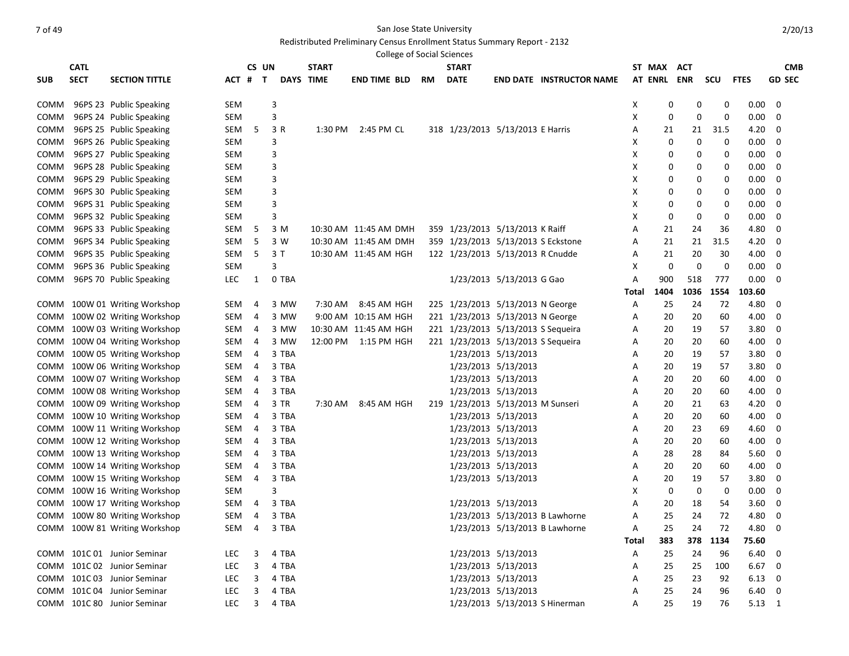# Redistributed Preliminary Census Enrollment Status Summary Report - 2132

|             | <b>College of Social Sciences</b><br><b>CATL</b><br>CS UN<br><b>START</b><br><b>START</b><br>ST MAX<br><b>CMB</b><br>ACT |                               |            |   |             |           |                       |    |                                    |                           |                                 |       |             |      |          |                |                         |
|-------------|--------------------------------------------------------------------------------------------------------------------------|-------------------------------|------------|---|-------------|-----------|-----------------------|----|------------------------------------|---------------------------|---------------------------------|-------|-------------|------|----------|----------------|-------------------------|
|             |                                                                                                                          |                               |            |   |             |           |                       |    |                                    |                           |                                 |       |             |      |          |                |                         |
| <b>SUB</b>  | <b>SECT</b>                                                                                                              | <b>SECTION TITTLE</b>         | ACT # T    |   |             | DAYS TIME | <b>END TIME BLD</b>   | RM | <b>DATE</b>                        |                           | <b>END DATE INSTRUCTOR NAME</b> |       | AT ENRL ENR |      | scu      | <b>FTES</b>    | <b>GD SEC</b>           |
| COMM        |                                                                                                                          | 96PS 23 Public Speaking       | SEM        |   | 3           |           |                       |    |                                    |                           |                                 | X     | 0           | 0    | 0        | $0.00\,$       | 0                       |
| COMM        |                                                                                                                          | 96PS 24 Public Speaking       | SEM        |   | 3           |           |                       |    |                                    |                           |                                 | Х     | 0           | 0    | 0        | $0.00\,$       | 0                       |
| COMM        |                                                                                                                          | 96PS 25 Public Speaking       | SEM        | 5 | 3 R         | 1:30 PM   | 2:45 PM CL            |    | 318 1/23/2013 5/13/2013 E Harris   |                           |                                 | Α     | 21          | 21   | 31.5     | 4.20           | 0                       |
| COMM        |                                                                                                                          | 96PS 26 Public Speaking       | SEM        |   | 3           |           |                       |    |                                    |                           |                                 | Х     | 0           | 0    | 0        | $0.00\,$       | 0                       |
| COMM        |                                                                                                                          | 96PS 27 Public Speaking       | SEM        |   | 3           |           |                       |    |                                    |                           |                                 | х     | 0           | 0    | 0        | 0.00           | 0                       |
| COMM        |                                                                                                                          | 96PS 28 Public Speaking       | SEM        |   | 3           |           |                       |    |                                    |                           |                                 | Х     | 0           | 0    | 0        | 0.00           | 0                       |
| COMM        |                                                                                                                          | 96PS 29 Public Speaking       | SEM        |   | 3           |           |                       |    |                                    |                           |                                 | Х     | 0           | 0    | 0        | 0.00           | 0                       |
| COMM        |                                                                                                                          | 96PS 30 Public Speaking       | SEM        |   | 3           |           |                       |    |                                    |                           |                                 | х     | 0           | 0    | 0        | 0.00           | 0                       |
| COMM        |                                                                                                                          | 96PS 31 Public Speaking       | SEM        |   | 3           |           |                       |    |                                    |                           |                                 | Х     | 0           | 0    | 0        | 0.00           | 0                       |
| COMM        |                                                                                                                          | 96PS 32 Public Speaking       | SEM        |   | 3           |           |                       |    |                                    |                           |                                 | Х     | 0           | 0    | 0        | $0.00\,$       | 0                       |
| COMM        |                                                                                                                          | 96PS 33 Public Speaking       | SEM        | 5 | 3 M         |           | 10:30 AM 11:45 AM DMH |    | 359 1/23/2013 5/13/2013 K Raiff    |                           |                                 | Α     | 21          | 24   | 36       | 4.80           | 0                       |
| COMM        |                                                                                                                          | 96PS 34 Public Speaking       | SEM        | 5 | 3 W         |           | 10:30 AM 11:45 AM DMH |    | 359 1/23/2013 5/13/2013 S Eckstone |                           |                                 | Α     | 21          | 21   | 31.5     | 4.20           | 0                       |
| COMM        |                                                                                                                          | 96PS 35 Public Speaking       | SEM        | 5 | 3 T         |           | 10:30 AM 11:45 AM HGH |    | 122 1/23/2013 5/13/2013 R Cnudde   |                           |                                 | A     | 21          | 20   | 30       | 4.00           | 0                       |
| COMM        |                                                                                                                          | 96PS 36 Public Speaking       | <b>SEM</b> |   | 3           |           |                       |    |                                    |                           |                                 | X     | 0           | 0    | 0        | $0.00\,$       | 0                       |
| сомм        |                                                                                                                          | 96PS 70 Public Speaking       | <b>LEC</b> | 1 | 0 TBA       |           |                       |    |                                    | 1/23/2013 5/13/2013 G Gao |                                 | Α     | 900         | 518  | 777      | $0.00\,$       | 0                       |
|             |                                                                                                                          |                               |            |   |             |           |                       |    |                                    |                           |                                 | Total | 1404        | 1036 | 1554     | 103.60         |                         |
| COMM        |                                                                                                                          | 100W 01 Writing Workshop      | SEM        | 4 | 3 MW        | 7:30 AM   | 8:45 AM HGH           |    | 225 1/23/2013 5/13/2013 N George   |                           |                                 | Α     | 25          | 24   | 72       | 4.80           | 0                       |
| COMM        |                                                                                                                          | 100W 02 Writing Workshop      | SEM        | 4 | 3 MW        |           | 9:00 AM 10:15 AM HGH  |    | 221 1/23/2013 5/13/2013 N George   |                           |                                 | А     | 20          | 20   | 60       | 4.00           | 0                       |
| COMM        |                                                                                                                          | 100W 03 Writing Workshop      | SEM        | 4 | 3 MW        |           | 10:30 AM 11:45 AM HGH |    | 221 1/23/2013 5/13/2013 S Sequeira |                           |                                 | А     | 20          | 19   | 57       | 3.80           | 0                       |
| <b>COMM</b> |                                                                                                                          | 100W 04 Writing Workshop      | SEM        | 4 | 3 MW        | 12:00 PM  | 1:15 PM HGH           |    | 221 1/23/2013 5/13/2013 S Sequeira |                           |                                 | А     | 20          | 20   | 60       | 4.00           | 0                       |
| <b>COMM</b> |                                                                                                                          | 100W 05 Writing Workshop      | SEM        | 4 | 3 TBA       |           |                       |    |                                    | 1/23/2013 5/13/2013       |                                 | Α     | 20          | 19   | 57       | 3.80           | 0                       |
| <b>COMM</b> |                                                                                                                          | 100W 06 Writing Workshop      | SEM        | 4 | 3 TBA       |           |                       |    |                                    | 1/23/2013 5/13/2013       |                                 | Α     | 20          | 19   | 57       | 3.80           | 0                       |
| COMM        |                                                                                                                          | 100W 07 Writing Workshop      | SEM        | 4 | 3 TBA       |           |                       |    |                                    | 1/23/2013 5/13/2013       |                                 | Α     | 20          | 20   | 60       | 4.00           | 0                       |
| COMM        |                                                                                                                          | 100W 08 Writing Workshop      | SEM        | 4 | 3 TBA       |           |                       |    |                                    | 1/23/2013 5/13/2013       |                                 | Α     | 20          | 20   | 60       | 4.00           | 0                       |
| COMM        |                                                                                                                          | 100W 09 Writing Workshop      | SEM        | 4 | 3 TR        | 7:30 AM   | 8:45 AM HGH           |    | 219 1/23/2013 5/13/2013 M Sunseri  |                           |                                 | Α     | 20          | 21   | 63       | 4.20           | 0                       |
| COMM        |                                                                                                                          | 100W 10 Writing Workshop      | SEM        | 4 | 3 TBA       |           |                       |    |                                    | 1/23/2013 5/13/2013       |                                 | А     | 20          | 20   | 60       | 4.00           | 0                       |
| COMM        |                                                                                                                          | 100W 11 Writing Workshop      | SEM        | 4 | 3 TBA       |           |                       |    |                                    | 1/23/2013 5/13/2013       |                                 | Α     | 20          | 23   | 69       | 4.60           | 0                       |
| COMM        |                                                                                                                          | 100W 12 Writing Workshop      | SEM        | 4 | 3 TBA       |           |                       |    |                                    | 1/23/2013 5/13/2013       |                                 | A     | 20          | 20   | 60       | 4.00           | 0                       |
| COMM        |                                                                                                                          | 100W 13 Writing Workshop      | SEM        | 4 | 3 TBA       |           |                       |    |                                    | 1/23/2013 5/13/2013       |                                 | A     | 28          | 28   | 84       | 5.60           | 0                       |
| COMM        |                                                                                                                          | 100W 14 Writing Workshop      | SEM        | 4 | 3 TBA       |           |                       |    |                                    | 1/23/2013 5/13/2013       |                                 | A     | 20          | 20   | 60       | 4.00           | 0                       |
| COMM        |                                                                                                                          | 100W 15 Writing Workshop      | SEM        | 4 | 3 TBA       |           |                       |    |                                    | 1/23/2013 5/13/2013       |                                 | Α     | 20          | 19   | 57       | 3.80           | 0                       |
| COMM        |                                                                                                                          | 100W 16 Writing Workshop      | SEM        |   | 3           |           |                       |    |                                    |                           |                                 | х     | 0           | 0    | 0        | $0.00\,$       | 0                       |
| COMM        |                                                                                                                          | 100W 17 Writing Workshop      | SEM        | 4 | 3 TBA       |           |                       |    |                                    | 1/23/2013 5/13/2013       |                                 | Α     | 20          | 18   | 54       | 3.60           | 0                       |
|             |                                                                                                                          | COMM 100W 80 Writing Workshop | SEM        | 4 | 3 TBA       |           |                       |    |                                    |                           | 1/23/2013 5/13/2013 B Lawhorne  | A     | 25          | 24   | 72       | 4.80           | 0                       |
|             |                                                                                                                          | COMM 100W 81 Writing Workshop |            |   | SEM 4 3 TBA |           |                       |    |                                    |                           | 1/23/2013 5/13/2013 B Lawhorne  | Α     | 25          | 24   | 72       | 4.80           | $\overline{\mathbf{0}}$ |
|             |                                                                                                                          |                               |            |   |             |           |                       |    |                                    |                           |                                 | Total | 383         |      | 378 1134 | 75.60          |                         |
|             |                                                                                                                          | COMM 101C 01 Junior Seminar   | LEC        | 3 | 4 TBA       |           |                       |    |                                    | 1/23/2013 5/13/2013       |                                 | Α     | 25          | 24   | 96       | $6.40\quad 0$  |                         |
|             |                                                                                                                          | COMM 101C 02 Junior Seminar   | <b>LEC</b> | 3 | 4 TBA       |           |                       |    |                                    | 1/23/2013 5/13/2013       |                                 | Α     | 25          | 25   | 100      | 6.67 0         |                         |
|             |                                                                                                                          | COMM 101C 03 Junior Seminar   | LEC        | 3 | 4 TBA       |           |                       |    |                                    | 1/23/2013 5/13/2013       |                                 | Α     | 25          | 23   | 92       | $6.13 \quad 0$ |                         |
|             |                                                                                                                          | COMM 101C 04 Junior Seminar   | <b>LEC</b> | 3 | 4 TBA       |           |                       |    |                                    | 1/23/2013 5/13/2013       |                                 | A     | 25          | 24   | 96       | $6.40\quad 0$  |                         |
|             |                                                                                                                          | COMM 101C 80 Junior Seminar   | <b>LEC</b> | 3 | 4 TBA       |           |                       |    |                                    |                           | 1/23/2013 5/13/2013 S Hinerman  | Α     | 25          | 19   | 76       | 5.13 1         |                         |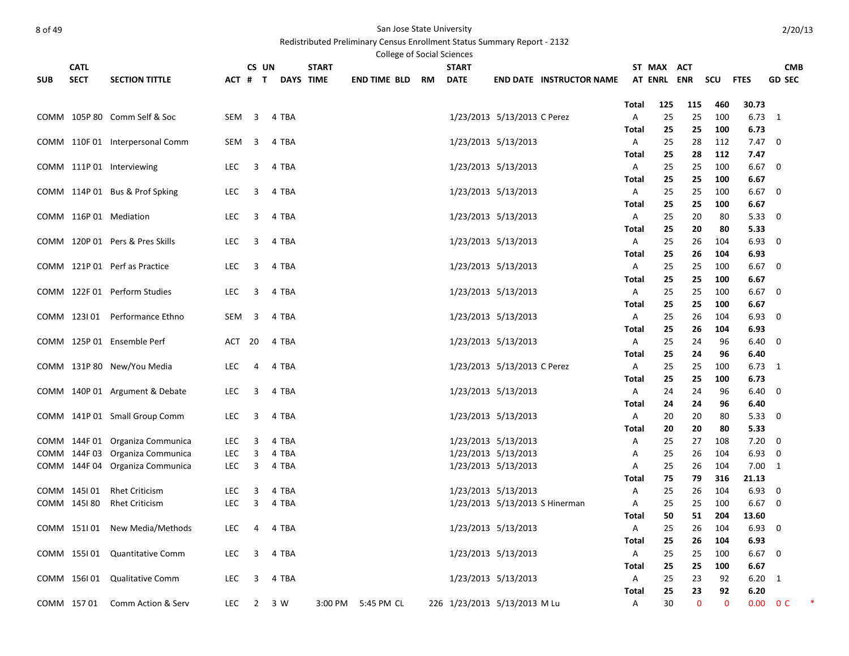|            | <b>CATL</b> |                                 |                   | CS UN                   |                | <b>START</b>     | College of Social Sciences |    | <b>START</b>                 |                                            |                                 |              | ST MAX ACT  |          |            |                | <b>CMB</b>                  |  |
|------------|-------------|---------------------------------|-------------------|-------------------------|----------------|------------------|----------------------------|----|------------------------------|--------------------------------------------|---------------------------------|--------------|-------------|----------|------------|----------------|-----------------------------|--|
| <b>SUB</b> | <b>SECT</b> | <b>SECTION TITTLE</b>           |                   | ACT # T                 |                | <b>DAYS TIME</b> | <b>END TIME BLD</b>        | RM | <b>DATE</b>                  |                                            | <b>END DATE INSTRUCTOR NAME</b> |              | AT ENRL ENR |          | scu        | <b>FTES</b>    | <b>GD SEC</b>               |  |
|            |             |                                 |                   |                         |                |                  |                            |    |                              |                                            |                                 |              |             |          |            |                |                             |  |
|            |             |                                 |                   |                         |                |                  |                            |    |                              |                                            |                                 | Total        | 125         | 115      | 460        | 30.73          |                             |  |
|            |             | COMM 105P 80 Comm Self & Soc    | SEM               | $\overline{\mathbf{3}}$ | 4 TBA          |                  |                            |    |                              | 1/23/2013 5/13/2013 C Perez                |                                 | Α            | 25          | 25       | 100        | $6.73$ 1       |                             |  |
|            |             |                                 |                   |                         |                |                  |                            |    |                              |                                            |                                 | Total        | 25          | 25       | 100        | 6.73           |                             |  |
|            |             | COMM 110F 01 Interpersonal Comm | SEM               | $\overline{\mathbf{3}}$ | 4 TBA          |                  |                            |    |                              | 1/23/2013 5/13/2013                        |                                 | Α            | 25          | 28       | 112        | $7.47 \quad 0$ |                             |  |
|            |             |                                 |                   | 3                       | 4 TBA          |                  |                            |    |                              | 1/23/2013 5/13/2013                        |                                 | Total        | 25<br>25    | 28<br>25 | 112<br>100 | 7.47<br>6.67   | $\overline{\mathbf{0}}$     |  |
|            |             | COMM 111P 01 Interviewing       | <b>LEC</b>        |                         |                |                  |                            |    |                              |                                            |                                 | Α<br>Total   | 25          | 25       | 100        | 6.67           |                             |  |
|            |             | COMM 114P 01 Bus & Prof Spking  | LEC               | 3                       | 4 TBA          |                  |                            |    |                              | 1/23/2013 5/13/2013                        |                                 | Α            | 25          | 25       | 100        | $6.67$ 0       |                             |  |
|            |             |                                 |                   |                         |                |                  |                            |    |                              |                                            |                                 | Total        | 25          | 25       | 100        | 6.67           |                             |  |
|            |             | COMM 116P 01 Mediation          | LEC               | 3                       | 4 TBA          |                  |                            |    |                              | 1/23/2013 5/13/2013                        |                                 | Α            | 25          | 20       | 80         | 5.3300         |                             |  |
|            |             |                                 |                   |                         |                |                  |                            |    |                              |                                            |                                 | Total        | 25          | 20       | 80         | 5.33           |                             |  |
|            |             | COMM 120P 01 Pers & Pres Skills | <b>LEC</b>        | 3                       | 4 TBA          |                  |                            |    |                              | 1/23/2013 5/13/2013                        |                                 | Α            | 25          | 26       | 104        | $6.93$ 0       |                             |  |
|            |             |                                 |                   |                         |                |                  |                            |    |                              |                                            |                                 | Total        | 25          | 26       | 104        | 6.93           |                             |  |
|            |             | COMM 121P 01 Perf as Practice   | LEC               | 3                       | 4 TBA          |                  |                            |    |                              | 1/23/2013 5/13/2013                        |                                 | A            | 25          | 25       | 100        | $6.67$ 0       |                             |  |
|            |             |                                 |                   |                         |                |                  |                            |    |                              |                                            |                                 | Total        | 25          | 25       | 100        | 6.67           |                             |  |
|            |             | COMM 122F 01 Perform Studies    | LEC               | 3                       | 4 TBA          |                  |                            |    |                              | 1/23/2013 5/13/2013                        |                                 | Α            | 25          | 25       | 100        | $6.67$ 0       |                             |  |
|            |             |                                 |                   |                         |                |                  |                            |    |                              |                                            |                                 | <b>Total</b> | 25          | 25       | 100        | 6.67           |                             |  |
|            | COMM 123101 | Performance Ethno               | SEM               | 3                       | 4 TBA          |                  |                            |    |                              | 1/23/2013 5/13/2013                        |                                 | Α<br>Total   | 25<br>25    | 26<br>26 | 104<br>104 | 6.93<br>6.93   | 0                           |  |
|            |             | COMM 125P 01 Ensemble Perf      | ACT 20            |                         | 4 TBA          |                  |                            |    |                              | 1/23/2013 5/13/2013                        |                                 | Α            | 25          | 24       | 96         | $6.40 \quad 0$ |                             |  |
|            |             |                                 |                   |                         |                |                  |                            |    |                              |                                            |                                 | Total        | 25          | 24       | 96         | 6.40           |                             |  |
|            |             | COMM 131P 80 New/You Media      | LEC.              | 4                       | 4 TBA          |                  |                            |    |                              | 1/23/2013 5/13/2013 C Perez                |                                 | Α            | 25          | 25       | 100        | $6.73$ 1       |                             |  |
|            |             |                                 |                   |                         |                |                  |                            |    |                              |                                            |                                 | Total        | 25          | 25       | 100        | 6.73           |                             |  |
|            |             | COMM 140P 01 Argument & Debate  | LEC               | 3                       | 4 TBA          |                  |                            |    |                              | 1/23/2013 5/13/2013                        |                                 | Α            | 24          | 24       | 96         | 6.40           | - 0                         |  |
|            |             |                                 |                   |                         |                |                  |                            |    |                              |                                            |                                 | Total        | 24          | 24       | 96         | 6.40           |                             |  |
|            |             | COMM 141P 01 Small Group Comm   | LEC               | 3                       | 4 TBA          |                  |                            |    |                              | 1/23/2013 5/13/2013                        |                                 | Α            | 20          | 20       | 80         | $5.33 \ 0$     |                             |  |
|            |             |                                 |                   |                         |                |                  |                            |    |                              |                                            |                                 | Total        | 20          | 20       | 80         | 5.33           |                             |  |
|            |             | COMM 144F 01 Organiza Communica | <b>LEC</b>        | 3                       | 4 TBA          |                  |                            |    |                              | 1/23/2013 5/13/2013                        |                                 | Α            | 25          | 27       | 108        | 7.20           | $\mathbf 0$                 |  |
|            |             | COMM 144F 03 Organiza Communica | LEC<br><b>LEC</b> | 3<br>3                  | 4 TBA<br>4 TBA |                  |                            |    |                              | 1/23/2013 5/13/2013<br>1/23/2013 5/13/2013 |                                 | A<br>Α       | 25<br>25    | 26<br>26 | 104<br>104 | 6.93<br>7.00   | $\mathbf 0$<br><sup>1</sup> |  |
|            |             | COMM 144F 04 Organiza Communica |                   |                         |                |                  |                            |    |                              |                                            |                                 | Total        | 75          | 79       | 316        | 21.13          |                             |  |
|            | COMM 145101 | <b>Rhet Criticism</b>           | <b>LEC</b>        | 3                       | 4 TBA          |                  |                            |    |                              | 1/23/2013 5/13/2013                        |                                 | Α            | 25          | 26       | 104        | 6.93           | $\overline{\mathbf{0}}$     |  |
|            | COMM 145180 | <b>Rhet Criticism</b>           | <b>LEC</b>        | 3                       | 4 TBA          |                  |                            |    |                              |                                            | 1/23/2013 5/13/2013 S Hinerman  | Α            | 25          | 25       | 100        | 6.67           | $\mathbf 0$                 |  |
|            |             |                                 |                   |                         |                |                  |                            |    |                              |                                            |                                 | Total        | 50          | 51       | 204        | 13.60          |                             |  |
|            | COMM 151101 | New Media/Methods               | <b>LEC</b>        | 4                       | 4 TBA          |                  |                            |    |                              | 1/23/2013 5/13/2013                        |                                 | Α            | 25          | 26       | 104        | 6.93           | $\overline{\mathbf{0}}$     |  |
|            |             |                                 |                   |                         |                |                  |                            |    |                              |                                            |                                 | <b>Total</b> | 25          | 26       | 104        | 6.93           |                             |  |
|            |             | COMM 155101 Quantitative Comm   | LEC               | 3                       | 4 TBA          |                  |                            |    |                              | 1/23/2013 5/13/2013                        |                                 | Α            | 25          | 25       | 100        | $6.67$ 0       |                             |  |
|            |             |                                 |                   |                         |                |                  |                            |    |                              |                                            |                                 | Total        | 25          | 25       | 100        | 6.67           |                             |  |
|            |             | COMM 156101 Qualitative Comm    | <b>LEC</b>        | 3                       | 4 TBA          |                  |                            |    |                              | 1/23/2013 5/13/2013                        |                                 | A            | 25          | 23       | 92         | $6.20 \quad 1$ |                             |  |
|            |             |                                 |                   |                         |                |                  |                            |    |                              |                                            |                                 | <b>Total</b> | 25          | 23       | 92         | 6.20           |                             |  |
|            | COMM 15701  | Comm Action & Serv              | LEC               | $\overline{2}$          | 3 W            | 3:00 PM          | 5:45 PM CL                 |    | 226 1/23/2013 5/13/2013 M Lu |                                            |                                 | Α            | 30          | $\Omega$ | $\Omega$   | 0.00           | 0 <sup>C</sup>              |  |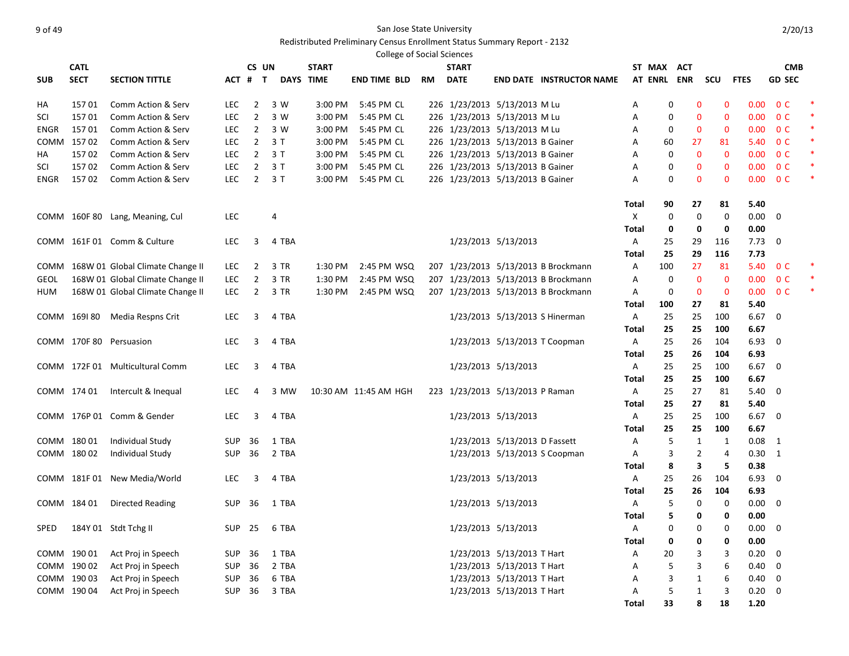### er of 49 San Jose State University and the State University of 49

|                                                      |             |                                       |            |                |           |         |                       | <b>College of Social Sciences</b> |                                  |                               |                                     |            |     |                   |             |                |                         |   |
|------------------------------------------------------|-------------|---------------------------------------|------------|----------------|-----------|---------|-----------------------|-----------------------------------|----------------------------------|-------------------------------|-------------------------------------|------------|-----|-------------------|-------------|----------------|-------------------------|---|
| <b>CATL</b><br>CS UN<br><b>START</b><br><b>START</b> |             |                                       |            |                |           |         |                       |                                   |                                  |                               |                                     |            |     | ST MAX ACT        |             |                | <b>CMB</b>              |   |
| <b>SUB</b>                                           | <b>SECT</b> | <b>SECTION TITTLE</b>                 |            | ACT # T        | DAYS TIME |         | <b>END TIME BLD</b>   | RM                                | <b>DATE</b>                      |                               | <b>END DATE INSTRUCTOR NAME</b>     |            |     | AT ENRL ENR       | scu         | <b>FTES</b>    | <b>GD SEC</b>           |   |
| HA                                                   | 15701       | Comm Action & Serv                    | <b>LEC</b> | 2              | 3 W       | 3:00 PM | 5:45 PM CL            |                                   | 226 1/23/2013 5/13/2013 M Lu     |                               |                                     | Α          |     | 0<br>$\mathbf 0$  | 0           |                | $0.00 \t 0 C$           |   |
| SCI                                                  | 15701       | Comm Action & Serv                    | <b>LEC</b> | $\overline{2}$ | 3 W       | 3:00 PM | 5:45 PM CL            |                                   | 226 1/23/2013 5/13/2013 M Lu     |                               |                                     | Α          | 0   | $\mathbf 0$       | 0           |                | $0.00 \t 0 C$           |   |
| ENGR                                                 | 15701       | Comm Action & Serv                    | LEC        | $\overline{2}$ | 3 W       | 3:00 PM | 5:45 PM CL            |                                   | 226 1/23/2013 5/13/2013 M Lu     |                               |                                     | Α          | 0   | $\mathbf 0$       | 0           |                | $0.00 \t 0 C$           |   |
| COMM                                                 | 15702       | Comm Action & Serv                    | LEC        | $\overline{2}$ | 3T        | 3:00 PM | 5:45 PM CL            |                                   | 226 1/23/2013 5/13/2013 B Gainer |                               |                                     | А          | 60  | 27                | 81          | 5.40           | 0 <sup>C</sup>          | ∗ |
| НA                                                   | 15702       | Comm Action & Serv                    | <b>LEC</b> | $\overline{2}$ | 3T        | 3:00 PM | 5:45 PM CL            |                                   | 226 1/23/2013 5/13/2013 B Gainer |                               |                                     | А          | 0   | $\mathbf 0$       | 0           | 0.00           | 0 <sup>C</sup>          |   |
| SCI                                                  | 15702       | Comm Action & Serv                    | <b>LEC</b> | $\overline{2}$ | 3T        | 3:00 PM | 5:45 PM CL            |                                   | 226 1/23/2013 5/13/2013 B Gainer |                               |                                     | Α          | 0   | $\mathbf 0$       | 0           | 0.00           | 0 <sup>C</sup>          | × |
| ENGR                                                 | 15702       | Comm Action & Serv                    | LEC        | $\overline{2}$ | 3T        | 3:00 PM | 5:45 PM CL            |                                   | 226 1/23/2013 5/13/2013 B Gainer |                               |                                     | Α          |     | 0<br>$\mathbf 0$  | 0           | 0.00           | 0 <sup>C</sup>          |   |
|                                                      |             |                                       |            |                |           |         |                       |                                   |                                  |                               |                                     | Total      | 90  | 27                | 81          | 5.40           |                         |   |
|                                                      |             | COMM 160F 80 Lang, Meaning, Cul       | <b>LEC</b> |                | 4         |         |                       |                                   |                                  |                               |                                     | Х          |     | 0<br>0            | 0           | $0.00 \t 0$    |                         |   |
|                                                      |             |                                       |            |                |           |         |                       |                                   |                                  |                               |                                     | Total      | 0   | 0                 | 0           | 0.00           |                         |   |
|                                                      |             | COMM 161F 01 Comm & Culture           | <b>LEC</b> | 3              | 4 TBA     |         |                       |                                   |                                  | 1/23/2013 5/13/2013           |                                     | Α          | 25  | 29                | 116         | 7.73           | $\overline{0}$          |   |
|                                                      |             |                                       |            |                |           |         |                       |                                   |                                  |                               |                                     | Total      | 25  | 29                | 116         | 7.73           |                         |   |
|                                                      |             | COMM 168W 01 Global Climate Change II | LEC.       | $\overline{2}$ | 3 TR      | 1:30 PM | 2:45 PM WSQ           |                                   |                                  |                               | 207 1/23/2013 5/13/2013 B Brockmann | Α          | 100 | 27                | 81          |                | 5.40 OC                 |   |
| <b>GEOL</b>                                          |             | 168W 01 Global Climate Change II      | <b>LEC</b> | $\overline{2}$ | 3 TR      | 1:30 PM | 2:45 PM WSQ           |                                   |                                  |                               | 207 1/23/2013 5/13/2013 B Brockmann | Α          | 0   | $\mathbf 0$       | $\mathbf 0$ | 0.00           | 0 <sup>C</sup>          |   |
| HUM                                                  |             | 168W 01 Global Climate Change II      | LEC        | $\overline{2}$ | 3 TR      | 1:30 PM | 2:45 PM WSQ           |                                   |                                  |                               | 207 1/23/2013 5/13/2013 B Brockmann | Α          | 0   | $\mathbf 0$       | $\mathbf 0$ | 0.00           | 0 <sup>C</sup>          |   |
|                                                      |             |                                       |            |                |           |         |                       |                                   |                                  |                               |                                     | Total      | 100 | 27                | 81          | 5.40           |                         |   |
|                                                      |             | COMM 169180 Media Respns Crit         | <b>LEC</b> | 3              | 4 TBA     |         |                       |                                   |                                  |                               | 1/23/2013 5/13/2013 S Hinerman      | Α          | 25  | 25                | 100         | 6.67           | $\overline{0}$          |   |
|                                                      |             |                                       |            |                |           |         |                       |                                   |                                  |                               |                                     | Total      | 25  | 25                | 100         | 6.67           |                         |   |
|                                                      |             | COMM 170F 80 Persuasion               | <b>LEC</b> | 3              | 4 TBA     |         |                       |                                   |                                  |                               | 1/23/2013 5/13/2013 T Coopman       | Α          | 25  | 26                | 104         | 6.93           | $\overline{\mathbf{0}}$ |   |
|                                                      |             |                                       |            |                |           |         |                       |                                   |                                  |                               |                                     | Total      | 25  | 26                | 104         | 6.93           |                         |   |
|                                                      |             | COMM 172F 01 Multicultural Comm       | <b>LEC</b> | 3              | 4 TBA     |         |                       |                                   |                                  | 1/23/2013 5/13/2013           |                                     | Α          | 25  | 25                | 100         | $6.67$ 0       |                         |   |
|                                                      |             |                                       |            |                |           |         |                       |                                   |                                  |                               |                                     | Total      | 25  | 25                | 100         | 6.67           |                         |   |
|                                                      | COMM 174 01 | Intercult & Inequal                   | <b>LEC</b> | 4              | 3 MW      |         | 10:30 AM 11:45 AM HGH |                                   | 223 1/23/2013 5/13/2013 P Raman  |                               |                                     | A          | 25  | 27                | 81          | 5.40           | $\mathbf 0$             |   |
|                                                      |             |                                       |            |                |           |         |                       |                                   |                                  |                               |                                     | Total      | 25  | 27                | 81          | 5.40           |                         |   |
|                                                      |             | COMM 176P 01 Comm & Gender            | <b>LEC</b> | 3              | 4 TBA     |         |                       |                                   |                                  | 1/23/2013 5/13/2013           |                                     | Α          | 25  | 25                | 100         | 6.67           | 0                       |   |
|                                                      |             |                                       |            |                |           |         |                       |                                   |                                  |                               |                                     | Total      | 25  | 25                | 100         | 6.67           |                         |   |
|                                                      | COMM 180 01 | Individual Study                      | SUP        | -36            | 1 TBA     |         |                       |                                   |                                  | 1/23/2013 5/13/2013 D Fassett |                                     | Α          | 5   | 1                 | 1           | $0.08$ 1       |                         |   |
|                                                      | COMM 180 02 | Individual Study                      | SUP        | 36             | 2 TBA     |         |                       |                                   |                                  |                               | 1/23/2013 5/13/2013 S Coopman       | Α          | 3   | $\overline{2}$    | 4           | $0.30 \quad 1$ |                         |   |
|                                                      |             |                                       |            |                |           |         |                       |                                   |                                  |                               |                                     | Total      | 8   | 3                 | 5           | 0.38           |                         |   |
|                                                      |             | COMM 181F 01 New Media/World          | <b>LEC</b> | 3              | 4 TBA     |         |                       |                                   |                                  | 1/23/2013 5/13/2013           |                                     | A          | 25  | 26                | 104         | 6.93           | $\mathbf 0$             |   |
|                                                      |             |                                       |            |                |           |         |                       |                                   |                                  | 1/23/2013 5/13/2013           |                                     | Total      | 25  | 26<br>0           | 104         | 6.93           |                         |   |
|                                                      |             | COMM 184 01 Directed Reading          | SUP 36     |                | 1 TBA     |         |                       |                                   |                                  |                               |                                     | Α<br>Total |     | 5<br>5<br>0       | 0<br>0      | 0.00<br>0.00   | $\mathbf 0$             |   |
| SPED                                                 |             | 184Y 01 Stdt Tchg II                  | SUP 25     |                | 6 TBA     |         |                       |                                   |                                  | 1/23/2013 5/13/2013           |                                     | Α          |     | 0<br>0            | 0           | $0.00 \t 0$    |                         |   |
|                                                      |             |                                       |            |                |           |         |                       |                                   |                                  |                               |                                     | Total      | 0   | 0                 | 0           | 0.00           |                         |   |
|                                                      | COMM 190 01 | Act Proj in Speech                    | SUP        | 36             | 1 TBA     |         |                       |                                   |                                  | 1/23/2013 5/13/2013 T Hart    |                                     | Α          | 20  | 3                 | 3           | $0.20 \t 0$    |                         |   |
|                                                      | COMM 190 02 | Act Proj in Speech                    | SUP        | 36             | 2 TBA     |         |                       |                                   |                                  | 1/23/2013 5/13/2013 T Hart    |                                     | Α          |     | 5<br>3            | 6           | 0.40           | $\overline{0}$          |   |
|                                                      | COMM 190 03 | Act Proj in Speech                    | SUP        | 36             | 6 TBA     |         |                       |                                   |                                  | 1/23/2013 5/13/2013 T Hart    |                                     | Α          |     | 3<br>$\mathbf{1}$ | 6           | 0.40           | $\overline{\mathbf{0}}$ |   |
|                                                      | COMM 190 04 | Act Proj in Speech                    | SUP        | 36             | 3 TBA     |         |                       |                                   |                                  | 1/23/2013 5/13/2013 T Hart    |                                     | Α          |     | 5<br>$\mathbf{1}$ | 3           | 0.20           | $\overline{\mathbf{0}}$ |   |
|                                                      |             |                                       |            |                |           |         |                       |                                   |                                  |                               |                                     | Total      | 33  | 8                 | 18          | 1.20           |                         |   |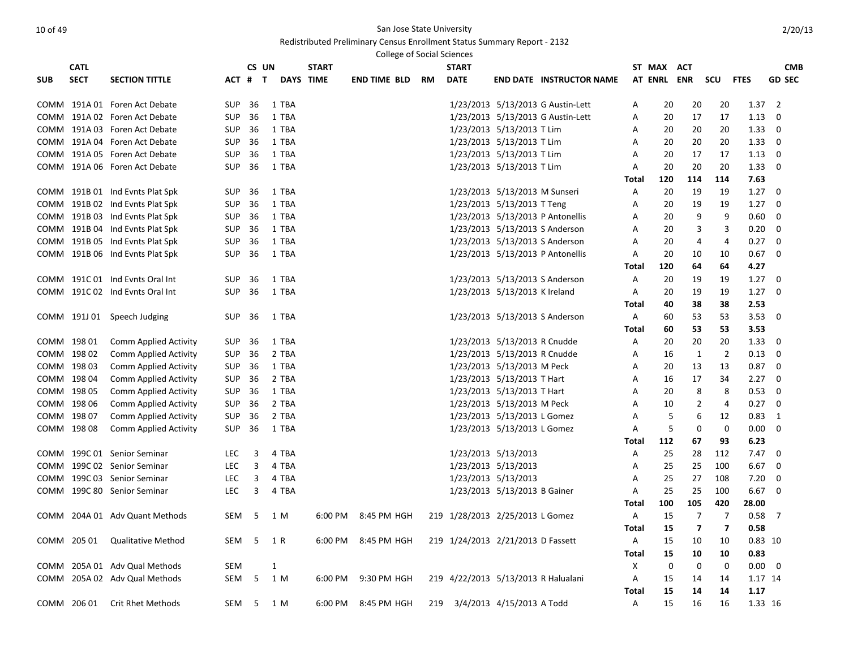|             | <b>College of Social Sciences</b><br><b>CATL</b><br>CS UN<br><b>START</b><br><b>START</b><br>ST MAX<br><b>CMB</b><br>ACT<br><b>SECT</b><br><b>DATE</b><br><b>SECTION TITTLE</b><br><b>DAYS TIME</b><br><b>AT ENRL</b><br>ENR<br>scu<br><b>FTES</b><br><b>GD SEC</b><br>ACT # T<br>END TIME BLD<br>RM<br><b>END DATE INSTRUCTOR NAME</b> |                                 |            |    |              |       |         |                     |  |                                     |                                |                                   |              |     |                         |                         |         |             |
|-------------|-----------------------------------------------------------------------------------------------------------------------------------------------------------------------------------------------------------------------------------------------------------------------------------------------------------------------------------------|---------------------------------|------------|----|--------------|-------|---------|---------------------|--|-------------------------------------|--------------------------------|-----------------------------------|--------------|-----|-------------------------|-------------------------|---------|-------------|
|             |                                                                                                                                                                                                                                                                                                                                         |                                 |            |    |              |       |         |                     |  |                                     |                                |                                   |              |     |                         |                         |         |             |
| <b>SUB</b>  |                                                                                                                                                                                                                                                                                                                                         |                                 |            |    |              |       |         |                     |  |                                     |                                |                                   |              |     |                         |                         |         |             |
|             |                                                                                                                                                                                                                                                                                                                                         | COMM 191A 01 Foren Act Debate   | SUP        | 36 |              | 1 TBA |         |                     |  |                                     |                                | 1/23/2013 5/13/2013 G Austin-Lett | Α            | 20  | 20                      | 20                      | 1.37    | 2           |
|             |                                                                                                                                                                                                                                                                                                                                         | COMM 191A 02 Foren Act Debate   | <b>SUP</b> | 36 |              | 1 TBA |         |                     |  |                                     |                                | 1/23/2013 5/13/2013 G Austin-Lett | Α            | 20  | 17                      | 17                      | 1.13    | 0           |
|             |                                                                                                                                                                                                                                                                                                                                         | COMM 191A 03 Foren Act Debate   | <b>SUP</b> | 36 |              | 1 TBA |         |                     |  |                                     | 1/23/2013 5/13/2013 T Lim      |                                   | Α            | 20  | 20                      | 20                      | 1.33    | 0           |
|             |                                                                                                                                                                                                                                                                                                                                         | COMM 191A 04 Foren Act Debate   | <b>SUP</b> | 36 |              | 1 TBA |         |                     |  |                                     | 1/23/2013 5/13/2013 T Lim      |                                   | А            | 20  | 20                      | 20                      | 1.33    | 0           |
|             |                                                                                                                                                                                                                                                                                                                                         | COMM 191A 05 Foren Act Debate   | SUP        | 36 |              | 1 TBA |         |                     |  |                                     | 1/23/2013 5/13/2013 T Lim      |                                   | Α            | 20  | 17                      | 17                      | 1.13    | 0           |
|             |                                                                                                                                                                                                                                                                                                                                         | COMM 191A 06 Foren Act Debate   | SUP        | 36 |              | 1 TBA |         |                     |  |                                     | 1/23/2013 5/13/2013 T Lim      |                                   | Α            | 20  | 20                      | 20                      | 1.33    | 0           |
|             |                                                                                                                                                                                                                                                                                                                                         |                                 |            |    |              |       |         |                     |  |                                     |                                |                                   | Total        | 120 | 114                     | 114                     | 7.63    |             |
|             |                                                                                                                                                                                                                                                                                                                                         | COMM 191B 01 Ind Evnts Plat Spk | SUP        | 36 |              | 1 TBA |         |                     |  |                                     | 1/23/2013 5/13/2013 M Sunseri  |                                   | Α            | 20  | 19                      | 19                      | 1.27    | 0           |
|             |                                                                                                                                                                                                                                                                                                                                         | COMM 191B 02 Ind Evnts Plat Spk | SUP        | 36 |              | 1 TBA |         |                     |  |                                     | 1/23/2013 5/13/2013 T Teng     |                                   | Α            | 20  | 19                      | 19                      | 1.27    | 0           |
|             |                                                                                                                                                                                                                                                                                                                                         | COMM 191B 03 Ind Evnts Plat Spk | SUP        | 36 |              | 1 TBA |         |                     |  |                                     |                                | 1/23/2013 5/13/2013 P Antonellis  | Α            | 20  | 9                       | 9                       | 0.60    | 0           |
|             |                                                                                                                                                                                                                                                                                                                                         | COMM 191B 04 Ind Evnts Plat Spk | <b>SUP</b> | 36 |              | 1 TBA |         |                     |  |                                     |                                | 1/23/2013 5/13/2013 S Anderson    | Α            | 20  | 3                       | 3                       | 0.20    | 0           |
|             |                                                                                                                                                                                                                                                                                                                                         | COMM 191B 05 Ind Evnts Plat Spk | <b>SUP</b> | 36 |              | 1 TBA |         |                     |  |                                     |                                | 1/23/2013 5/13/2013 S Anderson    | Α            | 20  | 4                       | $\overline{4}$          | 0.27    | 0           |
|             |                                                                                                                                                                                                                                                                                                                                         | COMM 191B 06 Ind Evnts Plat Spk | SUP        | 36 |              | 1 TBA |         |                     |  |                                     |                                | 1/23/2013 5/13/2013 P Antonellis  | Α            | 20  | 10                      | 10                      | 0.67    | 0           |
|             |                                                                                                                                                                                                                                                                                                                                         |                                 |            |    |              |       |         |                     |  |                                     |                                |                                   | Total        | 120 | 64                      | 64                      | 4.27    |             |
|             |                                                                                                                                                                                                                                                                                                                                         | COMM 191C 01 Ind Evnts Oral Int | SUP        | 36 |              | 1 TBA |         |                     |  |                                     |                                | 1/23/2013 5/13/2013 S Anderson    | Α            | 20  | 19                      | 19                      | 1.27    | 0           |
|             |                                                                                                                                                                                                                                                                                                                                         | COMM 191C 02 Ind Evnts Oral Int | SUP        | 36 |              | 1 TBA |         |                     |  |                                     | 1/23/2013 5/13/2013 K Ireland  |                                   | Α            | 20  | 19                      | 19                      | 1.27    | 0           |
|             |                                                                                                                                                                                                                                                                                                                                         |                                 |            |    |              |       |         |                     |  |                                     |                                |                                   | Total        | 40  | 38                      | 38                      | 2.53    |             |
|             |                                                                                                                                                                                                                                                                                                                                         | COMM 191J 01 Speech Judging     | SUP        | 36 |              | 1 TBA |         |                     |  |                                     | 1/23/2013 5/13/2013 S Anderson |                                   | Α            | 60  | 53                      | 53                      | 3.53    | 0           |
|             |                                                                                                                                                                                                                                                                                                                                         |                                 |            |    |              |       |         |                     |  |                                     |                                |                                   | Total        | 60  | 53                      | 53                      | 3.53    |             |
|             | COMM 198 01                                                                                                                                                                                                                                                                                                                             | Comm Applied Activity           | <b>SUP</b> | 36 |              | 1 TBA |         |                     |  |                                     | 1/23/2013 5/13/2013 R Cnudde   |                                   | Α            | 20  | 20                      | 20                      | 1.33    | 0           |
|             | COMM 198 02                                                                                                                                                                                                                                                                                                                             | Comm Applied Activity           | SUP        | 36 |              | 2 TBA |         |                     |  |                                     | 1/23/2013 5/13/2013 R Cnudde   |                                   | А            | 16  | $\mathbf{1}$            | $\overline{2}$          | 0.13    | 0           |
|             | COMM 198 03                                                                                                                                                                                                                                                                                                                             | Comm Applied Activity           | SUP        | 36 |              | 1 TBA |         |                     |  |                                     | 1/23/2013 5/13/2013 M Peck     |                                   | Α            | 20  | 13                      | 13                      | 0.87    | 0           |
|             | COMM 198 04                                                                                                                                                                                                                                                                                                                             | Comm Applied Activity           | SUP        | 36 |              | 2 TBA |         |                     |  |                                     | 1/23/2013 5/13/2013 T Hart     |                                   | Α            | 16  | 17                      | 34                      | 2.27    | 0           |
| COMM 198 05 |                                                                                                                                                                                                                                                                                                                                         | Comm Applied Activity           | SUP        | 36 |              | 1 TBA |         |                     |  |                                     | 1/23/2013 5/13/2013 T Hart     |                                   | Α            | 20  | 8                       | 8                       | 0.53    | 0           |
|             | COMM 198 06                                                                                                                                                                                                                                                                                                                             | Comm Applied Activity           | SUP        | 36 |              | 2 TBA |         |                     |  |                                     | 1/23/2013 5/13/2013 M Peck     |                                   | Α            | 10  | 2                       | 4                       | 0.27    | 0           |
|             | COMM 198 07                                                                                                                                                                                                                                                                                                                             | Comm Applied Activity           | SUP        | 36 |              | 2 TBA |         |                     |  |                                     | 1/23/2013 5/13/2013 L Gomez    |                                   | Α            | 5   | 6                       | 12                      | 0.83    | 1           |
|             | COMM 198 08                                                                                                                                                                                                                                                                                                                             | Comm Applied Activity           | SUP        | 36 |              | 1 TBA |         |                     |  |                                     | 1/23/2013 5/13/2013 L Gomez    |                                   | Α            | 5   | 0                       | 0                       | 0.00    | 0           |
|             |                                                                                                                                                                                                                                                                                                                                         |                                 |            |    |              |       |         |                     |  |                                     |                                |                                   | Total        | 112 | 67                      | 93                      | 6.23    |             |
|             |                                                                                                                                                                                                                                                                                                                                         | COMM 199C 01 Senior Seminar     | LEC        | 3  |              | 4 TBA |         |                     |  |                                     | 1/23/2013 5/13/2013            |                                   | Α            | 25  | 28                      | 112                     | 7.47    | 0           |
|             |                                                                                                                                                                                                                                                                                                                                         | COMM 199C 02 Senior Seminar     | <b>LEC</b> | 3  |              | 4 TBA |         |                     |  |                                     | 1/23/2013 5/13/2013            |                                   | A            | 25  | 25                      | 100                     | 6.67    | 0           |
|             |                                                                                                                                                                                                                                                                                                                                         | COMM 199C 03 Senior Seminar     | LEC        | 3  |              | 4 TBA |         |                     |  |                                     | 1/23/2013 5/13/2013            |                                   | Α            | 25  | 27                      | 108                     | 7.20    | 0           |
|             |                                                                                                                                                                                                                                                                                                                                         | COMM 199C 80 Senior Seminar     | <b>LEC</b> | 3  |              | 4 TBA |         |                     |  |                                     | 1/23/2013 5/13/2013 B Gainer   |                                   | Α            | 25  | 25                      | 100                     | 6.67    | 0           |
|             |                                                                                                                                                                                                                                                                                                                                         |                                 |            |    |              |       |         |                     |  |                                     |                                |                                   | Total        | 100 | 105                     | 420                     | 28.00   |             |
|             |                                                                                                                                                                                                                                                                                                                                         | COMM 204A 01 Adv Quant Methods  | SEM        | -5 |              | 1 M   | 6:00 PM | 8:45 PM HGH         |  | 219 1/28/2013 2/25/2013 L Gomez     |                                |                                   | Α            | 15  | 7                       | 7                       | 0.58    | 7           |
|             |                                                                                                                                                                                                                                                                                                                                         |                                 |            |    |              |       |         |                     |  |                                     |                                |                                   | Total        | 15  | $\overline{\mathbf{z}}$ | $\overline{\mathbf{z}}$ | 0.58    |             |
|             |                                                                                                                                                                                                                                                                                                                                         | COMM 205 01 Qualitative Method  | SEM 5 1 R  |    |              |       |         | 6:00 PM 8:45 PM HGH |  | 219 1/24/2013 2/21/2013 D Fassett   |                                |                                   | A            | 15  | 10                      | 10                      |         | $0.83$ 10   |
|             |                                                                                                                                                                                                                                                                                                                                         |                                 |            |    |              |       |         |                     |  |                                     |                                |                                   | <b>Total</b> | 15  | 10                      | 10                      | 0.83    |             |
|             |                                                                                                                                                                                                                                                                                                                                         | COMM 205A 01 Adv Qual Methods   | SEM        |    | $\mathbf{1}$ |       |         |                     |  |                                     |                                |                                   | Х            | 0   | 0                       | 0                       |         | $0.00 \t 0$ |
|             |                                                                                                                                                                                                                                                                                                                                         | COMM 205A 02 Adv Qual Methods   | SEM 5      |    |              | 1 M   |         | 6:00 PM 9:30 PM HGH |  | 219 4/22/2013 5/13/2013 R Halualani |                                |                                   | A            | 15  | 14                      | 14                      | 1.17 14 |             |
|             |                                                                                                                                                                                                                                                                                                                                         |                                 |            |    |              |       |         |                     |  |                                     |                                |                                   | <b>Total</b> | 15  | 14                      | 14                      | 1.17    |             |
|             |                                                                                                                                                                                                                                                                                                                                         | COMM 206 01 Crit Rhet Methods   | SEM 5 1 M  |    |              |       |         | 6:00 PM 8:45 PM HGH |  | 219 3/4/2013 4/15/2013 A Todd       |                                |                                   | $\mathsf{A}$ | 15  | 16                      | 16                      | 1.33 16 |             |
|             |                                                                                                                                                                                                                                                                                                                                         |                                 |            |    |              |       |         |                     |  |                                     |                                |                                   |              |     |                         |                         |         |             |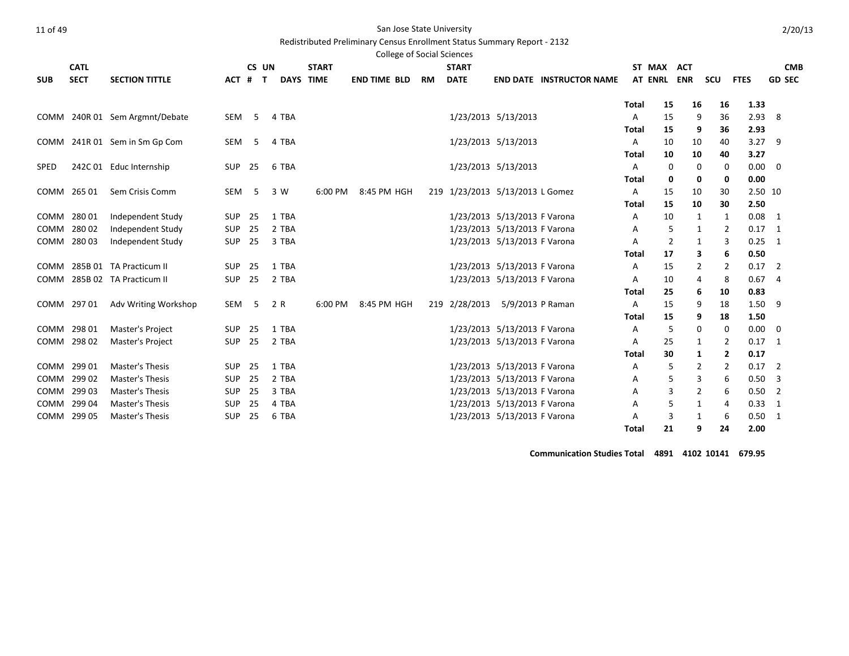Redistributed Preliminary Census Enrollment Status Summary Report - 2132

|             |             |                                |            |       |              |                  | <b>College of Social Sciences</b> |           |                                 |                              |                                 |              |                |                |     |                |                |
|-------------|-------------|--------------------------------|------------|-------|--------------|------------------|-----------------------------------|-----------|---------------------------------|------------------------------|---------------------------------|--------------|----------------|----------------|-----|----------------|----------------|
|             | <b>CATL</b> |                                |            | CS UN |              | <b>START</b>     |                                   |           | <b>START</b>                    |                              |                                 |              | ST MAX         | <b>ACT</b>     |     |                | <b>CMB</b>     |
| <b>SUB</b>  | <b>SECT</b> | <b>SECTION TITTLE</b>          | ACT #      |       | $\mathbf{T}$ | <b>DAYS TIME</b> | <b>END TIME BLD</b>               | <b>RM</b> | <b>DATE</b>                     |                              | <b>END DATE INSTRUCTOR NAME</b> |              | <b>AT ENRL</b> | <b>ENR</b>     | scu | <b>FTES</b>    | <b>GD SEC</b>  |
|             |             |                                |            |       |              |                  |                                   |           |                                 |                              |                                 | <b>Total</b> | 15             | 16             | 16  | 1.33           |                |
|             |             | COMM 240R 01 Sem Argmnt/Debate | SEM        | -5    | 4 TBA        |                  |                                   |           |                                 | 1/23/2013 5/13/2013          |                                 | Α            | 15             | 9              | 36  | 2.93           | 8              |
|             |             |                                |            |       |              |                  |                                   |           |                                 |                              |                                 | <b>Total</b> | 15             | 9              | 36  | 2.93           |                |
|             |             | COMM 241R 01 Sem in Sm Gp Com  | SEM        | -5    | 4 TBA        |                  |                                   |           |                                 | 1/23/2013 5/13/2013          |                                 | Α            | 10             | 10             | 40  | 3.27           | 9              |
|             |             |                                |            |       |              |                  |                                   |           |                                 |                              |                                 | Total        | 10             | 10             | 40  | 3.27           |                |
| <b>SPED</b> |             | 242C 01 Educ Internship        | SUP        | - 25  | 6 TBA        |                  |                                   |           |                                 | 1/23/2013 5/13/2013          |                                 | Α            | 0              | $\mathbf 0$    | 0   | 0.00           | $\mathbf 0$    |
|             |             |                                |            |       |              |                  |                                   |           |                                 |                              |                                 | Total        | 0              | 0              | 0   | 0.00           |                |
|             | COMM 265 01 | Sem Crisis Comm                | SEM        | 5     | 3 W          | 6:00 PM          | 8:45 PM HGH                       |           | 219 1/23/2013 5/13/2013 L Gomez |                              |                                 | Α            | 15             | 10             | 30  | 2.50 10        |                |
|             |             |                                |            |       |              |                  |                                   |           |                                 |                              |                                 | Total        | 15             | 10             | 30  | 2.50           |                |
|             | COMM 280 01 | Independent Study              | <b>SUP</b> | 25    | 1 TBA        |                  |                                   |           |                                 | 1/23/2013 5/13/2013 F Varona |                                 | Α            | 10             | 1              | 1   | 0.08           | $\overline{1}$ |
|             | COMM 280 02 | Independent Study              | <b>SUP</b> | 25    | 2 TBA        |                  |                                   |           |                                 | 1/23/2013 5/13/2013 F Varona |                                 | Α            | 5              | 1              | 2   | $0.17 \quad 1$ |                |
|             | COMM 280 03 | Independent Study              | SUP        | 25    | 3 TBA        |                  |                                   |           |                                 | 1/23/2013 5/13/2013 F Varona |                                 | Α            | $\overline{2}$ | 1              | 3   | 0.25           | $\overline{1}$ |
|             |             |                                |            |       |              |                  |                                   |           |                                 |                              |                                 | <b>Total</b> | 17             | 3              | 6   | 0.50           |                |
|             |             | COMM 285B 01 TA Practicum II   | <b>SUP</b> | 25    | 1 TBA        |                  |                                   |           |                                 | 1/23/2013 5/13/2013 F Varona |                                 | Α            | 15             | 2              | 2   | 0.17           | 2              |
|             |             | COMM 285B 02 TA Practicum II   | SUP        | 25    | 2 TBA        |                  |                                   |           |                                 | 1/23/2013 5/13/2013 F Varona |                                 | Α            | 10             | 4              | 8   | 0.67           | $\overline{4}$ |
|             |             |                                |            |       |              |                  |                                   |           |                                 |                              |                                 | Total        | 25             | 6              | 10  | 0.83           |                |
|             | COMM 297 01 | Adv Writing Workshop           | SEM        | 5     | 2 R          | 6:00 PM          | 8:45 PM HGH                       |           | 219 2/28/2013                   | 5/9/2013 P Raman             |                                 | Α            | 15             | 9              | 18  | 1.50           | 9              |
|             |             |                                |            |       |              |                  |                                   |           |                                 |                              |                                 | <b>Total</b> | 15             | 9              | 18  | 1.50           |                |
|             | COMM 298 01 | <b>Master's Project</b>        | <b>SUP</b> | 25    | 1 TBA        |                  |                                   |           |                                 | 1/23/2013 5/13/2013 F Varona |                                 | Α            | 5              | 0              | 0   | 0.00           | $\mathbf 0$    |
|             | COMM 298 02 | Master's Project               | SUP        | 25    | 2 TBA        |                  |                                   |           |                                 | 1/23/2013 5/13/2013 F Varona |                                 | Α            | 25             | 1              | 2   | $0.17$ 1       |                |
|             |             |                                |            |       |              |                  |                                   |           |                                 |                              |                                 | <b>Total</b> | 30             | 1              | 2   | 0.17           |                |
|             | COMM 299 01 | <b>Master's Thesis</b>         | <b>SUP</b> | 25    | 1 TBA        |                  |                                   |           |                                 | 1/23/2013 5/13/2013 F Varona |                                 | Α            | 5              | 2              | 2   | 0.17           | 2              |
|             | COMM 299 02 | <b>Master's Thesis</b>         | <b>SUP</b> | 25    | 2 TBA        |                  |                                   |           |                                 | 1/23/2013 5/13/2013 F Varona |                                 | Α            | 5              | 3              | 6   | 0.50           | 3              |
|             | COMM 299 03 | <b>Master's Thesis</b>         | SUP        | 25    | 3 TBA        |                  |                                   |           |                                 | 1/23/2013 5/13/2013 F Varona |                                 | Α            | 3              | $\overline{2}$ | 6   | 0.50           | $\overline{2}$ |
|             | COMM 299 04 | <b>Master's Thesis</b>         | <b>SUP</b> | 25    | 4 TBA        |                  |                                   |           |                                 | 1/23/2013 5/13/2013 F Varona |                                 | A            | 5              | 1              | 4   | $0.33 \quad 1$ |                |
|             | COMM 299 05 | Master's Thesis                | <b>SUP</b> | 25    | 6 TBA        |                  |                                   |           |                                 | 1/23/2013 5/13/2013 F Varona |                                 | Α            | 3              | 1              | 6   | 0.50           | 1              |
|             |             |                                |            |       |              |                  |                                   |           |                                 |                              |                                 | <b>Total</b> | 21             | 9              | 24  | 2.00           |                |

**Communication Studies Total 4891 4102 10141 679.95**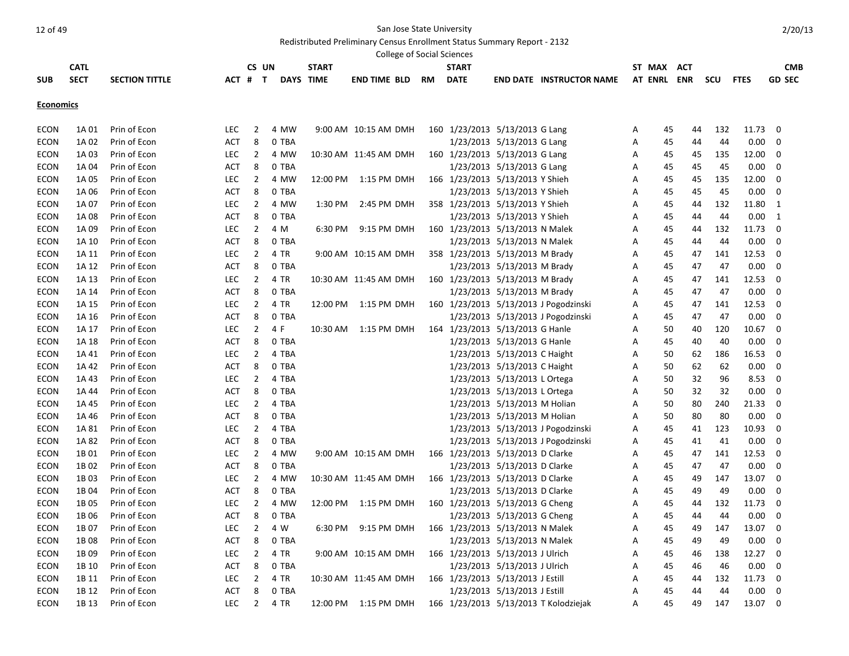# Redistributed Preliminary Census Enrollment Status Summary Report - 2132

|                  |             |                       |            |                |       |                  | College of Social Sciences |           |                                  |                              |                                       |   |               |    |     |             |               |
|------------------|-------------|-----------------------|------------|----------------|-------|------------------|----------------------------|-----------|----------------------------------|------------------------------|---------------------------------------|---|---------------|----|-----|-------------|---------------|
|                  | <b>CATL</b> |                       |            |                | CS UN | <b>START</b>     |                            |           | <b>START</b>                     |                              |                                       |   | ST MAX<br>ACT |    |     |             | <b>CMB</b>    |
| <b>SUB</b>       | <b>SECT</b> | <b>SECTION TITTLE</b> | ACT # T    |                |       | <b>DAYS TIME</b> | <b>END TIME BLD</b>        | <b>RM</b> | <b>DATE</b>                      |                              | <b>END DATE INSTRUCTOR NAME</b>       |   | AT ENRL ENR   |    | scu | <b>FTES</b> | <b>GD SEC</b> |
| <b>Economics</b> |             |                       |            |                |       |                  |                            |           |                                  |                              |                                       |   |               |    |     |             |               |
|                  |             |                       |            |                |       |                  |                            |           |                                  |                              |                                       |   |               |    |     |             |               |
| <b>ECON</b>      | 1A 01       | Prin of Econ          | LEC        | $\overline{2}$ | 4 MW  |                  | 9:00 AM 10:15 AM DMH       |           | 160 1/23/2013 5/13/2013 G Lang   |                              |                                       | Α | 45            | 44 | 132 | 11.73       | 0             |
| <b>ECON</b>      | 1A 02       | Prin of Econ          | <b>ACT</b> | 8              | 0 TBA |                  |                            |           |                                  | 1/23/2013 5/13/2013 G Lang   |                                       | Α | 45            | 44 | 44  | 0.00        | 0             |
| <b>ECON</b>      | 1A 03       | Prin of Econ          | <b>LEC</b> | $\overline{2}$ | 4 MW  |                  | 10:30 AM 11:45 AM DMH      |           | 160 1/23/2013 5/13/2013 G Lang   |                              |                                       | A | 45            | 45 | 135 | 12.00       | 0             |
| <b>ECON</b>      | 1A 04       | Prin of Econ          | <b>ACT</b> | 8              | 0 TBA |                  |                            |           |                                  | 1/23/2013 5/13/2013 G Lang   |                                       | Α | 45            | 45 | 45  | 0.00        | 0             |
| ECON             | 1A 05       | Prin of Econ          | <b>LEC</b> | $\overline{2}$ | 4 MW  | 12:00 PM         | 1:15 PM DMH                |           | 166 1/23/2013 5/13/2013 Y Shieh  |                              |                                       | Α | 45            | 45 | 135 | 12.00       | 0             |
| ECON             | 1A 06       | Prin of Econ          | <b>ACT</b> | 8              | 0 TBA |                  |                            |           |                                  | 1/23/2013 5/13/2013 Y Shieh  |                                       | A | 45            | 45 | 45  | 0.00        | 0             |
| <b>ECON</b>      | 1A 07       | Prin of Econ          | <b>LEC</b> | $\overline{2}$ | 4 MW  | 1:30 PM          | 2:45 PM DMH                |           | 358 1/23/2013 5/13/2013 Y Shieh  |                              |                                       | A | 45            | 44 | 132 | 11.80       | 1             |
| <b>ECON</b>      | 1A 08       | Prin of Econ          | <b>ACT</b> | 8              | 0 TBA |                  |                            |           |                                  | 1/23/2013 5/13/2013 Y Shieh  |                                       | Α | 45            | 44 | 44  | 0.00        | $\mathbf{1}$  |
| ECON             | 1A 09       | Prin of Econ          | <b>LEC</b> | $\overline{2}$ | 4 M   | 6:30 PM          | 9:15 PM DMH                |           | 160 1/23/2013 5/13/2013 N Malek  |                              |                                       | A | 45            | 44 | 132 | 11.73       | 0             |
| <b>ECON</b>      | 1A 10       | Prin of Econ          | <b>ACT</b> | 8              | 0 TBA |                  |                            |           |                                  | 1/23/2013 5/13/2013 N Malek  |                                       | A | 45            | 44 | 44  | 0.00        | $\mathbf 0$   |
| <b>ECON</b>      | 1A 11       | Prin of Econ          | <b>LEC</b> | $\overline{2}$ | 4 TR  |                  | 9:00 AM 10:15 AM DMH       |           | 358 1/23/2013 5/13/2013 M Brady  |                              |                                       | A | 45            | 47 | 141 | 12.53       | $\mathbf 0$   |
| <b>ECON</b>      | 1A 12       | Prin of Econ          | <b>ACT</b> | 8              | 0 TBA |                  |                            |           |                                  | 1/23/2013 5/13/2013 M Brady  |                                       | Α | 45            | 47 | 47  | 0.00        | 0             |
| <b>ECON</b>      | 1A 13       | Prin of Econ          | <b>LEC</b> | $\overline{2}$ | 4 TR  |                  | 10:30 AM 11:45 AM DMH      |           | 160 1/23/2013 5/13/2013 M Brady  |                              |                                       | Α | 45            | 47 | 141 | 12.53       | 0             |
| <b>ECON</b>      | 1A 14       | Prin of Econ          | <b>ACT</b> | 8              | 0 TBA |                  |                            |           |                                  | 1/23/2013 5/13/2013 M Brady  |                                       | A | 45            | 47 | 47  | 0.00        | $\mathbf 0$   |
| <b>ECON</b>      | 1A 15       | Prin of Econ          | <b>LEC</b> | $\overline{2}$ | 4 TR  | 12:00 PM         | 1:15 PM DMH                |           |                                  |                              | 160 1/23/2013 5/13/2013 J Pogodzinski | Α | 45            | 47 | 141 | 12.53       | 0             |
| <b>ECON</b>      | 1A 16       | Prin of Econ          | ACT        | 8              | 0 TBA |                  |                            |           |                                  |                              | 1/23/2013 5/13/2013 J Pogodzinski     | Α | 45            | 47 | 47  | 0.00        | 0             |
| <b>ECON</b>      | 1A 17       | Prin of Econ          | <b>LEC</b> | $\overline{2}$ | 4 F   | 10:30 AM         | 1:15 PM DMH                |           | 164 1/23/2013 5/13/2013 G Hanle  |                              |                                       | A | 50            | 40 | 120 | 10.67       | $\mathbf 0$   |
| <b>ECON</b>      | 1A 18       | Prin of Econ          | <b>ACT</b> | 8              | 0 TBA |                  |                            |           |                                  | 1/23/2013 5/13/2013 G Hanle  |                                       | Α | 45            | 40 | 40  | 0.00        | $\mathbf 0$   |
| <b>ECON</b>      | 1A 41       | Prin of Econ          | <b>LEC</b> | $\overline{2}$ | 4 TBA |                  |                            |           |                                  | 1/23/2013 5/13/2013 C Haight |                                       | Α | 50            | 62 | 186 | 16.53       | 0             |
| <b>ECON</b>      | 1A 42       | Prin of Econ          | <b>ACT</b> | 8              | 0 TBA |                  |                            |           |                                  | 1/23/2013 5/13/2013 C Haight |                                       | A | 50            | 62 | 62  | 0.00        | $\mathbf 0$   |
| <b>ECON</b>      | 1A 43       | Prin of Econ          | <b>LEC</b> | $\overline{2}$ | 4 TBA |                  |                            |           |                                  | 1/23/2013 5/13/2013 L Ortega |                                       | Α | 50            | 32 | 96  | 8.53        | $\mathbf 0$   |
| <b>ECON</b>      | 1A 44       | Prin of Econ          | <b>ACT</b> | 8              | 0 TBA |                  |                            |           |                                  | 1/23/2013 5/13/2013 L Ortega |                                       | A | 50            | 32 | 32  | 0.00        | $\mathbf 0$   |
| <b>ECON</b>      | 1A 45       | Prin of Econ          | <b>LEC</b> | $\overline{2}$ | 4 TBA |                  |                            |           |                                  | 1/23/2013 5/13/2013 M Holian |                                       | А | 50            | 80 | 240 | 21.33       | 0             |
| <b>ECON</b>      | 1A 46       | Prin of Econ          | <b>ACT</b> | 8              | 0 TBA |                  |                            |           |                                  | 1/23/2013 5/13/2013 M Holian |                                       | Α | 50            | 80 | 80  | 0.00        | 0             |
| <b>ECON</b>      | 1A 81       | Prin of Econ          | <b>LEC</b> | $\overline{2}$ | 4 TBA |                  |                            |           |                                  |                              | 1/23/2013 5/13/2013 J Pogodzinski     | Α | 45            | 41 | 123 | 10.93       | 0             |
| <b>ECON</b>      | 1A 82       | Prin of Econ          | <b>ACT</b> | 8              | 0 TBA |                  |                            |           |                                  |                              | 1/23/2013 5/13/2013 J Pogodzinski     | A | 45            | 41 | 41  | 0.00        | $\mathbf 0$   |
| <b>ECON</b>      | 1B 01       | Prin of Econ          | <b>LEC</b> | $\overline{2}$ | 4 MW  |                  | 9:00 AM 10:15 AM DMH       |           | 166 1/23/2013 5/13/2013 D Clarke |                              |                                       | Α | 45            | 47 | 141 | 12.53       | 0             |
| <b>ECON</b>      | 1B 02       | Prin of Econ          | <b>ACT</b> | 8              | 0 TBA |                  |                            |           |                                  | 1/23/2013 5/13/2013 D Clarke |                                       | Α | 45            | 47 | 47  | 0.00        | 0             |
| <b>ECON</b>      | 1B03        | Prin of Econ          | <b>LEC</b> | $\overline{2}$ | 4 MW  |                  | 10:30 AM 11:45 AM DMH      |           | 166 1/23/2013 5/13/2013 D Clarke |                              |                                       | A | 45            | 49 | 147 | 13.07       | $\mathbf 0$   |
| <b>ECON</b>      | 1B 04       | Prin of Econ          | <b>ACT</b> | 8              | 0 TBA |                  |                            |           |                                  | 1/23/2013 5/13/2013 D Clarke |                                       | A | 45            | 49 | 49  | 0.00        | $\mathbf 0$   |
| <b>ECON</b>      | 1B 05       | Prin of Econ          | <b>LEC</b> | $\overline{2}$ | 4 MW  | 12:00 PM         | 1:15 PM DMH                |           | 160 1/23/2013 5/13/2013 G Cheng  |                              |                                       | Α | 45            | 44 | 132 | 11.73       | 0             |
| ECON             | 1B 06       | Prin of Econ          | <b>ACT</b> | 8              | 0 TBA |                  |                            |           |                                  | 1/23/2013 5/13/2013 G Cheng  |                                       | Α | 45            | 44 | 44  | 0.00        | 0             |
| <b>ECON</b>      | 1B 07       | Prin of Econ          | <b>LEC</b> | $\overline{2}$ | 4 W   | 6:30 PM          | 9:15 PM DMH                |           | 166 1/23/2013 5/13/2013 N Malek  |                              |                                       | A | 45            | 49 | 147 | 13.07       | $\mathbf 0$   |
| <b>ECON</b>      | 1B 08       | Prin of Econ          | ACT        | 8              | 0 TBA |                  |                            |           |                                  | 1/23/2013 5/13/2013 N Malek  |                                       | A | 45            | 49 | 49  | 0.00        | 0             |
| <b>ECON</b>      | 1B 09       | Prin of Econ          | <b>LEC</b> | $\overline{2}$ | 4 TR  |                  | 9:00 AM 10:15 AM DMH       |           | 166 1/23/2013 5/13/2013 J Ulrich |                              |                                       | Α | 45            | 46 | 138 | 12.27       | 0             |
| ECON             | 1B 10       | Prin of Econ          | ACT        | 8              | 0 TBA |                  |                            |           |                                  | 1/23/2013 5/13/2013 J Ulrich |                                       | A | 45            | 46 | 46  | 0.00        | 0             |
| <b>ECON</b>      | 1B 11       | Prin of Econ          | <b>LEC</b> | $\overline{2}$ | 4 TR  |                  | 10:30 AM 11:45 AM DMH      |           | 166 1/23/2013 5/13/2013 J Estill |                              |                                       | A | 45            | 44 | 132 | 11.73       | $\mathbf 0$   |
| <b>ECON</b>      | 1B 12       | Prin of Econ          | <b>ACT</b> | 8              | 0 TBA |                  |                            |           |                                  | 1/23/2013 5/13/2013 J Estill |                                       | Α | 45            | 44 | 44  | 0.00        | 0             |
| <b>ECON</b>      | 1B 13       | Prin of Econ          | <b>LEC</b> | 2              | 4 TR  | 12:00 PM         | 1:15 PM DMH                |           |                                  |                              | 166 1/23/2013 5/13/2013 T Kolodziejak | A | 45            | 49 | 147 | 13.07       | $\Omega$      |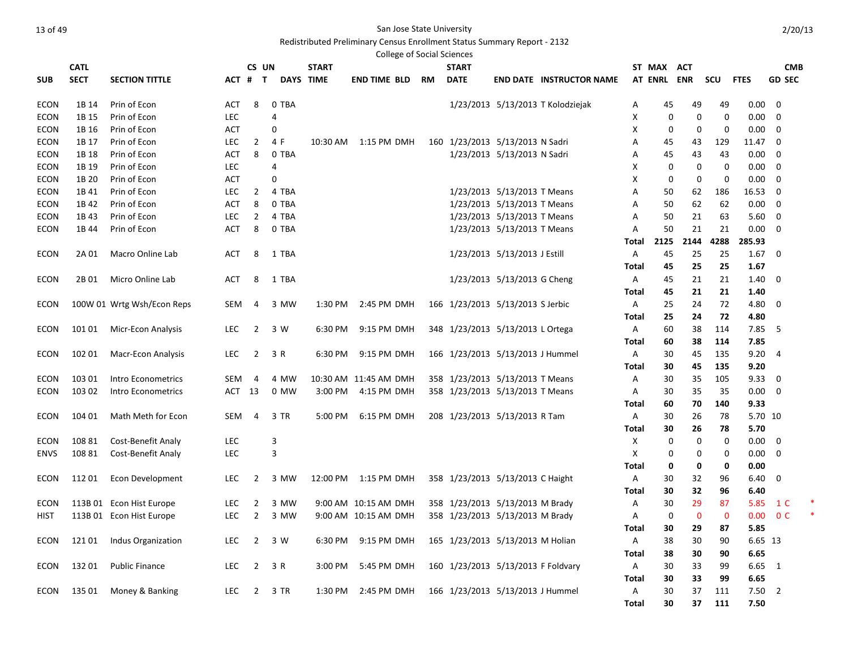# Redistributed Preliminary Census Enrollment Status Summary Report - 2132

|             |             |                            |            |                |       |                  | <b>College of Social Sciences</b> |           |                                    |                              |                                   |              |             |             |             |                   |                |  |
|-------------|-------------|----------------------------|------------|----------------|-------|------------------|-----------------------------------|-----------|------------------------------------|------------------------------|-----------------------------------|--------------|-------------|-------------|-------------|-------------------|----------------|--|
|             | <b>CATL</b> |                            |            | CS UN          |       | <b>START</b>     |                                   |           | <b>START</b>                       |                              |                                   | ST MAX       |             | ACT         |             |                   | <b>CMB</b>     |  |
| <b>SUB</b>  | <b>SECT</b> | <b>SECTION TITTLE</b>      |            | ACT # T        |       | <b>DAYS TIME</b> | <b>END TIME BLD</b>               | <b>RM</b> | <b>DATE</b>                        |                              | <b>END DATE INSTRUCTOR NAME</b>   |              |             | AT ENRL ENR | scu         | <b>FTES</b>       | <b>GD SEC</b>  |  |
| <b>ECON</b> | 1B 14       | Prin of Econ               | <b>ACT</b> | 8              | 0 TBA |                  |                                   |           |                                    |                              | 1/23/2013 5/13/2013 T Kolodziejak | Α            | 45          | 49          | 49          | 0.00              | $\overline{0}$ |  |
| <b>ECON</b> | 1B 15       | Prin of Econ               | <b>LEC</b> |                | 4     |                  |                                   |           |                                    |                              |                                   | X            | $\mathbf 0$ | $\mathbf 0$ | $\mathbf 0$ | 0.00              | $\mathbf 0$    |  |
| ECON        | 1B 16       | Prin of Econ               | ACT        |                | 0     |                  |                                   |           |                                    |                              |                                   | х            | 0           | 0           | 0           | 0.00              | $\mathbf 0$    |  |
| ECON        | 1B 17       | Prin of Econ               | <b>LEC</b> | $\overline{2}$ | 4 F   |                  | 10:30 AM 1:15 PM DMH              |           | 160 1/23/2013 5/13/2013 N Sadri    |                              |                                   | Α            | 45          | 43          | 129         | 11.47             | 0              |  |
| <b>ECON</b> | 1B 18       | Prin of Econ               | ACT        | 8              | 0 TBA |                  |                                   |           |                                    | 1/23/2013 5/13/2013 N Sadri  |                                   | Α            | 45          | 43          | 43          | 0.00              | 0              |  |
| <b>ECON</b> | 1B 19       | Prin of Econ               | LEC        |                | 4     |                  |                                   |           |                                    |                              |                                   | X            | 0           | 0           | $\mathbf 0$ | 0.00              | 0              |  |
| <b>ECON</b> | 1B 20       | Prin of Econ               | <b>ACT</b> |                | 0     |                  |                                   |           |                                    |                              |                                   | X            | 0           | $\mathbf 0$ | $\mathbf 0$ | 0.00              | $\mathbf 0$    |  |
| <b>ECON</b> | 1B 41       | Prin of Econ               | <b>LEC</b> | $\overline{2}$ | 4 TBA |                  |                                   |           |                                    | 1/23/2013 5/13/2013 T Means  |                                   | Α            | 50          | 62          | 186         | 16.53             | 0              |  |
| <b>ECON</b> | 1B 42       | Prin of Econ               | ACT        | 8              | 0 TBA |                  |                                   |           |                                    | 1/23/2013 5/13/2013 T Means  |                                   | Α            | 50          | 62          | 62          | 0.00              | 0              |  |
| <b>ECON</b> | 1B 43       | Prin of Econ               | <b>LEC</b> | $\overline{2}$ | 4 TBA |                  |                                   |           |                                    | 1/23/2013 5/13/2013 T Means  |                                   | Α            | 50          | 21          | 63          | 5.60              | $\mathbf 0$    |  |
| ECON        | 1B 44       | Prin of Econ               | <b>ACT</b> | 8              | 0 TBA |                  |                                   |           |                                    | 1/23/2013 5/13/2013 T Means  |                                   | Α            | 50          | 21          | 21          | 0.00              | 0              |  |
|             |             |                            |            |                |       |                  |                                   |           |                                    |                              |                                   | Total        | 2125        | 2144        | 4288        | 285.93            |                |  |
| <b>ECON</b> | 2A 01       | Macro Online Lab           | <b>ACT</b> | 8              | 1 TBA |                  |                                   |           |                                    | 1/23/2013 5/13/2013 J Estill |                                   | Α            | 45          | 25          | 25          | 1.67              | - 0            |  |
|             |             |                            |            |                |       |                  |                                   |           |                                    |                              |                                   | Total        | 45          | 25          | 25          | 1.67              |                |  |
| ECON        | 2B 01       | Micro Online Lab           | ACT        | 8              | 1 TBA |                  |                                   |           |                                    | 1/23/2013 5/13/2013 G Cheng  |                                   | Α            | 45          | 21          | 21          | 1.40              | 0              |  |
|             |             |                            |            |                |       |                  |                                   |           |                                    |                              |                                   | Total        | 45          | 21          | 21          | 1.40              |                |  |
| ECON        |             | 100W 01 Wrtg Wsh/Econ Reps | <b>SEM</b> | 4              | 3 MW  | 1:30 PM          | 2:45 PM DMH                       |           | 166 1/23/2013 5/13/2013 S Jerbic   |                              |                                   | Α            | 25          | 24          | 72          | 4.80              | 0              |  |
|             |             |                            |            |                |       |                  |                                   |           |                                    |                              |                                   | Total        | 25          | 24          | 72          | 4.80              |                |  |
| <b>ECON</b> | 101 01      | Micr-Econ Analysis         | <b>LEC</b> | $\overline{2}$ | 3 W   | 6:30 PM          | 9:15 PM DMH                       |           | 348 1/23/2013 5/13/2013 L Ortega   |                              |                                   | A            | 60          | 38          | 114         | 7.85              | -5             |  |
|             |             |                            |            |                |       |                  |                                   |           |                                    |                              |                                   | Total        | 60          | 38          | 114         | 7.85              |                |  |
| <b>ECON</b> | 102 01      | <b>Macr-Econ Analysis</b>  | <b>LEC</b> | $\overline{2}$ | 3 R   | 6:30 PM          | 9:15 PM DMH                       |           | 166 1/23/2013 5/13/2013 J Hummel   |                              |                                   | Α            | 30          | 45          | 135         | 9.20              | $\overline{4}$ |  |
|             |             |                            |            |                |       |                  |                                   |           |                                    |                              |                                   | Total        | 30          | 45          | 135         | 9.20              |                |  |
| ECON        | 103 01      | Intro Econometrics         | SEM        | 4              | 4 MW  |                  | 10:30 AM 11:45 AM DMH             |           | 358 1/23/2013 5/13/2013 T Means    |                              |                                   | Α            | 30          | 35          | 105         | 9.33              | 0              |  |
| ECON        | 103 02      | Intro Econometrics         | ACT 13     |                | 0 MW  |                  | 3:00 PM 4:15 PM DMH               |           | 358 1/23/2013 5/13/2013 T Means    |                              |                                   | Α            | 30          | 35          | 35          | 0.00              | 0              |  |
|             |             |                            |            |                |       |                  |                                   |           |                                    |                              |                                   | Total        | 60          | 70          | 140         | 9.33              |                |  |
| <b>ECON</b> | 104 01      | Math Meth for Econ         | <b>SEM</b> | 4              | 3 TR  | 5:00 PM          | 6:15 PM DMH                       |           | 208 1/23/2013 5/13/2013 R Tam      |                              |                                   | Α            | 30          | 26          | 78          | 5.70 10           |                |  |
|             |             |                            |            |                |       |                  |                                   |           |                                    |                              |                                   | Total        | 30          | 26          | 78          | 5.70              |                |  |
| ECON        | 108 81      | Cost-Benefit Analy         | <b>LEC</b> |                | 3     |                  |                                   |           |                                    |                              |                                   | Χ            | 0           | 0           | 0           | 0.00              | $\mathbf 0$    |  |
| <b>ENVS</b> | 108 81      | Cost-Benefit Analy         | LEC        |                | 3     |                  |                                   |           |                                    |                              |                                   | х            | 0           | 0           | 0           | 0.00              | 0              |  |
|             |             |                            |            |                |       |                  |                                   |           |                                    |                              |                                   | Total        | 0           | 0           | 0           | 0.00              |                |  |
| <b>ECON</b> | 112 01      | Econ Development           | <b>LEC</b> | $\overline{2}$ | 3 MW  |                  | 12:00 PM 1:15 PM DMH              |           | 358 1/23/2013 5/13/2013 C Haight   |                              |                                   | Α            | 30          | 32          | 96          | 6.40              | $\mathbf 0$    |  |
|             |             |                            |            |                |       |                  |                                   |           |                                    |                              |                                   | Total        | 30          | 32          | 96          | 6.40              |                |  |
| ECON        |             | 113B 01 Econ Hist Europe   | <b>LEC</b> | 2              | 3 MW  |                  | 9:00 AM 10:15 AM DMH              |           | 358 1/23/2013 5/13/2013 M Brady    |                              |                                   | Α            | 30          | 29          | 87          | 5.85              | 1 C            |  |
| HIST        |             | 113B 01 Econ Hist Europe   | <b>LEC</b> | $\overline{2}$ | 3 MW  |                  | 9:00 AM 10:15 AM DMH              |           | 358 1/23/2013 5/13/2013 M Brady    |                              |                                   | Α            | 0           | $\mathbf 0$ | $\mathbf 0$ | 0.00 <sub>1</sub> | 0 <sup>C</sup> |  |
|             |             |                            |            |                |       |                  |                                   |           |                                    |                              |                                   | Total        | 30          | 29          | 87          | 5.85              |                |  |
| ECON        | 12101       | Indus Organization         | <b>LEC</b> | $\overline{2}$ | 3 W   |                  | 6:30 PM 9:15 PM DMH               |           | 165 1/23/2013 5/13/2013 M Holian   |                              |                                   | Α            | 38          | 30          | 90          | 6.65 13           |                |  |
|             |             |                            |            |                |       |                  |                                   |           |                                    |                              |                                   | Total        | 38          | 30          | 90          | 6.65              |                |  |
| ECON        | 13201       | <b>Public Finance</b>      | <b>LEC</b> | $\overline{2}$ | 3 R   | 3:00 PM          | 5:45 PM DMH                       |           | 160 1/23/2013 5/13/2013 F Foldvary |                              |                                   | Α            | 30          | 33          | 99          | 6.65              | $\overline{1}$ |  |
|             |             |                            |            |                |       |                  |                                   |           |                                    |                              |                                   | <b>Total</b> | 30          | 33          | 99          | 6.65              |                |  |
| ECON        | 135 01      | Money & Banking            | <b>LEC</b> | 2              | 3 TR  | 1:30 PM          | 2:45 PM DMH                       |           | 166 1/23/2013 5/13/2013 J Hummel   |                              |                                   | Α            | 30          | 37          | 111         | 7.50              | 2              |  |

**Total 30 37 111 7.50**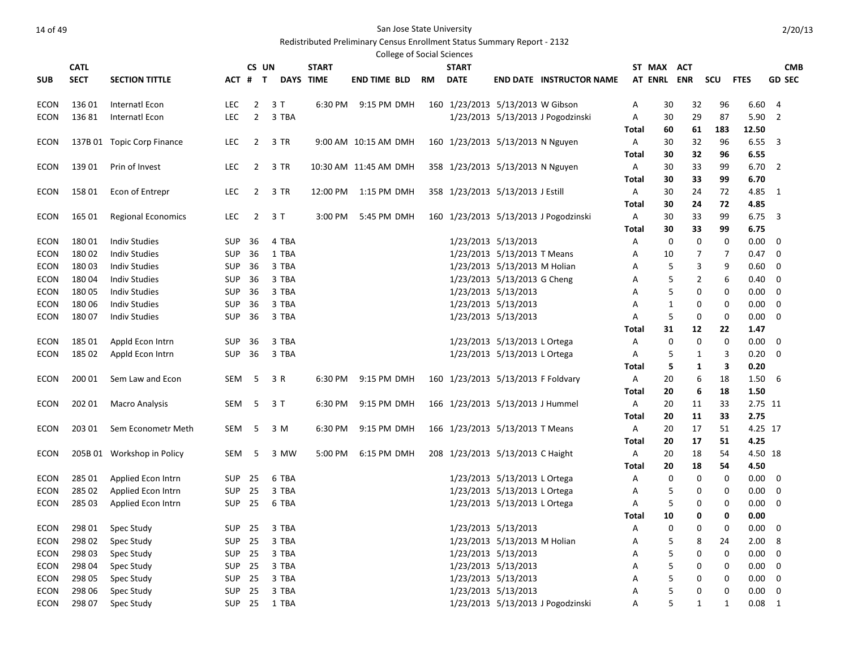|            |             |                            |               |                |                  |              | <b>College of Social Sciences</b> |    |              |                                    |                                       |       |                |            |     |             |                |
|------------|-------------|----------------------------|---------------|----------------|------------------|--------------|-----------------------------------|----|--------------|------------------------------------|---------------------------------------|-------|----------------|------------|-----|-------------|----------------|
|            | <b>CATL</b> |                            |               | CS UN          |                  | <b>START</b> |                                   |    | <b>START</b> |                                    |                                       |       | ST MAX         | ACT        |     |             | <b>CMB</b>     |
| <b>SUB</b> | <b>SECT</b> | <b>SECTION TITTLE</b>      |               | ACT # T        | <b>DAYS TIME</b> |              | <b>END TIME BLD</b>               | RM | <b>DATE</b>  |                                    | <b>END DATE INSTRUCTOR NAME</b>       |       | <b>AT ENRL</b> | <b>ENR</b> | scu | <b>FTES</b> | <b>GD SEC</b>  |
| ECON       | 136 01      | Internatl Econ             | <b>LEC</b>    | $\overline{2}$ | 3 T              | 6:30 PM      | 9:15 PM DMH                       |    |              | 160 1/23/2013 5/13/2013 W Gibson   |                                       | Α     | 30             | 32         | 96  | 6.60        | 4              |
| ECON       | 13681       | Internatl Econ             | LEC.          | 2              | 3 TBA            |              |                                   |    |              |                                    | 1/23/2013 5/13/2013 J Pogodzinski     | Α     | 30             | 29         | 87  | 5.90        | 2              |
|            |             |                            |               |                |                  |              |                                   |    |              |                                    |                                       | Total | 60             | 61         | 183 | 12.50       |                |
| ECON       |             | 137B 01 Topic Corp Finance | <b>LEC</b>    | 2              | 3 TR             |              | 9:00 AM 10:15 AM DMH              |    |              | 160 1/23/2013 5/13/2013 N Nguyen   |                                       | Α     | 30             | 32         | 96  | 6.55        | 3              |
|            |             |                            |               |                |                  |              |                                   |    |              |                                    |                                       | Total | 30             | 32         | 96  | 6.55        |                |
| ECON       | 139 01      | Prin of Invest             | <b>LEC</b>    | 2              | 3 TR             |              | 10:30 AM 11:45 AM DMH             |    |              | 358 1/23/2013 5/13/2013 N Nguyen   |                                       | Α     | 30             | 33         | 99  | 6.70        | 2              |
|            |             |                            |               |                |                  |              |                                   |    |              |                                    |                                       | Total | 30             | 33         | 99  | 6.70        |                |
| ECON       | 15801       | Econ of Entrepr            | <b>LEC</b>    | 2              | 3 TR             | 12:00 PM     | 1:15 PM DMH                       |    |              | 358 1/23/2013 5/13/2013 J Estill   |                                       | Α     | 30             | 24         | 72  | 4.85        | -1             |
|            |             |                            |               |                |                  |              |                                   |    |              |                                    |                                       | Total | 30             | 24         | 72  | 4.85        |                |
| ECON       | 165 01      | <b>Regional Economics</b>  | <b>LEC</b>    | 2              | 3 T              | 3:00 PM      | 5:45 PM DMH                       |    |              |                                    | 160 1/23/2013 5/13/2013 J Pogodzinski | Α     | 30             | 33         | 99  | 6.75        | 3              |
|            |             |                            |               |                |                  |              |                                   |    |              |                                    |                                       | Total | 30             | 33         | 99  | 6.75        |                |
| ECON       | 18001       | <b>Indiv Studies</b>       | SUP           | 36             | 4 TBA            |              |                                   |    |              | 1/23/2013 5/13/2013                |                                       | Α     | 0              | 0          | 0   | 0.00        | 0              |
| ECON       | 18002       | <b>Indiv Studies</b>       | <b>SUP</b>    | 36             | 1 TBA            |              |                                   |    |              | 1/23/2013 5/13/2013 T Means        |                                       | Α     | 10             | 7          | 7   | 0.47        | 0              |
| ECON       | 18003       | <b>Indiv Studies</b>       | <b>SUP</b>    | 36             | 3 TBA            |              |                                   |    |              | 1/23/2013 5/13/2013 M Holian       |                                       | A     | 5              | 3          | 9   | 0.60        | 0              |
| ECON       | 18004       | <b>Indiv Studies</b>       | <b>SUP</b>    | 36             | 3 TBA            |              |                                   |    |              | 1/23/2013 5/13/2013 G Cheng        |                                       | Α     | 5              | 2          | 6   | 0.40        | 0              |
| ECON       | 180 05      | <b>Indiv Studies</b>       | SUP           | 36             | 3 TBA            |              |                                   |    |              | 1/23/2013 5/13/2013                |                                       | A     | 5              | 0          | 0   | 0.00        | 0              |
| ECON       | 180 06      | <b>Indiv Studies</b>       | <b>SUP</b>    | 36             | 3 TBA            |              |                                   |    |              | 1/23/2013 5/13/2013                |                                       | A     | 1              | 0          | 0   | 0.00        | 0              |
| ECON       | 18007       | <b>Indiv Studies</b>       | <b>SUP</b>    | 36             | 3 TBA            |              |                                   |    |              | 1/23/2013 5/13/2013                |                                       | Α     | 5              | 0          | 0   | 0.00        | 0              |
|            |             |                            |               |                |                  |              |                                   |    |              |                                    |                                       | Total | 31             | 12         | 22  | 1.47        |                |
| ECON       | 185 01      | Appld Econ Intrn           | <b>SUP</b>    | 36             | 3 TBA            |              |                                   |    |              | 1/23/2013 5/13/2013 L Ortega       |                                       | Α     | 0              | 0          | 0   | 0.00        | 0              |
| ECON       | 185 02      | Appld Econ Intrn           | <b>SUP</b>    | 36             | 3 TBA            |              |                                   |    |              | 1/23/2013 5/13/2013 L Ortega       |                                       | Α     | 5              | 1          | 3   | 0.20        | 0              |
|            |             |                            |               |                |                  |              |                                   |    |              |                                    |                                       | Total | 5              | 1          | 3   | 0.20        |                |
| ECON       | 200 01      | Sem Law and Econ           | SEM           | -5             | 3 R              | 6:30 PM      | 9:15 PM DMH                       |    |              | 160 1/23/2013 5/13/2013 F Foldvary |                                       | Α     | 20             | 6          | 18  | 1.50        | 6              |
|            |             |                            |               |                |                  |              |                                   |    |              |                                    |                                       | Total | 20             | 6          | 18  | 1.50        |                |
| ECON       | 202 01      | <b>Macro Analysis</b>      | SEM           | 5              | 3 T              | 6:30 PM      | 9:15 PM DMH                       |    |              | 166 1/23/2013 5/13/2013 J Hummel   |                                       | Α     | 20             | 11         | 33  | 2.75 11     |                |
|            |             |                            |               |                |                  |              |                                   |    |              |                                    |                                       | Total | 20             | 11         | 33  | 2.75        |                |
| ECON       | 203 01      | Sem Econometr Meth         | SEM           | 5              | 3 M              | 6:30 PM      | 9:15 PM DMH                       |    |              | 166 1/23/2013 5/13/2013 T Means    |                                       | Α     | 20             | 17         | 51  | 4.25 17     |                |
|            |             |                            |               |                |                  |              |                                   |    |              |                                    |                                       | Total | 20             | 17         | 51  | 4.25        |                |
| ECON       |             | 205B 01 Workshop in Policy | SEM           | 5              | 3 MW             | 5:00 PM      | 6:15 PM DMH                       |    |              | 208 1/23/2013 5/13/2013 C Haight   |                                       | Α     | 20             | 18         | 54  |             | 4.50 18        |
|            |             |                            |               |                |                  |              |                                   |    |              |                                    |                                       | Total | 20             | 18         | 54  | 4.50        |                |
| ECON       | 285 01      | Applied Econ Intrn         | SUP           | 25             | 6 TBA            |              |                                   |    |              | 1/23/2013 5/13/2013 L Ortega       |                                       | Α     | 0              | 0          | 0   | $0.00\,$    | 0              |
| ECON       | 285 02      | Applied Econ Intrn         | SUP           | 25             | 3 TBA            |              |                                   |    |              | 1/23/2013 5/13/2013 L Ortega       |                                       | Α     | 5              | 0          | 0   | 0.00        | 0              |
| ECON       | 285 03      | Applied Econ Intrn         | <b>SUP 25</b> |                | 6 TBA            |              |                                   |    |              | 1/23/2013 5/13/2013 L Ortega       |                                       | Α     | 5              | 0          | 0   | 0.00        | 0              |
|            |             |                            |               |                |                  |              |                                   |    |              |                                    |                                       | Total | 10             | 0          | 0   | 0.00        |                |
| ECON       |             | 298 01 Spec Study          |               |                | SUP 25 3 TBA     |              |                                   |    |              | 1/23/2013 5/13/2013                |                                       | Α     | 0              | 0          | 0   | $0.00 \t 0$ |                |
| ECON       | 298 02      | Spec Study                 | SUP           | 25             | 3 TBA            |              |                                   |    |              | 1/23/2013 5/13/2013 M Holian       |                                       | А     | 5              | 8          | 24  | 2.00 8      |                |
| ECON       | 298 03      | Spec Study                 | SUP           | 25             | 3 TBA            |              |                                   |    |              | 1/23/2013 5/13/2013                |                                       | А     | 5              | 0          | 0   | $0.00 \t 0$ |                |
| ECON       | 298 04      | Spec Study                 | SUP           | 25             | 3 TBA            |              |                                   |    |              | 1/23/2013 5/13/2013                |                                       | А     | 5              | 0          | 0   | $0.00 \t 0$ |                |
| ECON       | 298 05      | Spec Study                 | SUP           | 25             | 3 TBA            |              |                                   |    |              | 1/23/2013 5/13/2013                |                                       | А     | 5              | 0          | 0   | $0.00 \t 0$ |                |
| ECON       | 298 06      | Spec Study                 | SUP           | 25             | 3 TBA            |              |                                   |    |              | 1/23/2013 5/13/2013                |                                       | Α     | 5              | 0          | 0   |             | $0.00 \quad 0$ |
| ECON       | 298 07      | Spec Study                 | <b>SUP 25</b> |                | 1 TBA            |              |                                   |    |              |                                    | 1/23/2013 5/13/2013 J Pogodzinski     | Α     | 5              | 1          | 1   | $0.08$ 1    |                |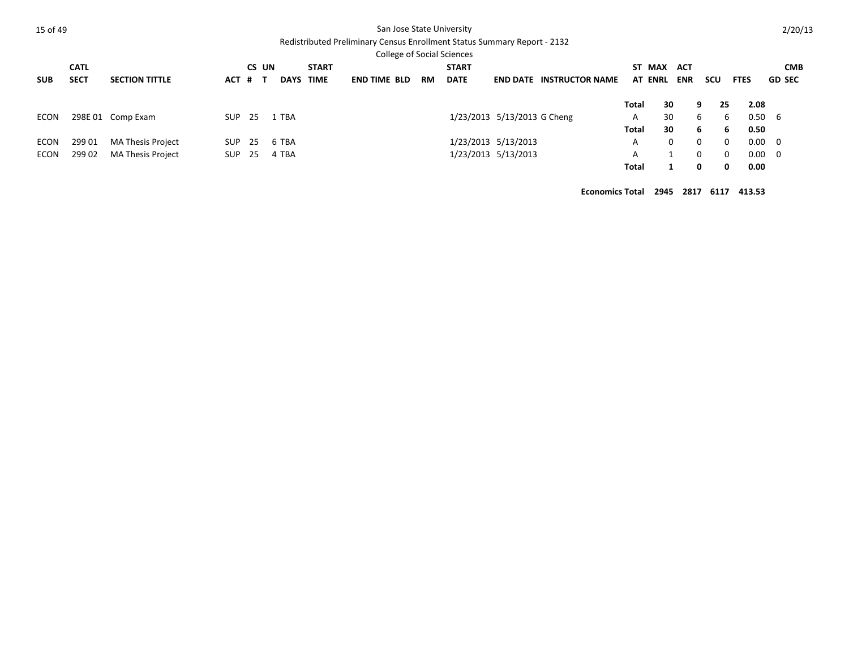|--|--|--|

### San Jose State University

# Redistributed Preliminary Census Enrollment Status Summary Report - 2132

| <b>CMB</b><br>scu<br><b>GD SEC</b><br><b>FTES</b> |
|---------------------------------------------------|
|                                                   |
|                                                   |
|                                                   |
| 2.08<br>25                                        |
| $0.50\quad 6$<br>6                                |
| 6<br>0.50                                         |
| $0.00 \ 0$<br>$\Omega$                            |
| $0.00 \ 0$<br>0                                   |
| 0<br>0.00                                         |
|                                                   |

**Economics Total 2945 2817 6117 413.53**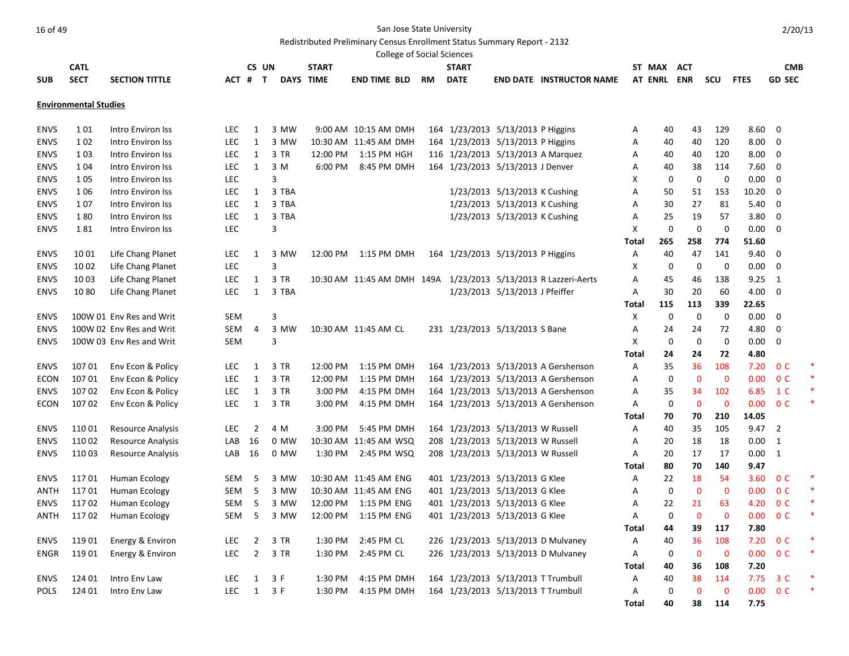Redistributed Preliminary Census Enrollment Status Summary Report - 2132

|                     |                              |                          |            |                |                 |              | <b>College of Social Sciences</b>                              |           |                                                                  |                                |                                      |              |             |                   |                   |              |                |   |
|---------------------|------------------------------|--------------------------|------------|----------------|-----------------|--------------|----------------------------------------------------------------|-----------|------------------------------------------------------------------|--------------------------------|--------------------------------------|--------------|-------------|-------------------|-------------------|--------------|----------------|---|
|                     | <b>CATL</b>                  |                          |            |                | CS UN           | <b>START</b> |                                                                |           | <b>START</b>                                                     |                                |                                      |              | ST MAX      | <b>ACT</b>        |                   |              | <b>CMB</b>     |   |
| <b>SUB</b>          | <b>SECT</b>                  | <b>SECTION TITTLE</b>    | ACT # T    |                |                 | DAYS TIME    | end time bld                                                   | <b>RM</b> | <b>DATE</b>                                                      |                                | <b>END DATE INSTRUCTOR NAME</b>      |              | AT ENRL ENR |                   | scu               | <b>FTES</b>  | <b>GD SEC</b>  |   |
|                     | <b>Environmental Studies</b> |                          |            |                |                 |              |                                                                |           |                                                                  |                                |                                      |              |             |                   |                   |              |                |   |
|                     |                              |                          |            |                |                 |              |                                                                |           |                                                                  |                                |                                      |              |             |                   |                   |              |                |   |
| <b>ENVS</b>         | 101                          | Intro Environ Iss        | LEC        | 1              | 3 MW            |              | 9:00 AM 10:15 AM DMH                                           |           | 164 1/23/2013 5/13/2013 P Higgins                                |                                |                                      | Α            | 40          | 43                | 129               | 8.60         | 0              |   |
| <b>ENVS</b>         | 1 0 2                        | Intro Environ Iss        | <b>LEC</b> | $\mathbf{1}$   | 3 MW            |              | 10:30 AM 11:45 AM DMH                                          |           | 164 1/23/2013 5/13/2013 P Higgins                                |                                |                                      | Α            | 40          | 40                | 120               | 8.00         | 0              |   |
| <b>ENVS</b>         | 1 0 3                        | Intro Environ Iss        | <b>LEC</b> | $\mathbf{1}$   | 3 TR            |              | 12:00 PM 1:15 PM HGH                                           |           | 116 1/23/2013 5/13/2013 A Marquez                                |                                |                                      | Α            | 40          | 40                | 120               | 8.00         | 0              |   |
| <b>ENVS</b>         | 1 0 4                        | Intro Environ Iss        | <b>LEC</b> | $\mathbf{1}$   | 3 M             | 6:00 PM      | 8:45 PM DMH                                                    |           | 164 1/23/2013 5/13/2013 J Denver                                 |                                |                                      | Α            | 40          | 38                | 114               | 7.60         | 0              |   |
| <b>ENVS</b>         | 1 0 5                        | Intro Environ Iss        | <b>LEC</b> |                | 3               |              |                                                                |           |                                                                  |                                |                                      | X            | 0           | 0                 | 0                 | 0.00         | 0              |   |
| <b>ENVS</b>         | 1 0 6                        | Intro Environ Iss        | <b>LEC</b> | 1              | 3 TBA           |              |                                                                |           |                                                                  | 1/23/2013 5/13/2013 K Cushing  |                                      | Α            | 50          | 51                | 153               | 10.20        | 0              |   |
| <b>ENVS</b>         | 107                          | Intro Environ Iss        | <b>LEC</b> | 1              | 3 TBA           |              |                                                                |           |                                                                  | 1/23/2013 5/13/2013 K Cushing  |                                      | Α            | 30          | 27                | 81                | 5.40         | 0              |   |
| <b>ENVS</b>         | 180                          | Intro Environ Iss        | <b>LEC</b> | $\mathbf{1}$   | 3 TBA           |              |                                                                |           |                                                                  | 1/23/2013 5/13/2013 K Cushing  |                                      | Α            | 25          | 19                | 57                | 3.80         | 0              |   |
| <b>ENVS</b>         | 181                          | Intro Environ Iss        | LEC        |                | 3               |              |                                                                |           |                                                                  |                                |                                      | x            | 0           | 0                 | $\mathbf 0$       | 0.00         | 0              |   |
|                     |                              |                          |            |                |                 |              |                                                                |           |                                                                  |                                |                                      | Total        | 265         | 258               | 774               | 51.60        |                |   |
| <b>ENVS</b>         | 1001                         | Life Chang Planet        | <b>LEC</b> | 1              | 3 MW            |              | 12:00 PM 1:15 PM DMH                                           |           | 164 1/23/2013 5/13/2013 P Higgins                                |                                |                                      | Α            | 40          | 47                | 141               | 9.40         | 0              |   |
| <b>ENVS</b>         | 10 02                        | Life Chang Planet        | <b>LEC</b> |                | 3               |              |                                                                |           |                                                                  |                                |                                      | Χ            | 0           | 0                 | 0                 | 0.00         | 0              |   |
| <b>ENVS</b>         | 1003                         | Life Chang Planet        | <b>LEC</b> | $\mathbf{1}$   | 3 TR            |              | 10:30 AM 11:45 AM DMH 149A 1/23/2013 5/13/2013 R Lazzeri-Aerts |           |                                                                  |                                |                                      | Α            | 45          | 46                | 138               | 9.25         | 1              |   |
| <b>ENVS</b>         | 1080                         | Life Chang Planet        | LEC        | 1              | 3 TBA           |              |                                                                |           |                                                                  | 1/23/2013 5/13/2013 J Pfeiffer |                                      | Α            | 30          | 20                | 60                | 4.00         | $\mathbf 0$    |   |
|                     |                              |                          |            |                |                 |              |                                                                |           |                                                                  |                                |                                      | Total        | 115         | 113               | 339               | 22.65        |                |   |
| <b>ENVS</b>         |                              | 100W 01 Env Res and Writ | <b>SEM</b> |                | 3               |              |                                                                |           |                                                                  |                                |                                      | Χ            | 0           | 0                 | 0                 | 0.00         | 0              |   |
| <b>ENVS</b>         |                              | 100W 02 Env Res and Writ | SEM        | 4              | 3 MW            |              | 10:30 AM 11:45 AM CL                                           |           | 231 1/23/2013 5/13/2013 S Bane                                   |                                |                                      | Α            | 24          | 24                | 72                | 4.80         | 0              |   |
| <b>ENVS</b>         |                              | 100W 03 Env Res and Writ | <b>SEM</b> |                | 3               |              |                                                                |           |                                                                  |                                |                                      | x            | 0           | 0                 | $\boldsymbol{0}$  | 0.00         | 0              |   |
|                     |                              |                          |            |                |                 |              |                                                                |           |                                                                  |                                |                                      | Total        | 24          | 24                | 72                | 4.80         |                |   |
| <b>ENVS</b>         | 107 01                       | Env Econ & Policy        | LEC        | 1              | 3 TR            | 12:00 PM     | 1:15 PM DMH                                                    |           |                                                                  |                                | 164 1/23/2013 5/13/2013 A Gershenson | Α            | 35          | 36                | 108               | 7.20         | 0 <sup>C</sup> | ∗ |
| <b>ECON</b>         | 107 01                       | Env Econ & Policy        | <b>LEC</b> | $\mathbf{1}$   | 3 TR            | 12:00 PM     | 1:15 PM DMH                                                    |           |                                                                  |                                | 164 1/23/2013 5/13/2013 A Gershenson | Α            | 0           | $\mathbf 0$       | $\mathbf 0$       | 0.00         | 0 <sup>C</sup> | * |
| <b>ENVS</b>         | 10702                        | Env Econ & Policy        | <b>LEC</b> | 1              | 3 TR            | 3:00 PM      | 4:15 PM DMH                                                    |           |                                                                  |                                | 164 1/23/2013 5/13/2013 A Gershenson | Α            | 35          | 34                | 102               | 6.85         | 1 C            | * |
| <b>ECON</b>         | 10702                        | Env Econ & Policy        | <b>LEC</b> | 1              | 3 TR            | 3:00 PM      | 4:15 PM DMH                                                    |           |                                                                  |                                | 164 1/23/2013 5/13/2013 A Gershenson | Α            | 0           | $\mathbf 0$       | $\mathbf 0$       | 0.00         | 0 <sup>C</sup> | ∗ |
|                     |                              |                          |            |                |                 |              |                                                                |           |                                                                  |                                |                                      | Total        | 70          | 70                | 210               | 14.05        |                |   |
| <b>ENVS</b>         | 110 01                       | Resource Analysis        | <b>LEC</b> | $\overline{2}$ | 4 M             | 3:00 PM      | 5:45 PM DMH                                                    |           | 164 1/23/2013 5/13/2013 W Russell                                |                                |                                      | Α            | 40          | 35                | 105               | 9.47         | -2             |   |
| <b>ENVS</b>         | 11002                        | <b>Resource Analysis</b> | LAB        | 16             | 0 MW            |              | 10:30 AM 11:45 AM WSQ                                          |           | 208 1/23/2013 5/13/2013 W Russell                                |                                |                                      | Α            | 20          | 18                | 18                | 0.00         | $\mathbf{1}$   |   |
| <b>ENVS</b>         | 11003                        | <b>Resource Analysis</b> | LAB        | 16             | 0 MW            |              | 1:30 PM 2:45 PM WSQ                                            |           | 208 1/23/2013 5/13/2013 W Russell                                |                                |                                      | Α            | 20          | 17                | 17                | 0.00         | -1             |   |
|                     |                              | Human Ecology            |            |                |                 |              |                                                                |           | 401 1/23/2013 5/13/2013 G Klee                                   |                                |                                      | Total        | 80          | 70                | 140               | 9.47<br>3.60 | 0 <sup>C</sup> |   |
| <b>ENVS</b><br>ANTH | 117 01                       | <b>Human Ecology</b>     | SEM<br>SEM | 5<br>5         | 3 MW<br>3 MW    |              | 10:30 AM 11:45 AM ENG<br>10:30 AM 11:45 AM ENG                 |           |                                                                  |                                |                                      | Α<br>Α       | 22<br>0     | 18<br>$\mathbf 0$ | 54<br>$\mathbf 0$ | 0.00         | 0 <sup>C</sup> |   |
| <b>ENVS</b>         | 11701<br>11702               | Human Ecology            | SEM        | 5              | 3 MW            | 12:00 PM     | 1:15 PM ENG                                                    |           | 401 1/23/2013 5/13/2013 G Klee<br>401 1/23/2013 5/13/2013 G Klee |                                |                                      | Α            | 22          | 21                | 63                | 4.20         | 0 <sup>C</sup> |   |
| ANTH                | 11702                        | Human Ecology            | SEM        | 5              | 3 MW            |              | 12:00 PM   1:15 PM ENG                                         |           | 401 1/23/2013 5/13/2013 G Klee                                   |                                |                                      | Α            | 0           | $\mathbf{0}$      | $\mathbf 0$       | 0.00         | 0 <sup>C</sup> |   |
|                     |                              |                          |            |                |                 |              |                                                                |           |                                                                  |                                |                                      | <b>Total</b> | 44          | 39                | 117               | 7.80         |                |   |
| ENVS                | 119 01                       | Energy & Environ         | <b>LEC</b> | $\overline{2}$ | 3 TR            |              | 1:30 PM 2:45 PM CL                                             |           |                                                                  |                                | 226 1/23/2013 5/13/2013 D Mulvaney   | Α            | 40          | 36                | 108               |              | $7.20 \t 0 C$  | * |
| ENGR                | 11901                        | Energy & Environ         | <b>LEC</b> | $\overline{2}$ | 3 TR            |              | 1:30 PM 2:45 PM CL                                             |           |                                                                  |                                | 226 1/23/2013 5/13/2013 D Mulvaney   | Α            | 0           | $\mathbf 0$       | $\mathbf 0$       | 0.00         | 0 <sup>C</sup> | * |
|                     |                              |                          |            |                |                 |              |                                                                |           |                                                                  |                                |                                      | Total        | 40          | 36                | 108               | 7.20         |                |   |
| <b>ENVS</b>         | 124 01                       | Intro Env Law            | <b>LEC</b> | $\mathbf{1}$   | 3 F             |              | 1:30 PM   4:15 PM DMH                                          |           | 164 1/23/2013 5/13/2013 T Trumbull                               |                                |                                      | Α            | 40          | 38                | 114               | 7.75         | $-3\,C$        | × |
| POLS                | 124 01                       | Intro Env Law            | LEC        |                | $1 \quad 3 \ F$ | 1:30 PM      | 4:15 PM DMH                                                    |           | 164 1/23/2013 5/13/2013 T Trumbull                               |                                |                                      | Α            | 0           | $\mathbf 0$       | $\mathbf 0$       |              | $0.00 \t 0 C$  | × |
|                     |                              |                          |            |                |                 |              |                                                                |           |                                                                  |                                |                                      | Total        | 40          |                   | 38 114            | 7.75         |                |   |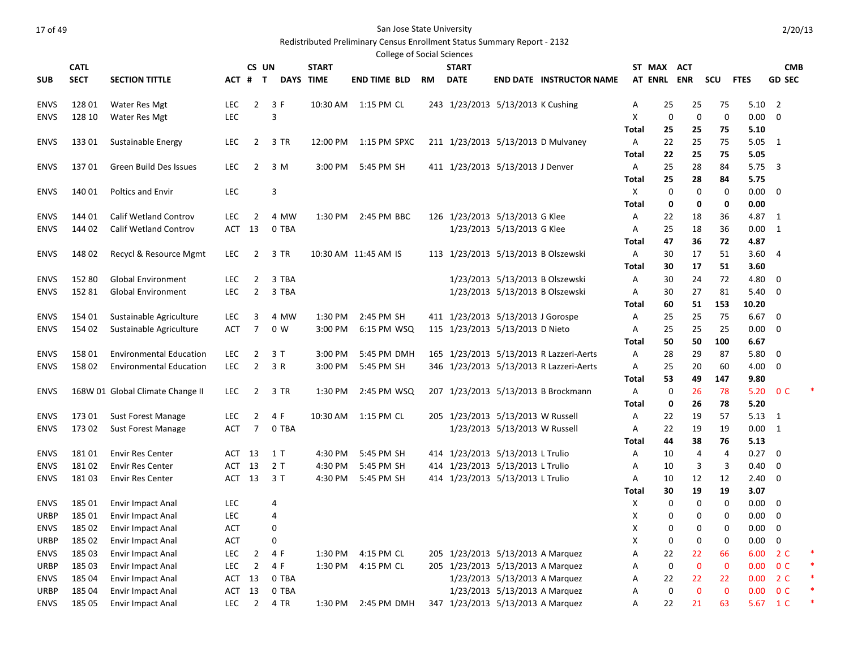# Redistributed Preliminary Census Enrollment Status Summary Report - 2132

|                            |                 |                                                 |                   |                     |                |                  | <b>College of Social Sciences</b> |           |                                   |                               |                                         |                    |             |             |             |              |                              |  |
|----------------------------|-----------------|-------------------------------------------------|-------------------|---------------------|----------------|------------------|-----------------------------------|-----------|-----------------------------------|-------------------------------|-----------------------------------------|--------------------|-------------|-------------|-------------|--------------|------------------------------|--|
|                            | <b>CATL</b>     |                                                 |                   | CS UN               |                | <b>START</b>     |                                   |           | <b>START</b>                      |                               |                                         |                    | ST MAX ACT  |             |             |              | <b>CMB</b>                   |  |
| <b>SUB</b>                 | <b>SECT</b>     | <b>SECTION TITTLE</b>                           | ACT #             | $\mathsf{T}$        |                | <b>DAYS TIME</b> | <b>END TIME BLD</b>               | <b>RM</b> | <b>DATE</b>                       |                               | <b>END DATE INSTRUCTOR NAME</b>         |                    | AT ENRL ENR |             | scu         | <b>FTES</b>  | <b>GD SEC</b>                |  |
| <b>ENVS</b>                | 128 01          | Water Res Mgt                                   | LEC               | 2                   | 3 F            |                  | 10:30 AM 1:15 PM CL               |           | 243 1/23/2013 5/13/2013 K Cushing |                               |                                         | Α                  | 25          | 25          | 75          | 5.10         | $\overline{2}$               |  |
| <b>ENVS</b>                | 128 10          | Water Res Mgt                                   | <b>LEC</b>        |                     | 3              |                  |                                   |           |                                   |                               |                                         | Х                  | 0           | 0           | 0           | $0.00\,$     | 0                            |  |
|                            |                 |                                                 |                   |                     |                |                  |                                   |           |                                   |                               |                                         | Total              | 25          | 25          | 75          | 5.10         |                              |  |
| <b>ENVS</b>                | 13301           | Sustainable Energy                              | LEC.              | 2                   | 3 TR           | 12:00 PM         | 1:15 PM SPXC                      |           |                                   |                               | 211 1/23/2013 5/13/2013 D Mulvaney      | Α                  | 22          | 25          | 75          | 5.05         | $\overline{1}$               |  |
|                            |                 |                                                 |                   |                     |                |                  |                                   |           |                                   |                               |                                         | Total              | 22          | 25          | 75          | 5.05         |                              |  |
| <b>ENVS</b>                | 13701           | Green Build Des Issues                          | LEC.              | 2                   | 3 M            | 3:00 PM          | 5:45 PM SH                        |           | 411 1/23/2013 5/13/2013 J Denver  |                               |                                         | Α                  | 25          | 28          | 84          | 5.75         | 3                            |  |
|                            |                 |                                                 |                   |                     |                |                  |                                   |           |                                   |                               |                                         | Total              | 25          | 28          | 84          | 5.75         |                              |  |
| <b>ENVS</b>                | 140 01          | <b>Poltics and Envir</b>                        | <b>LEC</b>        |                     | 3              |                  |                                   |           |                                   |                               |                                         | Χ                  | 0           | 0           | 0           | 0.00         | $\mathbf 0$                  |  |
|                            |                 |                                                 |                   |                     |                |                  |                                   |           |                                   |                               |                                         | Total              | 0           | 0           | 0           | 0.00         |                              |  |
| <b>ENVS</b>                | 144 01          | <b>Calif Wetland Controv</b>                    | LEC.              | 2                   | 4 MW           | 1:30 PM          | 2:45 PM BBC                       |           | 126 1/23/2013 5/13/2013 G Klee    |                               |                                         | Α                  | 22          | 18          | 36          | 4.87         | -1                           |  |
| <b>ENVS</b>                | 144 02          | <b>Calif Wetland Controv</b>                    | ACT               | 13                  | 0 TBA          |                  |                                   |           |                                   | 1/23/2013 5/13/2013 G Klee    |                                         | Α                  | 25          | 18          | 36          | 0.00         | $\mathbf{1}$                 |  |
|                            |                 |                                                 |                   |                     |                |                  |                                   |           |                                   |                               |                                         | Total              | 47          | 36          | 72          | 4.87         |                              |  |
| <b>ENVS</b>                | 148 02          | Recycl & Resource Mgmt                          | <b>LEC</b>        | 2                   | 3 TR           |                  | 10:30 AM 11:45 AM IS              |           |                                   |                               | 113 1/23/2013 5/13/2013 B Olszewski     | Α                  | 30          | 17          | 51          | 3.60         | 4                            |  |
|                            |                 |                                                 |                   |                     |                |                  |                                   |           |                                   |                               |                                         | Total              | 30          | 17          | 51          | 3.60         |                              |  |
| <b>ENVS</b>                | 152 80          | <b>Global Environment</b>                       | <b>LEC</b>        | 2                   | 3 TBA          |                  |                                   |           |                                   |                               | 1/23/2013 5/13/2013 B Olszewski         | Α                  | 30          | 24          | 72          | 4.80         | 0                            |  |
| <b>ENVS</b>                | 152 81          | <b>Global Environment</b>                       | <b>LEC</b>        | $\overline{2}$      | 3 TBA          |                  |                                   |           |                                   |                               | 1/23/2013 5/13/2013 B Olszewski         | Α                  | 30          | 27          | 81          | 5.40         | 0                            |  |
|                            |                 |                                                 |                   |                     |                |                  |                                   |           |                                   |                               |                                         | Total              | 60          | 51          | 153         | 10.20        |                              |  |
| <b>ENVS</b>                | 154 01          | Sustainable Agriculture                         | <b>LEC</b>        | 3                   | 4 MW           | 1:30 PM          | 2:45 PM SH                        |           | 411 1/23/2013 5/13/2013 J Gorospe |                               |                                         | Α                  | 25          | 25          | 75          | 6.67         | 0                            |  |
| <b>ENVS</b>                | 154 02          | Sustainable Agriculture                         | ACT               | 7                   | 0 <sub>W</sub> | 3:00 PM          | 6:15 PM WSQ                       |           | 115 1/23/2013 5/13/2013 D Nieto   |                               |                                         | Α                  | 25          | 25          | 25          | 0.00         | 0                            |  |
|                            |                 |                                                 |                   |                     |                |                  |                                   |           |                                   |                               |                                         | Total              | 50          | 50          | 100         | 6.67         |                              |  |
| <b>ENVS</b>                | 158 01          | <b>Environmental Education</b>                  | LEC               | 2                   | 3 T            | 3:00 PM          | 5:45 PM DMH                       |           |                                   |                               | 165 1/23/2013 5/13/2013 R Lazzeri-Aerts | Α                  | 28          | 29          | 87          | 5.80         | 0                            |  |
| <b>ENVS</b>                | 158 02          | <b>Environmental Education</b>                  | LEC.              | 2                   | 3 R            | 3:00 PM          | 5:45 PM SH                        |           |                                   |                               | 346 1/23/2013 5/13/2013 R Lazzeri-Aerts | Α                  | 25          | 20          | 60          | 4.00         | 0                            |  |
|                            |                 |                                                 |                   |                     |                |                  |                                   |           |                                   |                               |                                         | Total              | 53          | 49          | 147         | 9.80         |                              |  |
| <b>ENVS</b>                |                 | 168W 01 Global Climate Change II                | LEC               | 2                   | 3 TR           | 1:30 PM          | 2:45 PM WSQ                       |           |                                   |                               | 207 1/23/2013 5/13/2013 B Brockmann     | Α                  | 0           | 26          | 78          | 5.20         | 0 <sup>C</sup>               |  |
|                            |                 |                                                 |                   |                     |                |                  | 10:30 AM  1:15 PM CL              |           | 205 1/23/2013 5/13/2013 W Russell |                               |                                         | Total              | 0           | 26          | 78          | 5.20<br>5.13 |                              |  |
| <b>ENVS</b><br><b>ENVS</b> | 173 01<br>17302 | <b>Sust Forest Manage</b><br>Sust Forest Manage | LEC<br><b>ACT</b> | $\overline{2}$<br>7 | 4 F<br>0 TBA   |                  |                                   |           |                                   | 1/23/2013 5/13/2013 W Russell |                                         | Α<br>Α             | 22<br>22    | 19<br>19    | 57<br>19    | 0.00         | $\mathbf{1}$<br>$\mathbf{1}$ |  |
|                            |                 |                                                 |                   |                     |                |                  |                                   |           |                                   |                               |                                         | Total              | 44          | 38          | 76          | 5.13         |                              |  |
| <b>ENVS</b>                | 18101           | <b>Envir Res Center</b>                         | ACT 13            |                     | 1 T            | 4:30 PM          | 5:45 PM SH                        |           | 414 1/23/2013 5/13/2013 L Trulio  |                               |                                         | Α                  | 10          | 4           | 4           | 0.27         | - 0                          |  |
| <b>ENVS</b>                | 18102           | <b>Envir Res Center</b>                         | ACT 13            |                     | 2T             | 4:30 PM          | 5:45 PM SH                        |           | 414 1/23/2013 5/13/2013 L Trulio  |                               |                                         | Α                  | 10          | 3           | 3           | 0.40         | 0                            |  |
| <b>ENVS</b>                | 18103           | <b>Envir Res Center</b>                         | ACT 13            |                     | 3 T            | 4:30 PM          | 5:45 PM SH                        |           | 414 1/23/2013 5/13/2013 L Trulio  |                               |                                         | Α                  | 10          | 12          | 12          | 2.40         | 0                            |  |
|                            |                 |                                                 |                   |                     |                |                  |                                   |           |                                   |                               |                                         | Total              | 30          | 19          | 19          | 3.07         |                              |  |
| <b>ENVS</b>                | 185 01          | <b>Envir Impact Anal</b>                        | LEC               |                     | 4              |                  |                                   |           |                                   |                               |                                         | х                  | 0           | 0           | 0           | 0.00         | 0                            |  |
| URBP                       | 185 01          | <b>Envir Impact Anal</b>                        | <b>LEC</b>        |                     | 4              |                  |                                   |           |                                   |                               |                                         | Х                  | 0           | 0           | 0           | 0.00         | $\mathbf 0$                  |  |
| ENVS                       | 185 02          | <b>Envir Impact Anal</b>                        | ACT               |                     | 0              |                  |                                   |           |                                   |                               |                                         | $\pmb{\mathsf{X}}$ | 0           | 0           | 0           | 0.00         | 0                            |  |
| URBP                       | 185 02          | <b>Envir Impact Anal</b>                        | ACT               |                     | 0              |                  |                                   |           |                                   |                               |                                         | X                  | 0           | 0           | 0           | $0.00 \t 0$  |                              |  |
| <b>ENVS</b>                | 185 03          | <b>Envir Impact Anal</b>                        | LEC               | $\overline{2}$      | 4 F            | 1:30 PM          | 4:15 PM CL                        |           | 205 1/23/2013 5/13/2013 A Marquez |                               |                                         | Α                  | 22          | 22          | 66          | 6.00         | 2 <sup>c</sup>               |  |
| URBP                       | 185 03          | <b>Envir Impact Anal</b>                        | LEC               | $\overline{2}$      | 4 F            | 1:30 PM          | 4:15 PM CL                        |           | 205 1/23/2013 5/13/2013 A Marquez |                               |                                         | А                  | $\mathbf 0$ | $\mathbf 0$ | $\mathbf 0$ | 0.00         | 0 <sup>C</sup>               |  |
| <b>ENVS</b>                | 185 04          | Envir Impact Anal                               | ACT               | 13                  | 0 TBA          |                  |                                   |           |                                   | 1/23/2013 5/13/2013 A Marquez |                                         | Α                  | 22          | 22          | 22          | 0.00         | 2 <sup>c</sup>               |  |
| URBP                       | 185 04          | Envir Impact Anal                               | ACT               | 13                  | 0 TBA          |                  |                                   |           |                                   | 1/23/2013 5/13/2013 A Marquez |                                         | Α                  | 0           | $\pmb{0}$   | $\mathbf 0$ |              | 0.00 0 C                     |  |
| ENVS                       | 185 05          | Envir Impact Anal                               | LEC               | $\overline{2}$      | 4 TR           |                  | 1:30 PM 2:45 PM DMH               |           | 347 1/23/2013 5/13/2013 A Marquez |                               |                                         | Α                  | 22          | 21          | 63          |              | 5.67 1 C                     |  |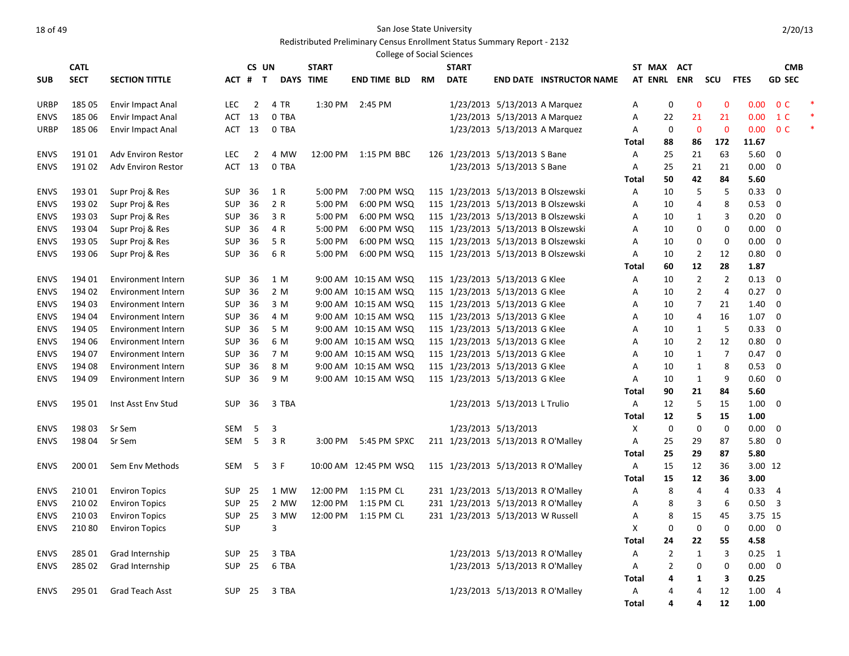### Redistributed Preliminary Census Enrollment Status Summary Report - 2132

|             |             |                           |            |                |                  |              | <b>College of Social Sciences</b> |           |                                    |                                |                                     |              |                |                |                |             |                |  |
|-------------|-------------|---------------------------|------------|----------------|------------------|--------------|-----------------------------------|-----------|------------------------------------|--------------------------------|-------------------------------------|--------------|----------------|----------------|----------------|-------------|----------------|--|
|             | <b>CATL</b> |                           |            | CS UN          |                  | <b>START</b> |                                   |           | <b>START</b>                       |                                |                                     |              | ST MAX         | <b>ACT</b>     |                |             | <b>CMB</b>     |  |
| <b>SUB</b>  | <b>SECT</b> | <b>SECTION TITTLE</b>     | ACT #      | $\mathbf{T}$   | <b>DAYS TIME</b> |              | <b>END TIME BLD</b>               | <b>RM</b> | <b>DATE</b>                        |                                | <b>END DATE INSTRUCTOR NAME</b>     |              | <b>AT ENRL</b> | <b>ENR</b>     | scu            | <b>FTES</b> | <b>GD SEC</b>  |  |
| <b>URBP</b> | 185 05      | Envir Impact Anal         | <b>LEC</b> | $\overline{2}$ | 4 TR             | 1:30 PM      | 2:45 PM                           |           |                                    | 1/23/2013 5/13/2013 A Marquez  |                                     | Α            | 0              | $\mathbf 0$    | $\mathbf{0}$   | 0.00        | 0 <sup>C</sup> |  |
| <b>ENVS</b> | 185 06      | Envir Impact Anal         | ACT        | 13             | 0 TBA            |              |                                   |           |                                    | 1/23/2013 5/13/2013 A Marquez  |                                     | Α            | 22             | 21             | 21             | 0.00        | 1 C            |  |
| URBP        | 185 06      | <b>Envir Impact Anal</b>  | ACT        | 13             | 0 TBA            |              |                                   |           |                                    | 1/23/2013 5/13/2013 A Marquez  |                                     | A            | 0              | $\Omega$       | $\Omega$       | 0.00        | 0 <sup>C</sup> |  |
|             |             |                           |            |                |                  |              |                                   |           |                                    |                                |                                     | Total        | 88             | 86             | 172            | 11.67       |                |  |
| <b>ENVS</b> | 19101       | <b>Adv Environ Restor</b> | <b>LEC</b> | $\overline{2}$ | 4 MW             | 12:00 PM     | 1:15 PM BBC                       |           | 126 1/23/2013 5/13/2013 S Bane     |                                |                                     | Α            | 25             | 21             | 63             | 5.60        | 0              |  |
| <b>ENVS</b> | 19102       | <b>Adv Environ Restor</b> | ACT        | 13             | 0 TBA            |              |                                   |           |                                    | 1/23/2013 5/13/2013 S Bane     |                                     | A            | 25             | 21             | 21             | 0.00        | $\Omega$       |  |
|             |             |                           |            |                |                  |              |                                   |           |                                    |                                |                                     | Total        | 50             | 42             | 84             | 5.60        |                |  |
| <b>ENVS</b> | 193 01      | Supr Proj & Res           | <b>SUP</b> | 36             | 1 R              | 5:00 PM      | 7:00 PM WSQ                       |           |                                    |                                | 115 1/23/2013 5/13/2013 B Olszewski | Α            | 10             | 5              | 5              | 0.33        | 0              |  |
| <b>ENVS</b> | 193 02      | Supr Proj & Res           | SUP        | 36             | 2 R              | 5:00 PM      | 6:00 PM WSQ                       |           |                                    |                                | 115 1/23/2013 5/13/2013 B Olszewski | Α            | 10             | 4              | 8              | 0.53        | $\mathbf 0$    |  |
| <b>ENVS</b> | 193 03      | Supr Proj & Res           | <b>SUP</b> | 36             | 3 R              | 5:00 PM      | 6:00 PM WSQ                       |           |                                    |                                | 115 1/23/2013 5/13/2013 B Olszewski | Α            | 10             | 1              | 3              | 0.20        | $\mathbf 0$    |  |
| <b>ENVS</b> | 193 04      | Supr Proj & Res           | <b>SUP</b> | 36             | 4 R              | 5:00 PM      | 6:00 PM WSQ                       |           |                                    |                                | 115 1/23/2013 5/13/2013 B Olszewski | Α            | 10             | 0              | 0              | 0.00        | 0              |  |
| <b>ENVS</b> | 193 05      | Supr Proj & Res           | SUP        | 36             | 5 R              | 5:00 PM      | 6:00 PM WSQ                       |           |                                    |                                | 115 1/23/2013 5/13/2013 B Olszewski | Α            | 10             | 0              | $\mathbf 0$    | 0.00        | $\mathbf 0$    |  |
| <b>ENVS</b> | 193 06      | Supr Proj & Res           | <b>SUP</b> | 36             | 6 R              | 5:00 PM      | 6:00 PM WSQ                       |           |                                    |                                | 115 1/23/2013 5/13/2013 B Olszewski | A            | 10             | $\overline{2}$ | 12             | 0.80        | 0              |  |
|             |             |                           |            |                |                  |              |                                   |           |                                    |                                |                                     | <b>Total</b> | 60             | 12             | 28             | 1.87        |                |  |
| <b>ENVS</b> | 194 01      | <b>Environment Intern</b> | SUP        | 36             | 1 M              |              | 9:00 AM 10:15 AM WSQ              |           | 115 1/23/2013 5/13/2013 G Klee     |                                |                                     | Α            | 10             | $\overline{2}$ | $\overline{2}$ | 0.13        | $\mathbf 0$    |  |
| <b>ENVS</b> | 194 02      | <b>Environment Intern</b> | <b>SUP</b> | 36             | 2 M              |              | 9:00 AM 10:15 AM WSQ              |           | 115 1/23/2013 5/13/2013 G Klee     |                                |                                     | Α            | 10             | $\overline{2}$ | 4              | 0.27        | $\mathbf 0$    |  |
| <b>ENVS</b> | 194 03      | <b>Environment Intern</b> | <b>SUP</b> | 36             | 3 M              |              | 9:00 AM 10:15 AM WSQ              |           | 115 1/23/2013 5/13/2013 G Klee     |                                |                                     | А            | 10             | $\overline{7}$ | 21             | 1.40        | $\mathbf 0$    |  |
| <b>ENVS</b> | 194 04      | <b>Environment Intern</b> | SUP        | 36             | 4 M              |              | 9:00 AM 10:15 AM WSQ              |           | 115 1/23/2013 5/13/2013 G Klee     |                                |                                     | Α            | 10             | 4              | 16             | 1.07        | $\mathbf 0$    |  |
| <b>ENVS</b> | 194 05      | <b>Environment Intern</b> | <b>SUP</b> | 36             | 5 M              |              | 9:00 AM 10:15 AM WSQ              |           | 115 1/23/2013 5/13/2013 G Klee     |                                |                                     | A            | 10             | 1              | 5              | 0.33        | $\mathbf 0$    |  |
| <b>ENVS</b> | 194 06      | <b>Environment Intern</b> | <b>SUP</b> | 36             | 6 M              |              | 9:00 AM 10:15 AM WSQ              |           | 115 1/23/2013 5/13/2013 G Klee     |                                |                                     | Α            | 10             | $\overline{2}$ | 12             | 0.80        | $\mathbf 0$    |  |
| <b>ENVS</b> | 194 07      | <b>Environment Intern</b> | SUP        | 36             | 7 M              |              | 9:00 AM 10:15 AM WSQ              |           | 115 1/23/2013 5/13/2013 G Klee     |                                |                                     | Α            | 10             | 1              | 7              | 0.47        | 0              |  |
| <b>ENVS</b> | 194 08      | <b>Environment Intern</b> | SUP        | 36             | 8 M              |              | 9:00 AM 10:15 AM WSQ              |           | 115 1/23/2013 5/13/2013 G Klee     |                                |                                     | A            | 10             | 1              | 8              | 0.53        | 0              |  |
| <b>ENVS</b> | 194 09      | <b>Environment Intern</b> | <b>SUP</b> | 36             | 9 M              |              | 9:00 AM 10:15 AM WSQ              |           | 115 1/23/2013 5/13/2013 G Klee     |                                |                                     | Α            | 10             | $\mathbf{1}$   | 9              | 0.60        | $\Omega$       |  |
|             |             |                           |            |                |                  |              |                                   |           |                                    |                                |                                     | Total        | 90             | 21             | 84             | 5.60        |                |  |
| <b>ENVS</b> | 195 01      | Inst Asst Env Stud        | <b>SUP</b> | 36             | 3 TBA            |              |                                   |           |                                    | 1/23/2013 5/13/2013 L Trulio   |                                     | Α            | 12             | 5              | 15             | 1.00        | $\mathbf 0$    |  |
|             |             |                           |            |                |                  |              |                                   |           |                                    |                                |                                     | <b>Total</b> | 12             | 5              | 15             | 1.00        |                |  |
| <b>ENVS</b> | 198 03      | Sr Sem                    | <b>SEM</b> | 5              | 3                |              |                                   |           |                                    | 1/23/2013 5/13/2013            |                                     | Χ            | $\mathbf 0$    | $\mathbf 0$    | $\mathbf 0$    | 0.00        | 0              |  |
| <b>ENVS</b> | 198 04      | Sr Sem                    | <b>SEM</b> | 5              | 3 R              | 3:00 PM      | 5:45 PM SPXC                      |           | 211 1/23/2013 5/13/2013 R O'Malley |                                |                                     | Α            | 25             | 29             | 87             | 5.80        | 0              |  |
|             |             |                           |            |                |                  |              |                                   |           |                                    |                                |                                     | <b>Total</b> | 25             | 29             | 87             | 5.80        |                |  |
| <b>ENVS</b> | 200 01      | Sem Env Methods           | <b>SEM</b> | 5              | 3 F              |              | 10:00 AM 12:45 PM WSQ             |           | 115 1/23/2013 5/13/2013 R O'Malley |                                |                                     | Α            | 15             | 12             | 36             | 3.00        | -12            |  |
|             |             |                           |            |                |                  |              |                                   |           |                                    |                                |                                     | Total        | 15             | 12             | 36             | 3.00        |                |  |
| <b>ENVS</b> | 210 01      | <b>Environ Topics</b>     | SUP        | 25             | 1 MW             | 12:00 PM     | 1:15 PM CL                        |           | 231 1/23/2013 5/13/2013 R O'Malley |                                |                                     | Α            | 8              | $\overline{4}$ | 4              | 0.33        | $\overline{4}$ |  |
| <b>ENVS</b> | 21002       | <b>Environ Topics</b>     | <b>SUP</b> | 25             | 2 MW             | 12:00 PM     | 1:15 PM CL                        |           | 231 1/23/2013 5/13/2013 R O'Malley |                                |                                     | Α            | 8              | 3              | 6              | 0.50        | 3              |  |
| <b>ENVS</b> | 210 03      | <b>Environ Topics</b>     | SUP        | 25             | 3 MW             | 12:00 PM     | 1:15 PM CL                        |           | 231 1/23/2013 5/13/2013 W Russell  |                                |                                     | А            | 8              | 15             | 45             | 3.75 15     |                |  |
| <b>ENVS</b> | 21080       | <b>Environ Topics</b>     | SUP        |                | 3                |              |                                   |           |                                    |                                |                                     | Χ            | 0              | $\mathbf 0$    | 0              | 0.00        | $\mathbf 0$    |  |
|             |             |                           |            |                |                  |              |                                   |           |                                    |                                |                                     | Total        | 24             | 22             | 55             | 4.58        |                |  |
| <b>ENVS</b> | 285 01      | Grad Internship           | <b>SUP</b> | 25             | 3 TBA            |              |                                   |           |                                    | 1/23/2013 5/13/2013 R O'Malley |                                     | Α            | $\overline{2}$ | $\mathbf{1}$   | 3              | 0.25        | 1              |  |
| <b>ENVS</b> | 285 02      | Grad Internship           | <b>SUP</b> | 25             | 6 TBA            |              |                                   |           |                                    | 1/23/2013 5/13/2013 R O'Malley |                                     | Α            | 2              | 0              | 0              | 0.00        | 0              |  |
|             |             |                           |            |                |                  |              |                                   |           |                                    |                                |                                     | Total        | 4              | 1              | 3              | 0.25        |                |  |
| <b>ENVS</b> | 295 01      | <b>Grad Teach Asst</b>    | <b>SUP</b> | 25             | 3 TBA            |              |                                   |           |                                    | 1/23/2013 5/13/2013 R O'Malley |                                     | Α            | 4              | 4              | 12             | 1.00        | $\overline{4}$ |  |
|             |             |                           |            |                |                  |              |                                   |           |                                    |                                |                                     | <b>Total</b> | 4              | 4              | 12             | 1.00        |                |  |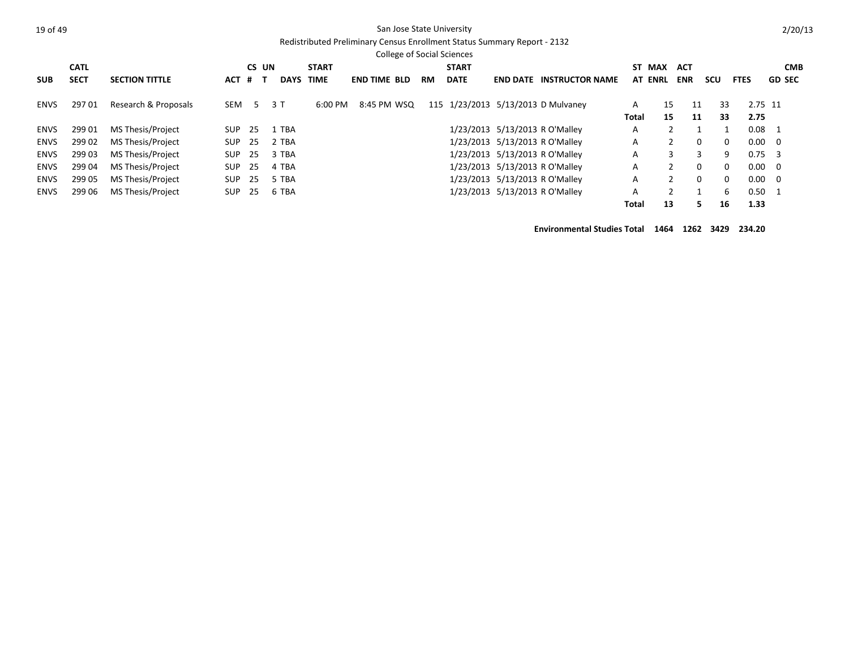#### Redistributed Preliminary Census Enrollment Status Summary Report - 2132

|  | 2/20/13 |
|--|---------|
|  |         |
|  |         |

|             |             |                          |            |       |             |              |                     | <b>College of Social Sciences</b> |                                    |                                |                        |       |                |            |          |                |                |
|-------------|-------------|--------------------------|------------|-------|-------------|--------------|---------------------|-----------------------------------|------------------------------------|--------------------------------|------------------------|-------|----------------|------------|----------|----------------|----------------|
|             | <b>CATL</b> |                          |            | CS UN |             | <b>START</b> |                     |                                   | <b>START</b>                       |                                |                        | ST    | <b>MAX</b>     | <b>ACT</b> |          |                | <b>CMB</b>     |
| <b>SUB</b>  | <b>SECT</b> | <b>SECTION TITTLE</b>    | ACT        | #     | <b>DAYS</b> | TIME         | <b>END TIME BLD</b> | <b>RM</b>                         | <b>DATE</b>                        | <b>END DATE</b>                | <b>INSTRUCTOR NAME</b> |       | <b>AT ENRL</b> | <b>ENR</b> | scu      | <b>FTES</b>    | <b>GD SEC</b>  |
| ENVS        | 29701       | Research & Proposals     | <b>SEM</b> | -5    | 3T          | 6:00 PM      | 8:45 PM WSQ         |                                   | 115 1/23/2013 5/13/2013 D Mulvaney |                                |                        | A     | 15             | 11         | 33       | 2.75 11        |                |
|             |             |                          |            |       |             |              |                     |                                   |                                    |                                |                        | Total | 15             | 11         | 33       | 2.75           |                |
| ENVS        | 299 01      | MS Thesis/Project        | SUP        | -25   | 1 TBA       |              |                     |                                   |                                    | 1/23/2013 5/13/2013 R O'Malley |                        | A     |                |            |          | $0.08$ 1       |                |
| ENVS        | 299 02      | MS Thesis/Project        | <b>SUP</b> | -25   | 2 TBA       |              |                     |                                   |                                    | 1/23/2013 5/13/2013 R O'Malley |                        | A     |                | 0          | 0        | $0.00 \ 0$     |                |
| ENVS        | 299 03      | MS Thesis/Project        | <b>SUP</b> | -25   | 3 TBA       |              |                     |                                   |                                    | 1/23/2013 5/13/2013 R O'Malley |                        | A     | 3              | 3          | 9        | 0.75           | - 3            |
| <b>ENVS</b> | 299 04      | MS Thesis/Project        | <b>SUP</b> | 25    | 4 TBA       |              |                     |                                   |                                    | 1/23/2013 5/13/2013 R O'Malley |                        | A     |                | $\Omega$   | $\Omega$ |                | $0.00 \quad 0$ |
| <b>ENVS</b> | 299 05      | <b>MS Thesis/Project</b> | <b>SUP</b> | -25   | 5 TBA       |              |                     |                                   |                                    | 1/23/2013 5/13/2013 R O'Malley |                        | A     |                | $\Omega$   | $\Omega$ |                | $0.00 \ 0$     |
| ENVS        | 299 06      | MS Thesis/Project        | <b>SUP</b> | 25    | 6 TBA       |              |                     |                                   |                                    | 1/23/2013 5/13/2013 R O'Malley |                        | A     |                |            | 6        | $0.50 \quad 1$ |                |
|             |             |                          |            |       |             |              |                     |                                   |                                    |                                |                        | Total | 13             | 5          | 16       | 1.33           |                |

**Environmental Studies Total 1464 1262 3429 234.20**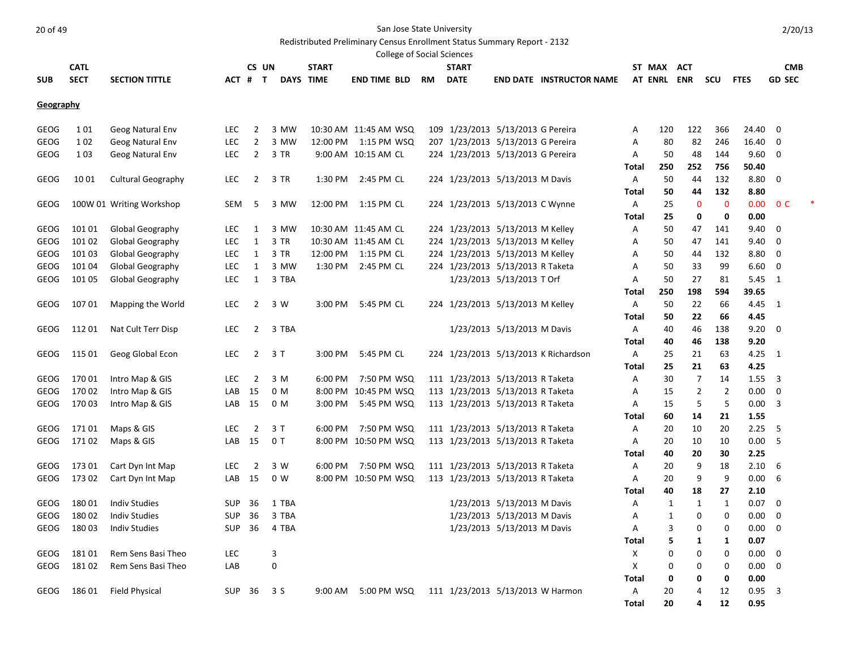Redistributed Preliminary Census Enrollment Status Summary Report - 2132

|                  |             |                           |            |                |                |                  |                        |           | <b>College of Social Sciences</b> |                             |                                      |            |              |                |              |              |                |  |
|------------------|-------------|---------------------------|------------|----------------|----------------|------------------|------------------------|-----------|-----------------------------------|-----------------------------|--------------------------------------|------------|--------------|----------------|--------------|--------------|----------------|--|
|                  | <b>CATL</b> |                           |            | CS UN          |                | <b>START</b>     |                        |           | <b>START</b>                      |                             |                                      |            | ST MAX       | <b>ACT</b>     |              |              | <b>CMB</b>     |  |
| <b>SUB</b>       | <b>SECT</b> | <b>SECTION TITTLE</b>     |            | ACT # T        |                | <b>DAYS TIME</b> | <b>END TIME BLD</b>    | <b>RM</b> | <b>DATE</b>                       |                             | <b>END DATE INSTRUCTOR NAME</b>      |            | AT ENRL ENR  |                | scu          | <b>FTES</b>  | <b>GD SEC</b>  |  |
| <b>Geography</b> |             |                           |            |                |                |                  |                        |           |                                   |                             |                                      |            |              |                |              |              |                |  |
|                  |             |                           |            |                |                |                  |                        |           |                                   |                             |                                      |            |              |                |              |              |                |  |
| <b>GEOG</b>      | 101         | Geog Natural Env          | <b>LEC</b> | 2              | 3 MW           |                  | 10:30 AM 11:45 AM WSQ  |           | 109 1/23/2013 5/13/2013 G Pereira |                             |                                      | Α          | 120          | 122            | 366          | 24.40        | $\mathbf 0$    |  |
| <b>GEOG</b>      | 102         | Geog Natural Env          | <b>LEC</b> | $\overline{2}$ | 3 MW           |                  | 12:00 PM  1:15 PM  WSQ |           | 207 1/23/2013 5/13/2013 G Pereira |                             |                                      | Α          | 80           | 82             | 246          | 16.40        | 0              |  |
| GEOG             | 103         | Geog Natural Env          | <b>LEC</b> | $\overline{2}$ | 3 TR           |                  | 9:00 AM 10:15 AM CL    |           | 224 1/23/2013 5/13/2013 G Pereira |                             |                                      | A          | 50           | 48             | 144          | 9.60         | 0              |  |
|                  |             |                           |            |                |                |                  |                        |           |                                   |                             |                                      | Total      | 250          | 252            | 756<br>132   | 50.40        |                |  |
| GEOG             | 10 01       | <b>Cultural Geography</b> | LEC.       | 2              | 3 TR           | 1:30 PM          | 2:45 PM CL             |           | 224 1/23/2013 5/13/2013 M Davis   |                             |                                      | Α<br>Total | 50<br>50     | 44<br>44       | 132          | 8.80<br>8.80 | 0              |  |
| <b>GEOG</b>      |             | 100W 01 Writing Workshop  | <b>SEM</b> | 5              | 3 MW           | 12:00 PM         | 1:15 PM CL             |           | 224 1/23/2013 5/13/2013 C Wynne   |                             |                                      | Α          | 25           | $\mathbf 0$    | $\mathbf 0$  | 0.00         | 0 <sup>C</sup> |  |
|                  |             |                           |            |                |                |                  |                        |           |                                   |                             |                                      | Total      | 25           | 0              | 0            | 0.00         |                |  |
| GEOG             | 101 01      | Global Geography          | <b>LEC</b> | 1              | 3 MW           |                  | 10:30 AM 11:45 AM CL   |           | 224 1/23/2013 5/13/2013 M Kelley  |                             |                                      | Α          | 50           | 47             | 141          | 9.40         | $\Omega$       |  |
| GEOG             | 101 02      | <b>Global Geography</b>   | <b>LEC</b> | 1              | 3 TR           |                  | 10:30 AM 11:45 AM CL   |           | 224 1/23/2013 5/13/2013 M Kelley  |                             |                                      | Α          | 50           | 47             | 141          | 9.40         | $\mathbf 0$    |  |
| <b>GEOG</b>      | 101 03      | Global Geography          | <b>LEC</b> | 1              | 3 TR           | 12:00 PM         | 1:15 PM CL             |           | 224 1/23/2013 5/13/2013 M Kelley  |                             |                                      | Α          | 50           | 44             | 132          | 8.80         | $\mathbf 0$    |  |
| GEOG             | 101 04      | Global Geography          | <b>LEC</b> | 1              | 3 MW           |                  | 1:30 PM 2:45 PM CL     |           | 224 1/23/2013 5/13/2013 R Taketa  |                             |                                      | A          | 50           | 33             | 99           | 6.60         | $\mathbf 0$    |  |
| GEOG             | 101 05      | Global Geography          | <b>LEC</b> | 1              | 3 TBA          |                  |                        |           |                                   | 1/23/2013 5/13/2013 T Orf   |                                      | A          | 50           | 27             | 81           | 5.45         | 1              |  |
|                  |             |                           |            |                |                |                  |                        |           |                                   |                             |                                      | Total      | 250          | 198            | 594          | 39.65        |                |  |
| GEOG             | 107 01      | Mapping the World         | <b>LEC</b> | $\overline{2}$ | 3 W            | 3:00 PM          | 5:45 PM CL             |           | 224 1/23/2013 5/13/2013 M Kelley  |                             |                                      | Α          | 50           | 22             | 66           | 4.45         | - 1            |  |
|                  |             |                           |            |                |                |                  |                        |           |                                   |                             |                                      | Total      | 50           | 22             | 66           | 4.45         |                |  |
| GEOG             | 112 01      | Nat Cult Terr Disp        | <b>LEC</b> | 2              | 3 TBA          |                  |                        |           |                                   | 1/23/2013 5/13/2013 M Davis |                                      | Α          | 40           | 46             | 138          | 9.20         | 0              |  |
|                  |             |                           |            |                |                |                  |                        |           |                                   |                             |                                      | Total      | 40           | 46             | 138          | 9.20         |                |  |
| <b>GEOG</b>      | 115 01      | Geog Global Econ          | <b>LEC</b> | $\overline{2}$ | 3 T            | 3:00 PM          | 5:45 PM CL             |           |                                   |                             | 224 1/23/2013 5/13/2013 K Richardson | Α          | 25           | 21             | 63           | 4.25         | $\overline{1}$ |  |
|                  |             |                           |            |                |                |                  |                        |           |                                   |                             |                                      | Total      | 25           | 21             | 63           | 4.25         |                |  |
| GEOG             | 170 01      | Intro Map & GIS           | <b>LEC</b> | $\overline{2}$ | 3 M            | 6:00 PM          | 7:50 PM WSQ            |           | 111 1/23/2013 5/13/2013 R Taketa  |                             |                                      | Α          | 30           | $\overline{7}$ | 14           | 1.55         | $\overline{3}$ |  |
| GEOG             | 170 02      | Intro Map & GIS           | LAB        | 15             | 0 M            |                  | 8:00 PM 10:45 PM WSQ   |           | 113 1/23/2013 5/13/2013 R Taketa  |                             |                                      | Α          | 15           | $\overline{2}$ | 2            | 0.00         | $\mathbf 0$    |  |
| <b>GEOG</b>      | 170 03      | Intro Map & GIS           | LAB        | 15             | 0 <sub>M</sub> | 3:00 PM          | 5:45 PM WSQ            |           | 113 1/23/2013 5/13/2013 R Taketa  |                             |                                      | A          | 15           | 5              | 5            | 0.00         | 3              |  |
| GEOG             | 17101       | Maps & GIS                | <b>LEC</b> | 2              | 3T             | 6:00 PM          | 7:50 PM WSQ            |           | 111 1/23/2013 5/13/2013 R Taketa  |                             |                                      | Total<br>Α | 60<br>20     | 14<br>10       | 21<br>20     | 1.55<br>2.25 | 5              |  |
| <b>GEOG</b>      | 17102       | Maps & GIS                | LAB        | 15             | 0 <sub>T</sub> |                  | 8:00 PM 10:50 PM WSQ   |           | 113 1/23/2013 5/13/2013 R Taketa  |                             |                                      | Α          | 20           | 10             | 10           | 0.00         | 5              |  |
|                  |             |                           |            |                |                |                  |                        |           |                                   |                             |                                      | Total      | 40           | 20             | 30           | 2.25         |                |  |
| <b>GEOG</b>      | 173 01      | Cart Dyn Int Map          | <b>LEC</b> | $\overline{2}$ | 3 W            | 6:00 PM          | 7:50 PM WSQ            |           | 111 1/23/2013 5/13/2013 R Taketa  |                             |                                      | Α          | 20           | 9              | 18           | 2.10         | 6              |  |
| GEOG             | 173 02      | Cart Dyn Int Map          | LAB        | 15             | 0 W            |                  | 8:00 PM 10:50 PM WSQ   |           | 113 1/23/2013 5/13/2013 R Taketa  |                             |                                      | Α          | 20           | 9              | 9            | 0.00         | 6              |  |
|                  |             |                           |            |                |                |                  |                        |           |                                   |                             |                                      | Total      | 40           | 18             | 27           | 2.10         |                |  |
| GEOG             | 18001       | <b>Indiv Studies</b>      | <b>SUP</b> | 36             | 1 TBA          |                  |                        |           |                                   | 1/23/2013 5/13/2013 M Davis |                                      | Α          | 1            | 1              | $\mathbf{1}$ | 0.07         | 0              |  |
| GEOG             | 18002       | <b>Indiv Studies</b>      | <b>SUP</b> | 36             | 3 TBA          |                  |                        |           |                                   | 1/23/2013 5/13/2013 M Davis |                                      | A          | $\mathbf{1}$ | 0              | 0            | 0.00         | 0              |  |
| <b>GEOG</b>      | 18003       | <b>Indiv Studies</b>      | <b>SUP</b> | 36             | 4 TBA          |                  |                        |           |                                   | 1/23/2013 5/13/2013 M Davis |                                      | A          | 3            | 0              | 0            | 0.00         | 0              |  |
|                  |             |                           |            |                |                |                  |                        |           |                                   |                             |                                      | Total      | 5            | 1              | 1            | 0.07         |                |  |
| GEOG             | 18101       | Rem Sens Basi Theo        | <b>LEC</b> |                | 3              |                  |                        |           |                                   |                             |                                      | х          | 0            | 0              | $\Omega$     | 0.00         | 0              |  |
| GEOG             | 18102       | Rem Sens Basi Theo        | LAB        |                | $\mathbf 0$    |                  |                        |           |                                   |                             |                                      | X          | 0            | 0              | 0            | 0.00         | $\mathbf 0$    |  |
|                  |             |                           |            |                |                |                  |                        |           |                                   |                             |                                      | Total      | 0            | 0              | 0            | 0.00         |                |  |
| <b>GEOG</b>      | 186 01      | <b>Field Physical</b>     | SUP        | 36             | 3 S            | $9:00$ AM        | 5:00 PM WSQ            |           | 111 1/23/2013 5/13/2013 W Harmon  |                             |                                      | Α          | 20           | 4              | 12           | 0.95         | 3              |  |
|                  |             |                           |            |                |                |                  |                        |           |                                   |                             |                                      | Total      | 20           | 4              | 12           | 0.95         |                |  |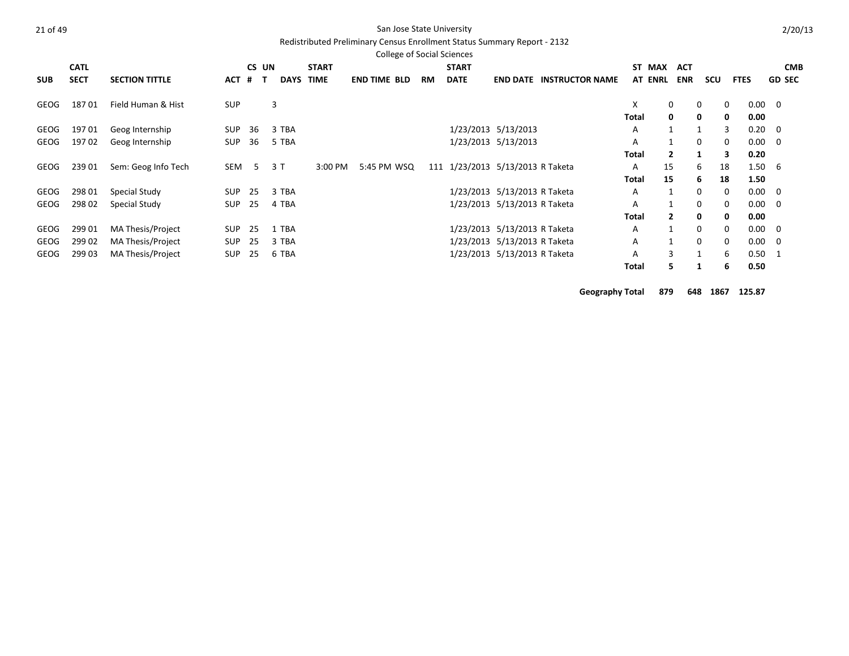### Redistributed Preliminary Census Enrollment Status Summary Report - 2132

|            |             |                       |            |                |             |              | <b>College of Social Sciences</b> |    |                                  |                              |                                 |              |                |              |              |             |                |               |            |
|------------|-------------|-----------------------|------------|----------------|-------------|--------------|-----------------------------------|----|----------------------------------|------------------------------|---------------------------------|--------------|----------------|--------------|--------------|-------------|----------------|---------------|------------|
|            | <b>CATL</b> |                       |            | CS UN          |             | <b>START</b> |                                   |    | <b>START</b>                     |                              |                                 |              | ST MAX         | <b>ACT</b>   |              |             |                |               | <b>CMB</b> |
| <b>SUB</b> | <b>SECT</b> | <b>SECTION TITTLE</b> | ACT        | #              | <b>DAYS</b> | <b>TIME</b>  | <b>END TIME BLD</b>               | RM | <b>DATE</b>                      |                              | <b>END DATE INSTRUCTOR NAME</b> |              | <b>AT ENRL</b> | <b>ENR</b>   | scu          | <b>FTES</b> |                | <b>GD SEC</b> |            |
| GEOG       | 18701       | Field Human & Hist    | <b>SUP</b> |                | 3           |              |                                   |    |                                  |                              |                                 | X            |                | $\mathbf{0}$ | 0            | 0           | $0.00 \quad 0$ |               |            |
|            |             |                       |            |                |             |              |                                   |    |                                  |                              |                                 | Total        |                | 0            | 0            | 0           | 0.00           |               |            |
| GEOG       | 19701       | Geog Internship       | SUP        | 36             | 3 TBA       |              |                                   |    |                                  | 1/23/2013 5/13/2013          |                                 | Α            | 1              |              |              | 3           | 0.20           | $\mathbf 0$   |            |
| GEOG       | 19702       | Geog Internship       | SUP        | 36             | 5 TBA       |              |                                   |    |                                  | 1/23/2013 5/13/2013          |                                 | Α            |                | 1            | 0            | 0           | $0.00 \quad 0$ |               |            |
|            |             |                       |            |                |             |              |                                   |    |                                  |                              |                                 | Total        |                | $\mathbf{2}$ | 1            | 3           | 0.20           |               |            |
| GEOG       | 239 01      | Sem: Geog Info Tech   | SEM        | 5 <sup>5</sup> | 3 T         | 3:00 PM      | 5:45 PM WSQ                       |    | 111 1/23/2013 5/13/2013 R Taketa |                              |                                 | A            | 15             |              | 6<br>18      |             | $1.50\quad 6$  |               |            |
|            |             |                       |            |                |             |              |                                   |    |                                  |                              |                                 | <b>Total</b> | 15             |              | 6<br>18      |             | 1.50           |               |            |
| GEOG       | 298 01      | Special Study         | SUP        | 25             | 3 TBA       |              |                                   |    |                                  | 1/23/2013 5/13/2013 R Taketa |                                 | Α            |                | 1            | $\mathbf{0}$ | 0           | $0.00 \quad 0$ |               |            |
| GEOG       | 298 02      | Special Study         | <b>SUP</b> | 25             | 4 TBA       |              |                                   |    |                                  | 1/23/2013 5/13/2013 R Taketa |                                 | Α            |                | 1            | 0            | 0           | $0.00 \quad 0$ |               |            |
|            |             |                       |            |                |             |              |                                   |    |                                  |                              |                                 | Total        |                | $\mathbf{2}$ | 0            | 0           | 0.00           |               |            |
| GEOG       | 299 01      | MA Thesis/Project     | SUP        | 25             | 1 TBA       |              |                                   |    |                                  | 1/23/2013 5/13/2013 R Taketa |                                 | Α            |                | $\mathbf{1}$ | 0            | 0           | $0.00 \ 0$     |               |            |
| GEOG       | 299 02      | MA Thesis/Project     | SUP        | 25             | 3 TBA       |              |                                   |    |                                  | 1/23/2013 5/13/2013 R Taketa |                                 | A            |                | $\mathbf{1}$ | 0            | $\mathbf 0$ | $0.00 \quad 0$ |               |            |
| GEOG       | 299 03      | MA Thesis/Project     | <b>SUP</b> | 25             | 6 TBA       |              |                                   |    |                                  | 1/23/2013 5/13/2013 R Taketa |                                 | A            |                | 3            |              | 6           | $0.50 \quad 1$ |               |            |
|            |             |                       |            |                |             |              |                                   |    |                                  |                              |                                 | Total        |                | 5.           |              | 6           | 0.50           |               |            |

**Geography Total 879 648 1867 125.87**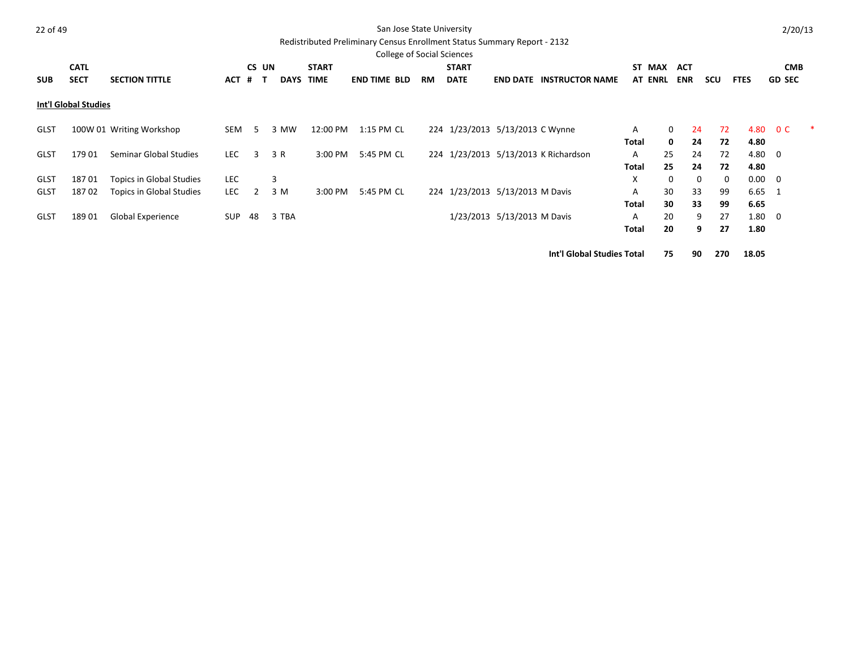|--|--|

### San Jose State University

# Redistributed Preliminary Census Enrollment Status Summary Report - 2132

|             |                      |                          |            |       |             |              | <b>College of Social Sciences</b> |     |                                 |                             |                                      |              |                |            |                         |                |                |  |
|-------------|----------------------|--------------------------|------------|-------|-------------|--------------|-----------------------------------|-----|---------------------------------|-----------------------------|--------------------------------------|--------------|----------------|------------|-------------------------|----------------|----------------|--|
|             | <b>CATL</b>          |                          |            | CS UN |             | <b>START</b> |                                   |     | <b>START</b>                    |                             |                                      |              | ST MAX         | ACT        |                         |                | <b>CMB</b>     |  |
| <b>SUB</b>  | <b>SECT</b>          | <b>SECTION TITTLE</b>    | ACT #      | т     | <b>DAYS</b> | <b>TIME</b>  | <b>END TIME BLD</b>               | RM. | <b>DATE</b>                     | <b>END DATE</b>             | <b>INSTRUCTOR NAME</b>               |              | <b>AT ENRL</b> | <b>ENR</b> | scu                     | <b>FTES</b>    | <b>GD SEC</b>  |  |
|             | Int'l Global Studies |                          |            |       |             |              |                                   |     |                                 |                             |                                      |              |                |            |                         |                |                |  |
| GLST        |                      | 100W 01 Writing Workshop | SEM        | 5     | 3 MW        | 12:00 PM     | 1:15 PM CL                        |     | 224 1/23/2013 5/13/2013 C Wynne |                             |                                      | A            | 0              | 24         | 72                      | 4.80           | 0 <sup>C</sup> |  |
|             |                      |                          |            |       |             |              |                                   |     |                                 |                             |                                      | Total        | 0              | 24         | 72                      | 4.80           |                |  |
| GLST        | 17901                | Seminar Global Studies   | <b>LEC</b> | 3     | 3 R         | $3:00$ PM    | 5:45 PM CL                        |     |                                 |                             | 224 1/23/2013 5/13/2013 K Richardson | A            | 25             | 24         | 72                      | 4.80 0         |                |  |
|             |                      |                          |            |       |             |              |                                   |     |                                 |                             |                                      | Total        | 25             | 24         | 72                      | 4.80           |                |  |
| <b>GLST</b> | 18701                | Topics in Global Studies | <b>LEC</b> |       | 3           |              |                                   |     |                                 |                             |                                      | X            | $\Omega$       |            | $\mathbf 0$<br>$\Omega$ | $0.00 \quad 0$ |                |  |
| <b>GLST</b> | 18702                | Topics in Global Studies | <b>LEC</b> | 2     | 3 M         | 3:00 PM      | 5:45 PM CL                        |     | 224 1/23/2013 5/13/2013 M Davis |                             |                                      | A            | 30             | 33         | 99                      | $6.65$ 1       |                |  |
|             |                      |                          |            |       |             |              |                                   |     |                                 |                             |                                      | <b>Total</b> | 30             | 33         | 99                      | 6.65           |                |  |
| <b>GLST</b> | 18901                | Global Experience        | <b>SUP</b> | 48    | 3 TBA       |              |                                   |     |                                 | 1/23/2013 5/13/2013 M Davis |                                      | A            | 20             | 9          | 27                      | $1.80 \ 0$     |                |  |
|             |                      |                          |            |       |             |              |                                   |     |                                 |                             |                                      | Total        | 20             |            | 27<br>9                 | 1.80           |                |  |

**Int'l Global Studies Total 75 90 270 18.05**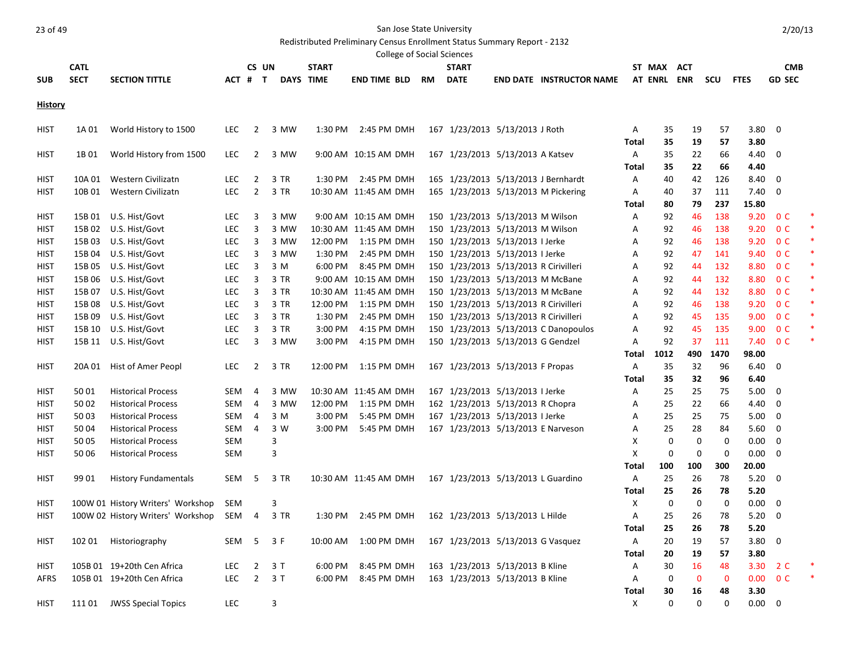Redistributed Preliminary Census Enrollment Status Summary Report - 2132

|                |             |                                   |            |                |      |              | $n$ . The state of the community of the state of the contribution of the state $\sim$ $\sim$ $\sim$ $\sim$<br>College of Social Sciences |           |                                       |                                      |              |             |             |             |             |                |        |
|----------------|-------------|-----------------------------------|------------|----------------|------|--------------|------------------------------------------------------------------------------------------------------------------------------------------|-----------|---------------------------------------|--------------------------------------|--------------|-------------|-------------|-------------|-------------|----------------|--------|
|                | <b>CATL</b> |                                   |            | CS UN          |      | <b>START</b> |                                                                                                                                          |           | <b>START</b>                          |                                      |              | ST MAX ACT  |             |             |             | <b>CMB</b>     |        |
| <b>SUB</b>     | <b>SECT</b> | <b>SECTION TITTLE</b>             |            | ACT # T        |      | DAYS TIME    | <b>END TIME BLD</b>                                                                                                                      | <b>RM</b> | <b>DATE</b>                           | <b>END DATE INSTRUCTOR NAME</b>      |              | AT ENRL ENR |             | scu         | <b>FTES</b> | <b>GD SEC</b>  |        |
| <b>History</b> |             |                                   |            |                |      |              |                                                                                                                                          |           |                                       |                                      |              |             |             |             |             |                |        |
| <b>HIST</b>    | 1A 01       | World History to 1500             | LEC.       | 2              | 3 MW |              | 1:30 PM 2:45 PM DMH                                                                                                                      |           | 167 1/23/2013 5/13/2013 J Roth        |                                      | A            | 35          | 19          | 57          | 3.80 0      |                |        |
|                |             |                                   |            |                |      |              |                                                                                                                                          |           |                                       |                                      | Total        | 35          | 19          | 57          | 3.80        |                |        |
| <b>HIST</b>    | 1B 01       | World History from 1500           | <b>LEC</b> | $\overline{2}$ | 3 MW |              | 9:00 AM 10:15 AM DMH                                                                                                                     |           | 167 1/23/2013 5/13/2013 A Katsev      |                                      | Α            | 35          | 22          | 66          | 4.40        | - 0            |        |
|                |             |                                   |            |                |      |              |                                                                                                                                          |           |                                       |                                      | Total        | 35          | 22          | 66          | 4.40        |                |        |
| <b>HIST</b>    | 10A 01      | Western Civilizatn                | <b>LEC</b> | 2              | 3 TR | 1:30 PM      | 2:45 PM DMH                                                                                                                              |           | 165 1/23/2013 5/13/2013 J Bernhardt   |                                      | Α            | 40          | 42          | 126         | 8.40        | 0              |        |
| HIST           | 10B 01      | Western Civilizatn                | <b>LEC</b> | $\overline{2}$ | 3 TR |              | 10:30 AM 11:45 AM DMH                                                                                                                    |           |                                       | 165 1/23/2013 5/13/2013 M Pickering  | А            | 40          | 37          | 111         | 7.40        | $\mathbf 0$    |        |
|                |             |                                   |            |                |      |              |                                                                                                                                          |           |                                       |                                      | Total        | 80          | 79          | 237         | 15.80       |                |        |
| <b>HIST</b>    |             | 15B 01 U.S. Hist/Govt             | <b>LEC</b> | 3              | 3 MW |              | 9:00 AM 10:15 AM DMH                                                                                                                     |           | 150 1/23/2013 5/13/2013 M Wilson      |                                      | Α            | 92          | 46          | 138         | 9.20        | 0 <sup>C</sup> |        |
| <b>HIST</b>    |             | 15B 02 U.S. Hist/Govt             | <b>LEC</b> | 3              | 3 MW |              | 10:30 AM 11:45 AM DMH                                                                                                                    |           | 150 1/23/2013 5/13/2013 M Wilson      |                                      | Α            | 92          | 46          | 138         | 9.20        | 0 <sup>C</sup> |        |
| HIST           | 15B 03      | U.S. Hist/Govt                    | LEC        | 3              | 3 MW |              | 12:00 PM 1:15 PM DMH                                                                                                                     |           | 150 1/23/2013 5/13/2013 I Jerke       |                                      | Α            | 92          | 46          | 138         |             | 9.20 OC        |        |
| HIST           | 15B 04      | U.S. Hist/Govt                    | <b>LEC</b> | 3              | 3 MW | 1:30 PM      | 2:45 PM DMH                                                                                                                              |           | 150 1/23/2013 5/13/2013 I Jerke       |                                      | А            | 92          | 47          | 141         | 9.40        | 0 <sup>C</sup> |        |
| HIST           | 15B 05      | U.S. Hist/Govt                    | <b>LEC</b> | 3              | 3 M  | 6:00 PM      | 8:45 PM DMH                                                                                                                              |           | 150 1/23/2013 5/13/2013 R Cirivilleri |                                      | Α            | 92          | 44          | 132         | 8.80        | 0 <sup>C</sup> |        |
| HIST           | 15B 06      | U.S. Hist/Govt                    | <b>LEC</b> | 3              | 3 TR |              | 9:00 AM 10:15 AM DMH                                                                                                                     |           | 150 1/23/2013 5/13/2013 M McBane      |                                      | Α            | 92          | 44          | 132         | 8.80        | 0 <sup>C</sup> | $\ast$ |
| <b>HIST</b>    | 15B 07      | U.S. Hist/Govt                    | <b>LEC</b> | 3              | 3 TR |              | 10:30 AM 11:45 AM DMH                                                                                                                    |           | 150 1/23/2013 5/13/2013 M McBane      |                                      | Α            | 92          | 44          | 132         | 8.80        | 0 <sup>C</sup> |        |
| HIST           | 15B08       | U.S. Hist/Govt                    | LEC        | 3              | 3 TR | 12:00 PM     | 1:15 PM DMH                                                                                                                              |           | 150 1/23/2013 5/13/2013 R Cirivilleri |                                      | Α            | 92          | 46          | 138         | 9.20        | 0 <sup>C</sup> |        |
| HIST           | 15B09       | U.S. Hist/Govt                    | LEC        | 3              | 3 TR | 1:30 PM      | 2:45 PM DMH                                                                                                                              |           | 150 1/23/2013 5/13/2013 R Cirivilleri |                                      | Α            | 92          | 45          | 135         | 9.00        | 0 <sup>C</sup> |        |
| HIST           | 15B 10      | U.S. Hist/Govt                    | LEC        | 3              | 3 TR | 3:00 PM      | 4:15 PM DMH                                                                                                                              |           |                                       | 150 1/23/2013 5/13/2013 C Danopoulos | Α            | 92          | 45          | 135         |             | 9.00 0 C       |        |
| <b>HIST</b>    |             | 15B 11 U.S. Hist/Govt             | <b>LEC</b> | 3              | 3 MW | 3:00 PM      | 4:15 PM DMH                                                                                                                              |           | 150 1/23/2013 5/13/2013 G Gendzel     |                                      | Α            | 92          | 37          | 111         |             | 7.40 OC        |        |
|                |             |                                   |            |                |      |              |                                                                                                                                          |           |                                       |                                      | Total        | 1012        | 490         | 1470        | 98.00       |                |        |
| HIST           | 20A 01      | Hist of Amer Peopl                | LEC.       | $\overline{2}$ | 3 TR |              | 12:00 PM  1:15 PM DMH                                                                                                                    |           | 167 1/23/2013 5/13/2013 F Propas      |                                      | Α            | 35          | 32          | 96          | 6.40        | 0              |        |
|                |             |                                   |            |                |      |              |                                                                                                                                          |           |                                       |                                      | Total        | 35          | 32          | 96          | 6.40        |                |        |
| <b>HIST</b>    | 5001        | <b>Historical Process</b>         | SEM        | 4              | 3 MW |              | 10:30 AM 11:45 AM DMH                                                                                                                    |           | 167 1/23/2013 5/13/2013 I Jerke       |                                      | Α            | 25          | 25          | 75          | 5.00        | 0              |        |
| HIST           | 50 02       | <b>Historical Process</b>         | SEM        | 4              | 3 MW | 12:00 PM     | 1:15 PM DMH                                                                                                                              |           | 162 1/23/2013 5/13/2013 R Chopra      |                                      | Α            | 25          | 22          | 66          | 4.40        | 0              |        |
| HIST           | 50 03       | <b>Historical Process</b>         | SEM        | 4              | 3 M  | 3:00 PM      | 5:45 PM DMH                                                                                                                              |           | 167 1/23/2013 5/13/2013 I Jerke       |                                      | Α            | 25          | 25          | 75          | 5.00        | 0              |        |
| HIST           | 50 04       | <b>Historical Process</b>         | SEM        | $\overline{4}$ | 3 W  | 3:00 PM      | 5:45 PM DMH                                                                                                                              |           | 167 1/23/2013 5/13/2013 E Narveson    |                                      | Α            | 25          | 28          | 84          | 5.60        | $\mathbf 0$    |        |
| <b>HIST</b>    | 50 05       | <b>Historical Process</b>         | SEM        |                | 3    |              |                                                                                                                                          |           |                                       |                                      | X            | 0           | 0           | 0           | 0.00        | $\mathbf 0$    |        |
| HIST           | 50 06       | <b>Historical Process</b>         | SEM        |                | 3    |              |                                                                                                                                          |           |                                       |                                      | X            | 0           | 0           | 0           | 0.00        | $\mathbf 0$    |        |
|                |             |                                   |            |                |      |              |                                                                                                                                          |           |                                       |                                      | Total        | 100         | 100         | 300         | 20.00       |                |        |
| <b>HIST</b>    | 99 01       | <b>History Fundamentals</b>       | SEM        | -5             | 3 TR |              | 10:30 AM 11:45 AM DMH                                                                                                                    |           | 167 1/23/2013 5/13/2013 L Guardino    |                                      | Α            | 25          | 26          | 78          | 5.20        | 0              |        |
|                |             |                                   |            |                |      |              |                                                                                                                                          |           |                                       |                                      | Total        | 25          | 26          | 78          | 5.20        |                |        |
| HIST           |             | 100W 01 History Writers' Workshop | SEM        |                | 3    |              |                                                                                                                                          |           |                                       |                                      | х            | 0           | 0           | 0           | 0.00        | 0              |        |
| HIST           |             | 100W 02 History Writers' Workshop | SEM        | 4              | 3 TR |              | 1:30 PM 2:45 PM DMH                                                                                                                      |           | 162 1/23/2013 5/13/2013 L Hilde       |                                      | Α            | 25          | 26          | 78          | 5.20        | 0              |        |
|                |             |                                   |            |                |      |              |                                                                                                                                          |           |                                       |                                      | Total        | 25          | 26          | 78          | 5.20        |                |        |
| <b>HIST</b>    |             | 102 01 Historiography             | SEM 5      |                | 3 F  |              | 10:00 AM 1:00 PM DMH                                                                                                                     |           | 167 1/23/2013 5/13/2013 G Vasquez     |                                      | A            | 20          | 19          | 57          | 3.80 0      |                |        |
|                |             |                                   |            |                |      |              |                                                                                                                                          |           |                                       |                                      | Total        | 20          | 19          | 57          | 3.80        |                |        |
| <b>HIST</b>    |             | 105B 01 19+20th Cen Africa        | <b>LEC</b> | $\overline{2}$ | 3T   | 6:00 PM      | 8:45 PM DMH                                                                                                                              |           | 163 1/23/2013 5/13/2013 B Kline       |                                      | Α            | 30          | 16          | 48          |             | 3.30 2 C       |        |
| AFRS           |             | 105B 01 19+20th Cen Africa        | LEC        | $\overline{2}$ | 3T   | 6:00 PM      | 8:45 PM DMH                                                                                                                              |           | 163 1/23/2013 5/13/2013 B Kline       |                                      | Α            | 0           | $\mathbf 0$ | $\mathbf 0$ |             | $0.00 \t 0 C$  |        |
|                |             |                                   |            |                |      |              |                                                                                                                                          |           |                                       |                                      | <b>Total</b> | 30          | 16          | 48          | 3.30        |                |        |
| <b>HIST</b>    |             | 111 01 JWSS Special Topics        | LEC        |                | 3    |              |                                                                                                                                          |           |                                       |                                      | Χ            | 0           | 0           | 0           | 0.00 0      |                |        |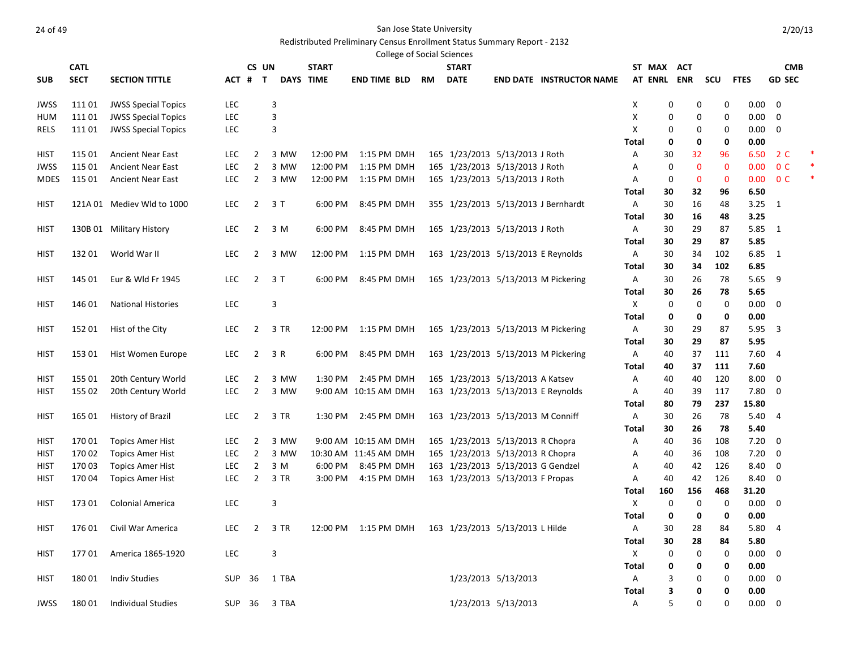### Redistributed Preliminary Census Enrollment Status Summary Report - 2132

|             |             |                            |            |                |              |                  | <b>College of Social Sciences</b>                    |    |                                    |                     |                                     |             |        |             |             |             |                |   |
|-------------|-------------|----------------------------|------------|----------------|--------------|------------------|------------------------------------------------------|----|------------------------------------|---------------------|-------------------------------------|-------------|--------|-------------|-------------|-------------|----------------|---|
|             | <b>CATL</b> |                            |            | CS UN          |              | <b>START</b>     |                                                      |    | <b>START</b>                       |                     |                                     | ST MAX      |        | ACT         |             |             | <b>CMB</b>     |   |
| <b>SUB</b>  | <b>SECT</b> | <b>SECTION TITTLE</b>      | ACT #      | $\mathsf{T}$   |              | <b>DAYS TIME</b> | END TIME BLD                                         | RM | <b>DATE</b>                        |                     | <b>END DATE INSTRUCTOR NAME</b>     | AT ENRL ENR |        |             | scu         | <b>FTES</b> | <b>GD SEC</b>  |   |
| JWSS        | 111 01      | <b>JWSS Special Topics</b> | <b>LEC</b> |                | 3            |                  |                                                      |    |                                    |                     |                                     | Χ           | 0      | 0           | 0           | 0.00        | $\mathbf 0$    |   |
| HUM         | 111 01      | <b>JWSS Special Topics</b> | LEC        |                | 3            |                  |                                                      |    |                                    |                     |                                     | Χ           | 0      | 0           | 0           | 0.00        | 0              |   |
| RELS        | 111 01      | <b>JWSS Special Topics</b> | LEC        |                | 3            |                  |                                                      |    |                                    |                     |                                     | Χ           | 0      | 0           | 0           | 0.00        | $\overline{0}$ |   |
|             |             |                            |            |                |              |                  |                                                      |    |                                    |                     |                                     | Total       | 0      | 0           | 0           | 0.00        |                |   |
| HIST        | 115 01      | <b>Ancient Near East</b>   | <b>LEC</b> | 2              | 3 MW         | 12:00 PM         | 1:15 PM DMH                                          |    | 165 1/23/2013 5/13/2013 J Roth     |                     |                                     | Α           | 30     | 32          | 96          | 6.50        | 2 C            |   |
| JWSS        | 115 01      | <b>Ancient Near East</b>   | <b>LEC</b> | $\overline{2}$ | 3 MW         | 12:00 PM         | 1:15 PM DMH                                          |    | 165 1/23/2013 5/13/2013 J Roth     |                     |                                     | Α           | 0      | $\mathbf 0$ | 0           | 0.00        | 0 <sup>C</sup> |   |
| MDES        | 115 01      | <b>Ancient Near East</b>   | <b>LEC</b> | $\overline{2}$ | 3 MW         | 12:00 PM         | 1:15 PM DMH                                          |    | 165 1/23/2013 5/13/2013 J Roth     |                     |                                     | Α           | 0      | $\mathbf 0$ | $\mathbf 0$ | 0.00        | 0 <sup>C</sup> | * |
|             |             |                            |            |                |              |                  |                                                      |    |                                    |                     |                                     | Total       | 30     | 32          | 96          | 6.50        |                |   |
| HIST        |             | 121A 01 Mediev Wld to 1000 | <b>LEC</b> | $\overline{2}$ | 3T           | 6:00 PM          | 8:45 PM DMH                                          |    |                                    |                     | 355 1/23/2013 5/13/2013 J Bernhardt | Α           | 30     | 16          | 48          | 3.25        | -1             |   |
|             |             |                            |            |                |              |                  |                                                      |    |                                    |                     |                                     | Total       | 30     | 16          | 48          | 3.25        |                |   |
| HIST        |             | 130B 01 Military History   | <b>LEC</b> | $\overline{2}$ | 3 M          | 6:00 PM          | 8:45 PM DMH                                          |    | 165 1/23/2013 5/13/2013 J Roth     |                     |                                     | Α           | 30     | 29          | 87          | 5.85 1      |                |   |
|             |             |                            |            |                |              |                  |                                                      |    |                                    |                     |                                     | Total       | 30     | 29          | 87          | 5.85        |                |   |
| HIST        | 132 01      | World War II               | <b>LEC</b> | 2              | 3 MW         | 12:00 PM         | 1:15 PM DMH                                          |    | 163 1/23/2013 5/13/2013 E Reynolds |                     |                                     | Α           | 30     | 34          | 102         | 6.85 1      |                |   |
|             |             |                            |            |                |              |                  |                                                      |    |                                    |                     |                                     | Total       | 30     | 34          | 102         | 6.85        |                |   |
| HIST        | 145 01      | Eur & Wld Fr 1945          | <b>LEC</b> | 2              | 3 T          | 6:00 PM          | 8:45 PM DMH                                          |    |                                    |                     | 165 1/23/2013 5/13/2013 M Pickering | Α           | 30     | 26          | 78          | 5.65        | 9              |   |
|             |             |                            |            |                |              |                  |                                                      |    |                                    |                     |                                     | Total       | 30     | 26          | 78          | 5.65        |                |   |
| <b>HIST</b> | 146 01      | <b>National Histories</b>  | LEC        |                | 3            |                  |                                                      |    |                                    |                     |                                     | X           | 0      | 0           | 0           | 0.00        | 0              |   |
|             |             |                            |            |                |              |                  |                                                      |    |                                    |                     |                                     | Total       | 0      | 0           | 0           | 0.00        |                |   |
| HIST        | 152 01      | Hist of the City           | <b>LEC</b> | 2              | 3 TR         | 12:00 PM         | 1:15 PM DMH                                          |    |                                    |                     | 165 1/23/2013 5/13/2013 M Pickering | Α           | 30     | 29          | 87          | 5.95        | 3              |   |
|             |             |                            |            |                |              |                  |                                                      |    |                                    |                     |                                     | Total       | 30     | 29          | 87          | 5.95        |                |   |
| HIST        | 153 01      | Hist Women Europe          | <b>LEC</b> | $\overline{2}$ | 3 R          | 6:00 PM          | 8:45 PM DMH                                          |    |                                    |                     | 163 1/23/2013 5/13/2013 M Pickering | Α           | 40     | 37          | 111         | 7.60        | -4             |   |
|             |             |                            |            |                |              |                  |                                                      |    |                                    |                     |                                     | Total       | 40     | 37          | 111         | 7.60        |                |   |
| HIST        | 155 01      | 20th Century World         | LEC        | 2              | 3 MW         | 1:30 PM          | 2:45 PM DMH                                          |    | 165 1/23/2013 5/13/2013 A Katsev   |                     |                                     | Α           | 40     | 40          | 120         | 8.00        | 0              |   |
| HIST        | 155 02      | 20th Century World         | LEC        | $\overline{2}$ | 3 MW         |                  | 9:00 AM 10:15 AM DMH                                 |    | 163 1/23/2013 5/13/2013 E Reynolds |                     |                                     | Α           | 40     | 39          | 117         | 7.80        | 0              |   |
|             |             |                            |            |                |              |                  |                                                      |    |                                    |                     |                                     | Total       | 80     | 79          | 237         | 15.80       |                |   |
| HIST        | 165 01      | History of Brazil          | <b>LEC</b> | $\overline{2}$ | 3 TR         | 1:30 PM          | 2:45 PM DMH                                          |    | 163 1/23/2013 5/13/2013 M Conniff  |                     |                                     | Α           | 30     | 26          | 78          | 5.40        | 4              |   |
|             |             |                            |            |                |              |                  |                                                      |    |                                    |                     |                                     | Total       | 30     | 26          | 78          | 5.40        |                |   |
| HIST        | 17001       | <b>Topics Amer Hist</b>    | <b>LEC</b> | $\overline{2}$ | 3 MW         |                  | 9:00 AM 10:15 AM DMH                                 |    | 165 1/23/2013 5/13/2013 R Chopra   |                     |                                     | Α           | 40     | 36          | 108         | 7.20        | 0              |   |
| HIST        | 170 02      | <b>Topics Amer Hist</b>    | <b>LEC</b> | $\overline{2}$ | 3 MW         |                  | 10:30 AM 11:45 AM DMH                                |    | 165 1/23/2013 5/13/2013 R Chopra   |                     |                                     | Α           | 40     | 36          | 108         | 7.20        | $\mathbf 0$    |   |
| HIST        | 17003       | <b>Topics Amer Hist</b>    | <b>LEC</b> | $\overline{2}$ | 3 M          | 6:00 PM          | 8:45 PM DMH                                          |    | 163 1/23/2013 5/13/2013 G Gendzel  |                     |                                     | Α           | 40     | 42          | 126         | 8.40        | 0              |   |
| HIST        | 17004       | <b>Topics Amer Hist</b>    | <b>LEC</b> | $\overline{2}$ | 3 TR         | 3:00 PM          | 4:15 PM DMH                                          |    | 163 1/23/2013 5/13/2013 F Propas   |                     |                                     | Α           | 40     | 42          | 126         | 8.40        | 0              |   |
|             |             |                            |            |                |              |                  |                                                      |    |                                    |                     |                                     | Total       | 160    | 156         | 468         | 31.20       |                |   |
| HIST        | 173 01      | Colonial America           | <b>LEC</b> |                | 3            |                  |                                                      |    |                                    |                     |                                     | X           | 0      | 0           | 0           | 0.00        | 0              |   |
|             |             |                            |            |                |              |                  |                                                      |    |                                    |                     |                                     | Total       | 0      | 0           | 0           | 0.00        |                |   |
| <b>HIST</b> |             | 176 01 Civil War America   |            |                | LEC 2 3 TR   |                  | 12:00 PM 1:15 PM DMH 163 1/23/2013 5/13/2013 L Hilde |    |                                    |                     |                                     | A           | $30\,$ | 28          | 84          | 5.80 4      |                |   |
|             |             |                            |            |                |              |                  |                                                      |    |                                    |                     |                                     | Total       | 30     | 28          | 84          | 5.80        |                |   |
| <b>HIST</b> |             | 177 01 America 1865-1920   | LEC        |                | 3            |                  |                                                      |    |                                    |                     |                                     | X           | 0      | 0           | 0           | $0.00 \t 0$ |                |   |
|             |             |                            |            |                |              |                  |                                                      |    |                                    |                     |                                     | Total       | 0      | 0           | 0           | 0.00        |                |   |
| <b>HIST</b> |             | 180 01 Indiv Studies       | SUP 36     |                | 1 TBA        |                  |                                                      |    |                                    | 1/23/2013 5/13/2013 |                                     | A           | 3      | 0           | 0           | $0.00 \t 0$ |                |   |
|             |             |                            |            |                |              |                  |                                                      |    |                                    |                     |                                     | Total       | 3      | 0           | 0           | 0.00        |                |   |
| JWSS        |             | 180 01 Individual Studies  |            |                | SUP 36 3 TBA |                  |                                                      |    |                                    | 1/23/2013 5/13/2013 |                                     | A           | 5      | 0           | 0           | $0.00 \t 0$ |                |   |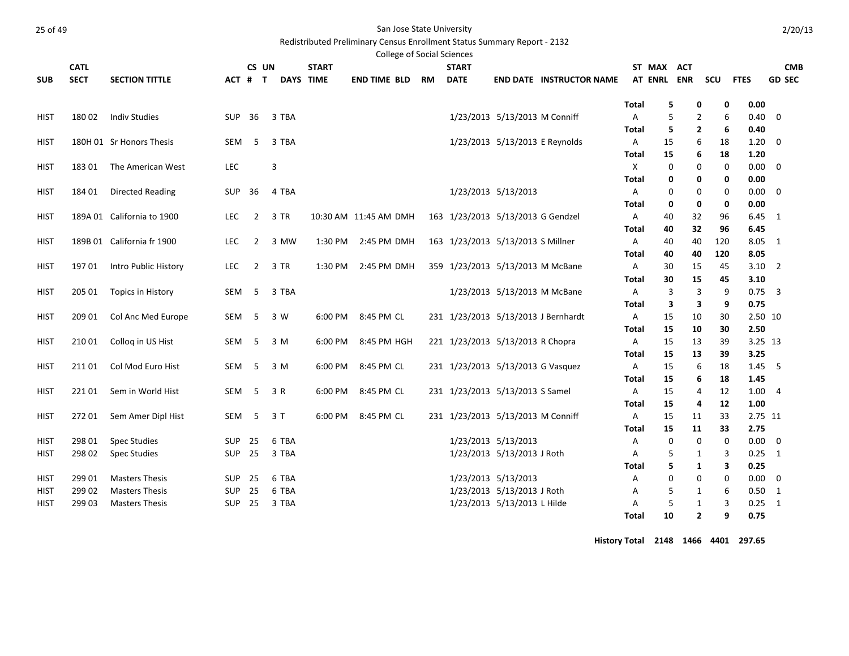Redistributed Preliminary Census Enrollment Status Summary Report - 2132

| <b>SECT</b><br><b>DAYS TIME</b><br><b>END TIME BLD</b><br><b>DATE</b><br><b>AT ENRL</b><br><b>ENR</b><br><b>SCU</b><br><b>FTES</b><br><b>GD SEC</b><br><b>SUB</b><br><b>SECTION TITTLE</b><br>ACT #<br><b>RM</b><br><b>END DATE INSTRUCTOR NAME</b><br>$\mathbf{T}$<br>5<br>0.00<br><b>Total</b><br>0<br>0<br>6<br>18002<br><b>Indiv Studies</b><br>SUP<br>36<br>3 TBA<br>1/23/2013 5/13/2013 M Conniff<br>Α<br>5<br>0.40<br>$\mathbf 0$<br><b>HIST</b><br>2<br>5<br>$\mathbf{2}$<br>6<br>0.40<br>Total<br>1/23/2013 5/13/2013 E Reynolds<br>180H 01 Sr Honors Thesis<br>SEM<br>5<br>3 TBA<br>Α<br>15<br>6<br>18<br>1.20<br>0<br>HIST<br>6<br><b>Total</b><br>15<br>18<br>1.20<br>3<br><b>LEC</b><br>X<br>$\mathbf 0$<br>0.00<br><b>HIST</b><br>18301<br>The American West<br>0<br>$\mathbf 0$<br>0<br>0<br>0.00<br>Total<br>0<br>0<br>1/23/2013 5/13/2013<br>$\mathbf 0$<br>184 01<br><b>Directed Reading</b><br>SUP<br>36<br>4 TBA<br>0<br>0.00<br>0<br>HIST<br>A<br>0<br>$\mathbf 0$<br>0<br>0<br>0.00<br>Total<br>3 TR<br>189A 01 California to 1900<br><b>LEC</b><br>$\overline{2}$<br>163 1/23/2013 5/13/2013 G Gendzel<br><b>HIST</b><br>10:30 AM 11:45 AM DMH<br>Α<br>40<br>32<br>96<br>$6.45 \quad 1$<br>40<br>32<br>6.45<br>Total<br>96<br>8.05<br>189B 01 California fr 1900<br>163 1/23/2013 5/13/2013 S Millner<br>40<br>40<br>120<br><b>LEC</b><br>$\overline{2}$<br>3 MW<br>1:30 PM<br>2:45 PM DMH<br>A<br>1<br><b>HIST</b><br>8.05<br>40<br>40<br>120<br>Total<br><b>LEC</b><br>$\overline{2}$<br>3 TR<br>359 1/23/2013 5/13/2013 M McBane<br>$3.10$ 2<br><b>HIST</b><br>19701<br>Intro Public History<br>1:30 PM<br>2:45 PM DMH<br>30<br>15<br>45<br>A<br>15<br>3.10<br>Total<br>30<br>45<br>5<br>3 TBA<br>1/23/2013 5/13/2013 M McBane<br>3<br>$0.75$ 3<br><b>HIST</b><br>SEM<br>3<br>9<br>205 01<br>Topics in History<br>A<br>0.75<br>3<br>3<br>9<br>Total<br>5<br>3 W<br>231 1/23/2013 5/13/2013 J Bernhardt<br>2.50 10<br><b>HIST</b><br>209 01<br>Col Anc Med Europe<br>SEM<br>6:00 PM<br>8:45 PM CL<br>Α<br>15<br>10<br>30<br>15<br>2.50<br><b>Total</b><br>10<br>30<br><b>HIST</b><br>Collog in US Hist<br>SEM<br>-5<br>3 M<br>8:45 PM HGH<br>221 1/23/2013 5/13/2013 R Chopra<br>15<br>3.25 13<br>210 01<br>6:00 PM<br>A<br>13<br>39<br>15<br>13<br>3.25<br>Total<br>39<br>Col Mod Euro Hist<br>5<br>3 M<br>8:45 PM CL<br>231 1/23/2013 5/13/2013 G Vasquez<br>6<br><b>HIST</b><br>21101<br>SEM<br>6:00 PM<br>Α<br>15<br>18<br>1.45<br>-5<br><b>Total</b><br>15<br>6<br>18<br>1.45<br>Sem in World Hist<br>SEM<br>-5<br>3 R<br>6:00 PM<br>8:45 PM CL<br>231 1/23/2013 5/13/2013 S Samel<br>15<br>12<br>1.00<br><b>HIST</b><br>221 01<br>Α<br>4<br>$\overline{4}$<br>15<br>12<br>1.00<br>Total<br>4<br>231 1/23/2013 5/13/2013 M Conniff<br><b>HIST</b><br>Sem Amer Dipl Hist<br>SEM<br>5<br>3T<br>6:00 PM<br>8:45 PM CL<br>Α<br>15<br>11<br>33<br>2.75 11<br>272 01<br>2.75<br>15<br>11<br>33<br>Total<br>1/23/2013 5/13/2013<br><b>Spec Studies</b><br>6 TBA<br>$\mathbf 0$<br>$\mathbf 0$<br>0.00<br>298 01<br><b>SUP</b><br>25<br>Α<br>0<br>0<br>HIST<br>25<br>298 02<br><b>SUP</b><br>3 TBA<br>1/23/2013 5/13/2013 J Roth<br>5<br>3<br>0.25<br><b>HIST</b><br><b>Spec Studies</b><br>A<br>1<br>1<br>5<br>1<br>3<br>0.25<br>Total<br>1/23/2013 5/13/2013<br><b>Masters Thesis</b><br>6 TBA<br>$\mathbf 0$<br>$\mathbf 0$<br>0.00<br>299 01<br><b>SUP</b><br>25<br>0<br>0<br>HIST<br>Α<br>1/23/2013 5/13/2013 J Roth<br>299 02<br><b>Masters Thesis</b><br>SUP<br>25<br>6 TBA<br>5<br>6<br>0.50<br>1<br>1<br>HIST<br>Α<br>1/23/2013 5/13/2013 L Hilde<br>5<br>3<br>299 03<br><b>Masters Thesis</b><br><b>SUP</b><br>25<br>3 TBA<br>1<br>0.25<br>HIST<br>A<br>1<br>10<br>$\overline{2}$<br>9<br>0.75<br>Total | <b>CATL</b> |  | CS UN |  | <b>START</b> | <b>College of Social Sciences</b> | <b>START</b> |  | ST MAX | ACT |  | <b>CMB</b> |  |
|-----------------------------------------------------------------------------------------------------------------------------------------------------------------------------------------------------------------------------------------------------------------------------------------------------------------------------------------------------------------------------------------------------------------------------------------------------------------------------------------------------------------------------------------------------------------------------------------------------------------------------------------------------------------------------------------------------------------------------------------------------------------------------------------------------------------------------------------------------------------------------------------------------------------------------------------------------------------------------------------------------------------------------------------------------------------------------------------------------------------------------------------------------------------------------------------------------------------------------------------------------------------------------------------------------------------------------------------------------------------------------------------------------------------------------------------------------------------------------------------------------------------------------------------------------------------------------------------------------------------------------------------------------------------------------------------------------------------------------------------------------------------------------------------------------------------------------------------------------------------------------------------------------------------------------------------------------------------------------------------------------------------------------------------------------------------------------------------------------------------------------------------------------------------------------------------------------------------------------------------------------------------------------------------------------------------------------------------------------------------------------------------------------------------------------------------------------------------------------------------------------------------------------------------------------------------------------------------------------------------------------------------------------------------------------------------------------------------------------------------------------------------------------------------------------------------------------------------------------------------------------------------------------------------------------------------------------------------------------------------------------------------------------------------------------------------------------------------------------------------------------------------------------------------------------------------------------------------------------------------------------------------------------------------------------------------------------------------------------------------------------------------------------------------------------------------------------------------------------------------------------------------------------------------------------------------------------------------------------------------------------------------------------------------------------------------------------------------------------------------|-------------|--|-------|--|--------------|-----------------------------------|--------------|--|--------|-----|--|------------|--|
|                                                                                                                                                                                                                                                                                                                                                                                                                                                                                                                                                                                                                                                                                                                                                                                                                                                                                                                                                                                                                                                                                                                                                                                                                                                                                                                                                                                                                                                                                                                                                                                                                                                                                                                                                                                                                                                                                                                                                                                                                                                                                                                                                                                                                                                                                                                                                                                                                                                                                                                                                                                                                                                                                                                                                                                                                                                                                                                                                                                                                                                                                                                                                                                                                                                                                                                                                                                                                                                                                                                                                                                                                                                                                                                                         |             |  |       |  |              |                                   |              |  |        |     |  |            |  |
|                                                                                                                                                                                                                                                                                                                                                                                                                                                                                                                                                                                                                                                                                                                                                                                                                                                                                                                                                                                                                                                                                                                                                                                                                                                                                                                                                                                                                                                                                                                                                                                                                                                                                                                                                                                                                                                                                                                                                                                                                                                                                                                                                                                                                                                                                                                                                                                                                                                                                                                                                                                                                                                                                                                                                                                                                                                                                                                                                                                                                                                                                                                                                                                                                                                                                                                                                                                                                                                                                                                                                                                                                                                                                                                                         |             |  |       |  |              |                                   |              |  |        |     |  |            |  |
|                                                                                                                                                                                                                                                                                                                                                                                                                                                                                                                                                                                                                                                                                                                                                                                                                                                                                                                                                                                                                                                                                                                                                                                                                                                                                                                                                                                                                                                                                                                                                                                                                                                                                                                                                                                                                                                                                                                                                                                                                                                                                                                                                                                                                                                                                                                                                                                                                                                                                                                                                                                                                                                                                                                                                                                                                                                                                                                                                                                                                                                                                                                                                                                                                                                                                                                                                                                                                                                                                                                                                                                                                                                                                                                                         |             |  |       |  |              |                                   |              |  |        |     |  |            |  |
|                                                                                                                                                                                                                                                                                                                                                                                                                                                                                                                                                                                                                                                                                                                                                                                                                                                                                                                                                                                                                                                                                                                                                                                                                                                                                                                                                                                                                                                                                                                                                                                                                                                                                                                                                                                                                                                                                                                                                                                                                                                                                                                                                                                                                                                                                                                                                                                                                                                                                                                                                                                                                                                                                                                                                                                                                                                                                                                                                                                                                                                                                                                                                                                                                                                                                                                                                                                                                                                                                                                                                                                                                                                                                                                                         |             |  |       |  |              |                                   |              |  |        |     |  |            |  |
|                                                                                                                                                                                                                                                                                                                                                                                                                                                                                                                                                                                                                                                                                                                                                                                                                                                                                                                                                                                                                                                                                                                                                                                                                                                                                                                                                                                                                                                                                                                                                                                                                                                                                                                                                                                                                                                                                                                                                                                                                                                                                                                                                                                                                                                                                                                                                                                                                                                                                                                                                                                                                                                                                                                                                                                                                                                                                                                                                                                                                                                                                                                                                                                                                                                                                                                                                                                                                                                                                                                                                                                                                                                                                                                                         |             |  |       |  |              |                                   |              |  |        |     |  |            |  |
|                                                                                                                                                                                                                                                                                                                                                                                                                                                                                                                                                                                                                                                                                                                                                                                                                                                                                                                                                                                                                                                                                                                                                                                                                                                                                                                                                                                                                                                                                                                                                                                                                                                                                                                                                                                                                                                                                                                                                                                                                                                                                                                                                                                                                                                                                                                                                                                                                                                                                                                                                                                                                                                                                                                                                                                                                                                                                                                                                                                                                                                                                                                                                                                                                                                                                                                                                                                                                                                                                                                                                                                                                                                                                                                                         |             |  |       |  |              |                                   |              |  |        |     |  |            |  |
|                                                                                                                                                                                                                                                                                                                                                                                                                                                                                                                                                                                                                                                                                                                                                                                                                                                                                                                                                                                                                                                                                                                                                                                                                                                                                                                                                                                                                                                                                                                                                                                                                                                                                                                                                                                                                                                                                                                                                                                                                                                                                                                                                                                                                                                                                                                                                                                                                                                                                                                                                                                                                                                                                                                                                                                                                                                                                                                                                                                                                                                                                                                                                                                                                                                                                                                                                                                                                                                                                                                                                                                                                                                                                                                                         |             |  |       |  |              |                                   |              |  |        |     |  |            |  |
|                                                                                                                                                                                                                                                                                                                                                                                                                                                                                                                                                                                                                                                                                                                                                                                                                                                                                                                                                                                                                                                                                                                                                                                                                                                                                                                                                                                                                                                                                                                                                                                                                                                                                                                                                                                                                                                                                                                                                                                                                                                                                                                                                                                                                                                                                                                                                                                                                                                                                                                                                                                                                                                                                                                                                                                                                                                                                                                                                                                                                                                                                                                                                                                                                                                                                                                                                                                                                                                                                                                                                                                                                                                                                                                                         |             |  |       |  |              |                                   |              |  |        |     |  |            |  |
|                                                                                                                                                                                                                                                                                                                                                                                                                                                                                                                                                                                                                                                                                                                                                                                                                                                                                                                                                                                                                                                                                                                                                                                                                                                                                                                                                                                                                                                                                                                                                                                                                                                                                                                                                                                                                                                                                                                                                                                                                                                                                                                                                                                                                                                                                                                                                                                                                                                                                                                                                                                                                                                                                                                                                                                                                                                                                                                                                                                                                                                                                                                                                                                                                                                                                                                                                                                                                                                                                                                                                                                                                                                                                                                                         |             |  |       |  |              |                                   |              |  |        |     |  |            |  |
|                                                                                                                                                                                                                                                                                                                                                                                                                                                                                                                                                                                                                                                                                                                                                                                                                                                                                                                                                                                                                                                                                                                                                                                                                                                                                                                                                                                                                                                                                                                                                                                                                                                                                                                                                                                                                                                                                                                                                                                                                                                                                                                                                                                                                                                                                                                                                                                                                                                                                                                                                                                                                                                                                                                                                                                                                                                                                                                                                                                                                                                                                                                                                                                                                                                                                                                                                                                                                                                                                                                                                                                                                                                                                                                                         |             |  |       |  |              |                                   |              |  |        |     |  |            |  |
|                                                                                                                                                                                                                                                                                                                                                                                                                                                                                                                                                                                                                                                                                                                                                                                                                                                                                                                                                                                                                                                                                                                                                                                                                                                                                                                                                                                                                                                                                                                                                                                                                                                                                                                                                                                                                                                                                                                                                                                                                                                                                                                                                                                                                                                                                                                                                                                                                                                                                                                                                                                                                                                                                                                                                                                                                                                                                                                                                                                                                                                                                                                                                                                                                                                                                                                                                                                                                                                                                                                                                                                                                                                                                                                                         |             |  |       |  |              |                                   |              |  |        |     |  |            |  |
|                                                                                                                                                                                                                                                                                                                                                                                                                                                                                                                                                                                                                                                                                                                                                                                                                                                                                                                                                                                                                                                                                                                                                                                                                                                                                                                                                                                                                                                                                                                                                                                                                                                                                                                                                                                                                                                                                                                                                                                                                                                                                                                                                                                                                                                                                                                                                                                                                                                                                                                                                                                                                                                                                                                                                                                                                                                                                                                                                                                                                                                                                                                                                                                                                                                                                                                                                                                                                                                                                                                                                                                                                                                                                                                                         |             |  |       |  |              |                                   |              |  |        |     |  |            |  |
|                                                                                                                                                                                                                                                                                                                                                                                                                                                                                                                                                                                                                                                                                                                                                                                                                                                                                                                                                                                                                                                                                                                                                                                                                                                                                                                                                                                                                                                                                                                                                                                                                                                                                                                                                                                                                                                                                                                                                                                                                                                                                                                                                                                                                                                                                                                                                                                                                                                                                                                                                                                                                                                                                                                                                                                                                                                                                                                                                                                                                                                                                                                                                                                                                                                                                                                                                                                                                                                                                                                                                                                                                                                                                                                                         |             |  |       |  |              |                                   |              |  |        |     |  |            |  |
|                                                                                                                                                                                                                                                                                                                                                                                                                                                                                                                                                                                                                                                                                                                                                                                                                                                                                                                                                                                                                                                                                                                                                                                                                                                                                                                                                                                                                                                                                                                                                                                                                                                                                                                                                                                                                                                                                                                                                                                                                                                                                                                                                                                                                                                                                                                                                                                                                                                                                                                                                                                                                                                                                                                                                                                                                                                                                                                                                                                                                                                                                                                                                                                                                                                                                                                                                                                                                                                                                                                                                                                                                                                                                                                                         |             |  |       |  |              |                                   |              |  |        |     |  |            |  |
|                                                                                                                                                                                                                                                                                                                                                                                                                                                                                                                                                                                                                                                                                                                                                                                                                                                                                                                                                                                                                                                                                                                                                                                                                                                                                                                                                                                                                                                                                                                                                                                                                                                                                                                                                                                                                                                                                                                                                                                                                                                                                                                                                                                                                                                                                                                                                                                                                                                                                                                                                                                                                                                                                                                                                                                                                                                                                                                                                                                                                                                                                                                                                                                                                                                                                                                                                                                                                                                                                                                                                                                                                                                                                                                                         |             |  |       |  |              |                                   |              |  |        |     |  |            |  |
|                                                                                                                                                                                                                                                                                                                                                                                                                                                                                                                                                                                                                                                                                                                                                                                                                                                                                                                                                                                                                                                                                                                                                                                                                                                                                                                                                                                                                                                                                                                                                                                                                                                                                                                                                                                                                                                                                                                                                                                                                                                                                                                                                                                                                                                                                                                                                                                                                                                                                                                                                                                                                                                                                                                                                                                                                                                                                                                                                                                                                                                                                                                                                                                                                                                                                                                                                                                                                                                                                                                                                                                                                                                                                                                                         |             |  |       |  |              |                                   |              |  |        |     |  |            |  |
|                                                                                                                                                                                                                                                                                                                                                                                                                                                                                                                                                                                                                                                                                                                                                                                                                                                                                                                                                                                                                                                                                                                                                                                                                                                                                                                                                                                                                                                                                                                                                                                                                                                                                                                                                                                                                                                                                                                                                                                                                                                                                                                                                                                                                                                                                                                                                                                                                                                                                                                                                                                                                                                                                                                                                                                                                                                                                                                                                                                                                                                                                                                                                                                                                                                                                                                                                                                                                                                                                                                                                                                                                                                                                                                                         |             |  |       |  |              |                                   |              |  |        |     |  |            |  |
|                                                                                                                                                                                                                                                                                                                                                                                                                                                                                                                                                                                                                                                                                                                                                                                                                                                                                                                                                                                                                                                                                                                                                                                                                                                                                                                                                                                                                                                                                                                                                                                                                                                                                                                                                                                                                                                                                                                                                                                                                                                                                                                                                                                                                                                                                                                                                                                                                                                                                                                                                                                                                                                                                                                                                                                                                                                                                                                                                                                                                                                                                                                                                                                                                                                                                                                                                                                                                                                                                                                                                                                                                                                                                                                                         |             |  |       |  |              |                                   |              |  |        |     |  |            |  |
|                                                                                                                                                                                                                                                                                                                                                                                                                                                                                                                                                                                                                                                                                                                                                                                                                                                                                                                                                                                                                                                                                                                                                                                                                                                                                                                                                                                                                                                                                                                                                                                                                                                                                                                                                                                                                                                                                                                                                                                                                                                                                                                                                                                                                                                                                                                                                                                                                                                                                                                                                                                                                                                                                                                                                                                                                                                                                                                                                                                                                                                                                                                                                                                                                                                                                                                                                                                                                                                                                                                                                                                                                                                                                                                                         |             |  |       |  |              |                                   |              |  |        |     |  |            |  |
|                                                                                                                                                                                                                                                                                                                                                                                                                                                                                                                                                                                                                                                                                                                                                                                                                                                                                                                                                                                                                                                                                                                                                                                                                                                                                                                                                                                                                                                                                                                                                                                                                                                                                                                                                                                                                                                                                                                                                                                                                                                                                                                                                                                                                                                                                                                                                                                                                                                                                                                                                                                                                                                                                                                                                                                                                                                                                                                                                                                                                                                                                                                                                                                                                                                                                                                                                                                                                                                                                                                                                                                                                                                                                                                                         |             |  |       |  |              |                                   |              |  |        |     |  |            |  |
|                                                                                                                                                                                                                                                                                                                                                                                                                                                                                                                                                                                                                                                                                                                                                                                                                                                                                                                                                                                                                                                                                                                                                                                                                                                                                                                                                                                                                                                                                                                                                                                                                                                                                                                                                                                                                                                                                                                                                                                                                                                                                                                                                                                                                                                                                                                                                                                                                                                                                                                                                                                                                                                                                                                                                                                                                                                                                                                                                                                                                                                                                                                                                                                                                                                                                                                                                                                                                                                                                                                                                                                                                                                                                                                                         |             |  |       |  |              |                                   |              |  |        |     |  |            |  |
|                                                                                                                                                                                                                                                                                                                                                                                                                                                                                                                                                                                                                                                                                                                                                                                                                                                                                                                                                                                                                                                                                                                                                                                                                                                                                                                                                                                                                                                                                                                                                                                                                                                                                                                                                                                                                                                                                                                                                                                                                                                                                                                                                                                                                                                                                                                                                                                                                                                                                                                                                                                                                                                                                                                                                                                                                                                                                                                                                                                                                                                                                                                                                                                                                                                                                                                                                                                                                                                                                                                                                                                                                                                                                                                                         |             |  |       |  |              |                                   |              |  |        |     |  |            |  |
|                                                                                                                                                                                                                                                                                                                                                                                                                                                                                                                                                                                                                                                                                                                                                                                                                                                                                                                                                                                                                                                                                                                                                                                                                                                                                                                                                                                                                                                                                                                                                                                                                                                                                                                                                                                                                                                                                                                                                                                                                                                                                                                                                                                                                                                                                                                                                                                                                                                                                                                                                                                                                                                                                                                                                                                                                                                                                                                                                                                                                                                                                                                                                                                                                                                                                                                                                                                                                                                                                                                                                                                                                                                                                                                                         |             |  |       |  |              |                                   |              |  |        |     |  |            |  |
|                                                                                                                                                                                                                                                                                                                                                                                                                                                                                                                                                                                                                                                                                                                                                                                                                                                                                                                                                                                                                                                                                                                                                                                                                                                                                                                                                                                                                                                                                                                                                                                                                                                                                                                                                                                                                                                                                                                                                                                                                                                                                                                                                                                                                                                                                                                                                                                                                                                                                                                                                                                                                                                                                                                                                                                                                                                                                                                                                                                                                                                                                                                                                                                                                                                                                                                                                                                                                                                                                                                                                                                                                                                                                                                                         |             |  |       |  |              |                                   |              |  |        |     |  |            |  |
|                                                                                                                                                                                                                                                                                                                                                                                                                                                                                                                                                                                                                                                                                                                                                                                                                                                                                                                                                                                                                                                                                                                                                                                                                                                                                                                                                                                                                                                                                                                                                                                                                                                                                                                                                                                                                                                                                                                                                                                                                                                                                                                                                                                                                                                                                                                                                                                                                                                                                                                                                                                                                                                                                                                                                                                                                                                                                                                                                                                                                                                                                                                                                                                                                                                                                                                                                                                                                                                                                                                                                                                                                                                                                                                                         |             |  |       |  |              |                                   |              |  |        |     |  |            |  |
|                                                                                                                                                                                                                                                                                                                                                                                                                                                                                                                                                                                                                                                                                                                                                                                                                                                                                                                                                                                                                                                                                                                                                                                                                                                                                                                                                                                                                                                                                                                                                                                                                                                                                                                                                                                                                                                                                                                                                                                                                                                                                                                                                                                                                                                                                                                                                                                                                                                                                                                                                                                                                                                                                                                                                                                                                                                                                                                                                                                                                                                                                                                                                                                                                                                                                                                                                                                                                                                                                                                                                                                                                                                                                                                                         |             |  |       |  |              |                                   |              |  |        |     |  |            |  |
|                                                                                                                                                                                                                                                                                                                                                                                                                                                                                                                                                                                                                                                                                                                                                                                                                                                                                                                                                                                                                                                                                                                                                                                                                                                                                                                                                                                                                                                                                                                                                                                                                                                                                                                                                                                                                                                                                                                                                                                                                                                                                                                                                                                                                                                                                                                                                                                                                                                                                                                                                                                                                                                                                                                                                                                                                                                                                                                                                                                                                                                                                                                                                                                                                                                                                                                                                                                                                                                                                                                                                                                                                                                                                                                                         |             |  |       |  |              |                                   |              |  |        |     |  |            |  |
|                                                                                                                                                                                                                                                                                                                                                                                                                                                                                                                                                                                                                                                                                                                                                                                                                                                                                                                                                                                                                                                                                                                                                                                                                                                                                                                                                                                                                                                                                                                                                                                                                                                                                                                                                                                                                                                                                                                                                                                                                                                                                                                                                                                                                                                                                                                                                                                                                                                                                                                                                                                                                                                                                                                                                                                                                                                                                                                                                                                                                                                                                                                                                                                                                                                                                                                                                                                                                                                                                                                                                                                                                                                                                                                                         |             |  |       |  |              |                                   |              |  |        |     |  |            |  |
|                                                                                                                                                                                                                                                                                                                                                                                                                                                                                                                                                                                                                                                                                                                                                                                                                                                                                                                                                                                                                                                                                                                                                                                                                                                                                                                                                                                                                                                                                                                                                                                                                                                                                                                                                                                                                                                                                                                                                                                                                                                                                                                                                                                                                                                                                                                                                                                                                                                                                                                                                                                                                                                                                                                                                                                                                                                                                                                                                                                                                                                                                                                                                                                                                                                                                                                                                                                                                                                                                                                                                                                                                                                                                                                                         |             |  |       |  |              |                                   |              |  |        |     |  |            |  |
|                                                                                                                                                                                                                                                                                                                                                                                                                                                                                                                                                                                                                                                                                                                                                                                                                                                                                                                                                                                                                                                                                                                                                                                                                                                                                                                                                                                                                                                                                                                                                                                                                                                                                                                                                                                                                                                                                                                                                                                                                                                                                                                                                                                                                                                                                                                                                                                                                                                                                                                                                                                                                                                                                                                                                                                                                                                                                                                                                                                                                                                                                                                                                                                                                                                                                                                                                                                                                                                                                                                                                                                                                                                                                                                                         |             |  |       |  |              |                                   |              |  |        |     |  |            |  |
|                                                                                                                                                                                                                                                                                                                                                                                                                                                                                                                                                                                                                                                                                                                                                                                                                                                                                                                                                                                                                                                                                                                                                                                                                                                                                                                                                                                                                                                                                                                                                                                                                                                                                                                                                                                                                                                                                                                                                                                                                                                                                                                                                                                                                                                                                                                                                                                                                                                                                                                                                                                                                                                                                                                                                                                                                                                                                                                                                                                                                                                                                                                                                                                                                                                                                                                                                                                                                                                                                                                                                                                                                                                                                                                                         |             |  |       |  |              |                                   |              |  |        |     |  |            |  |
|                                                                                                                                                                                                                                                                                                                                                                                                                                                                                                                                                                                                                                                                                                                                                                                                                                                                                                                                                                                                                                                                                                                                                                                                                                                                                                                                                                                                                                                                                                                                                                                                                                                                                                                                                                                                                                                                                                                                                                                                                                                                                                                                                                                                                                                                                                                                                                                                                                                                                                                                                                                                                                                                                                                                                                                                                                                                                                                                                                                                                                                                                                                                                                                                                                                                                                                                                                                                                                                                                                                                                                                                                                                                                                                                         |             |  |       |  |              |                                   |              |  |        |     |  |            |  |
|                                                                                                                                                                                                                                                                                                                                                                                                                                                                                                                                                                                                                                                                                                                                                                                                                                                                                                                                                                                                                                                                                                                                                                                                                                                                                                                                                                                                                                                                                                                                                                                                                                                                                                                                                                                                                                                                                                                                                                                                                                                                                                                                                                                                                                                                                                                                                                                                                                                                                                                                                                                                                                                                                                                                                                                                                                                                                                                                                                                                                                                                                                                                                                                                                                                                                                                                                                                                                                                                                                                                                                                                                                                                                                                                         |             |  |       |  |              |                                   |              |  |        |     |  |            |  |
|                                                                                                                                                                                                                                                                                                                                                                                                                                                                                                                                                                                                                                                                                                                                                                                                                                                                                                                                                                                                                                                                                                                                                                                                                                                                                                                                                                                                                                                                                                                                                                                                                                                                                                                                                                                                                                                                                                                                                                                                                                                                                                                                                                                                                                                                                                                                                                                                                                                                                                                                                                                                                                                                                                                                                                                                                                                                                                                                                                                                                                                                                                                                                                                                                                                                                                                                                                                                                                                                                                                                                                                                                                                                                                                                         |             |  |       |  |              |                                   |              |  |        |     |  |            |  |

**History Total 2148 1466 4401 297.65**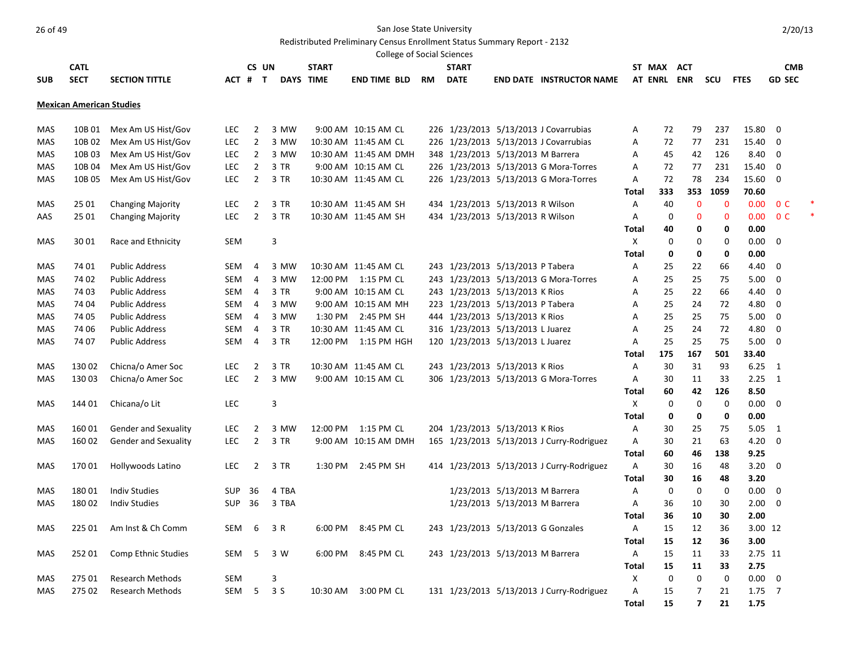Redistributed Preliminary Census Enrollment Status Summary Report - 2132

|            |                                 |                             |            |                |       |        |                       |                      | <b>College of Social Sciences</b> |              |                                    |                                           |                   |             |                   |              |              |                |  |
|------------|---------------------------------|-----------------------------|------------|----------------|-------|--------|-----------------------|----------------------|-----------------------------------|--------------|------------------------------------|-------------------------------------------|-------------------|-------------|-------------------|--------------|--------------|----------------|--|
|            | <b>CATL</b>                     |                             |            |                | CS UN |        | <b>START</b>          |                      |                                   | <b>START</b> |                                    |                                           |                   | ST MAX      | <b>ACT</b>        |              |              | <b>CMB</b>     |  |
| <b>SUB</b> | <b>SECT</b>                     | <b>SECTION TITTLE</b>       | ACT # T    |                |       |        | DAYS TIME             | <b>END TIME BLD</b>  | <b>RM</b>                         | <b>DATE</b>  |                                    | <b>END DATE INSTRUCTOR NAME</b>           |                   | AT ENRL ENR |                   | scu          | <b>FTES</b>  | <b>GD SEC</b>  |  |
|            |                                 |                             |            |                |       |        |                       |                      |                                   |              |                                    |                                           |                   |             |                   |              |              |                |  |
|            | <b>Mexican American Studies</b> |                             |            |                |       |        |                       |                      |                                   |              |                                    |                                           |                   |             |                   |              |              |                |  |
| MAS        | 10B 01                          | Mex Am US Hist/Gov          | LEC.       | 2              |       | 3 MW   |                       | 9:00 AM 10:15 AM CL  |                                   |              |                                    | 226 1/23/2013 5/13/2013 J Covarrubias     | Α                 | 72          | 79                | 237          | 15.80        | 0              |  |
| <b>MAS</b> | 10B 02                          | Mex Am US Hist/Gov          | <b>LEC</b> | $\overline{2}$ |       | 3 MW   | 10:30 AM 11:45 AM CL  |                      |                                   |              |                                    | 226 1/23/2013 5/13/2013 J Covarrubias     | A                 | 72          | 77                | 231          | 15.40        | $\mathbf 0$    |  |
| <b>MAS</b> | 10B03                           | Mex Am US Hist/Gov          | <b>LEC</b> | $\overline{2}$ |       | 3 MW   | 10:30 AM 11:45 AM DMH |                      |                                   |              | 348 1/23/2013 5/13/2013 M Barrera  |                                           | Α                 | 45          | 42                | 126          | 8.40         | $\mathbf 0$    |  |
| <b>MAS</b> | 10B 04                          | Mex Am US Hist/Gov          | <b>LEC</b> | $\overline{2}$ |       | 3 TR   |                       | 9:00 AM 10:15 AM CL  |                                   |              |                                    | 226 1/23/2013 5/13/2013 G Mora-Torres     | A                 | 72          | 77                | 231          | 15.40        | 0              |  |
| <b>MAS</b> | 10B 05                          | Mex Am US Hist/Gov          | LEC        | $\overline{2}$ |       | 3 TR   | 10:30 AM 11:45 AM CL  |                      |                                   |              |                                    | 226 1/23/2013 5/13/2013 G Mora-Torres     | A                 | 72          | 78                | 234          | 15.60        | $\Omega$       |  |
|            |                                 |                             |            |                |       |        |                       |                      |                                   |              |                                    |                                           | Total             | 333         | 353               | 1059         | 70.60        |                |  |
| <b>MAS</b> | 25 01                           | <b>Changing Majority</b>    | <b>LEC</b> | $\overline{2}$ |       | $3$ TR | 10:30 AM 11:45 AM SH  |                      |                                   |              | 434 1/23/2013 5/13/2013 R Wilson   |                                           | A                 | 40          | $\mathbf{0}$      | $\mathbf{0}$ | 0.00         | 0 <sup>C</sup> |  |
| AAS        | 25 01                           | <b>Changing Majority</b>    | LEC        | $\overline{2}$ |       | 3 TR   | 10:30 AM 11:45 AM SH  |                      |                                   |              | 434 1/23/2013 5/13/2013 R Wilson   |                                           | A                 | $\mathbf 0$ | $\mathbf 0$       | $\mathbf{0}$ | 0.00         | 0 <sup>C</sup> |  |
|            |                                 |                             |            |                |       |        |                       |                      |                                   |              |                                    |                                           | <b>Total</b>      | 40          | 0                 | 0            | 0.00         |                |  |
| <b>MAS</b> | 30 01                           | Race and Ethnicity          | <b>SEM</b> |                |       | 3      |                       |                      |                                   |              |                                    |                                           | X                 | $\mathbf 0$ | 0                 | $\mathbf 0$  | 0.00         | $\mathbf 0$    |  |
|            |                                 |                             |            |                |       |        |                       |                      |                                   |              |                                    |                                           | Total             | $\mathbf 0$ | 0                 | 0            | 0.00         |                |  |
| <b>MAS</b> | 74 01                           | <b>Public Address</b>       | <b>SEM</b> | $\overline{4}$ |       | 3 MW   | 10:30 AM 11:45 AM CL  |                      |                                   |              | 243 1/23/2013 5/13/2013 P Tabera   |                                           | Α                 | 25          | 22                | 66           | 4.40         | $\Omega$       |  |
| MAS        | 74 02                           | <b>Public Address</b>       | <b>SEM</b> | $\overline{4}$ |       | 3 MW   | 12:00 PM 1:15 PM CL   |                      |                                   |              |                                    | 243 1/23/2013 5/13/2013 G Mora-Torres     | Α                 | 25          | 25                | 75           | 5.00         | 0              |  |
| <b>MAS</b> | 74 03                           | <b>Public Address</b>       | <b>SEM</b> | $\overline{4}$ |       | 3 TR   |                       | 9:00 AM 10:15 AM CL  |                                   |              | 243 1/23/2013 5/13/2013 K Rios     |                                           | A                 | 25          | 22                | 66           | 4.40         | $\mathbf 0$    |  |
| MAS        | 74 04                           | <b>Public Address</b>       | SEM        | 4              |       | 3 MW   |                       | 9:00 AM 10:15 AM MH  |                                   |              | 223 1/23/2013 5/13/2013 P Tabera   |                                           | Α                 | 25          | 24                | 72           | 4.80         | $\mathbf 0$    |  |
| <b>MAS</b> | 74 05                           | <b>Public Address</b>       | <b>SEM</b> | $\overline{4}$ |       | 3 MW   | 1:30 PM               | 2:45 PM SH           |                                   |              | 444 1/23/2013 5/13/2013 K Rios     |                                           | A                 | 25          | 25                | 75           | 5.00         | 0              |  |
| <b>MAS</b> | 74 06                           | <b>Public Address</b>       | <b>SEM</b> | 4              |       | 3 TR   | 10:30 AM 11:45 AM CL  |                      |                                   |              | 316 1/23/2013 5/13/2013 L Juarez   |                                           | A                 | 25          | 24                | 72           | 4.80         | 0              |  |
| MAS        | 74 07                           | <b>Public Address</b>       | SEM        | 4              |       | 3 TR   | 12:00 PM 1:15 PM HGH  |                      |                                   |              | 120 1/23/2013 5/13/2013 L Juarez   |                                           | A                 | 25          | 25                | 75           | 5.00         | $\mathbf 0$    |  |
|            |                                 |                             |            |                |       |        |                       |                      |                                   |              |                                    |                                           | Total             | 175         | 167               | 501          | 33.40        |                |  |
| <b>MAS</b> | 130 02                          | Chicna/o Amer Soc           | <b>LEC</b> | $\overline{2}$ |       | 3 TR   | 10:30 AM 11:45 AM CL  |                      |                                   |              | 243 1/23/2013 5/13/2013 K Rios     |                                           | A                 | 30          | 31                | 93           | 6.25         | $\mathbf{1}$   |  |
| MAS        | 130 03                          | Chicna/o Amer Soc           | <b>LEC</b> | $\overline{2}$ |       | 3 MW   |                       | 9:00 AM 10:15 AM CL  |                                   |              |                                    | 306 1/23/2013 5/13/2013 G Mora-Torres     | Α                 | 30          | 11                | 33           | 2.25         | 1              |  |
|            |                                 |                             |            |                |       |        |                       |                      |                                   |              |                                    |                                           | <b>Total</b><br>X | 60          | 42<br>$\mathbf 0$ | 126          | 8.50<br>0.00 | $\mathbf 0$    |  |
| <b>MAS</b> | 144 01                          | Chicana/o Lit               | <b>LEC</b> |                |       | 3      |                       |                      |                                   |              |                                    |                                           | <b>Total</b>      | 0<br>0      | 0                 | 0<br>0       | 0.00         |                |  |
| <b>MAS</b> | 160 01                          | Gender and Sexuality        | LEC        | $\overline{2}$ |       | 3 MW   | 12:00 PM              | 1:15 PM CL           |                                   |              | 204 1/23/2013 5/13/2013 K Rios     |                                           | Α                 | 30          | 25                | 75           | 5.05         | $\overline{1}$ |  |
| <b>MAS</b> | 160 02                          | <b>Gender and Sexuality</b> | <b>LEC</b> | $\overline{2}$ |       | 3 TR   |                       | 9:00 AM 10:15 AM DMH |                                   |              |                                    | 165 1/23/2013 5/13/2013 J Curry-Rodriguez | Α                 | 30          | 21                | 63           | 4.20         | $\mathbf 0$    |  |
|            |                                 |                             |            |                |       |        |                       |                      |                                   |              |                                    |                                           | <b>Total</b>      | 60          | 46                | 138          | 9.25         |                |  |
| <b>MAS</b> | 170 01                          | Hollywoods Latino           | <b>LEC</b> | $\overline{2}$ |       | 3 TR   | 1:30 PM               | 2:45 PM SH           |                                   |              |                                    | 414 1/23/2013 5/13/2013 J Curry-Rodriguez | A                 | 30          | 16                | 48           | 3.20         | $\mathbf 0$    |  |
|            |                                 |                             |            |                |       |        |                       |                      |                                   |              |                                    |                                           | <b>Total</b>      | 30          | 16                | 48           | 3.20         |                |  |
| MAS        | 18001                           | <b>Indiv Studies</b>        | SUP        | 36             |       | 4 TBA  |                       |                      |                                   |              | 1/23/2013 5/13/2013 M Barrera      |                                           | Α                 | 0           | $\mathbf 0$       | 0            | 0.00         | 0              |  |
| <b>MAS</b> | 18002                           | <b>Indiv Studies</b>        | <b>SUP</b> | 36             |       | 3 TBA  |                       |                      |                                   |              | 1/23/2013 5/13/2013 M Barrera      |                                           | A                 | 36          | 10                | 30           | 2.00         | $\mathbf 0$    |  |
|            |                                 |                             |            |                |       |        |                       |                      |                                   |              |                                    |                                           | Total             | 36          | 10                | 30           | 2.00         |                |  |
| MAS        | 225 01                          | Am Inst & Ch Comm           | <b>SEM</b> | 6              |       | 3 R    | 6:00 PM               | 8:45 PM CL           |                                   |              | 243 1/23/2013 5/13/2013 G Gonzales |                                           | Α                 | 15          | 12                | 36           | 3.00 12      |                |  |
|            |                                 |                             |            |                |       |        |                       |                      |                                   |              |                                    |                                           | <b>Total</b>      | 15          | 12                | 36           | 3.00         |                |  |
| <b>MAS</b> | 252 01                          | <b>Comp Ethnic Studies</b>  | <b>SEM</b> | 5              |       | 3 W    | 6:00 PM               | 8:45 PM CL           |                                   |              | 243 1/23/2013 5/13/2013 M Barrera  |                                           | A                 | 15          | 11                | 33           | 2.75 11      |                |  |
|            |                                 |                             |            |                |       |        |                       |                      |                                   |              |                                    |                                           | <b>Total</b>      | 15          | 11                | 33           | 2.75         |                |  |
| <b>MAS</b> | 275 01                          | <b>Research Methods</b>     | <b>SEM</b> |                |       | 3      |                       |                      |                                   |              |                                    |                                           | X                 | $\mathbf 0$ | $\mathbf 0$       | $\mathbf 0$  | 0.00         | $\mathbf 0$    |  |
| <b>MAS</b> | 275 02                          | <b>Research Methods</b>     | <b>SEM</b> | 5              |       | 3S     | 10:30 AM              | 3:00 PM CL           |                                   |              |                                    | 131 1/23/2013 5/13/2013 J Curry-Rodriguez | A                 | 15          | $\overline{7}$    | 21           | 1.75         | $\overline{7}$ |  |
|            |                                 |                             |            |                |       |        |                       |                      |                                   |              |                                    |                                           | Total             | 15          | $\overline{7}$    | 21           | 1.75         |                |  |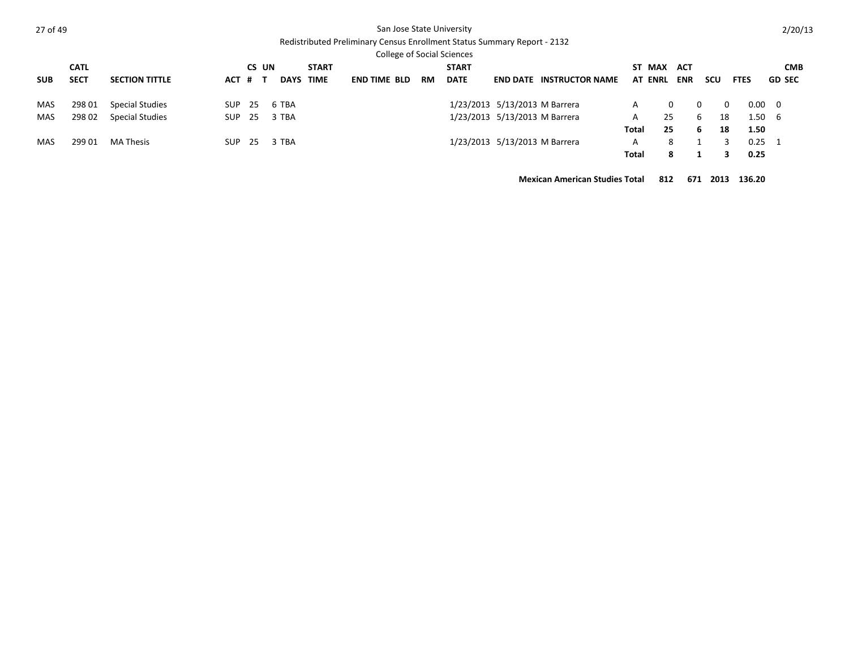| ۰, |
|----|
|----|

### San Jose State University

Redistributed Preliminary Census Enrollment Status Summary Report - 2132

|            |             |                        |      |         |             |              | College of Social Sciences |           |              |                                 |       |                |            |               |                |                |
|------------|-------------|------------------------|------|---------|-------------|--------------|----------------------------|-----------|--------------|---------------------------------|-------|----------------|------------|---------------|----------------|----------------|
|            | <b>CATL</b> |                        |      | CS UN   |             | <b>START</b> |                            |           | <b>START</b> |                                 |       | ST MAX ACT     |            |               |                | <b>CMB</b>     |
| <b>SUB</b> | <b>SECT</b> | <b>SECTION TITTLE</b>  |      | ACT # T | <b>DAYS</b> | TIME         | <b>END TIME BLD</b>        | <b>RM</b> | <b>DATE</b>  | <b>END DATE INSTRUCTOR NAME</b> |       | <b>AT ENRL</b> | <b>ENR</b> | scu           | <b>FTES</b>    | <b>GD SEC</b>  |
| MAS        | 298 01      | <b>Special Studies</b> | SUP. | -25     | 6 TBA       |              |                            |           |              | 1/23/2013 5/13/2013 M Barrera   | A     |                |            | $\Omega$<br>0 |                | $0.00 \quad 0$ |
| MAS        | 298 02      | <b>Special Studies</b> | SUP. | -25     | 3 TBA       |              |                            |           |              | 1/23/2013 5/13/2013 M Barrera   | A     | 25             |            | 18<br>6       |                | 1.50 6         |
|            |             |                        |      |         |             |              |                            |           |              |                                 | Total | 25             |            | 18<br>6       | 1.50           |                |
| MAS        | 299 01      | MA Thesis              | SUP. | -25     | 3 TBA       |              |                            |           |              | 1/23/2013 5/13/2013 M Barrera   | A     | 8              |            |               | $0.25 \quad 1$ |                |
|            |             |                        |      |         |             |              |                            |           |              |                                 | Total | 8              |            |               | 0.25           |                |

**Mexican American Studies Total 812 671 2013 136.20**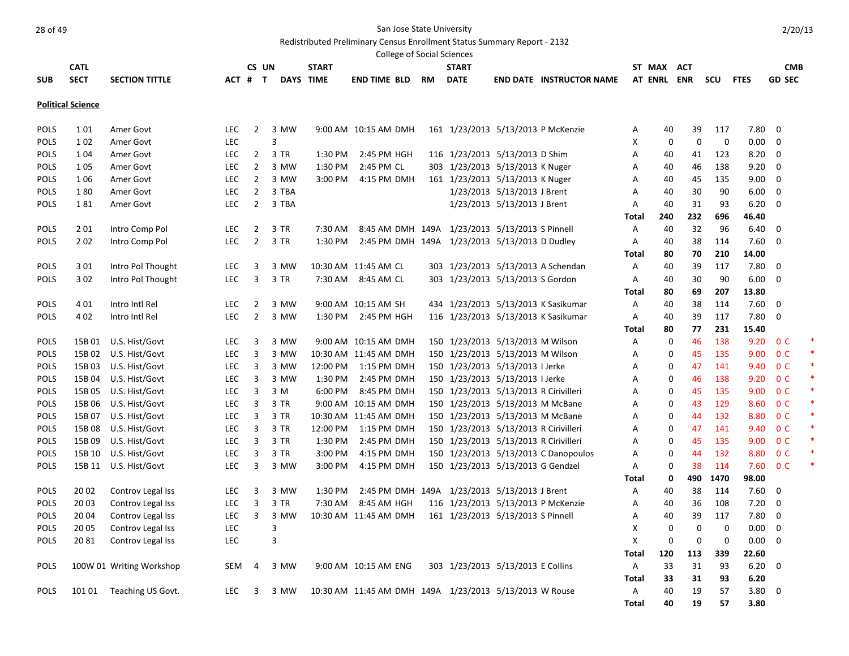Redistributed Preliminary Census Enrollment Status Summary Report - 2132

|             |                          |                          |            |                |                         |                  | <b>College of Social Sciences</b>                      |           |                                       |                             |                                      |              |             |             |             |             |                |  |
|-------------|--------------------------|--------------------------|------------|----------------|-------------------------|------------------|--------------------------------------------------------|-----------|---------------------------------------|-----------------------------|--------------------------------------|--------------|-------------|-------------|-------------|-------------|----------------|--|
|             | <b>CATL</b>              |                          |            |                | CS UN                   | <b>START</b>     |                                                        |           | <b>START</b>                          |                             |                                      | ST MAX       |             | <b>ACT</b>  |             |             | <b>CMB</b>     |  |
| <b>SUB</b>  | <b>SECT</b>              | <b>SECTION TITTLE</b>    |            | ACT # T        |                         | <b>DAYS TIME</b> | <b>END TIME BLD</b>                                    | <b>RM</b> | <b>DATE</b>                           |                             | <b>END DATE INSTRUCTOR NAME</b>      | AT ENRL ENR  |             |             | scu         | <b>FTES</b> | <b>GD SEC</b>  |  |
|             |                          |                          |            |                |                         |                  |                                                        |           |                                       |                             |                                      |              |             |             |             |             |                |  |
|             | <b>Political Science</b> |                          |            |                |                         |                  |                                                        |           |                                       |                             |                                      |              |             |             |             |             |                |  |
| <b>POLS</b> | 101                      | Amer Govt                | <b>LEC</b> | $\overline{2}$ | 3 MW                    |                  | 9:00 AM 10:15 AM DMH                                   |           |                                       |                             | 161 1/23/2013 5/13/2013 P McKenzie   | Α            | 40          | 39          | 117         | 7.80        | $\mathbf 0$    |  |
| <b>POLS</b> | 102                      | Amer Govt                | <b>LEC</b> |                | $\overline{\mathbf{3}}$ |                  |                                                        |           |                                       |                             |                                      | X            | $\mathbf 0$ | $\mathbf 0$ | $\mathbf 0$ | 0.00        | 0              |  |
| <b>POLS</b> | 1 0 4                    | Amer Govt                | <b>LEC</b> | $\overline{2}$ | 3 TR                    | 1:30 PM          | 2:45 PM HGH                                            |           | 116 1/23/2013 5/13/2013 D Shim        |                             |                                      | A            | 40          | 41          | 123         | 8.20        | $\mathbf 0$    |  |
| <b>POLS</b> | 105                      | Amer Govt                | <b>LEC</b> | $\overline{2}$ | 3 MW                    | 1:30 PM          | 2:45 PM CL                                             |           | 303 1/23/2013 5/13/2013 K Nuger       |                             |                                      | A            | 40          | 46          | 138         | 9.20        | $\mathbf 0$    |  |
| <b>POLS</b> | 1 0 6                    | Amer Govt                | <b>LEC</b> | $\overline{2}$ | 3 MW                    | 3:00 PM          | 4:15 PM DMH                                            |           | 161 1/23/2013 5/13/2013 K Nuger       |                             |                                      | Α            | 40          | 45          | 135         | 9.00        | 0              |  |
| <b>POLS</b> | 180                      | Amer Govt                | <b>LEC</b> | $\overline{2}$ | 3 TBA                   |                  |                                                        |           |                                       | 1/23/2013 5/13/2013 J Brent |                                      | A            | 40          | 30          | 90          | 6.00        | $\mathbf 0$    |  |
| POLS        | 181                      | Amer Govt                | LEC        | $\overline{2}$ | 3 TBA                   |                  |                                                        |           |                                       | 1/23/2013 5/13/2013 J Brent |                                      | A            | 40          | 31          | 93          | 6.20        | $\mathbf 0$    |  |
|             |                          |                          |            |                |                         |                  |                                                        |           |                                       |                             |                                      | Total        | 240         | 232         | 696         | 46.40       |                |  |
| POLS        | 201                      | Intro Comp Pol           | <b>LEC</b> | $\overline{2}$ | 3 TR                    | 7:30 AM          | 8:45 AM DMH 149A 1/23/2013 5/13/2013 S Pinnell         |           |                                       |                             |                                      | Α            | 40          | 32          | 96          | 6.40        | $\Omega$       |  |
| <b>POLS</b> | 202                      | Intro Comp Pol           | <b>LEC</b> | $\overline{2}$ | 3 TR                    | 1:30 PM          | 2:45 PM DMH 149A 1/23/2013 5/13/2013 D Dudley          |           |                                       |                             |                                      | Α            | 40          | 38          | 114         | 7.60        | $\mathbf 0$    |  |
|             |                          |                          |            |                |                         |                  |                                                        |           |                                       |                             |                                      | <b>Total</b> | 80          | 70          | 210         | 14.00       |                |  |
| POLS        | 301                      | Intro Pol Thought        | <b>LEC</b> | 3              | 3 MW                    |                  | 10:30 AM 11:45 AM CL                                   |           |                                       |                             | 303 1/23/2013 5/13/2013 A Schendan   | Α            | 40          | 39          | 117         | 7.80        | $\mathbf 0$    |  |
| <b>POLS</b> | 302                      | Intro Pol Thought        | <b>LEC</b> | 3              | 3 TR                    |                  | 7:30 AM 8:45 AM CL                                     |           | 303 1/23/2013 5/13/2013 S Gordon      |                             |                                      | Α            | 40          | 30          | 90          | 6.00        | $\mathbf 0$    |  |
|             |                          |                          |            |                |                         |                  |                                                        |           |                                       |                             |                                      | <b>Total</b> | 80          | 69          | 207         | 13.80       |                |  |
| <b>POLS</b> | 401                      | Intro Intl Rel           | <b>LEC</b> | $\overline{2}$ | 3 MW                    |                  | 9:00 AM 10:15 AM SH                                    |           |                                       |                             | 434 1/23/2013 5/13/2013 K Sasikumar  | Α            | 40          | 38          | 114         | 7.60        | 0              |  |
| POLS        | 402                      | Intro Intl Rel           | <b>LEC</b> | $\overline{2}$ | 3 MW                    | 1:30 PM          | 2:45 PM HGH                                            |           |                                       |                             | 116 1/23/2013 5/13/2013 K Sasikumar  | Α            | 40          | 39          | 117         | 7.80        | $\Omega$       |  |
|             |                          |                          |            |                |                         |                  |                                                        |           |                                       |                             |                                      | Total        | 80          | 77          | 231         | 15.40       |                |  |
| <b>POLS</b> | 15B 01                   | U.S. Hist/Govt           | <b>LEC</b> | 3              | 3 MW                    |                  | 9:00 AM 10:15 AM DMH                                   |           | 150 1/23/2013 5/13/2013 M Wilson      |                             |                                      | A            | $\mathbf 0$ | 46          | 138         | 9.20        | 0 <sup>C</sup> |  |
| <b>POLS</b> | 15B02                    | U.S. Hist/Govt           | <b>LEC</b> | 3              | 3 MW                    |                  | 10:30 AM 11:45 AM DMH                                  |           | 150 1/23/2013 5/13/2013 M Wilson      |                             |                                      | Α            | 0           | 45          | 135         | 9.00        | 0 <sup>C</sup> |  |
| <b>POLS</b> | 15B03                    | U.S. Hist/Govt           | <b>LEC</b> | 3              | 3 MW                    | 12:00 PM         | 1:15 PM DMH                                            |           | 150 1/23/2013 5/13/2013 I Jerke       |                             |                                      | A            | $\mathbf 0$ | 47          | 141         | 9.40        | 0 <sup>C</sup> |  |
| POLS        | 15B04                    | U.S. Hist/Govt           | <b>LEC</b> | 3              | 3 MW                    | 1:30 PM          | 2:45 PM DMH                                            |           | 150 1/23/2013 5/13/2013 I Jerke       |                             |                                      | Α            | 0           | 46          | 138         | 9.20        | 0 <sup>C</sup> |  |
| <b>POLS</b> | 15B 05                   | U.S. Hist/Govt           | <b>LEC</b> | 3              | 3 M                     | 6:00 PM          | 8:45 PM DMH                                            |           | 150 1/23/2013 5/13/2013 R Cirivilleri |                             |                                      | Α            | 0           | 45          | 135         | 9.00        | 0 <sup>C</sup> |  |
| <b>POLS</b> | 15B 06                   | U.S. Hist/Govt           | <b>LEC</b> | 3              | 3 TR                    |                  | 9:00 AM 10:15 AM DMH                                   |           | 150 1/23/2013 5/13/2013 M McBane      |                             |                                      | A            | $\mathbf 0$ | 43          | 129         | 8.60        | 0 <sup>C</sup> |  |
| POLS        |                          | 15B 07 U.S. Hist/Govt    | <b>LEC</b> | 3              | 3 TR                    |                  | 10:30 AM 11:45 AM DMH                                  |           | 150 1/23/2013 5/13/2013 M McBane      |                             |                                      | Α            | 0           | 44          | 132         | 8.80        | 0 <sup>C</sup> |  |
| <b>POLS</b> | 15B 08                   | U.S. Hist/Govt           | <b>LEC</b> | 3              | 3 TR                    | 12:00 PM         | 1:15 PM DMH                                            |           | 150 1/23/2013 5/13/2013 R Cirivilleri |                             |                                      | Α            | 0           | 47          | 141         | 9.40        | 0 <sup>C</sup> |  |
| POLS        | 15B09                    | U.S. Hist/Govt           | <b>LEC</b> | 3              | 3 TR                    | 1:30 PM          | 2:45 PM DMH                                            |           | 150 1/23/2013 5/13/2013 R Cirivilleri |                             |                                      | A            | 0           | 45          | 135         | 9.00        | 0 <sup>C</sup> |  |
| <b>POLS</b> | 15B 10                   | U.S. Hist/Govt           | <b>LEC</b> | 3              | 3 TR                    | 3:00 PM          | 4:15 PM DMH                                            |           |                                       |                             | 150 1/23/2013 5/13/2013 C Danopoulos | Α            | 0           | 44          | 132         | 8.80        | 0 <sup>C</sup> |  |
| <b>POLS</b> |                          | 15B 11 U.S. Hist/Govt    | <b>LEC</b> | 3              | 3 MW                    | 3:00 PM          | 4:15 PM DMH                                            |           | 150 1/23/2013 5/13/2013 G Gendzel     |                             |                                      | A            | 0           | 38          | 114         | 7.60        | 0 <sup>C</sup> |  |
|             |                          |                          |            |                |                         |                  |                                                        |           |                                       |                             |                                      | Total        | 0           | 490         | 1470        | 98.00       |                |  |
| <b>POLS</b> | 20 02                    | Controv Legal Iss        | <b>LEC</b> | 3              | 3 MW                    | 1:30 PM          | 2:45 PM DMH 149A 1/23/2013 5/13/2013 J Brent           |           |                                       |                             |                                      | Α            | 40          | 38          | 114         | 7.60        | $\mathbf 0$    |  |
| <b>POLS</b> | 20 03                    | Controv Legal Iss        | <b>LEC</b> | 3              | 3 TR                    | 7:30 AM          | 8:45 AM HGH                                            |           |                                       |                             | 116 1/23/2013 5/13/2013 P McKenzie   | Α            | 40          | 36          | 108         | 7.20        | 0              |  |
| <b>POLS</b> | 20 04                    | Controv Legal Iss        | <b>LEC</b> | 3              | 3 MW                    |                  | 10:30 AM 11:45 AM DMH                                  |           | 161 1/23/2013 5/13/2013 S Pinnell     |                             |                                      | Α            | 40          | 39          | 117         | 7.80        | 0              |  |
| POLS        | 20 05                    | Controv Legal Iss        | <b>LEC</b> |                | $\overline{3}$          |                  |                                                        |           |                                       |                             |                                      | Χ            | $\mathbf 0$ | $\mathbf 0$ | $\mathbf 0$ | 0.00        | $\mathbf 0$    |  |
| POLS        | 2081                     | Controv Legal Iss        | LEC        |                | $\overline{3}$          |                  |                                                        |           |                                       |                             |                                      | X            | $\mathbf 0$ | $\mathbf 0$ | $\mathbf 0$ | 0.00        | $\mathbf 0$    |  |
|             |                          |                          |            |                |                         |                  |                                                        |           |                                       |                             |                                      | <b>Total</b> | 120         | 113         | 339         | 22.60       |                |  |
| POLS        |                          | 100W 01 Writing Workshop | SEM        | $\overline{4}$ | 3 MW                    |                  | 9:00 AM 10:15 AM ENG                                   |           | 303 1/23/2013 5/13/2013 E Collins     |                             |                                      | Α            | 33          | 31          | 93          | 6.20        | $\mathbf 0$    |  |
|             |                          |                          |            |                |                         |                  |                                                        |           |                                       |                             |                                      | Total        | 33          | 31          | 93          | 6.20        |                |  |
| <b>POLS</b> | 101 01                   | Teaching US Govt.        | <b>LEC</b> | 3              | 3 MW                    |                  | 10:30 AM 11:45 AM DMH 149A 1/23/2013 5/13/2013 W Rouse |           |                                       |                             |                                      | Α            | 40          | 19          | 57          | 3.80        | $\mathbf 0$    |  |
|             |                          |                          |            |                |                         |                  |                                                        |           |                                       |                             |                                      | <b>Total</b> | 40          | 19          | 57          | 3.80        |                |  |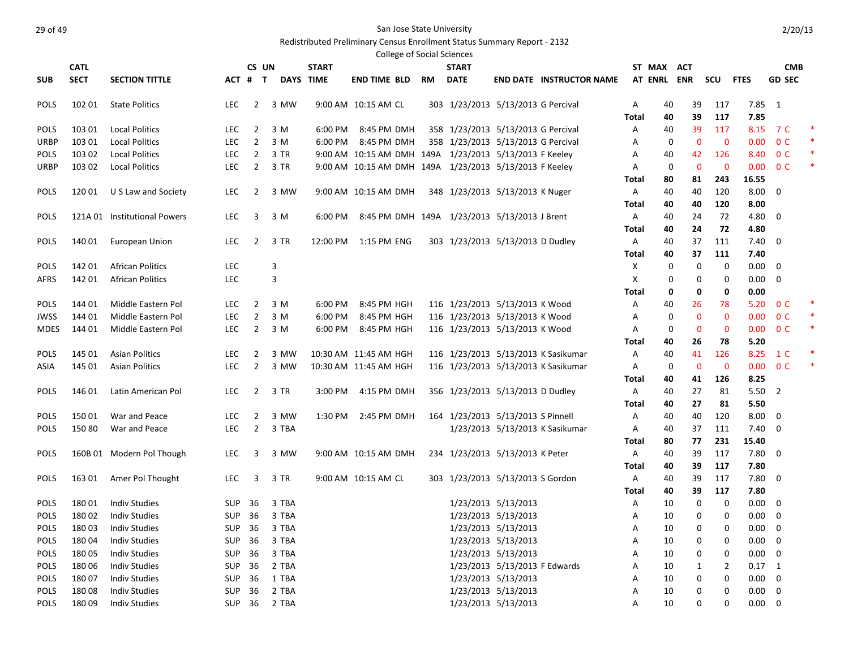### Redistributed Preliminary Census Enrollment Status Summary Report - 2132

|             |             |                              |            |                |              |                  |                       |    | <b>College of Social Sciences</b> |                                                        |                                     |       |             |              |             |                |                         |        |
|-------------|-------------|------------------------------|------------|----------------|--------------|------------------|-----------------------|----|-----------------------------------|--------------------------------------------------------|-------------------------------------|-------|-------------|--------------|-------------|----------------|-------------------------|--------|
|             | <b>CATL</b> |                              |            | CS UN          |              | <b>START</b>     |                       |    | <b>START</b>                      |                                                        |                                     |       | ST MAX ACT  |              |             |                | <b>CMB</b>              |        |
| <b>SUB</b>  | <b>SECT</b> | <b>SECTION TITTLE</b>        |            | ACT # T        |              | <b>DAYS TIME</b> | <b>END TIME BLD</b>   | RM | <b>DATE</b>                       |                                                        | <b>END DATE INSTRUCTOR NAME</b>     |       | AT ENRL ENR |              | scu         | <b>FTES</b>    | <b>GD SEC</b>           |        |
| <b>POLS</b> | 102 01      | <b>State Politics</b>        | LEC.       | $\overline{2}$ | 3 MW         |                  | 9:00 AM 10:15 AM CL   |    |                                   | 303 1/23/2013 5/13/2013 G Percival                     |                                     | Α     | 40          | 39           | 117         | $7.85 \quad 1$ |                         |        |
|             |             |                              |            |                |              |                  |                       |    |                                   |                                                        |                                     | Total | 40          | 39           | 117         | 7.85           |                         |        |
| <b>POLS</b> | 103 01      | <b>Local Politics</b>        | <b>LEC</b> | 2              | 3 M          | 6:00 PM          | 8:45 PM DMH           |    |                                   | 358 1/23/2013 5/13/2013 G Percival                     |                                     | Α     | 40          | 39           | 117         | 8.15           | 7 C                     | $\ast$ |
| URBP        | 103 01      | <b>Local Politics</b>        | <b>LEC</b> | 2              | 3 M          | 6:00 PM          | 8:45 PM DMH           |    |                                   | 358 1/23/2013 5/13/2013 G Percival                     |                                     | Α     | 0           | $\mathbf 0$  | $\mathbf 0$ | 0.00           | 0 <sup>C</sup>          | $\ast$ |
| <b>POLS</b> | 103 02      | <b>Local Politics</b>        | <b>LEC</b> | $\overline{2}$ | 3 TR         |                  |                       |    |                                   | 9:00 AM 10:15 AM DMH 149A 1/23/2013 5/13/2013 F Keeley |                                     | Α     | 40          | 42           | 126         | 8.40           | 0 <sup>C</sup>          | $\ast$ |
| URBP        | 103 02      | <b>Local Politics</b>        | LEC        | $\overline{2}$ | 3 TR         |                  |                       |    |                                   | 9:00 AM 10:15 AM DMH 149A 1/23/2013 5/13/2013 F Keeley |                                     | Α     | 0           | $\mathbf{0}$ | $\mathbf 0$ | 0.00           | 0 <sup>C</sup>          | $\ast$ |
|             |             |                              |            |                |              |                  |                       |    |                                   |                                                        |                                     | Total | 80          | 81           | 243         | 16.55          |                         |        |
| <b>POLS</b> | 120 01      | U S Law and Society          | <b>LEC</b> | 2              | 3 MW         |                  | 9:00 AM 10:15 AM DMH  |    |                                   | 348 1/23/2013 5/13/2013 K Nuger                        |                                     | Α     | 40          | 40           | 120         | 8.00           | 0                       |        |
|             |             |                              |            |                |              |                  |                       |    |                                   |                                                        |                                     | Total | 40          | 40           | 120         | 8.00           |                         |        |
| <b>POLS</b> |             | 121A 01 Institutional Powers | LEC.       | 3              | 3 M          | 6:00 PM          |                       |    |                                   | 8:45 PM DMH 149A 1/23/2013 5/13/2013 J Brent           |                                     | Α     | 40          | 24           | 72          | 4.80           | 0                       |        |
|             |             |                              |            |                |              |                  |                       |    |                                   |                                                        |                                     | Total | 40          | 24           | 72          | 4.80           |                         |        |
| <b>POLS</b> | 140 01      | <b>European Union</b>        | <b>LEC</b> | $\overline{2}$ | 3 TR         | 12:00 PM         | 1:15 PM ENG           |    |                                   | 303 1/23/2013 5/13/2013 D Dudley                       |                                     | Α     | 40          | 37           | 111         | 7.40           | 0                       |        |
|             |             |                              |            |                |              |                  |                       |    |                                   |                                                        |                                     | Total | 40          | 37           | 111         | 7.40           |                         |        |
| <b>POLS</b> | 142 01      | <b>African Politics</b>      | <b>LEC</b> |                | 3            |                  |                       |    |                                   |                                                        |                                     | Χ     | 0           | 0            | 0           | 0.00           | 0                       |        |
| AFRS        | 142 01      | <b>African Politics</b>      | <b>LEC</b> |                | 3            |                  |                       |    |                                   |                                                        |                                     | Х     | 0           | 0            | 0           | 0.00           | 0                       |        |
|             |             |                              |            |                |              |                  |                       |    |                                   |                                                        |                                     | Total | 0           | 0            | 0           | 0.00           |                         |        |
| <b>POLS</b> | 144 01      | Middle Eastern Pol           | <b>LEC</b> | 2              | 3 M          | 6:00 PM          | 8:45 PM HGH           |    |                                   | 116 1/23/2013 5/13/2013 K Wood                         |                                     | Α     | 40          | 26           | 78          | 5.20           | 0 <sup>C</sup>          | $\ast$ |
| JWSS        | 144 01      | Middle Eastern Pol           | LEC        | $\overline{2}$ | 3 M          | 6:00 PM          | 8:45 PM HGH           |    |                                   | 116 1/23/2013 5/13/2013 K Wood                         |                                     | Α     | 0           | $\mathbf 0$  | 0           | 0.00           | 0 <sup>C</sup>          | $\ast$ |
| <b>MDES</b> | 144 01      | Middle Eastern Pol           | <b>LEC</b> | $\overline{2}$ | 3 M          | 6:00 PM          | 8:45 PM HGH           |    |                                   | 116 1/23/2013 5/13/2013 K Wood                         |                                     | Α     | 0           | $\mathbf 0$  | 0           | 0.00           | 0 <sup>C</sup>          | $\ast$ |
|             |             |                              |            |                |              |                  |                       |    |                                   |                                                        |                                     | Total | 40          | 26           | 78          | 5.20           |                         |        |
| <b>POLS</b> | 145 01      | <b>Asian Politics</b>        | <b>LEC</b> | 2              | 3 MW         |                  | 10:30 AM 11:45 AM HGH |    |                                   |                                                        | 116 1/23/2013 5/13/2013 K Sasikumar | Α     | 40          | 41           | 126         | 8.25           | 1 C                     | $\ast$ |
| ASIA        | 145 01      | <b>Asian Politics</b>        | LEC.       | 2              | 3 MW         |                  | 10:30 AM 11:45 AM HGH |    |                                   |                                                        | 116 1/23/2013 5/13/2013 K Sasikumar | Α     | 0           | $\mathbf{0}$ | $\mathbf 0$ | 0.00           | 0 <sup>C</sup>          | *      |
|             |             |                              |            |                |              |                  |                       |    |                                   |                                                        |                                     | Total | 40          | 41           | 126         | 8.25           |                         |        |
| <b>POLS</b> | 146 01      | Latin American Pol           | LEC.       | $\overline{2}$ | 3 TR         | 3:00 PM          | 4:15 PM DMH           |    |                                   | 356 1/23/2013 5/13/2013 D Dudley                       |                                     | Α     | 40          | 27           | 81          | 5.50           | $\overline{2}$          |        |
|             |             |                              |            |                |              |                  |                       |    |                                   |                                                        |                                     | Total | 40          | 27           | 81          | 5.50           |                         |        |
| <b>POLS</b> | 15001       | War and Peace                | <b>LEC</b> | 2              | 3 MW         | 1:30 PM          | 2:45 PM DMH           |    |                                   | 164 1/23/2013 5/13/2013 S Pinnell                      |                                     | Α     | 40          | 40           | 120         | 8.00           | 0                       |        |
| <b>POLS</b> | 15080       | War and Peace                | LEC        | $\overline{2}$ | 3 TBA        |                  |                       |    |                                   |                                                        | 1/23/2013 5/13/2013 K Sasikumar     | A     | 40          | 37           | 111         | 7.40           | 0                       |        |
|             |             |                              |            |                |              |                  |                       |    |                                   |                                                        |                                     | Total | 80          | 77           | 231         | 15.40          |                         |        |
| <b>POLS</b> |             | 160B 01 Modern Pol Though    | LEC.       | 3              | 3 MW         |                  | 9:00 AM 10:15 AM DMH  |    |                                   | 234 1/23/2013 5/13/2013 K Peter                        |                                     | A     | 40          | 39           | 117         | 7.80           | 0                       |        |
|             |             |                              |            |                |              |                  |                       |    |                                   |                                                        |                                     | Total | 40          | 39           | 117         | 7.80           |                         |        |
| <b>POLS</b> | 163 01      | Amer Pol Thought             | <b>LEC</b> | 3              | 3 TR         |                  | 9:00 AM 10:15 AM CL   |    |                                   | 303 1/23/2013 5/13/2013 S Gordon                       |                                     | Α     | 40          | 39           | 117         | 7.80           | 0                       |        |
|             |             |                              |            |                |              |                  |                       |    |                                   |                                                        |                                     | Total | 40          | 39           | 117         | 7.80           |                         |        |
| <b>POLS</b> | 18001       | <b>Indiv Studies</b>         | SUP        | 36             | 3 TBA        |                  |                       |    |                                   | 1/23/2013 5/13/2013                                    |                                     | Α     | 10          | 0            | 0           | 0.00           | 0                       |        |
| <b>POLS</b> | 18002       | Indiv Studies                |            | SUP 36         | 3 TBA        |                  |                       |    |                                   | 1/23/2013 5/13/2013                                    |                                     | A     | 10          | 0            | 0           | $0.00\,$       | 0                       |        |
| POLS        |             | 180 03 Indiv Studies         |            |                | SUP 36 3 TBA |                  |                       |    |                                   | 1/23/2013 5/13/2013                                    |                                     | Α     | 10          | 0            |             | $0.00 \t 0$    |                         |        |
| <b>POLS</b> | 18004       | <b>Indiv Studies</b>         | <b>SUP</b> | 36             | 3 TBA        |                  |                       |    |                                   | 1/23/2013 5/13/2013                                    |                                     | А     | 10          | 0            | 0           | $0.00 \t 0$    |                         |        |
| <b>POLS</b> | 18005       | <b>Indiv Studies</b>         | SUP        | 36             | 3 TBA        |                  |                       |    |                                   | 1/23/2013 5/13/2013                                    |                                     | А     | 10          | 0            | 0           | 0.00           | 0                       |        |
| <b>POLS</b> | 18006       | <b>Indiv Studies</b>         | SUP        | 36             | 2 TBA        |                  |                       |    |                                   | 1/23/2013 5/13/2013 F Edwards                          |                                     | А     | 10          | 1            | 2           | $0.17 \quad 1$ |                         |        |
| <b>POLS</b> | 18007       | <b>Indiv Studies</b>         | SUP        | 36             | 1 TBA        |                  |                       |    |                                   | 1/23/2013 5/13/2013                                    |                                     | А     | 10          | 0            | 0           | 0.00           | $\overline{\mathbf{0}}$ |        |
| <b>POLS</b> | 18008       | <b>Indiv Studies</b>         | SUP        | 36             | 2 TBA        |                  |                       |    |                                   | 1/23/2013 5/13/2013                                    |                                     | A     | 10          | 0            | 0           | 0.00           | 0                       |        |
| <b>POLS</b> | 18009       | <b>Indiv Studies</b>         |            | SUP 36         | 2 TBA        |                  |                       |    |                                   | 1/23/2013 5/13/2013                                    |                                     | А     | 10          | 0            | $\mathbf 0$ | $0.00 \t 0$    |                         |        |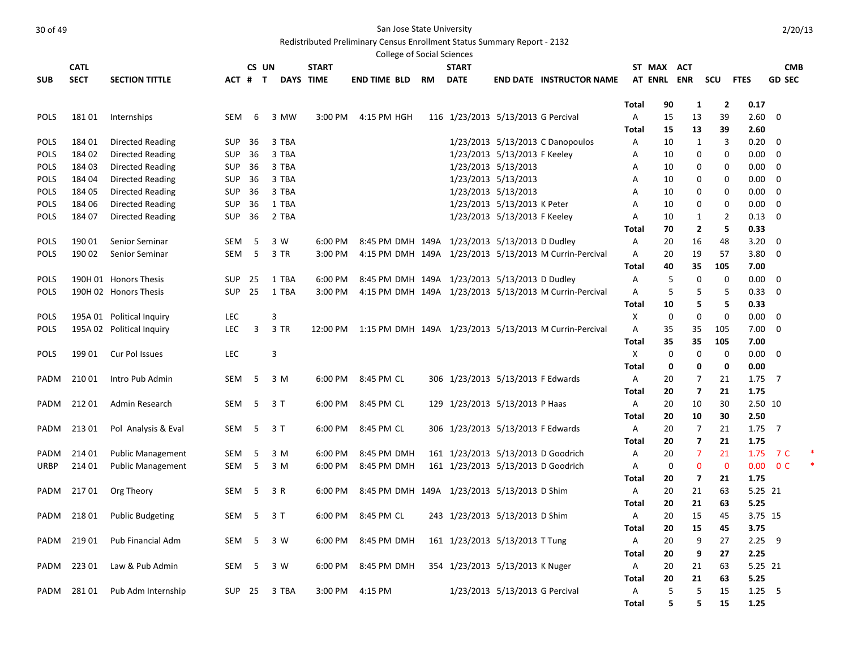|             |             |                           |            |         |       |              |                     | College of Social Sciences |                                               |                                |                                                                 |            |             |                                |                   |              |                       |  |
|-------------|-------------|---------------------------|------------|---------|-------|--------------|---------------------|----------------------------|-----------------------------------------------|--------------------------------|-----------------------------------------------------------------|------------|-------------|--------------------------------|-------------------|--------------|-----------------------|--|
|             | <b>CATL</b> |                           |            | CS UN   |       | <b>START</b> |                     |                            | <b>START</b>                                  |                                |                                                                 |            | ST MAX ACT  |                                |                   |              | <b>CMB</b>            |  |
| <b>SUB</b>  | <b>SECT</b> | <b>SECTION TITTLE</b>     |            | ACT # T |       | DAYS TIME    | <b>END TIME BLD</b> | <b>RM</b>                  | <b>DATE</b>                                   |                                | <b>END DATE INSTRUCTOR NAME</b>                                 |            | AT ENRL ENR |                                | scu               | <b>FTES</b>  | <b>GD SEC</b>         |  |
|             |             |                           |            |         |       |              |                     |                            |                                               |                                |                                                                 |            |             |                                |                   |              |                       |  |
|             |             |                           |            |         |       |              |                     |                            |                                               |                                |                                                                 | Total      | 90          | 1                              | $\mathbf{2}$      | 0.17         |                       |  |
| <b>POLS</b> | 18101       | Internships               | SEM        | 6       | 3 MW  | 3:00 PM      | 4:15 PM HGH         |                            | 116 1/23/2013 5/13/2013 G Percival            |                                |                                                                 | Α          | 15          | 13                             | 39                | 2.60         | $\Omega$              |  |
|             |             |                           |            |         |       |              |                     |                            |                                               |                                |                                                                 | Total      | 15          | 13                             | 39                | 2.60         |                       |  |
| POLS        | 184 01      | <b>Directed Reading</b>   | <b>SUP</b> | 36      | 3 TBA |              |                     |                            |                                               |                                | 1/23/2013 5/13/2013 C Danopoulos                                | Α          | 10          | $\mathbf{1}$                   | 3                 | 0.20         | $\Omega$              |  |
| <b>POLS</b> | 184 02      | Directed Reading          | <b>SUP</b> | 36      | 3 TBA |              |                     |                            |                                               | 1/23/2013 5/13/2013 F Keeley   |                                                                 | Α          | 10          | 0                              | 0                 | 0.00         | $\mathbf 0$           |  |
| <b>POLS</b> | 184 03      | <b>Directed Reading</b>   | <b>SUP</b> | 36      | 3 TBA |              |                     |                            |                                               | 1/23/2013 5/13/2013            |                                                                 | Α          | 10          | 0                              | 0                 | 0.00         | 0                     |  |
| <b>POLS</b> | 184 04      | Directed Reading          | <b>SUP</b> | 36      | 3 TBA |              |                     |                            |                                               | 1/23/2013 5/13/2013            |                                                                 | A          | 10          | 0                              | 0                 | 0.00         | 0                     |  |
| <b>POLS</b> | 184 05      | <b>Directed Reading</b>   | <b>SUP</b> | 36      | 3 TBA |              |                     |                            |                                               | 1/23/2013 5/13/2013            |                                                                 | Α          | 10          | 0                              | 0                 | 0.00         | $\mathbf 0$           |  |
| <b>POLS</b> | 184 06      | <b>Directed Reading</b>   | <b>SUP</b> | 36      | 1 TBA |              |                     |                            |                                               | 1/23/2013 5/13/2013 K Peter    |                                                                 | Α          | 10          | 0                              | 0                 | 0.00         | 0                     |  |
| <b>POLS</b> | 184 07      | Directed Reading          | <b>SUP</b> | 36      | 2 TBA |              |                     |                            |                                               | 1/23/2013 5/13/2013 F Keeley   |                                                                 | A          | 10          | 1                              | 2                 | 0.13         | 0                     |  |
|             |             |                           |            |         |       |              |                     |                            |                                               |                                |                                                                 | Total      | 70          | $\overline{2}$                 | 5                 | 0.33         |                       |  |
| <b>POLS</b> | 190 01      | Senior Seminar            | <b>SEM</b> | 5       | 3 W   | 6:00 PM      | 8:45 PM DMH 149A    |                            | 1/23/2013 5/13/2013 D Dudley                  |                                |                                                                 | Α          | 20          | 16                             | 48                | 3.20         | 0                     |  |
| <b>POLS</b> | 190 02      | Senior Seminar            | SEM        | 5       | 3 TR  | 3:00 PM      | 4:15 PM DMH 149A    |                            |                                               |                                | 1/23/2013 5/13/2013 M Currin-Percival                           | Α          | 20          | 19                             | 57                | 3.80         | 0                     |  |
|             |             |                           |            |         |       |              |                     |                            |                                               |                                |                                                                 | Total      | 40          | 35                             | 105               | 7.00         |                       |  |
| <b>POLS</b> |             | 190H 01 Honors Thesis     | <b>SUP</b> | 25      | 1 TBA | 6:00 PM      |                     |                            | 8:45 PM DMH 149A 1/23/2013 5/13/2013 D Dudley |                                |                                                                 | Α          | 5           | $\mathbf 0$                    | $\mathbf 0$       | 0.00         | $\mathbf 0$           |  |
| <b>POLS</b> |             | 190H 02 Honors Thesis     | <b>SUP</b> | 25      | 1 TBA | 3:00 PM      |                     |                            |                                               |                                | 4:15 PM DMH 149A 1/23/2013 5/13/2013 M Currin-Percival          | A          | 5           | 5                              | 5                 | 0.33         | 0                     |  |
|             |             |                           |            |         |       |              |                     |                            |                                               |                                |                                                                 | Total      | 10          | 5                              | 5                 | 0.33         |                       |  |
| <b>POLS</b> |             | 195A 01 Political Inquiry | <b>LEC</b> |         | 3     |              |                     |                            |                                               |                                |                                                                 | X          | 0           | $\Omega$                       | $\Omega$          | 0.00         | $\Omega$              |  |
| <b>POLS</b> |             | 195A 02 Political Inquiry | <b>LEC</b> | 3       | 3 TR  |              |                     |                            |                                               |                                | 12:00 PM 1:15 PM DMH 149A 1/23/2013 5/13/2013 M Currin-Percival | Α          | 35          | 35                             | 105               | 7.00         | 0                     |  |
|             |             |                           |            |         |       |              |                     |                            |                                               |                                |                                                                 | Total      | 35          | 35                             | 105               | 7.00         |                       |  |
| <b>POLS</b> | 199 01      | Cur Pol Issues            | <b>LEC</b> |         | 3     |              |                     |                            |                                               |                                |                                                                 | X          | $\mathbf 0$ | $\mathbf 0$                    | $\mathbf 0$       | 0.00         | $\mathbf 0$           |  |
|             |             |                           |            |         |       |              |                     |                            |                                               |                                |                                                                 | Total      | 0           | 0                              | 0                 | 0.00         |                       |  |
| PADM        | 210 01      | Intro Pub Admin           | SEM        | 5       | 3 M   | 6:00 PM      | 8:45 PM CL          |                            | 306 1/23/2013 5/13/2013 F Edwards             |                                |                                                                 | Α          | 20          | 7                              | 21                | 1.75         | $\overline{7}$        |  |
|             |             |                           |            |         |       |              |                     |                            |                                               |                                |                                                                 | Total      | 20          | $\overline{7}$                 | 21                | 1.75         |                       |  |
| PADM        | 21201       | Admin Research            | SEM        | 5       | 3 T   | 6:00 PM      | 8:45 PM CL          |                            | 129 1/23/2013 5/13/2013 P Haas                |                                |                                                                 | Α          | 20          | 10                             | 30                | 2.50 10      |                       |  |
|             |             |                           |            |         |       |              |                     |                            |                                               |                                |                                                                 | Total      | 20          | 10                             | 30                | 2.50         |                       |  |
| <b>PADM</b> | 213 01      | Pol Analysis & Eval       | <b>SEM</b> | 5       | 3 T   | 6:00 PM      | 8:45 PM CL          |                            | 306 1/23/2013 5/13/2013 F Edwards             |                                |                                                                 | A          | 20          | $\overline{7}$                 | 21                | 1.75         | $\overline{7}$        |  |
|             |             |                           |            |         |       |              |                     |                            |                                               |                                |                                                                 | Total      | 20          | $\overline{7}$                 | 21                | 1.75         |                       |  |
| PADM        | 214 01      | <b>Public Management</b>  | SEM        | 5<br>5  | 3 M   | 6:00 PM      | 8:45 PM DMH         |                            | 161 1/23/2013 5/13/2013 D Goodrich            |                                |                                                                 | Α          | 20<br>0     | $\overline{7}$<br>$\mathbf{0}$ | 21<br>$\mathbf 0$ | 1.75<br>0.00 | 7 C<br>0 <sup>C</sup> |  |
| URBP        | 214 01      | <b>Public Management</b>  | <b>SEM</b> |         | 3 M   | 6:00 PM      | 8:45 PM DMH         |                            | 161 1/23/2013 5/13/2013 D Goodrich            |                                |                                                                 | A<br>Total | 20          | 7                              | 21                | 1.75         |                       |  |
| <b>PADM</b> | 21701       |                           | SEM        | 5       | 3 R   | 6:00 PM      |                     |                            | 8:45 PM DMH 149A 1/23/2013 5/13/2013 D Shim   |                                |                                                                 |            | 20          | 21                             | 63                | 5.25 21      |                       |  |
|             |             | Org Theory                |            |         |       |              |                     |                            |                                               |                                |                                                                 | Α<br>Total | 20          | 21                             | 63                | 5.25         |                       |  |
| PADM        | 21801       | <b>Public Budgeting</b>   | SEM        | 5       | 3 T   | 6:00 PM      | 8:45 PM CL          |                            | 243 1/23/2013 5/13/2013 D Shim                |                                |                                                                 | Α          | 20          | 15                             | 45                | 3.75 15      |                       |  |
|             |             |                           |            |         |       |              |                     |                            |                                               |                                |                                                                 | Total      | 20          | 15                             | 45                | 3.75         |                       |  |
| PADM        | 21901       | Pub Financial Adm         | <b>SEM</b> | 5       | 3 W   | 6:00 PM      | 8:45 PM DMH         |                            | 161 1/23/2013 5/13/2013 T Tung                |                                |                                                                 | Α          | 20          | 9                              | 27                | 2.25         | -9                    |  |
|             |             |                           |            |         |       |              |                     |                            |                                               |                                |                                                                 | Total      | 20          | 9                              | 27                | 2.25         |                       |  |
| <b>PADM</b> | 223 01      | Law & Pub Admin           | SEM        | 5       | 3 W   | 6:00 PM      | 8:45 PM DMH         |                            | 354 1/23/2013 5/13/2013 K Nuger               |                                |                                                                 | Α          | 20          | 21                             | 63                | 5.25 21      |                       |  |
|             |             |                           |            |         |       |              |                     |                            |                                               |                                |                                                                 | Total      | 20          | 21                             | 63                | 5.25         |                       |  |
| PADM        | 28101       | Pub Adm Internship        | SUP.       | 25      | 3 TBA | 3:00 PM      | 4:15 PM             |                            |                                               | 1/23/2013 5/13/2013 G Percival |                                                                 | Α          | 5           | 5                              | 15                | 1.25         | 5                     |  |
|             |             |                           |            |         |       |              |                     |                            |                                               |                                |                                                                 | Total      | 5           | 5                              | 15                | 1.25         |                       |  |
|             |             |                           |            |         |       |              |                     |                            |                                               |                                |                                                                 |            |             |                                |                   |              |                       |  |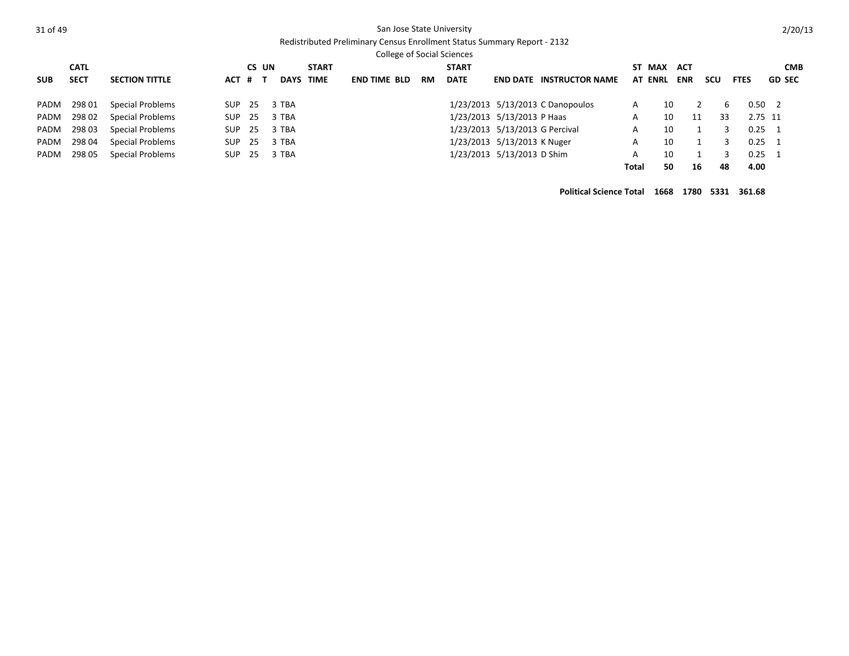# Redistributed Preliminary Census Enrollment Status Summary Report - 2132

College of Social Sciences

| <b>SUB</b> | <b>CATL</b><br><b>SECT</b> | <b>SECTION TITTLE</b>   | ACT # T | CS UN | DAYS TIME | <b>START</b> | <b>END TIME BLD</b> | <b>RM</b> | <b>START</b><br><b>DATE</b> |                                | <b>END DATE INSTRUCTOR NAME</b>  | <b>AT ENRL</b> | ST MAX ACT | <b>ENR</b> | scu | <b>FTES</b>    | <b>CMB</b><br><b>GD SEC</b> |
|------------|----------------------------|-------------------------|---------|-------|-----------|--------------|---------------------|-----------|-----------------------------|--------------------------------|----------------------------------|----------------|------------|------------|-----|----------------|-----------------------------|
|            | PADM 29801                 | Special Problems        | SUP     | - 25  | 3 TBA     |              |                     |           |                             |                                | 1/23/2013 5/13/2013 C Danopoulos | А              | 10         |            | h   | $0.50 \quad 2$ |                             |
|            | PADM 29802                 | <b>Special Problems</b> | SUP     | -25   | 3 TBA     |              |                     |           |                             | 1/23/2013 5/13/2013 P Haas     |                                  | А              | 10         | 11         | 33  | 2.75 11        |                             |
|            | PADM 298 03                | Special Problems        | SUP     | -25   | 3 TBA     |              |                     |           |                             | 1/23/2013 5/13/2013 G Percival |                                  | А              | 10         |            |     | $0.25 \quad 1$ |                             |
|            | PADM 298 04                | Special Problems        | SUP     | -25   | 3 TBA     |              |                     |           |                             | 1/23/2013 5/13/2013 K Nuger    |                                  | A              | 10         |            |     | $0.25 \quad 1$ |                             |
|            | PADM 298 05                | <b>Special Problems</b> | SUP     | 25    | 3 TBA     |              |                     |           |                             | 1/23/2013 5/13/2013 D Shim     |                                  | А              | 10         |            |     | $0.25 \quad 1$ |                             |
|            |                            |                         |         |       |           |              |                     |           |                             |                                |                                  | Total          | 50         | 16         | 48  | 4.00           |                             |

**Political Science Total 1668 1780 5331 361.68**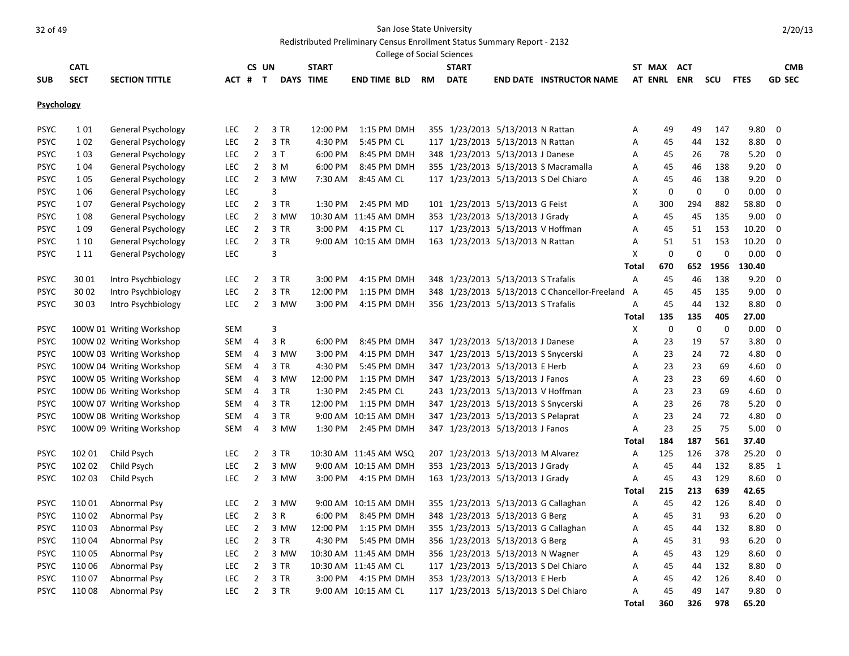Redistributed Preliminary Census Enrollment Status Summary Report - 2132

|                   |             |                           |            |                |      |                  | <b>College of Social Sciences</b> |           |              |                                    |                                               |              |                |             |             |             |               |
|-------------------|-------------|---------------------------|------------|----------------|------|------------------|-----------------------------------|-----------|--------------|------------------------------------|-----------------------------------------------|--------------|----------------|-------------|-------------|-------------|---------------|
|                   | <b>CATL</b> |                           |            | CS UN          |      | <b>START</b>     |                                   |           | <b>START</b> |                                    |                                               |              | ST MAX         | <b>ACT</b>  |             |             | <b>CMB</b>    |
| <b>SUB</b>        | <b>SECT</b> | <b>SECTION TITTLE</b>     | ACT # T    |                |      | <b>DAYS TIME</b> | <b>END TIME BLD</b>               | <b>RM</b> | <b>DATE</b>  |                                    | <b>END DATE INSTRUCTOR NAME</b>               |              | <b>AT ENRL</b> | <b>ENR</b>  | scu         | <b>FTES</b> | <b>GD SEC</b> |
|                   |             |                           |            |                |      |                  |                                   |           |              |                                    |                                               |              |                |             |             |             |               |
| <b>Psychology</b> |             |                           |            |                |      |                  |                                   |           |              |                                    |                                               |              |                |             |             |             |               |
| <b>PSYC</b>       | 101         | General Psychology        | <b>LEC</b> | $\overline{2}$ | 3 TR | 12:00 PM         | 1:15 PM DMH                       |           |              | 355 1/23/2013 5/13/2013 N Rattan   |                                               | Α            | 49             | 49          | 147         | 9.80        | $\mathbf 0$   |
| <b>PSYC</b>       | 102         | General Psychology        | <b>LEC</b> | $\overline{2}$ | 3 TR | 4:30 PM          | 5:45 PM CL                        |           |              | 117 1/23/2013 5/13/2013 N Rattan   |                                               | А            | 45             | 44          | 132         | 8.80        | $\mathbf 0$   |
| <b>PSYC</b>       | 103         | <b>General Psychology</b> | <b>LEC</b> | $\overline{2}$ | 3T   | 6:00 PM          | 8:45 PM DMH                       |           |              | 348 1/23/2013 5/13/2013 J Danese   |                                               | Α            | 45             | 26          | 78          | 5.20        | 0             |
| <b>PSYC</b>       | 104         | General Psychology        | <b>LEC</b> | $\overline{2}$ | 3 M  | 6:00 PM          | 8:45 PM DMH                       |           |              |                                    | 355 1/23/2013 5/13/2013 S Macramalla          | Α            | 45             | 46          | 138         | 9.20        | $\mathbf 0$   |
| <b>PSYC</b>       | 105         | General Psychology        | <b>LEC</b> | $\overline{2}$ | 3 MW | 7:30 AM          | 8:45 AM CL                        |           |              |                                    | 117 1/23/2013 5/13/2013 S Del Chiaro          | Α            | 45             | 46          | 138         | 9.20        | 0             |
| <b>PSYC</b>       | 106         | <b>General Psychology</b> | <b>LEC</b> |                | 3    |                  |                                   |           |              |                                    |                                               | x            | 0              | $\mathbf 0$ | $\mathbf 0$ | 0.00        | $\mathbf 0$   |
| <b>PSYC</b>       | 107         | General Psychology        | <b>LEC</b> | $\overline{2}$ | 3 TR | 1:30 PM          | 2:45 PM MD                        |           |              | 101 1/23/2013 5/13/2013 G Feist    |                                               | Α            | 300            | 294         | 882         | 58.80       | $\mathbf 0$   |
| <b>PSYC</b>       | 108         | General Psychology        | <b>LEC</b> | $\overline{2}$ | 3 MW |                  | 10:30 AM 11:45 AM DMH             |           |              | 353 1/23/2013 5/13/2013 J Grady    |                                               | А            | 45             | 45          | 135         | 9.00        | 0             |
| <b>PSYC</b>       | 109         | General Psychology        | <b>LEC</b> | $\overline{2}$ | 3 TR | 3:00 PM          | 4:15 PM CL                        |           |              | 117 1/23/2013 5/13/2013 V Hoffman  |                                               | Α            | 45             | 51          | 153         | 10.20       | $\mathbf 0$   |
| <b>PSYC</b>       | 1 1 0       | <b>General Psychology</b> | <b>LEC</b> | $\overline{2}$ | 3 TR |                  | 9:00 AM 10:15 AM DMH              |           |              | 163 1/23/2013 5/13/2013 N Rattan   |                                               | Α            | 51             | 51          | 153         | 10.20       | 0             |
| <b>PSYC</b>       | 1 1 1       | General Psychology        | <b>LEC</b> |                | 3    |                  |                                   |           |              |                                    |                                               | Χ            | $\mathbf 0$    | 0           | $\mathbf 0$ | 0.00        | 0             |
|                   |             |                           |            |                |      |                  |                                   |           |              |                                    |                                               | <b>Total</b> | 670            | 652         | 1956        | 130.40      |               |
| <b>PSYC</b>       | 30 01       | Intro Psychbiology        | LEC.       | 2              | 3 TR | 3:00 PM          | 4:15 PM DMH                       |           |              | 348 1/23/2013 5/13/2013 S Trafalis |                                               | А            | 45             | 46          | 138         | 9.20        | 0             |
| <b>PSYC</b>       | 30 02       | Intro Psychbiology        | LEC        | $\overline{2}$ | 3 TR | 12:00 PM         | 1:15 PM DMH                       |           |              |                                    | 348 1/23/2013 5/13/2013 C Chancellor-Freeland | A            | 45             | 45          | 135         | 9.00        | 0             |
| <b>PSYC</b>       | 30 03       | Intro Psychbiology        | <b>LEC</b> | $\overline{2}$ | 3 MW | 3:00 PM          | 4:15 PM DMH                       |           |              | 356 1/23/2013 5/13/2013 S Trafalis |                                               | Α            | 45             | 44          | 132         | 8.80        | $\Omega$      |
|                   |             |                           |            |                |      |                  |                                   |           |              |                                    |                                               | Total        | 135            | 135         | 405         | 27.00       |               |
| <b>PSYC</b>       |             | 100W 01 Writing Workshop  | <b>SEM</b> |                | 3    |                  |                                   |           |              |                                    |                                               | x            | $\mathbf 0$    | $\mathbf 0$ | $\mathbf 0$ | 0.00        | $\mathbf 0$   |
| <b>PSYC</b>       |             | 100W 02 Writing Workshop  | SEM        | 4              | 3 R  | 6:00 PM          | 8:45 PM DMH                       |           |              | 347 1/23/2013 5/13/2013 J Danese   |                                               | А            | 23             | 19          | 57          | 3.80        | $\mathbf 0$   |
| <b>PSYC</b>       |             | 100W 03 Writing Workshop  | SEM        | $\overline{4}$ | 3 MW | 3:00 PM          | 4:15 PM DMH                       |           |              |                                    | 347 1/23/2013 5/13/2013 S Snycerski           | Α            | 23             | 24          | 72          | 4.80        | 0             |
| <b>PSYC</b>       |             | 100W 04 Writing Workshop  | SEM        | 4              | 3 TR | 4:30 PM          | 5:45 PM DMH                       |           |              | 347 1/23/2013 5/13/2013 E Herb     |                                               | А            | 23             | 23          | 69          | 4.60        | 0             |
| <b>PSYC</b>       |             | 100W 05 Writing Workshop  | SEM        | $\overline{4}$ | 3 MW | 12:00 PM         | 1:15 PM DMH                       |           |              | 347 1/23/2013 5/13/2013 J Fanos    |                                               | Α            | 23             | 23          | 69          | 4.60        | $\mathbf 0$   |
| <b>PSYC</b>       |             | 100W 06 Writing Workshop  | SEM        | $\overline{4}$ | 3 TR | 1:30 PM          | 2:45 PM CL                        |           |              | 243 1/23/2013 5/13/2013 V Hoffman  |                                               | Α            | 23             | 23          | 69          | 4.60        | $\mathbf 0$   |
| <b>PSYC</b>       |             | 100W 07 Writing Workshop  | SEM        | $\overline{4}$ | 3 TR | 12:00 PM         | 1:15 PM DMH                       |           |              |                                    | 347 1/23/2013 5/13/2013 S Snycerski           | Α            | 23             | 26          | 78          | 5.20        | 0             |
| <b>PSYC</b>       |             | 100W 08 Writing Workshop  | SEM        | $\overline{4}$ | 3 TR |                  | 9:00 AM 10:15 AM DMH              |           |              | 347 1/23/2013 5/13/2013 S Pelaprat |                                               | А            | 23             | 24          | 72          | 4.80        | $\mathbf 0$   |
| <b>PSYC</b>       |             | 100W 09 Writing Workshop  | <b>SEM</b> | $\overline{4}$ | 3 MW | 1:30 PM          | 2:45 PM DMH                       |           |              | 347 1/23/2013 5/13/2013 J Fanos    |                                               | A            | 23             | 25          | 75          | 5.00        | $\mathbf 0$   |
|                   |             |                           |            |                |      |                  |                                   |           |              |                                    |                                               | Total        | 184            | 187         | 561         | 37.40       |               |
| <b>PSYC</b>       | 102 01      | Child Psych               | <b>LEC</b> | $\overline{2}$ | 3 TR |                  | 10:30 AM 11:45 AM WSQ             |           |              | 207 1/23/2013 5/13/2013 M Alvarez  |                                               | Α            | 125            | 126         | 378         | 25.20       | $\mathbf 0$   |
| <b>PSYC</b>       | 102 02      | Child Psych               | <b>LEC</b> | $\overline{2}$ | 3 MW |                  | 9:00 AM 10:15 AM DMH              |           |              | 353 1/23/2013 5/13/2013 J Grady    |                                               | Α            | 45             | 44          | 132         | 8.85        | $\mathbf{1}$  |
| <b>PSYC</b>       | 102 03      | Child Psych               | <b>LEC</b> | $\overline{2}$ | 3 MW | 3:00 PM          | 4:15 PM DMH                       |           |              | 163 1/23/2013 5/13/2013 J Grady    |                                               | Α            | 45             | 43          | 129         | 8.60        | $\mathbf 0$   |
|                   |             |                           |            |                |      |                  |                                   |           |              |                                    |                                               | <b>Total</b> | 215            | 213         | 639         | 42.65       |               |
| <b>PSYC</b>       | 110 01      | Abnormal Psy              | LEC.       | 2              | 3 MW |                  | 9:00 AM 10:15 AM DMH              |           |              |                                    | 355 1/23/2013 5/13/2013 G Callaghan           | Α            | 45             | 42          | 126         | 8.40        | 0             |
| <b>PSYC</b>       | 110 02      | Abnormal Psy              | <b>LEC</b> | $\overline{2}$ | 3 R  | 6:00 PM          | 8:45 PM DMH                       |           |              | 348 1/23/2013 5/13/2013 G Berg     |                                               | Α            | 45             | 31          | 93          | 6.20        | $\mathbf 0$   |
| <b>PSYC</b>       | 110 03      | Abnormal Psy              | <b>LEC</b> | $\overline{2}$ | 3 MW | 12:00 PM         | 1:15 PM DMH                       |           |              |                                    | 355 1/23/2013 5/13/2013 G Callaghan           | Α            | 45             | 44          | 132         | 8.80        | 0             |
| <b>PSYC</b>       | 110 04      | Abnormal Psy              | <b>LEC</b> | $\overline{2}$ | 3 TR | 4:30 PM          | 5:45 PM DMH                       |           |              | 356 1/23/2013 5/13/2013 G Berg     |                                               | Α            | 45             | 31          | 93          | 6.20        | 0             |
| <b>PSYC</b>       | 110 05      | Abnormal Psy              | <b>LEC</b> | $\overline{2}$ | 3 MW |                  | 10:30 AM 11:45 AM DMH             |           |              | 356 1/23/2013 5/13/2013 N Wagner   |                                               | Α            | 45             | 43          | 129         | 8.60        | 0             |
| <b>PSYC</b>       | 110 06      | Abnormal Psy              | <b>LEC</b> | $\overline{2}$ | 3 TR |                  | 10:30 AM 11:45 AM CL              |           |              |                                    | 117 1/23/2013 5/13/2013 S Del Chiaro          | Α            | 45             | 44          | 132         | 8.80        | $\mathbf 0$   |
| <b>PSYC</b>       | 11007       | Abnormal Psy              | <b>LEC</b> | $\overline{2}$ | 3 TR | 3:00 PM          | 4:15 PM DMH                       |           |              | 353 1/23/2013 5/13/2013 E Herb     |                                               | Α            | 45             | 42          | 126         | 8.40        | $\mathbf 0$   |
| <b>PSYC</b>       | 110 08      | Abnormal Psy              | <b>LEC</b> | $\overline{2}$ | 3 TR |                  | 9:00 AM 10:15 AM CL               |           |              |                                    | 117 1/23/2013 5/13/2013 S Del Chiaro          | А            | 45             | 49          | 147         | 9.80        | $\mathbf 0$   |
|                   |             |                           |            |                |      |                  |                                   |           |              |                                    |                                               | <b>Total</b> | 360            | 326         | 978         | 65.20       |               |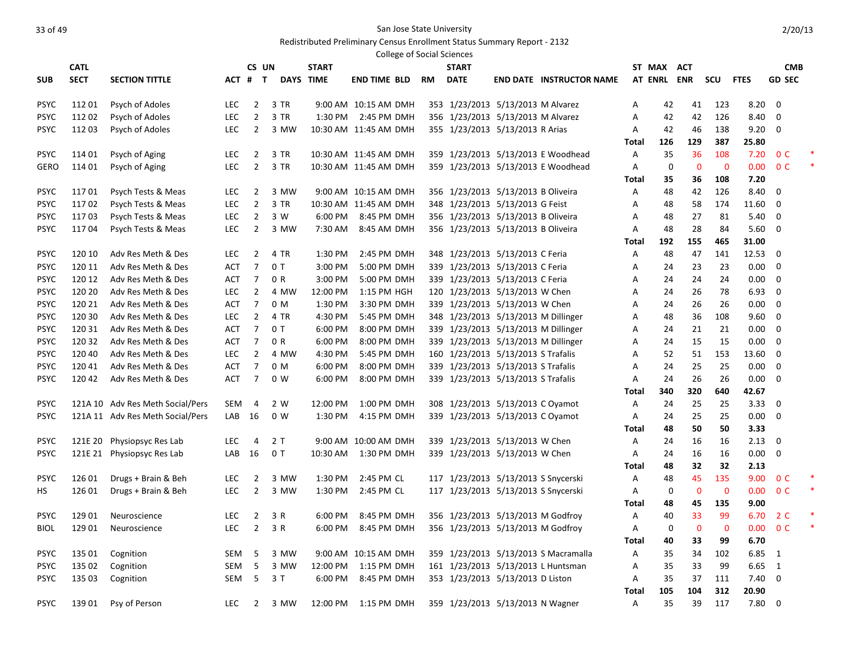### Redistributed Preliminary Census Enrollment Status Summary Report - 2132

|                            |                  |                                           |                   |                                  |                |              |                                     | College of Social Sciences |              |                                                                      |                                      |              |             |              |              |               |                |  |
|----------------------------|------------------|-------------------------------------------|-------------------|----------------------------------|----------------|--------------|-------------------------------------|----------------------------|--------------|----------------------------------------------------------------------|--------------------------------------|--------------|-------------|--------------|--------------|---------------|----------------|--|
|                            | <b>CATL</b>      |                                           |                   | CS UN                            |                | <b>START</b> |                                     |                            | <b>START</b> |                                                                      |                                      |              | ST MAX ACT  |              |              |               | <b>CMB</b>     |  |
| <b>SUB</b>                 | <b>SECT</b>      | <b>SECTION TITTLE</b>                     |                   | ACT # T                          |                | DAYS TIME    | <b>END TIME BLD</b>                 | <b>RM</b>                  | <b>DATE</b>  |                                                                      | <b>END DATE INSTRUCTOR NAME</b>      |              | AT ENRL ENR |              | scu          | <b>FTES</b>   | <b>GD SEC</b>  |  |
|                            |                  |                                           |                   |                                  |                |              |                                     |                            |              |                                                                      |                                      |              |             |              |              |               | $\mathbf 0$    |  |
| <b>PSYC</b><br><b>PSYC</b> | 112 01<br>112 02 | <b>Psych of Adoles</b><br>Psych of Adoles | LEC<br><b>LEC</b> | $\overline{2}$<br>$\overline{2}$ | 3 TR<br>3 TR   | 1:30 PM      | 9:00 AM 10:15 AM DMH<br>2:45 PM DMH |                            |              | 353 1/23/2013 5/13/2013 M Alvarez                                    |                                      | А<br>Α       | 42<br>42    | 41<br>42     | 123<br>126   | 8.20<br>8.40  | 0              |  |
| <b>PSYC</b>                | 112 03           | Psych of Adoles                           | LEC               | $\overline{2}$                   | 3 MW           |              | 10:30 AM 11:45 AM DMH               |                            |              | 356 1/23/2013 5/13/2013 M Alvarez<br>355 1/23/2013 5/13/2013 R Arias |                                      | Α            | 42          | 46           | 138          | 9.20          | $\mathbf 0$    |  |
|                            |                  |                                           |                   |                                  |                |              |                                     |                            |              |                                                                      |                                      | Total        | 126         | 129          | 387          | 25.80         |                |  |
| <b>PSYC</b>                | 114 01           | Psych of Aging                            | <b>LEC</b>        | $\overline{2}$                   | 3 TR           |              | 10:30 AM 11:45 AM DMH               |                            |              |                                                                      | 359 1/23/2013 5/13/2013 E Woodhead   | Α            | 35          | 36           | 108          | 7.20          | 0 <sup>C</sup> |  |
| GERO                       | 114 01           | Psych of Aging                            | <b>LEC</b>        | $\overline{2}$                   | 3 TR           |              | 10:30 AM 11:45 AM DMH               |                            |              |                                                                      | 359 1/23/2013 5/13/2013 E Woodhead   | A            | $\mathbf 0$ | $\mathbf 0$  | $\mathbf 0$  | 0.00          | 0 <sup>C</sup> |  |
|                            |                  |                                           |                   |                                  |                |              |                                     |                            |              |                                                                      |                                      | Total        | 35          | 36           | 108          | 7.20          |                |  |
| <b>PSYC</b>                | 11701            | Psych Tests & Meas                        | <b>LEC</b>        | $\overline{2}$                   | 3 MW           |              | 9:00 AM 10:15 AM DMH                |                            |              | 356 1/23/2013 5/13/2013 B Oliveira                                   |                                      | Α            | 48          | 42           | 126          | 8.40          | 0              |  |
| <b>PSYC</b>                | 11702            | Psych Tests & Meas                        | <b>LEC</b>        | $\overline{2}$                   | 3 TR           |              | 10:30 AM 11:45 AM DMH               |                            |              | 348 1/23/2013 5/13/2013 G Feist                                      |                                      | A            | 48          | 58           | 174          | 11.60         | 0              |  |
| <b>PSYC</b>                | 11703            | Psych Tests & Meas                        | LEC               | $\overline{2}$                   | 3 W            | 6:00 PM      | 8:45 PM DMH                         |                            |              | 356 1/23/2013 5/13/2013 B Oliveira                                   |                                      | Α            | 48          | 27           | 81           | 5.40          | 0              |  |
| <b>PSYC</b>                | 11704            | Psych Tests & Meas                        | <b>LEC</b>        | $\overline{2}$                   | 3 MW           | 7:30 AM      | 8:45 AM DMH                         |                            |              | 356 1/23/2013 5/13/2013 B Oliveira                                   |                                      | Α            | 48          | 28           | 84           | 5.60          | 0              |  |
|                            |                  |                                           |                   |                                  |                |              |                                     |                            |              |                                                                      |                                      | Total        | 192         | 155          | 465          | 31.00         |                |  |
| <b>PSYC</b>                | 120 10           | Adv Res Meth & Des                        | <b>LEC</b>        | $\overline{2}$                   | 4 TR           | 1:30 PM      | 2:45 PM DMH                         |                            |              | 348 1/23/2013 5/13/2013 C Feria                                      |                                      | Α            | 48          | 47           | 141          | 12.53         | 0              |  |
| <b>PSYC</b>                | 120 11           | Adv Res Meth & Des                        | <b>ACT</b>        | $\overline{7}$                   | 0T             | 3:00 PM      | 5:00 PM DMH                         |                            |              | 339 1/23/2013 5/13/2013 C Feria                                      |                                      | Α            | 24          | 23           | 23           | 0.00          | 0              |  |
| <b>PSYC</b>                | 120 12           | Adv Res Meth & Des                        | ACT               | $\overline{7}$                   | 0 R            | 3:00 PM      | 5:00 PM DMH                         |                            |              | 339 1/23/2013 5/13/2013 C Feria                                      |                                      | A            | 24          | 24           | 24           | 0.00          | $\mathbf 0$    |  |
| <b>PSYC</b>                | 120 20           | Adv Res Meth & Des                        | LEC               | $\overline{2}$                   | 4 MW           | 12:00 PM     | 1:15 PM HGH                         |                            |              | 120 1/23/2013 5/13/2013 W Chen                                       |                                      | A            | 24          | 26           | 78           | 6.93          | 0              |  |
| <b>PSYC</b>                | 120 21           | Adv Res Meth & Des                        | ACT               | $\overline{7}$                   | 0 M            | 1:30 PM      | 3:30 PM DMH                         |                            |              | 339 1/23/2013 5/13/2013 W Chen                                       |                                      | Α            | 24          | 26           | 26           | 0.00          | 0              |  |
| <b>PSYC</b>                | 120 30           | Adv Res Meth & Des                        | <b>LEC</b>        | $\overline{2}$                   | 4 TR           | 4:30 PM      | 5:45 PM DMH                         |                            |              | 348 1/23/2013 5/13/2013 M Dillinger                                  |                                      | Α            | 48          | 36           | 108          | 9.60          | $\mathbf 0$    |  |
| <b>PSYC</b>                | 120 31           | Adv Res Meth & Des                        | <b>ACT</b>        | $\overline{7}$                   | 0T             | 6:00 PM      | 8:00 PM DMH                         |                            |              | 339 1/23/2013 5/13/2013 M Dillinger                                  |                                      | Α            | 24          | 21           | 21           | 0.00          | 0              |  |
| <b>PSYC</b>                | 120 32           | Adv Res Meth & Des                        | ACT               | $\overline{7}$                   | 0 R            | 6:00 PM      | 8:00 PM DMH                         |                            |              | 339 1/23/2013 5/13/2013 M Dillinger                                  |                                      | Α            | 24          | 15           | 15           | 0.00          | $\mathbf 0$    |  |
| <b>PSYC</b>                | 120 40           | Adv Res Meth & Des                        | LEC               | $\overline{2}$                   | 4 MW           | 4:30 PM      | 5:45 PM DMH                         |                            |              | 160 1/23/2013 5/13/2013 S Trafalis                                   |                                      | Α            | 52          | 51           | 153          | 13.60         | $\mathbf 0$    |  |
| <b>PSYC</b>                | 120 41           | Adv Res Meth & Des                        | ACT               | $\overline{7}$                   | 0 <sub>M</sub> | 6:00 PM      | 8:00 PM DMH                         |                            |              | 339 1/23/2013 5/13/2013 S Trafalis                                   |                                      | Α            | 24          | 25           | 25           | 0.00          | 0              |  |
| <b>PSYC</b>                | 120 42           | Adv Res Meth & Des                        | ACT               | 7                                | 0 W            | 6:00 PM      | 8:00 PM DMH                         |                            |              | 339 1/23/2013 5/13/2013 S Trafalis                                   |                                      | Α            | 24          | 26<br>320    | 26           | 0.00          | $\mathbf 0$    |  |
| <b>PSYC</b>                |                  | 121A 10 Adv Res Meth Social/Pers          | <b>SEM</b>        | 4                                | 2 W            | 12:00 PM     | 1:00 PM DMH                         |                            |              |                                                                      |                                      | Total<br>Α   | 340<br>24   | 25           | 640<br>25    | 42.67<br>3.33 | 0              |  |
| <b>PSYC</b>                |                  | 121A 11 Adv Res Meth Social/Pers          | LAB               | - 16                             | 0 W            | 1:30 PM      | 4:15 PM DMH                         |                            |              | 308 1/23/2013 5/13/2013 C Oyamot<br>339 1/23/2013 5/13/2013 C Oyamot |                                      | Α            | 24          | 25           | 25           | 0.00          | $\mathbf 0$    |  |
|                            |                  |                                           |                   |                                  |                |              |                                     |                            |              |                                                                      |                                      | Total        | 48          | 50           | 50           | 3.33          |                |  |
| <b>PSYC</b>                | 121E 20          | Physiopsyc Res Lab                        | <b>LEC</b>        | 4                                | 2 T            |              | 9:00 AM 10:00 AM DMH                |                            |              | 339 1/23/2013 5/13/2013 W Chen                                       |                                      | Α            | 24          | 16           | 16           | 2.13          | 0              |  |
| <b>PSYC</b>                |                  | 121E 21 Physiopsyc Res Lab                | LAB               | 16                               | 0T             | 10:30 AM     | 1:30 PM DMH                         |                            |              | 339 1/23/2013 5/13/2013 W Chen                                       |                                      | Α            | 24          | 16           | 16           | 0.00          | 0              |  |
|                            |                  |                                           |                   |                                  |                |              |                                     |                            |              |                                                                      |                                      | Total        | 48          | 32           | 32           | 2.13          |                |  |
| <b>PSYC</b>                | 126 01           | Drugs + Brain & Beh                       | <b>LEC</b>        | $\overline{2}$                   | 3 MW           | 1:30 PM      | 2:45 PM CL                          |                            |              | 117 1/23/2013 5/13/2013 S Snycerski                                  |                                      | Α            | 48          | 45           | 135          | 9.00          | 0 <sup>C</sup> |  |
| HS.                        | 126 01           | Drugs + Brain & Beh                       | <b>LEC</b>        | $\overline{2}$                   | 3 MW           | 1:30 PM      | 2:45 PM CL                          |                            |              | 117 1/23/2013 5/13/2013 S Snycerski                                  |                                      | Α            | 0           | $\mathbf{0}$ | $\mathbf 0$  | 0.00          | 0 <sup>C</sup> |  |
|                            |                  |                                           |                   |                                  |                |              |                                     |                            |              |                                                                      |                                      | Total        | 48          | 45           | 135          | 9.00          |                |  |
| <b>PSYC</b>                | 129 01           | Neuroscience                              | <b>LEC</b>        | $\overline{2}$                   | 3 R            | 6:00 PM      | 8:45 PM DMH                         |                            |              | 356 1/23/2013 5/13/2013 M Godfroy                                    |                                      | Α            | 40          | 33           | 99           | 6.70          | 2 C            |  |
| <b>BIOL</b>                | 129 01           | Neuroscience                              | LEC.              | $\overline{2}$                   | 3 R            | 6:00 PM      | 8:45 PM DMH                         |                            |              | 356 1/23/2013 5/13/2013 M Godfroy                                    |                                      | Α            | 0           | $\mathbf{0}$ | $\mathbf{0}$ | 0.00          | 0 <sup>C</sup> |  |
|                            |                  |                                           |                   |                                  |                |              |                                     |                            |              |                                                                      |                                      | Total        | 40          | 33           | 99           | 6.70          |                |  |
| <b>PSYC</b>                | 135 01           | Cognition                                 | SEM               | 5                                | 3 MW           |              | 9:00 AM 10:15 AM DMH                |                            |              |                                                                      | 359 1/23/2013 5/13/2013 S Macramalla | Α            | 35          | 34           | 102          | 6.85          | <sup>1</sup>   |  |
| <b>PSYC</b>                | 135 02           | Cognition                                 | <b>SEM</b>        | 5                                | 3 MW           | 12:00 PM     | 1:15 PM DMH                         |                            |              |                                                                      | 161 1/23/2013 5/13/2013 L Huntsman   | A            | 35          | 33           | 99           | 6.65          | 1              |  |
| <b>PSYC</b>                | 135 03           | Cognition                                 | <b>SEM</b>        | 5                                | 3T             | 6:00 PM      | 8:45 PM DMH                         |                            |              | 353 1/23/2013 5/13/2013 D Liston                                     |                                      | A            | 35          | 37           | 111          | 7.40          | $\mathbf 0$    |  |
|                            |                  |                                           |                   |                                  |                |              |                                     |                            |              |                                                                      |                                      | <b>Total</b> | 105         | 104          | 312          | 20.90         |                |  |
| <b>PSYC</b>                | 139 01           | Psy of Person                             | LEC.              | 2                                | 3 MW           | 12:00 PM     | 1:15 PM DMH                         |                            |              | 359 1/23/2013 5/13/2013 N Wagner                                     |                                      | A            | 35          | 39           | 117          | 7.80          | $\Omega$       |  |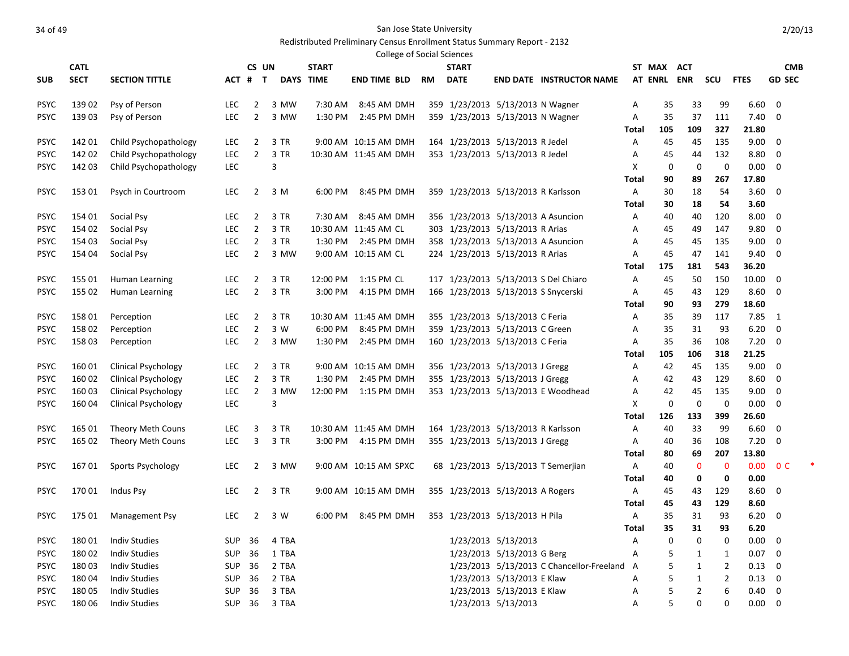### Redistributed Preliminary Census Enrollment Status Summary Report - 2132

| <b>College of Social Sciences</b> |             |                            |            |                |                  |              |                       |           |                                     |                            |                                             |              |            |              |                |             |                         |  |
|-----------------------------------|-------------|----------------------------|------------|----------------|------------------|--------------|-----------------------|-----------|-------------------------------------|----------------------------|---------------------------------------------|--------------|------------|--------------|----------------|-------------|-------------------------|--|
|                                   | <b>CATL</b> |                            |            | CS UN          |                  | <b>START</b> |                       |           | <b>START</b>                        |                            |                                             |              | ST MAX ACT |              |                |             | <b>CMB</b>              |  |
| <b>SUB</b>                        | <b>SECT</b> | <b>SECTION TITTLE</b>      |            | ACT # T        | <b>DAYS TIME</b> |              | <b>END TIME BLD</b>   | <b>RM</b> | <b>DATE</b>                         |                            | <b>END DATE INSTRUCTOR NAME</b>             |              |            | AT ENRL ENR  | scu            | <b>FTES</b> | <b>GD SEC</b>           |  |
| <b>PSYC</b>                       | 139 02      | Psy of Person              | <b>LEC</b> | 2              | 3 MW             | 7:30 AM      | 8:45 AM DMH           |           | 359 1/23/2013 5/13/2013 N Wagner    |                            |                                             | Α            | 35         | 33           | 99             | 6.60        | - 0                     |  |
| <b>PSYC</b>                       | 139 03      | Psy of Person              | <b>LEC</b> | $\overline{2}$ | 3 MW             | 1:30 PM      | 2:45 PM DMH           |           | 359 1/23/2013 5/13/2013 N Wagner    |                            |                                             | Α            | 35         | 37           | 111            | 7.40        | 0                       |  |
|                                   |             |                            |            |                |                  |              |                       |           |                                     |                            |                                             | Total        | 105        | 109          | 327            | 21.80       |                         |  |
| <b>PSYC</b>                       | 142 01      | Child Psychopathology      | <b>LEC</b> | 2              | 3 TR             |              | 9:00 AM 10:15 AM DMH  |           | 164 1/23/2013 5/13/2013 R Jedel     |                            |                                             | Α            | 45         | 45           | 135            | 9.00        | 0                       |  |
| <b>PSYC</b>                       | 142 02      | Child Psychopathology      | <b>LEC</b> | $\overline{2}$ | 3 TR             |              | 10:30 AM 11:45 AM DMH |           | 353 1/23/2013 5/13/2013 R Jedel     |                            |                                             | Α            | 45         | 44           | 132            | 8.80        | $\mathbf 0$             |  |
| <b>PSYC</b>                       | 142 03      | Child Psychopathology      | <b>LEC</b> |                | 3                |              |                       |           |                                     |                            |                                             | х            | 0          | 0            | 0              | 0.00        | $\mathbf 0$             |  |
|                                   |             |                            |            |                |                  |              |                       |           |                                     |                            |                                             | Total        | 90         | 89           | 267            | 17.80       |                         |  |
| <b>PSYC</b>                       | 153 01      | Psych in Courtroom         | <b>LEC</b> | $\overline{2}$ | 3 M              | 6:00 PM      | 8:45 PM DMH           |           | 359 1/23/2013 5/13/2013 R Karlsson  |                            |                                             | Α            | 30         | 18           | 54             | 3.60        | 0                       |  |
|                                   |             |                            |            |                |                  |              |                       |           |                                     |                            |                                             | Total        | 30         | 18           | 54             | 3.60        |                         |  |
| <b>PSYC</b>                       | 154 01      | Social Psy                 | <b>LEC</b> | $\overline{2}$ | 3 TR             | 7:30 AM      | 8:45 AM DMH           |           | 356 1/23/2013 5/13/2013 A Asuncion  |                            |                                             | Α            | 40         | 40           | 120            | 8.00        | 0                       |  |
| <b>PSYC</b>                       | 154 02      | Social Psy                 | <b>LEC</b> | $\overline{2}$ | 3 TR             |              | 10:30 AM 11:45 AM CL  |           | 303 1/23/2013 5/13/2013 R Arias     |                            |                                             | Α            | 45         | 49           | 147            | 9.80        | 0                       |  |
| <b>PSYC</b>                       | 154 03      | Social Psy                 | LEC        | $\overline{2}$ | 3 TR             | 1:30 PM      | 2:45 PM DMH           |           | 358 1/23/2013 5/13/2013 A Asuncion  |                            |                                             | Α            | 45         | 45           | 135            | 9.00        | 0                       |  |
| <b>PSYC</b>                       | 154 04      | Social Psy                 | <b>LEC</b> | $\overline{2}$ | 3 MW             |              | 9:00 AM 10:15 AM CL   |           | 224 1/23/2013 5/13/2013 R Arias     |                            |                                             | Α            | 45         | 47           | 141            | 9.40        | 0                       |  |
|                                   |             |                            |            |                |                  |              |                       |           |                                     |                            |                                             | Total        | 175        | 181          | 543            | 36.20       |                         |  |
| <b>PSYC</b>                       | 155 01      | Human Learning             | <b>LEC</b> | 2              | 3 TR             | 12:00 PM     | 1:15 PM CL            |           |                                     |                            | 117 1/23/2013 5/13/2013 S Del Chiaro        | Α            | 45         | 50           | 150            | 10.00       | 0                       |  |
| <b>PSYC</b>                       | 155 02      | Human Learning             | <b>LEC</b> | $\overline{2}$ | 3 TR             | 3:00 PM      | 4:15 PM DMH           |           | 166 1/23/2013 5/13/2013 S Snycerski |                            |                                             | Α            | 45         | 43           | 129            | 8.60        | 0                       |  |
|                                   |             |                            |            |                |                  |              |                       |           |                                     |                            |                                             | Total        | 90         | 93           | 279            | 18.60       |                         |  |
| <b>PSYC</b>                       | 15801       | Perception                 | LEC        | 2              | 3 TR             |              | 10:30 AM 11:45 AM DMH |           | 355 1/23/2013 5/13/2013 C Feria     |                            |                                             | Α            | 35         | 39           | 117            | 7.85        | $\mathbf{1}$            |  |
| <b>PSYC</b>                       | 15802       | Perception                 | <b>LEC</b> | 2              | 3 W              | 6:00 PM      | 8:45 PM DMH           |           | 359 1/23/2013 5/13/2013 C Green     |                            |                                             | Α            | 35         | 31           | 93             | 6.20        | 0                       |  |
| <b>PSYC</b>                       | 158 03      | Perception                 | <b>LEC</b> | $\overline{2}$ | 3 MW             | 1:30 PM      | 2:45 PM DMH           |           | 160 1/23/2013 5/13/2013 C Feria     |                            |                                             | Α            | 35         | 36           | 108            | 7.20        | 0                       |  |
|                                   |             |                            |            |                |                  |              |                       |           |                                     |                            |                                             | Total        | 105        | 106          | 318            | 21.25       |                         |  |
| <b>PSYC</b>                       | 160 01      | <b>Clinical Psychology</b> | LEC.       | $\overline{2}$ | 3 TR             |              | 9:00 AM 10:15 AM DMH  |           | 356 1/23/2013 5/13/2013 J Gregg     |                            |                                             | Α            | 42         | 45           | 135            | 9.00        | 0                       |  |
| <b>PSYC</b>                       | 160 02      | <b>Clinical Psychology</b> | <b>LEC</b> | $\overline{2}$ | 3 TR             | 1:30 PM      | 2:45 PM DMH           |           | 355 1/23/2013 5/13/2013 J Gregg     |                            |                                             | А            | 42         | 43           | 129            | 8.60        | 0                       |  |
| <b>PSYC</b>                       | 160 03      | <b>Clinical Psychology</b> | <b>LEC</b> | $\overline{2}$ | 3 MW             | 12:00 PM     | 1:15 PM DMH           |           |                                     |                            | 353 1/23/2013 5/13/2013 E Woodhead          | Α            | 42         | 45           | 135            | 9.00        | 0                       |  |
| <b>PSYC</b>                       | 160 04      | <b>Clinical Psychology</b> | LEC        |                | 3                |              |                       |           |                                     |                            |                                             | х            | 0          | 0            | 0              | 0.00        | 0                       |  |
|                                   |             |                            |            |                |                  |              |                       |           |                                     |                            |                                             | Total        | 126        | 133          | 399            | 26.60       |                         |  |
| <b>PSYC</b>                       | 165 01      | Theory Meth Couns          | <b>LEC</b> | 3              | 3 TR             |              | 10:30 AM 11:45 AM DMH |           | 164 1/23/2013 5/13/2013 R Karlsson  |                            |                                             | Α            | 40         | 33           | 99             | 6.60        | 0                       |  |
| <b>PSYC</b>                       | 165 02      | Theory Meth Couns          | <b>LEC</b> | 3              | 3 TR             |              | 3:00 PM 4:15 PM DMH   |           | 355 1/23/2013 5/13/2013 J Gregg     |                            |                                             | Α            | 40         | 36           | 108            | 7.20        | 0                       |  |
|                                   |             |                            |            |                |                  |              |                       |           |                                     |                            |                                             | Total        | 80         | 69           | 207            | 13.80       |                         |  |
| <b>PSYC</b>                       | 16701       | Sports Psychology          | LEC.       | $\overline{2}$ | 3 MW             |              | 9:00 AM 10:15 AM SPXC |           |                                     |                            | 68 1/23/2013 5/13/2013 T Semerjian          | Α            | 40         | $\mathbf 0$  | $\mathbf 0$    | 0.00        | 0 <sup>C</sup>          |  |
|                                   |             |                            |            |                |                  |              |                       |           |                                     |                            |                                             | Total        | 40         | 0            | 0              | 0.00        |                         |  |
| <b>PSYC</b>                       | 17001       | Indus Psy                  | <b>LEC</b> | 2              | 3 TR             |              | 9:00 AM 10:15 AM DMH  |           | 355 1/23/2013 5/13/2013 A Rogers    |                            |                                             | Α            | 45         | 43           | 129            | 8.60        | 0                       |  |
|                                   |             |                            |            |                |                  |              |                       |           |                                     |                            |                                             | Total        | 45         | 43           | 129            | 8.60        |                         |  |
| <b>PSYC</b>                       | 175 01      | <b>Management Psy</b>      | LEC.       | $\overline{2}$ | 3 W              | 6:00 PM      | 8:45 PM DMH           |           | 353 1/23/2013 5/13/2013 H Pila      |                            |                                             | Α            | 35         | 31           | 93             | 6.20        | 0                       |  |
|                                   |             |                            |            |                |                  |              |                       |           |                                     |                            |                                             | <b>Total</b> | 35         | 31           | 93             | 6.20        |                         |  |
| <b>PSYC</b>                       | 18001       | <b>Indiv Studies</b>       | <b>SUP</b> | 36             | 4 TBA            |              |                       |           |                                     | 1/23/2013 5/13/2013        |                                             | Α            | 0          | 0            | 0              | $0.00 \t 0$ |                         |  |
| <b>PSYC</b>                       | 18002       | <b>Indiv Studies</b>       | SUP        | 36             | 1 TBA            |              |                       |           |                                     | 1/23/2013 5/13/2013 G Berg |                                             | Α            | 5          | 1            | $\mathbf{1}$   | 0.07        | $\overline{\mathbf{0}}$ |  |
| <b>PSYC</b>                       | 18003       | <b>Indiv Studies</b>       | SUP        | 36             | 2 TBA            |              |                       |           |                                     |                            | 1/23/2013 5/13/2013 C Chancellor-Freeland A |              | 5          | $\mathbf{1}$ | $\overline{2}$ | 0.13        | $\overline{\mathbf{0}}$ |  |
| PSYC                              | 18004       | <b>Indiv Studies</b>       | SUP        | 36             | 2 TBA            |              |                       |           |                                     | 1/23/2013 5/13/2013 E Klaw |                                             | Α            | 5          | $\mathbf{1}$ | $\overline{2}$ | 0.13        | $\overline{\mathbf{0}}$ |  |
| <b>PSYC</b>                       | 18005       | <b>Indiv Studies</b>       | SUP        | 36             | 3 TBA            |              |                       |           |                                     | 1/23/2013 5/13/2013 E Klaw |                                             | А            | 5          | 2            | 6              | 0.40        | $\overline{0}$          |  |
| <b>PSYC</b>                       | 18006       | <b>Indiv Studies</b>       | SUP 36     |                | 3 TBA            |              |                       |           |                                     | 1/23/2013 5/13/2013        |                                             | Α            | 5          | 0            | 0              | $0.00 \t 0$ |                         |  |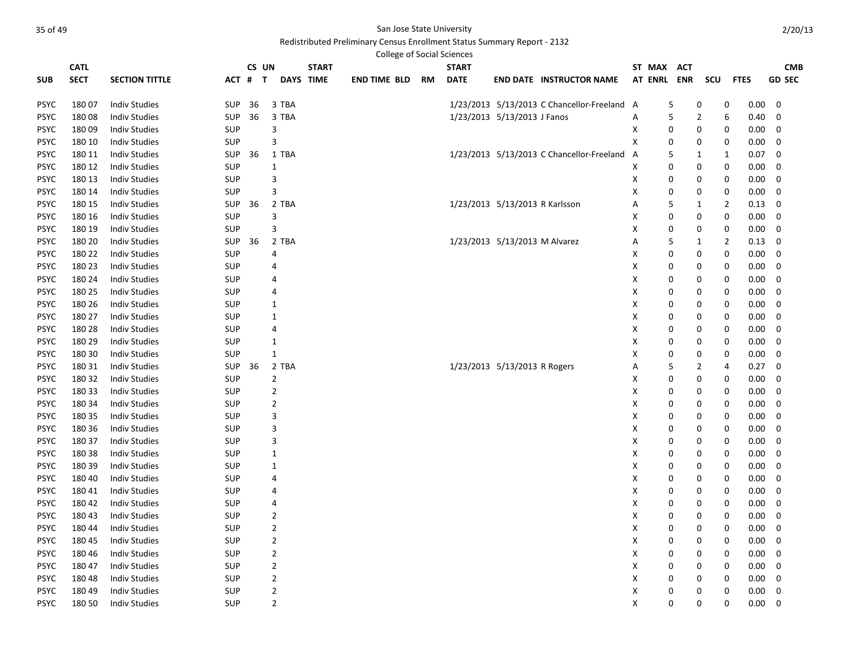|             | <b>CATL</b> |                       |            |    | CS UN |                  | <b>START</b> |                     |    | <b>START</b> |                                |                                             |   | ST MAX         | <b>ACT</b> |                |                |          | <b>CMB</b>    |
|-------------|-------------|-----------------------|------------|----|-------|------------------|--------------|---------------------|----|--------------|--------------------------------|---------------------------------------------|---|----------------|------------|----------------|----------------|----------|---------------|
| <b>SUB</b>  | <b>SECT</b> | <b>SECTION TITTLE</b> | ACT # T    |    |       | <b>DAYS TIME</b> |              | <b>END TIME BLD</b> | RM | <b>DATE</b>  |                                | <b>END DATE INSTRUCTOR NAME</b>             |   | <b>AT ENRL</b> | <b>ENR</b> | scu            | <b>FTES</b>    |          | <b>GD SEC</b> |
| <b>PSYC</b> | 180 07      | <b>Indiv Studies</b>  | <b>SUP</b> | 36 |       | 3 TBA            |              |                     |    |              |                                | 1/23/2013 5/13/2013 C Chancellor-Freeland A |   |                | 5          | 0              | 0              | 0.00     | 0             |
| <b>PSYC</b> | 18008       | <b>Indiv Studies</b>  | <b>SUP</b> | 36 |       | 3 TBA            |              |                     |    |              | 1/23/2013 5/13/2013 J Fanos    |                                             | Α |                | 5          | $\overline{2}$ | 6              | 0.40     | $\mathbf 0$   |
| <b>PSYC</b> | 18009       | <b>Indiv Studies</b>  | <b>SUP</b> |    |       | 3                |              |                     |    |              |                                |                                             | X |                | 0          | 0              | 0              | 0.00     | 0             |
| <b>PSYC</b> | 180 10      | <b>Indiv Studies</b>  | <b>SUP</b> |    |       | 3                |              |                     |    |              |                                |                                             | X |                | 0          | 0              | 0              | 0.00     | 0             |
| <b>PSYC</b> | 180 11      | <b>Indiv Studies</b>  | <b>SUP</b> | 36 |       | 1 TBA            |              |                     |    |              |                                | 1/23/2013 5/13/2013 C Chancellor-Freeland   | A |                | 5          | 1              | 1              | 0.07     | 0             |
| <b>PSYC</b> | 180 12      | <b>Indiv Studies</b>  | <b>SUP</b> |    |       | 1                |              |                     |    |              |                                |                                             | X |                | 0          | 0              | 0              | 0.00     | 0             |
| <b>PSYC</b> | 180 13      | <b>Indiv Studies</b>  | <b>SUP</b> |    |       | 3                |              |                     |    |              |                                |                                             | X |                | 0          | 0              | 0              | 0.00     | 0             |
| <b>PSYC</b> | 180 14      | <b>Indiv Studies</b>  | SUP        |    |       | 3                |              |                     |    |              |                                |                                             | х |                | 0          | 0              | 0              | 0.00     | 0             |
| <b>PSYC</b> | 180 15      | <b>Indiv Studies</b>  | <b>SUP</b> | 36 |       | 2 TBA            |              |                     |    |              | 1/23/2013 5/13/2013 R Karlsson |                                             | А |                | 5          | 1              | $\overline{2}$ | 0.13     | 0             |
| <b>PSYC</b> | 180 16      | <b>Indiv Studies</b>  | <b>SUP</b> |    |       | 3                |              |                     |    |              |                                |                                             | х |                | 0          | 0              | 0              | 0.00     | 0             |
| <b>PSYC</b> | 180 19      | <b>Indiv Studies</b>  | SUP        |    |       | 3                |              |                     |    |              |                                |                                             | Χ |                | 0          | 0              | 0              | 0.00     | $\mathbf 0$   |
| <b>PSYC</b> | 180 20      | <b>Indiv Studies</b>  | <b>SUP</b> | 36 |       | 2 TBA            |              |                     |    |              | 1/23/2013 5/13/2013 M Alvarez  |                                             | A |                | 5          | $\mathbf{1}$   | $\overline{2}$ | 0.13     | 0             |
| <b>PSYC</b> | 180 22      | <b>Indiv Studies</b>  | <b>SUP</b> |    |       | $\overline{4}$   |              |                     |    |              |                                |                                             | Χ |                | 0          | 0              | 0              | 0.00     | 0             |
| <b>PSYC</b> | 180 23      | <b>Indiv Studies</b>  | <b>SUP</b> |    |       | $\overline{4}$   |              |                     |    |              |                                |                                             | Χ |                | 0          | 0              | 0              | 0.00     | 0             |
| <b>PSYC</b> | 180 24      | <b>Indiv Studies</b>  | <b>SUP</b> |    |       | 4                |              |                     |    |              |                                |                                             | X |                | 0          | 0              | 0              | 0.00     | 0             |
| <b>PSYC</b> | 180 25      | <b>Indiv Studies</b>  | <b>SUP</b> |    |       | $\overline{4}$   |              |                     |    |              |                                |                                             | X |                | 0          | 0              | 0              | 0.00     | 0             |
| <b>PSYC</b> | 180 26      | <b>Indiv Studies</b>  | <b>SUP</b> |    |       | 1                |              |                     |    |              |                                |                                             | Χ |                | 0          | 0              | 0              | 0.00     | 0             |
| <b>PSYC</b> | 180 27      | <b>Indiv Studies</b>  | <b>SUP</b> |    |       | 1                |              |                     |    |              |                                |                                             | Χ |                | 0          | 0              | 0              | 0.00     | 0             |
| <b>PSYC</b> | 180 28      | <b>Indiv Studies</b>  | <b>SUP</b> |    |       | $\overline{4}$   |              |                     |    |              |                                |                                             | х |                | 0          | 0              | 0              | $0.00\,$ | 0             |
| <b>PSYC</b> | 180 29      | <b>Indiv Studies</b>  | <b>SUP</b> |    |       | 1                |              |                     |    |              |                                |                                             | х |                | 0          | 0              | 0              | 0.00     | 0             |
| <b>PSYC</b> | 180 30      | <b>Indiv Studies</b>  | SUP        |    |       | 1                |              |                     |    |              |                                |                                             | х |                | 0          | 0              | 0              | 0.00     | 0             |
| <b>PSYC</b> | 180 31      | <b>Indiv Studies</b>  | SUP        | 36 |       | 2 TBA            |              |                     |    |              | 1/23/2013 5/13/2013 R Rogers   |                                             | Α |                | 5          | 2              | 4              | 0.27     | 0             |
| <b>PSYC</b> | 180 32      | <b>Indiv Studies</b>  | <b>SUP</b> |    |       | $\overline{2}$   |              |                     |    |              |                                |                                             | Χ |                | 0          | 0              | 0              | 0.00     | 0             |
| <b>PSYC</b> | 180 33      | <b>Indiv Studies</b>  | <b>SUP</b> |    |       | $\overline{2}$   |              |                     |    |              |                                |                                             | X |                | 0          | 0              | 0              | 0.00     | $\mathbf 0$   |
| <b>PSYC</b> | 180 34      | <b>Indiv Studies</b>  | <b>SUP</b> |    |       | $\overline{2}$   |              |                     |    |              |                                |                                             | Χ |                | 0          | 0              | 0              | 0.00     | 0             |
| <b>PSYC</b> | 180 35      | <b>Indiv Studies</b>  | <b>SUP</b> |    |       | 3                |              |                     |    |              |                                |                                             | х |                | 0          | 0              | 0              | 0.00     | 0             |
| <b>PSYC</b> | 180 36      | <b>Indiv Studies</b>  | <b>SUP</b> |    |       | 3                |              |                     |    |              |                                |                                             | Χ |                | 0          | 0              | 0              | 0.00     | 0             |
| <b>PSYC</b> | 180 37      | <b>Indiv Studies</b>  | <b>SUP</b> |    |       | 3                |              |                     |    |              |                                |                                             | Χ |                | 0          | 0              | 0              | 0.00     | 0             |
| <b>PSYC</b> | 180 38      | <b>Indiv Studies</b>  | <b>SUP</b> |    |       | 1                |              |                     |    |              |                                |                                             | х |                | 0          | 0              | 0              | 0.00     | 0             |
| <b>PSYC</b> | 180 39      | <b>Indiv Studies</b>  | <b>SUP</b> |    |       | 1                |              |                     |    |              |                                |                                             | Χ |                | 0          | 0              | 0              | 0.00     | 0             |
| <b>PSYC</b> | 180 40      | <b>Indiv Studies</b>  | SUP        |    |       | 4                |              |                     |    |              |                                |                                             | Χ |                | 0          | 0              | 0              | $0.00\,$ | 0             |
| <b>PSYC</b> | 18041       | <b>Indiv Studies</b>  | SUP        |    |       | 4                |              |                     |    |              |                                |                                             | Χ |                | 0          | 0              | $\mathbf 0$    | $0.00\,$ | 0             |
| <b>PSYC</b> | 180 42      | <b>Indiv Studies</b>  | <b>SUP</b> |    |       | $\overline{4}$   |              |                     |    |              |                                |                                             | Χ |                | 0          | 0              | 0              | 0.00     | $\mathbf 0$   |
| <b>PSYC</b> | 180 43      | <b>Indiv Studies</b>  | <b>SUP</b> |    |       | $\overline{2}$   |              |                     |    |              |                                |                                             | X |                | 0          | 0              | 0              | 0.00     | $\mathbf 0$   |
| <b>PSYC</b> | 180 44      | <b>Indiv Studies</b>  | <b>SUP</b> |    |       | $\mathbf 2$      |              |                     |    |              |                                |                                             | x |                | 0          | 0              | 0              | 0.00     | 0             |
| <b>PSYC</b> | 180 45      | <b>Indiv Studies</b>  | <b>SUP</b> |    |       | $\overline{2}$   |              |                     |    |              |                                |                                             | Χ |                | 0          | 0              | 0              | 0.00     | 0             |
| <b>PSYC</b> | 180 46      | <b>Indiv Studies</b>  | <b>SUP</b> |    |       | $\overline{2}$   |              |                     |    |              |                                |                                             | Χ |                | 0          | 0              | 0              | 0.00     | 0             |
| <b>PSYC</b> | 180 47      | <b>Indiv Studies</b>  | <b>SUP</b> |    |       | $\overline{2}$   |              |                     |    |              |                                |                                             | X |                | 0          | 0              | 0              | 0.00     | 0             |
| <b>PSYC</b> | 180 48      | <b>Indiv Studies</b>  | <b>SUP</b> |    |       | $\overline{2}$   |              |                     |    |              |                                |                                             | X |                | 0          | 0              | 0              | 0.00     | 0             |
| <b>PSYC</b> | 180 49      | <b>Indiv Studies</b>  | <b>SUP</b> |    |       | $\overline{2}$   |              |                     |    |              |                                |                                             | X |                | 0          | 0              | 0              | 0.00     | 0             |
| <b>PSYC</b> | 180 50      | <b>Indiv Studies</b>  | <b>SUP</b> |    |       | $\overline{2}$   |              |                     |    |              |                                |                                             | X |                | 0          | 0              | $\mathbf 0$    | 0.00     | $\Omega$      |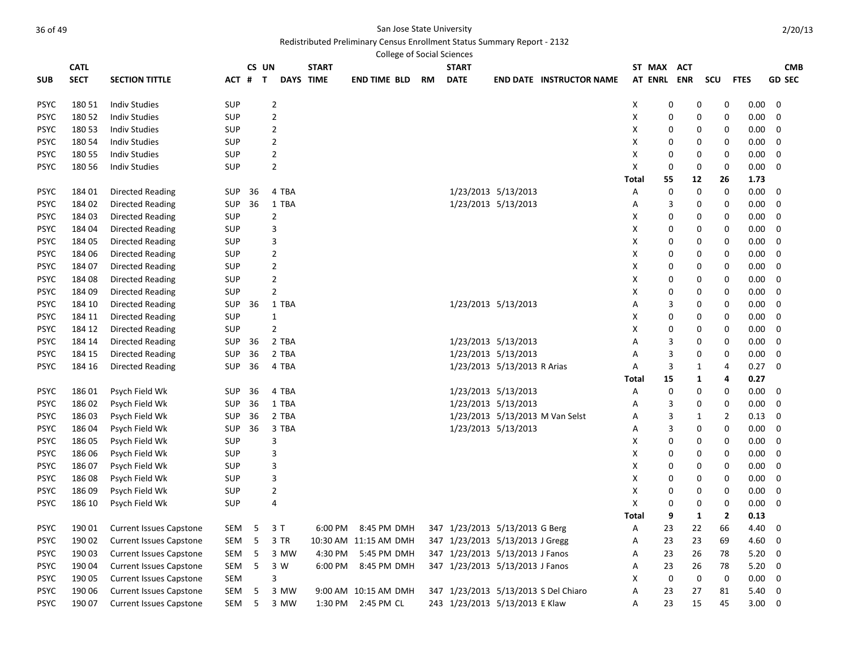|             |             |                                |            |         |                |              | <b>College of Social Sciences</b> |           |                                 |                             |                                      |              |             |             |                   |             |               |
|-------------|-------------|--------------------------------|------------|---------|----------------|--------------|-----------------------------------|-----------|---------------------------------|-----------------------------|--------------------------------------|--------------|-------------|-------------|-------------------|-------------|---------------|
|             | <b>CATL</b> |                                |            | CS UN   |                | <b>START</b> |                                   |           | <b>START</b>                    |                             |                                      |              | ST MAX      | <b>ACT</b>  |                   |             | <b>CMB</b>    |
| SUB         | <b>SECT</b> | <b>SECTION TITTLE</b>          |            | ACT # T |                | DAYS TIME    | <b>END TIME BLD</b>               | <b>RM</b> | <b>DATE</b>                     |                             | <b>END DATE INSTRUCTOR NAME</b>      |              | AT ENRL ENR |             | <b>SCU</b>        | <b>FTES</b> | <b>GD SEC</b> |
| PSYC        | 180 51      | <b>Indiv Studies</b>           | <b>SUP</b> |         | $\overline{2}$ |              |                                   |           |                                 |                             |                                      | X            | 0           |             | 0<br>0            | 0.00        | $\mathbf 0$   |
| PSYC        | 180 52      | <b>Indiv Studies</b>           | <b>SUP</b> |         | $\overline{2}$ |              |                                   |           |                                 |                             |                                      | Х            | 0           |             | 0<br>0            | 0.00        | 0             |
| PSYC        | 180 53      | <b>Indiv Studies</b>           | <b>SUP</b> |         | $\mathbf 2$    |              |                                   |           |                                 |                             |                                      | Х            | 0           |             | 0<br>0            | 0.00        | 0             |
| PSYC        | 180 54      | <b>Indiv Studies</b>           | <b>SUP</b> |         | 2              |              |                                   |           |                                 |                             |                                      | Х            | 0           |             | 0<br>0            | 0.00        | 0             |
| PSYC        | 180 55      | <b>Indiv Studies</b>           | <b>SUP</b> |         | $\overline{2}$ |              |                                   |           |                                 |                             |                                      | Х            | 0           |             | 0<br>0            | 0.00        | 0             |
| PSYC        | 180 56      | <b>Indiv Studies</b>           | <b>SUP</b> |         | $\overline{2}$ |              |                                   |           |                                 |                             |                                      | X            | $\mathbf 0$ |             | 0<br>$\mathbf 0$  | $0.00\,$    | 0             |
|             |             |                                |            |         |                |              |                                   |           |                                 |                             |                                      | Total        | 55          | 12          | 26                | 1.73        |               |
| PSYC        | 184 01      | <b>Directed Reading</b>        | SUP        | 36      | 4 TBA          |              |                                   |           |                                 | 1/23/2013 5/13/2013         |                                      | Α            | 0           |             | 0<br>0            | 0.00        | $\mathbf 0$   |
| PSYC        | 184 02      | <b>Directed Reading</b>        | <b>SUP</b> | 36      | 1 TBA          |              |                                   |           |                                 | 1/23/2013 5/13/2013         |                                      | Α            | 3           |             | 0<br>0            | $0.00\,$    | 0             |
| PSYC        | 184 03      | Directed Reading               | <b>SUP</b> |         | $\overline{2}$ |              |                                   |           |                                 |                             |                                      | Х            | 0           |             | 0<br>0            | 0.00        | 0             |
| PSYC        | 184 04      | <b>Directed Reading</b>        | <b>SUP</b> |         | 3              |              |                                   |           |                                 |                             |                                      | X            | 0           |             | 0<br>0            | 0.00        | 0             |
| <b>PSYC</b> | 184 05      | Directed Reading               | SUP        |         | 3              |              |                                   |           |                                 |                             |                                      | Х            | 0           |             | 0<br>0            | $0.00\,$    | 0             |
| <b>PSYC</b> | 184 06      | Directed Reading               | <b>SUP</b> |         | $\overline{2}$ |              |                                   |           |                                 |                             |                                      | X            | $\Omega$    |             | 0<br>0            | 0.00        | $\mathbf 0$   |
| PSYC        | 184 07      | Directed Reading               | SUP        |         | $\overline{2}$ |              |                                   |           |                                 |                             |                                      | X            | 0           |             | 0<br>0            | 0.00        | $\mathbf 0$   |
| PSYC        | 184 08      | Directed Reading               | <b>SUP</b> |         | $\mathbf 2$    |              |                                   |           |                                 |                             |                                      | Х            | 0           |             | 0<br>0            | $0.00\,$    | 0             |
| <b>PSYC</b> | 184 09      | <b>Directed Reading</b>        | <b>SUP</b> |         | $\overline{2}$ |              |                                   |           |                                 |                             |                                      | X            | $\Omega$    |             | 0<br>0            | 0.00        | 0             |
| PSYC        | 184 10      | Directed Reading               | SUP        | 36      | 1 TBA          |              |                                   |           |                                 | 1/23/2013 5/13/2013         |                                      | Α            | 3           |             | 0<br>0            | 0.00        | $\mathbf 0$   |
| PSYC        | 184 11      | Directed Reading               | <b>SUP</b> |         | $\mathbf{1}$   |              |                                   |           |                                 |                             |                                      | Х            | 0           |             | 0<br>0            | 0.00        | $\mathbf 0$   |
| <b>PSYC</b> | 184 12      | Directed Reading               | <b>SUP</b> |         | $\overline{2}$ |              |                                   |           |                                 |                             |                                      | X            | $\Omega$    |             | 0<br>0            | 0.00        | 0             |
| PSYC        | 184 14      | Directed Reading               | <b>SUP</b> | 36      | 2 TBA          |              |                                   |           |                                 | 1/23/2013 5/13/2013         |                                      | А            | 3           |             | 0<br>0            | 0.00        | 0             |
| PSYC        | 184 15      | <b>Directed Reading</b>        | <b>SUP</b> | 36      | 2 TBA          |              |                                   |           |                                 | 1/23/2013 5/13/2013         |                                      | A            | 3           |             | $\mathbf 0$<br>0  | 0.00        | $\mathbf 0$   |
| <b>PSYC</b> | 184 16      | <b>Directed Reading</b>        | <b>SUP</b> | 36      | 4 TBA          |              |                                   |           |                                 | 1/23/2013 5/13/2013 R Arias |                                      | Α            | 3           |             | $\mathbf{1}$<br>4 | 0.27        | 0             |
|             |             |                                |            |         |                |              |                                   |           |                                 |                             |                                      | Total        | 15          |             | 1<br>4            | 0.27        |               |
| PSYC        | 186 01      | Psych Field Wk                 | <b>SUP</b> | 36      | 4 TBA          |              |                                   |           |                                 | 1/23/2013 5/13/2013         |                                      | A            | $\mathbf 0$ |             | 0<br>$\mathbf 0$  | 0.00        | $\mathbf 0$   |
| PSYC        | 186 02      | Psych Field Wk                 | <b>SUP</b> | 36      | 1 TBA          |              |                                   |           |                                 | 1/23/2013 5/13/2013         |                                      | Α            | 3           |             | 0<br>0            | 0.00        | 0             |
| PSYC        | 186 03      | Psych Field Wk                 | <b>SUP</b> | 36      | 2 TBA          |              |                                   |           |                                 |                             | 1/23/2013 5/13/2013 M Van Selst      | Α            | 3           |             | 1<br>2            | 0.13        | 0             |
| PSYC        | 186 04      | Psych Field Wk                 | <b>SUP</b> | 36      | 3 TBA          |              |                                   |           |                                 | 1/23/2013 5/13/2013         |                                      | А            | 3           |             | 0<br>0            | 0.00        | 0             |
| <b>PSYC</b> | 186 05      | Psych Field Wk                 | <b>SUP</b> |         | 3              |              |                                   |           |                                 |                             |                                      | Х            | 0           |             | 0<br>0            | 0.00        | 0             |
| PSYC        | 186 06      | Psych Field Wk                 | <b>SUP</b> |         | 3              |              |                                   |           |                                 |                             |                                      | Х            | 0           |             | 0<br>0            | 0.00        | 0             |
| PSYC        | 186 07      | Psych Field Wk                 | <b>SUP</b> |         | 3              |              |                                   |           |                                 |                             |                                      | X            | 0           |             | 0<br>$\mathbf 0$  | $0.00\,$    | 0             |
| PSYC        | 186 08      | Psych Field Wk                 | <b>SUP</b> |         | 3              |              |                                   |           |                                 |                             |                                      | Х            | 0           |             | 0<br>0            | 0.00        | 0             |
| PSYC        | 186 09      | Psych Field Wk                 | <b>SUP</b> |         | $\overline{2}$ |              |                                   |           |                                 |                             |                                      | X            | 0           |             | 0<br>0            | 0.00        | 0             |
| PSYC        | 186 10      | Psych Field Wk                 | <b>SUP</b> |         | $\overline{4}$ |              |                                   |           |                                 |                             |                                      | X            | $\mathbf 0$ |             | 0<br>$\mathbf 0$  | $0.00\,$    | 0             |
|             |             |                                |            |         |                |              |                                   |           |                                 |                             |                                      | <b>Total</b> | 9           | 1           | $\mathbf{2}$      | 0.13        |               |
| PSYC        | 190 01      | <b>Current Issues Capstone</b> | SEM        | 5       | 3T             | 6:00 PM      | 8:45 PM DMH                       |           | 347 1/23/2013 5/13/2013 G Berg  |                             |                                      | Α            | 23          | 22          | 66                | 4.40        | 0             |
| PSYC        | 190 02      | <b>Current Issues Capstone</b> | SEM        | 5       | 3 TR           |              | 10:30 AM 11:15 AM DMH             |           | 347 1/23/2013 5/13/2013 J Gregg |                             |                                      | Α            | 23          | 23          | 69                | 4.60        | 0             |
| PSYC        | 190 03      | <b>Current Issues Capstone</b> | SEM        | 5       | 3 MW           | 4:30 PM      | 5:45 PM DMH                       |           | 347 1/23/2013 5/13/2013 J Fanos |                             |                                      | А            | 23          | 26          | 78                | 5.20        | 0             |
| PSYC        | 190 04      | <b>Current Issues Capstone</b> | SEM        | 5       | 3 W            | 6:00 PM      | 8:45 PM DMH                       |           | 347 1/23/2013 5/13/2013 J Fanos |                             |                                      | Α            | 23          | 26          | 78                | 5.20        | 0             |
| PSYC        | 190 05      | <b>Current Issues Capstone</b> | <b>SEM</b> |         | 3              |              |                                   |           |                                 |                             |                                      | х            | $\mathbf 0$ | $\mathbf 0$ | $\mathbf 0$       | 0.00        | 0             |
| <b>PSYC</b> | 190 06      | <b>Current Issues Capstone</b> | SEM        | 5       | 3 MW           |              | 9:00 AM 10:15 AM DMH              |           |                                 |                             | 347 1/23/2013 5/13/2013 S Del Chiaro | Α            | 23          | 27          | 81                | 5.40        | 0             |
| PSYC        | 190 07      | <b>Current Issues Capstone</b> | SEM        | 5       | 3 MW           | 1:30 PM      | 2:45 PM CL                        |           | 243 1/23/2013 5/13/2013 E Klaw  |                             |                                      | Α            | 23          | 15          | 45                | 3.00        | $\mathbf 0$   |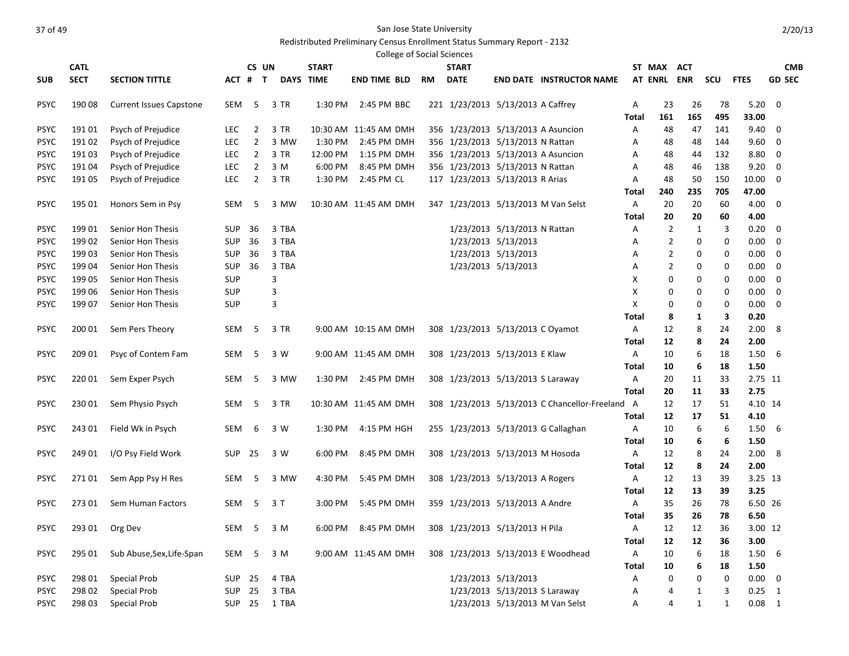|             |                |                                |            |                |                  |              | <b>College of Social Sciences</b>                  |    |              |                                   |                                               |              |                |              |              |               |               |
|-------------|----------------|--------------------------------|------------|----------------|------------------|--------------|----------------------------------------------------|----|--------------|-----------------------------------|-----------------------------------------------|--------------|----------------|--------------|--------------|---------------|---------------|
|             | <b>CATL</b>    |                                |            | CS UN          |                  | <b>START</b> |                                                    |    | <b>START</b> |                                   |                                               |              | ST MAX         | ACT          |              |               | <b>CMB</b>    |
| <b>SUB</b>  | <b>SECT</b>    | <b>SECTION TITTLE</b>          | ACT # T    |                | <b>DAYS TIME</b> |              | <b>END TIME BLD</b>                                | RM | <b>DATE</b>  |                                   | <b>END DATE INSTRUCTOR NAME</b>               |              | <b>AT ENRL</b> | <b>ENR</b>   | scu          | <b>FTES</b>   | <b>GD SEC</b> |
| <b>PSYC</b> | 190 08         | <b>Current Issues Capstone</b> | SEM        | 5              | 3 TR             | 1:30 PM      | 2:45 PM BBC                                        |    |              | 221 1/23/2013 5/13/2013 A Caffrey |                                               | Α            | 23             | 26           | 78           | 5.20          | 0             |
|             |                |                                |            |                |                  |              |                                                    |    |              |                                   |                                               | Total        | 161            | 165          | 495          | 33.00         |               |
| <b>PSYC</b> | 19101          | Psych of Prejudice             | LEC.       | $\overline{2}$ | 3 TR             |              | 10:30 AM 11:45 AM DMH                              |    |              |                                   | 356 1/23/2013 5/13/2013 A Asuncion            | Α            | 48             | 47           | 141          | 9.40          | 0             |
| <b>PSYC</b> | 191 02         | Psych of Prejudice             | <b>LEC</b> | 2              | 3 MW             | 1:30 PM      | 2:45 PM DMH                                        |    |              | 356 1/23/2013 5/13/2013 N Rattan  |                                               | А            | 48             | 48           | 144          | 9.60          | 0             |
| <b>PSYC</b> | 191 03         | Psych of Prejudice             | <b>LEC</b> | $\overline{2}$ | 3 TR             | 12:00 PM     | 1:15 PM DMH                                        |    |              |                                   | 356 1/23/2013 5/13/2013 A Asuncion            | Α            | 48             | 44           | 132          | 8.80          | 0             |
| <b>PSYC</b> | 19104          | Psych of Prejudice             | <b>LEC</b> | 2              | 3 M              | 6:00 PM      | 8:45 PM DMH                                        |    |              | 356 1/23/2013 5/13/2013 N Rattan  |                                               | Α            | 48             | 46           | 138          | 9.20          | 0             |
| <b>PSYC</b> | 191 05         | Psych of Prejudice             | LEC        | 2              | 3 TR             | 1:30 PM      | 2:45 PM CL                                         |    |              | 117 1/23/2013 5/13/2013 R Arias   |                                               | Α            | 48             | 50           | 150          | 10.00         | 0             |
|             |                |                                |            |                |                  |              |                                                    |    |              |                                   |                                               | Total        | 240            | 235          | 705          | 47.00         |               |
| <b>PSYC</b> | 195 01         | Honors Sem in Psy              | SEM        | 5              | 3 MW             |              | 10:30 AM 11:45 AM DMH                              |    |              |                                   | 347 1/23/2013 5/13/2013 M Van Selst           | Α            | 20             | 20           | 60           | 4.00          | 0             |
|             |                |                                |            |                |                  |              |                                                    |    |              |                                   |                                               | Total        | 20             | 20           | 60           | 4.00          |               |
| <b>PSYC</b> | 199 01         | Senior Hon Thesis              | SUP        | 36             | 3 TBA            |              |                                                    |    |              | 1/23/2013 5/13/2013 N Rattan      |                                               | Α            | 2              | 1            | 3            | 0.20          | 0             |
| <b>PSYC</b> | 199 02         | Senior Hon Thesis              | <b>SUP</b> | 36             | 3 TBA            |              |                                                    |    |              | 1/23/2013 5/13/2013               |                                               | Α            | 2              | 0            | 0            | $0.00\,$      | 0             |
| <b>PSYC</b> | 199 03         | Senior Hon Thesis              | SUP        | 36             | 3 TBA            |              |                                                    |    |              | 1/23/2013 5/13/2013               |                                               | A            | 2              | 0            | 0            | $0.00\,$      | 0             |
| <b>PSYC</b> | 199 04         | Senior Hon Thesis              | SUP        | 36             | 3 TBA            |              |                                                    |    |              | 1/23/2013 5/13/2013               |                                               | Α            | 2              | 0            | 0            | $0.00\,$      | 0             |
| <b>PSYC</b> | 199 05         | Senior Hon Thesis              | SUP        |                | 3                |              |                                                    |    |              |                                   |                                               | Χ            | 0              | 0            | 0            | $0.00\,$      | 0             |
| <b>PSYC</b> | 199 06         | Senior Hon Thesis              | <b>SUP</b> |                | 3                |              |                                                    |    |              |                                   |                                               | X            | 0              | 0            | 0            | $0.00\,$      | 0             |
| <b>PSYC</b> | 199 07         | Senior Hon Thesis              | <b>SUP</b> |                | 3                |              |                                                    |    |              |                                   |                                               | X            | 0              | 0            | 0            | 0.00          | 0             |
|             |                |                                |            |                |                  |              |                                                    |    |              |                                   |                                               | Total        | 8              | 1            | 3            | 0.20          |               |
| <b>PSYC</b> | 200 01         | Sem Pers Theory                | SEM        | 5              | 3 TR             |              | 9:00 AM 10:15 AM DMH                               |    |              | 308 1/23/2013 5/13/2013 C Oyamot  |                                               | Α            | 12             | 8            | 24           | 2.00          | 8             |
|             |                |                                |            |                |                  |              |                                                    |    |              |                                   |                                               | Total        | 12             | 8            | 24           | 2.00          |               |
| <b>PSYC</b> | 209 01         | Psyc of Contem Fam             | SEM        | 5              | 3 W              |              | 9:00 AM 11:45 AM DMH                               |    |              | 308 1/23/2013 5/13/2013 E Klaw    |                                               | Α            | 10             | 6            | 18           | 1.50          | -6            |
|             |                |                                |            |                |                  |              |                                                    |    |              |                                   |                                               | Total        | 10             | 6            | 18           | 1.50          |               |
| <b>PSYC</b> | 22001          | Sem Exper Psych                | SEM        | 5              | 3 MW             | 1:30 PM      | 2:45 PM DMH                                        |    |              | 308 1/23/2013 5/13/2013 S Laraway |                                               | A            | 20             | 11           | 33           | 2.75 11       |               |
|             |                |                                |            |                |                  |              |                                                    |    |              |                                   |                                               | Total        | 20             | 11           | 33           | 2.75          |               |
| <b>PSYC</b> | 23001          | Sem Physio Psych               | SEM        | 5              | 3 TR             |              | 10:30 AM 11:45 AM DMH                              |    |              |                                   | 308 1/23/2013 5/13/2013 C Chancellor-Freeland | A            | 12             | 17           | 51           | 4.10 14       |               |
|             |                |                                |            |                |                  |              |                                                    |    |              |                                   |                                               | Total        | 12             | 17           | 51           | 4.10          |               |
| <b>PSYC</b> | 243 01         | Field Wk in Psych              | SEM        | 6              | 3 W              | 1:30 PM      | 4:15 PM HGH                                        |    |              |                                   | 255 1/23/2013 5/13/2013 G Callaghan           | Α            | 10             | 6            | 6            | 1.50          | 6             |
|             |                |                                |            |                |                  |              |                                                    |    |              |                                   |                                               | Total        | 10             | 6            | 6            | 1.50          |               |
| <b>PSYC</b> | 249 01         | I/O Psy Field Work             | <b>SUP</b> | - 25           | 3 W              | 6:00 PM      | 8:45 PM DMH                                        |    |              | 308 1/23/2013 5/13/2013 M Hosoda  |                                               | A            | 12             | 8            | 24           | 2.00          | 8             |
|             |                |                                |            |                |                  |              |                                                    |    |              |                                   |                                               | Total        | 12             | 8            | 24           | 2.00          |               |
| <b>PSYC</b> | 271 01         | Sem App Psy H Res              | SEM        | 5              | 3 MW             | 4:30 PM      | 5:45 PM DMH                                        |    |              | 308 1/23/2013 5/13/2013 A Rogers  |                                               | A            | 12             | 13           | 39           |               | 3.25 13       |
|             |                |                                |            |                |                  |              |                                                    |    |              |                                   |                                               | Total        | 12             | 13           | 39           | 3.25          |               |
| <b>PSYC</b> | 273 01         | Sem Human Factors              | SEM        | -5             | 3 T              | 3:00 PM      | 5:45 PM DMH                                        |    |              | 359 1/23/2013 5/13/2013 A Andre   |                                               | Α            | 35             | 26           | 78           |               | 6.50 26       |
|             |                |                                |            |                |                  |              |                                                    |    |              |                                   |                                               | Total        | 35             | 26           | 78           | 6.50          |               |
| <b>PSYC</b> | 293 01 Org Dev |                                |            |                | SEM 5 3 M        |              | 6:00 PM 8:45 PM DMH 308 1/23/2013 5/13/2013 H Pila |    |              |                                   |                                               | A            | $12\,$         | $12\,$       | 36           | 3.00 12       |               |
|             |                |                                |            |                |                  |              |                                                    |    |              |                                   |                                               | Total        | 12             | 12           | 36           | 3.00          |               |
| <b>PSYC</b> | 295 01         | Sub Abuse, Sex, Life-Span      | SEM        | 5              | 3 M              |              | 9:00 AM 11:45 AM DMH                               |    |              |                                   | 308 1/23/2013 5/13/2013 E Woodhead            | A            | 10             | 6            | 18           |               | $1.50\ 6$     |
|             |                |                                |            |                |                  |              |                                                    |    |              |                                   |                                               | <b>Total</b> | ${\bf 10}$     | 6            | 18           | 1.50          |               |
| <b>PSYC</b> | 298 01         | <b>Special Prob</b>            | SUP        | 25             | 4 TBA            |              |                                                    |    |              | 1/23/2013 5/13/2013               |                                               | Α            | 0              | 0            | 0            | $0.00 \t 0$   |               |
| <b>PSYC</b> | 298 02         | <b>Special Prob</b>            | SUP        | 25             | 3 TBA            |              |                                                    |    |              | 1/23/2013 5/13/2013 S Laraway     |                                               | Α            | 4              | 1            | 3            |               | $0.25$ 1      |
| <b>PSYC</b> | 298 03         | <b>Special Prob</b>            | SUP 25     |                | 1 TBA            |              |                                                    |    |              |                                   | 1/23/2013 5/13/2013 M Van Selst               | Α            | 4              | $\mathbf{1}$ | $\mathbf{1}$ | $0.08\quad 1$ |               |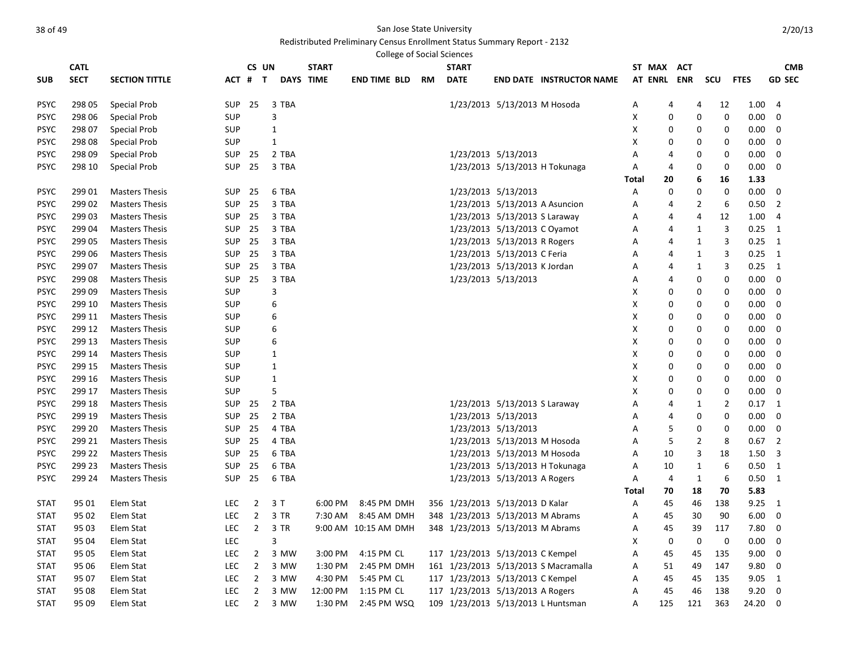# Redistributed Preliminary Census Enrollment Status Summary Report - 2132

College of Social Sciences

|             | <b>CATL</b> |                       |            |                | CS UN          | <b>START</b>     |                      |    | <b>START</b>                     |                               |                                      |       | ST MAX         | <b>ACT</b>   |                     |             | <b>CMB</b>     |
|-------------|-------------|-----------------------|------------|----------------|----------------|------------------|----------------------|----|----------------------------------|-------------------------------|--------------------------------------|-------|----------------|--------------|---------------------|-------------|----------------|
| <b>SUB</b>  | <b>SECT</b> | <b>SECTION TITTLE</b> | ACT #      |                | $\mathbf{T}$   | <b>DAYS TIME</b> | <b>END TIME BLD</b>  | RM | <b>DATE</b>                      |                               | <b>END DATE INSTRUCTOR NAME</b>      |       | <b>AT ENRL</b> | <b>ENR</b>   | scu                 | <b>FTES</b> | <b>GD SEC</b>  |
|             |             |                       |            |                |                |                  |                      |    |                                  |                               |                                      |       |                |              |                     |             |                |
| <b>PSYC</b> | 298 05      | Special Prob          | <b>SUP</b> | 25             | 3 TBA          |                  |                      |    |                                  | 1/23/2013 5/13/2013 M Hosoda  |                                      | Α     | 4              |              | 4<br>12             | 1.00        | $\overline{a}$ |
| <b>PSYC</b> | 298 06      | <b>Special Prob</b>   | <b>SUP</b> |                | 3              |                  |                      |    |                                  |                               |                                      | X     | 0              |              | 0<br>0              | 0.00        | $\mathbf 0$    |
| <b>PSYC</b> | 298 07      | Special Prob          | SUP        |                | 1              |                  |                      |    |                                  |                               |                                      | X     | 0              |              | 0<br>0              | $0.00\,$    | 0              |
| <b>PSYC</b> | 298 08      | Special Prob          | SUP        |                | $\mathbf{1}$   |                  |                      |    |                                  |                               |                                      | х     | O              |              | 0<br>0              | $0.00\,$    | 0              |
| <b>PSYC</b> | 298 09      | Special Prob          | SUP        | 25             | 2 TBA          |                  |                      |    |                                  | 1/23/2013 5/13/2013           |                                      | Α     | 4              |              | 0<br>0              | $0.00\,$    | 0              |
| <b>PSYC</b> | 298 10      | <b>Special Prob</b>   | <b>SUP</b> | 25             | 3 TBA          |                  |                      |    |                                  |                               | 1/23/2013 5/13/2013 H Tokunaga       | А     | 4              |              | 0<br>0              | 0.00        | 0              |
|             |             |                       |            |                |                |                  |                      |    |                                  |                               |                                      | Total | 20             |              | 6<br>16             | 1.33        |                |
| <b>PSYC</b> | 299 01      | <b>Masters Thesis</b> | <b>SUP</b> | 25             | 6 TBA          |                  |                      |    |                                  | 1/23/2013 5/13/2013           |                                      | А     | $\mathbf 0$    |              | 0<br>0              | 0.00        | $\mathbf 0$    |
| <b>PSYC</b> | 299 02      | <b>Masters Thesis</b> | <b>SUP</b> | 25             | 3 TBA          |                  |                      |    |                                  |                               | 1/23/2013 5/13/2013 A Asuncion       | Α     | 4              |              | 2<br>6              | 0.50        | $\overline{2}$ |
| <b>PSYC</b> | 299 03      | <b>Masters Thesis</b> | <b>SUP</b> | 25             | 3 TBA          |                  |                      |    |                                  | 1/23/2013 5/13/2013 S Laraway |                                      | Α     | 4              |              | 4<br>12             | 1.00        | $\overline{4}$ |
| <b>PSYC</b> | 299 04      | <b>Masters Thesis</b> | <b>SUP</b> | 25             | 3 TBA          |                  |                      |    |                                  | 1/23/2013 5/13/2013 C Oyamot  |                                      | A     | 4              | 1            | 3                   | 0.25        | 1              |
| <b>PSYC</b> | 299 05      | <b>Masters Thesis</b> | SUP        | 25             | 3 TBA          |                  |                      |    |                                  | 1/23/2013 5/13/2013 R Rogers  |                                      | A     | 4              | $\mathbf{1}$ | 3                   | 0.25        | 1              |
| <b>PSYC</b> | 299 06      | <b>Masters Thesis</b> | <b>SUP</b> | 25             | 3 TBA          |                  |                      |    |                                  | 1/23/2013 5/13/2013 C Feria   |                                      | Α     | 4              | 1            | $\overline{3}$      | 0.25        | 1              |
| <b>PSYC</b> | 299 07      | <b>Masters Thesis</b> | <b>SUP</b> | 25             | 3 TBA          |                  |                      |    |                                  | 1/23/2013 5/13/2013 K Jordan  |                                      | А     | 4              | 1            | 3                   | 0.25        | 1              |
| <b>PSYC</b> | 299 08      | <b>Masters Thesis</b> | <b>SUP</b> | 25             | 3 TBA          |                  |                      |    |                                  | 1/23/2013 5/13/2013           |                                      | А     | 4              |              | 0<br>0              | $0.00\,$    | 0              |
| <b>PSYC</b> | 299 09      | <b>Masters Thesis</b> | SUP        |                | 3              |                  |                      |    |                                  |                               |                                      | X     | 0              |              | 0<br>0              | 0.00        | $\mathbf 0$    |
| <b>PSYC</b> | 299 10      | <b>Masters Thesis</b> | <b>SUP</b> |                | 6              |                  |                      |    |                                  |                               |                                      | х     | 0              |              | 0<br>0              | 0.00        | $\mathbf 0$    |
| <b>PSYC</b> | 299 11      | <b>Masters Thesis</b> | SUP        |                | 6              |                  |                      |    |                                  |                               |                                      | X     | 0              |              | 0<br>0              | 0.00        | 0              |
| <b>PSYC</b> | 299 12      | <b>Masters Thesis</b> | SUP        |                | 6              |                  |                      |    |                                  |                               |                                      | х     | 0              |              | 0<br>0              | $0.00\,$    | 0              |
| <b>PSYC</b> | 299 13      | <b>Masters Thesis</b> | <b>SUP</b> |                | 6              |                  |                      |    |                                  |                               |                                      | X     | 0              |              | 0<br>0              | $0.00\,$    | 0              |
| <b>PSYC</b> | 299 14      | <b>Masters Thesis</b> | SUP        |                | 1              |                  |                      |    |                                  |                               |                                      | Χ     | 0              |              | 0<br>0              | 0.00        | 0              |
| <b>PSYC</b> | 299 15      | <b>Masters Thesis</b> | <b>SUP</b> |                | 1              |                  |                      |    |                                  |                               |                                      | X     | 0              |              | 0<br>0              | $0.00\,$    | 0              |
| <b>PSYC</b> | 299 16      | <b>Masters Thesis</b> | SUP        |                | 1              |                  |                      |    |                                  |                               |                                      | х     | 0              |              | 0<br>0              | $0.00\,$    | 0              |
| <b>PSYC</b> | 299 17      | <b>Masters Thesis</b> | SUP        |                | 5              |                  |                      |    |                                  |                               |                                      | х     | 0              |              | 0<br>0              | $0.00\,$    | 0              |
| <b>PSYC</b> | 299 18      | <b>Masters Thesis</b> | SUP        | 25             | 2 TBA          |                  |                      |    |                                  | 1/23/2013 5/13/2013 S Laraway |                                      | Α     | 4              | 1            | $\overline{2}$      | 0.17        | 1              |
| <b>PSYC</b> | 299 19      | <b>Masters Thesis</b> | SUP        | 25             | 2 TBA          |                  |                      |    |                                  | 1/23/2013 5/13/2013           |                                      | А     | 4              |              | $\mathbf 0$<br>0    | $0.00\,$    | 0              |
| <b>PSYC</b> | 299 20      | <b>Masters Thesis</b> | <b>SUP</b> | 25             | 4 TBA          |                  |                      |    |                                  | 1/23/2013 5/13/2013           |                                      | A     | 5              |              | $\mathbf 0$<br>0    | 0.00        | $\mathbf 0$    |
| <b>PSYC</b> | 299 21      | <b>Masters Thesis</b> | <b>SUP</b> | 25             | 4 TBA          |                  |                      |    |                                  | 1/23/2013 5/13/2013 M Hosoda  |                                      | A     | 5              |              | $\overline{2}$<br>8 | 0.67        | $\overline{2}$ |
| <b>PSYC</b> | 299 22      | <b>Masters Thesis</b> | <b>SUP</b> | 25             | 6 TBA          |                  |                      |    |                                  | 1/23/2013 5/13/2013 M Hosoda  |                                      | A     | 10             |              | 3<br>18             | 1.50        | 3              |
| <b>PSYC</b> | 299 23      | <b>Masters Thesis</b> | <b>SUP</b> | 25             | 6 TBA          |                  |                      |    |                                  |                               | 1/23/2013 5/13/2013 H Tokunaga       | Α     | 10             | 1            | 6                   | 0.50        | 1              |
| <b>PSYC</b> | 299 24      | <b>Masters Thesis</b> | <b>SUP</b> | 25             | 6 TBA          |                  |                      |    |                                  | 1/23/2013 5/13/2013 A Rogers  |                                      | Α     | $\overline{4}$ | $\mathbf{1}$ | 6                   | 0.50        | 1              |
|             |             |                       |            |                |                |                  |                      |    |                                  |                               |                                      | Total | 70             | 18           | 70                  | 5.83        |                |
| <b>STAT</b> | 95 01       | Elem Stat             | <b>LEC</b> | $\overline{2}$ | 3T             | 6:00 PM          | 8:45 PM DMH          |    | 356 1/23/2013 5/13/2013 D Kalar  |                               |                                      | Α     | 45             | 46           | 138                 | 9.25        | 1              |
| <b>STAT</b> | 95 02       | Elem Stat             | <b>LEC</b> | $\overline{2}$ | 3 TR           | 7:30 AM          | 8:45 AM DMH          |    | 348 1/23/2013 5/13/2013 M Abrams |                               |                                      | Α     | 45             | 30           | 90                  | 6.00        | $\mathbf 0$    |
| <b>STAT</b> | 95 03       | Elem Stat             | <b>LEC</b> | $\overline{2}$ | 3 TR           |                  | 9:00 AM 10:15 AM DMH |    | 348 1/23/2013 5/13/2013 M Abrams |                               |                                      | А     | 45             | 39           | 117                 | 7.80        | $\mathbf 0$    |
| <b>STAT</b> | 95 04       | Elem Stat             | <b>LEC</b> |                | $\overline{3}$ |                  |                      |    |                                  |                               |                                      | X     | $\mathbf 0$    | 0            | 0                   | 0.00        | 0              |
| <b>STAT</b> | 95 05       | Elem Stat             | <b>LEC</b> | 2              | 3 MW           | 3:00 PM          | 4:15 PM CL           |    | 117 1/23/2013 5/13/2013 C Kempel |                               |                                      | A     | 45             | 45           | 135                 | 9.00        | $\mathbf 0$    |
| <b>STAT</b> | 95 06       | Elem Stat             | LEC        | $\overline{2}$ | 3 MW           | 1:30 PM          | 2:45 PM DMH          |    |                                  |                               | 161 1/23/2013 5/13/2013 S Macramalla | A     | 51             | 49           | 147                 | 9.80        | 0              |
| <b>STAT</b> | 95 07       | Elem Stat             | <b>LEC</b> | $\overline{2}$ | 3 MW           | 4:30 PM          | 5:45 PM CL           |    | 117 1/23/2013 5/13/2013 C Kempel |                               |                                      | А     | 45             | 45           | 135                 | 9.05        | 1              |
| <b>STAT</b> | 95 08       | Elem Stat             | <b>LEC</b> | $\overline{2}$ | 3 MW           | 12:00 PM         | 1:15 PM CL           |    | 117 1/23/2013 5/13/2013 A Rogers |                               |                                      | А     | 45             | 46           | 138                 | 9.20        | $\mathbf 0$    |
| <b>STAT</b> | 95 09       | Elem Stat             | <b>LEC</b> | $\overline{2}$ | 3 MW           | 1:30 PM          | 2:45 PM WSQ          |    |                                  |                               | 109 1/23/2013 5/13/2013 L Huntsman   | A     | 125            | 121          | 363                 | 24.20       | $\mathbf 0$    |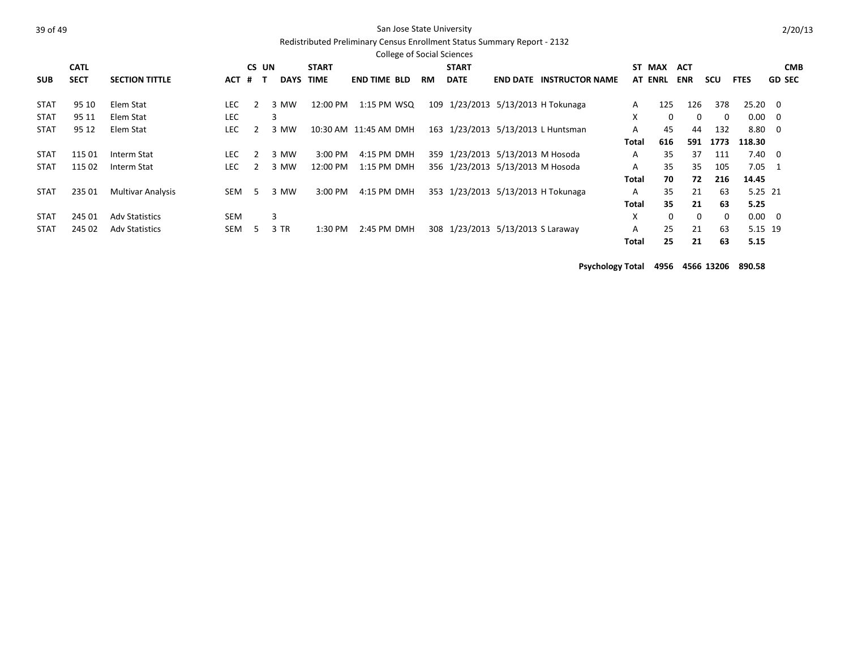### Redistributed Preliminary Census Enrollment Status Summary Report - 2132

|             |             |                          |            |          |             |              | <b>College of Social Sciences</b> |           |                                   |                 |                                    |       |                |            |          |                |               |  |
|-------------|-------------|--------------------------|------------|----------|-------------|--------------|-----------------------------------|-----------|-----------------------------------|-----------------|------------------------------------|-------|----------------|------------|----------|----------------|---------------|--|
|             | <b>CATL</b> |                          |            | CS UN    |             | <b>START</b> |                                   |           | <b>START</b>                      |                 |                                    |       | ST MAX         | ACT        |          |                | <b>CMB</b>    |  |
| <b>SUB</b>  | <b>SECT</b> | <b>SECTION TITTLE</b>    | ACT        | #<br>— Т | <b>DAYS</b> | <b>TIME</b>  | <b>END TIME BLD</b>               | <b>RM</b> | <b>DATE</b>                       | <b>END DATE</b> | <b>INSTRUCTOR NAME</b>             |       | <b>AT ENRL</b> | <b>ENR</b> | scu      | <b>FTES</b>    | <b>GD SEC</b> |  |
| <b>STAT</b> | 95 10       | Elem Stat                | <b>LEC</b> |          | 3 MW        | 12:00 PM     | 1:15 PM WSQ                       |           |                                   |                 | 109 1/23/2013 5/13/2013 H Tokunaga | A     | 125            | 126        | 378      | $25.20 \t 0$   |               |  |
| <b>STAT</b> | 95 11       | Elem Stat                | <b>LEC</b> |          | 3           |              |                                   |           |                                   |                 |                                    | X     | $\Omega$       | 0          | $\Omega$ | $0.00 \quad 0$ |               |  |
| <b>STAT</b> | 95 12       | Elem Stat                | <b>LEC</b> |          | 3 MW        |              | 10:30 AM 11:45 AM DMH             |           |                                   |                 | 163 1/23/2013 5/13/2013 L Huntsman | A     | 45             | 44         | 132      | 8.80 0         |               |  |
|             |             |                          |            |          |             |              |                                   |           |                                   |                 |                                    | Total | 616            | 591        | 1773     | 118.30         |               |  |
| <b>STAT</b> | 115 01      | Interm Stat              | LEC.       |          | 3 MW        | 3:00 PM      | 4:15 PM DMH                       |           | 359 1/23/2013 5/13/2013 M Hosoda  |                 |                                    | A     | 35             | 37         | 111      | $7.40 \quad 0$ |               |  |
| <b>STAT</b> | 115 02      | Interm Stat              | <b>LEC</b> |          | 3 MW        | 12:00 PM     | 1:15 PM DMH                       |           | 356 1/23/2013 5/13/2013 M Hosoda  |                 |                                    | A     | 35             | 35         | 105      | $7.05 \quad 1$ |               |  |
|             |             |                          |            |          |             |              |                                   |           |                                   |                 |                                    | Total | 70             | 72         | 216      | 14.45          |               |  |
| <b>STAT</b> | 235 01      | <b>Multivar Analysis</b> | <b>SEM</b> | .5       | MW<br>3     | 3:00 PM      | 4:15 PM DMH                       |           |                                   |                 | 353 1/23/2013 5/13/2013 H Tokunaga | A     | 35             | 21         | 63       | 5.25 21        |               |  |
|             |             |                          |            |          |             |              |                                   |           |                                   |                 |                                    | Total | 35             | 21         | 63       | 5.25           |               |  |
| <b>STAT</b> | 245 01      | <b>Adv Statistics</b>    | <b>SEM</b> |          | 3           |              |                                   |           |                                   |                 |                                    | X     | 0              | 0          | 0        | $0.00 \quad 0$ |               |  |
| <b>STAT</b> | 245 02      | <b>Adv Statistics</b>    | <b>SEM</b> | h        | 3 TR        | 1:30 PM      | 2:45 PM DMH                       |           | 308 1/23/2013 5/13/2013 S Laraway |                 |                                    | A     | 25             | 21         | 63       | 5.15 19        |               |  |
|             |             |                          |            |          |             |              |                                   |           |                                   |                 |                                    | Total | 25             | 21         | 63       | 5.15           |               |  |

**Psychology Total 4956 4566 13206 890.58**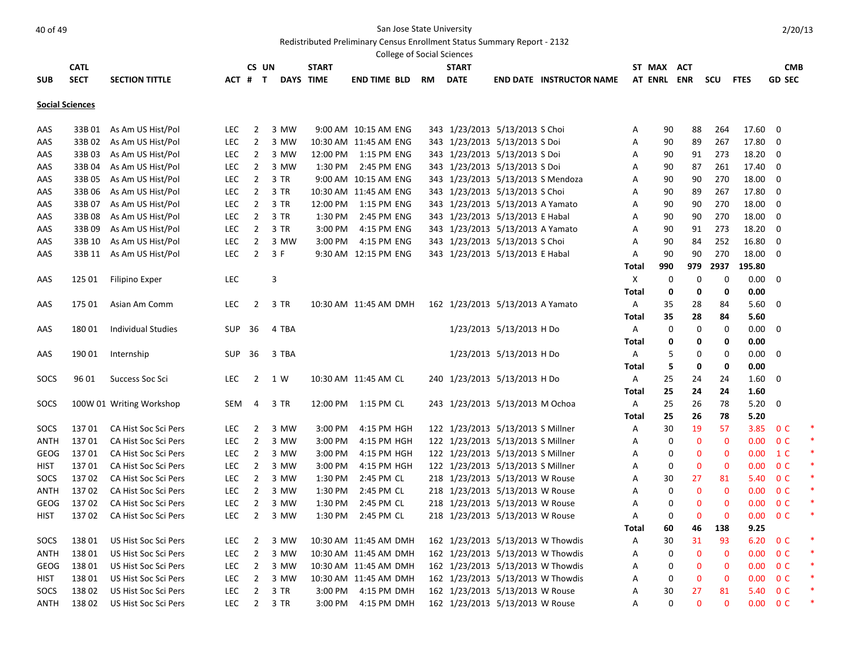Redistributed Preliminary Census Enrollment Status Summary Report - 2132

|             |                        |                           |            |                |       |       |              | <b>College of Social Sciences</b> |           |                                   |                          |                                   |        |             |              |              |                   |                |  |
|-------------|------------------------|---------------------------|------------|----------------|-------|-------|--------------|-----------------------------------|-----------|-----------------------------------|--------------------------|-----------------------------------|--------|-------------|--------------|--------------|-------------------|----------------|--|
|             | <b>CATL</b>            |                           |            |                | CS UN |       | <b>START</b> |                                   |           | <b>START</b>                      |                          |                                   | ST MAX |             | <b>ACT</b>   |              |                   | <b>CMB</b>     |  |
| <b>SUB</b>  | <b>SECT</b>            | <b>SECTION TITTLE</b>     | ACT # T    |                |       |       | DAYS TIME    | <b>END TIME BLD</b>               | <b>RM</b> | <b>DATE</b>                       |                          | <b>END DATE INSTRUCTOR NAME</b>   |        |             | AT ENRL ENR  | <b>SCU</b>   | <b>FTES</b>       | <b>GD SEC</b>  |  |
|             |                        |                           |            |                |       |       |              |                                   |           |                                   |                          |                                   |        |             |              |              |                   |                |  |
|             | <b>Social Sciences</b> |                           |            |                |       |       |              |                                   |           |                                   |                          |                                   |        |             |              |              |                   |                |  |
| AAS         | 33B 01                 | As Am US Hist/Pol         | <b>LEC</b> | $\overline{2}$ |       | 3 MW  |              | 9:00 AM 10:15 AM ENG              |           | 343 1/23/2013 5/13/2013 S Choi    |                          |                                   | Α      | 90          | 88           | 264          | 17.60             | 0              |  |
| AAS         | 33B 02                 | As Am US Hist/Pol         | <b>LEC</b> | $\overline{2}$ |       | 3 MW  |              | 10:30 AM 11:45 AM ENG             |           | 343 1/23/2013 5/13/2013 S Doi     |                          |                                   | Α      | 90          | 89           | 267          | 17.80             | 0              |  |
| AAS         | 33B 03                 | As Am US Hist/Pol         | <b>LEC</b> | $\overline{2}$ |       | 3 MW  |              | 12:00 PM  1:15 PM ENG             |           | 343 1/23/2013 5/13/2013 S Doi     |                          |                                   | Α      | 90          | 91           | 273          | 18.20             | 0              |  |
| AAS         | 33B 04                 | As Am US Hist/Pol         | <b>LEC</b> | $\overline{2}$ |       | 3 MW  | 1:30 PM      | 2:45 PM ENG                       |           | 343 1/23/2013 5/13/2013 S Doi     |                          |                                   | Α      | 90          | 87           | 261          | 17.40             | 0              |  |
| AAS         | 33B 05                 | As Am US Hist/Pol         | <b>LEC</b> | $\overline{2}$ |       | 3 TR  |              | 9:00 AM 10:15 AM ENG              |           | 343 1/23/2013 5/13/2013 S Mendoza |                          |                                   | Α      | 90          | 90           | 270          | 18.00             | $\mathbf 0$    |  |
| AAS         | 33B 06                 | As Am US Hist/Pol         | <b>LEC</b> | $\overline{2}$ |       | 3 TR  |              | 10:30 AM 11:45 AM ENG             |           | 343 1/23/2013 5/13/2013 S Choi    |                          |                                   | Α      | 90          | 89           | 267          | 17.80             | 0              |  |
| AAS         | 33B 07                 | As Am US Hist/Pol         | <b>LEC</b> | $\overline{2}$ |       | 3 TR  |              | 12:00 PM  1:15 PM ENG             |           | 343 1/23/2013 5/13/2013 A Yamato  |                          |                                   | Α      | 90          | 90           | 270          | 18.00             | 0              |  |
| AAS         | 33B08                  | As Am US Hist/Pol         | <b>LEC</b> | $\overline{2}$ |       | 3 TR  | 1:30 PM      | 2:45 PM ENG                       |           | 343 1/23/2013 5/13/2013 E Habal   |                          |                                   | Α      | 90          | 90           | 270          | 18.00             | 0              |  |
| AAS         | 33B 09                 | As Am US Hist/Pol         | <b>LEC</b> | $\overline{2}$ |       | 3 TR  | 3:00 PM      | 4:15 PM ENG                       |           | 343 1/23/2013 5/13/2013 A Yamato  |                          |                                   | Α      | 90          | 91           | 273          | 18.20             | 0              |  |
| AAS         | 33B 10                 | As Am US Hist/Pol         | <b>LEC</b> | $\overline{2}$ |       | 3 MW  | 3:00 PM      | 4:15 PM ENG                       |           | 343 1/23/2013 5/13/2013 S Choi    |                          |                                   | Α      | 90          | 84           | 252          | 16.80             | 0              |  |
| AAS         | 33B 11                 | As Am US Hist/Pol         | <b>LEC</b> | $\overline{2}$ |       | 3 F   |              | 9:30 AM 12:15 PM ENG              |           | 343 1/23/2013 5/13/2013 E Habal   |                          |                                   | Α      | 90          | 90           | 270          | 18.00             | 0              |  |
|             |                        |                           |            |                |       |       |              |                                   |           |                                   |                          |                                   | Total  | 990         | 979          | 2937         | 195.80            |                |  |
| AAS         | 125 01                 | Filipino Exper            | LEC        |                | 3     |       |              |                                   |           |                                   |                          |                                   | Х      | 0           | 0            | 0            | 0.00              | $\mathbf 0$    |  |
|             |                        |                           |            |                |       |       |              |                                   |           |                                   |                          |                                   | Total  | 0           | 0            | 0            | 0.00              |                |  |
| AAS         | 175 01                 | Asian Am Comm             | <b>LEC</b> | 2              |       | 3 TR  |              | 10:30 AM 11:45 AM DMH             |           | 162 1/23/2013 5/13/2013 A Yamato  |                          |                                   | Α      | 35          | 28           | 84           | 5.60              | 0              |  |
|             |                        |                           |            |                |       |       |              |                                   |           |                                   |                          |                                   | Total  | 35          | 28           | 84           | 5.60              |                |  |
| AAS         | 18001                  | <b>Individual Studies</b> | <b>SUP</b> | 36             |       | 4 TBA |              |                                   |           |                                   | 1/23/2013 5/13/2013 H Do |                                   | Α      | 0           | 0            | 0            | 0.00              | 0              |  |
|             |                        |                           |            |                |       |       |              |                                   |           |                                   |                          |                                   | Total  | 0           | 0            | 0            | 0.00              |                |  |
| AAS         | 190 01                 | Internship                | <b>SUP</b> | 36             |       | 3 TBA |              |                                   |           |                                   | 1/23/2013 5/13/2013 H Do |                                   | Α      | 5           | 0            | 0            | 0.00              | 0              |  |
|             |                        |                           |            |                |       |       |              |                                   |           |                                   |                          |                                   | Total  | 5           | 0            | 0            | 0.00              |                |  |
| SOCS        | 96 01                  | Success Soc Sci           | <b>LEC</b> | $\overline{2}$ |       | 1 W   |              | 10:30 AM 11:45 AM CL              |           | 240 1/23/2013 5/13/2013 H Do      |                          |                                   | Α      | 25          | 24           | 24           | 1.60              | 0              |  |
|             |                        |                           |            |                |       |       |              |                                   |           |                                   |                          |                                   | Total  | 25          | 24           | 24           | 1.60              |                |  |
| SOCS        |                        | 100W 01 Writing Workshop  | SEM        | 4              |       | 3 TR  |              | 12:00 PM 1:15 PM CL               |           | 243 1/23/2013 5/13/2013 M Ochoa   |                          |                                   | A      | 25          | 26           | 78           | 5.20              | 0              |  |
|             |                        |                           |            |                |       |       |              |                                   |           |                                   |                          |                                   | Total  | 25          | 26           | 78           | 5.20              |                |  |
| SOCS        | 13701                  | CA Hist Soc Sci Pers      | <b>LEC</b> | $\overline{2}$ |       | 3 MW  | 3:00 PM      | 4:15 PM HGH                       |           | 122 1/23/2013 5/13/2013 S Millner |                          |                                   | Α      | 30          | 19           | 57           | 3.85              | 0 <sup>C</sup> |  |
| ANTH        | 13701                  | CA Hist Soc Sci Pers      | <b>LEC</b> | $\overline{2}$ |       | 3 MW  | 3:00 PM      | 4:15 PM HGH                       |           | 122 1/23/2013 5/13/2013 S Millner |                          |                                   | Α      | 0           | $\mathbf 0$  | $\mathbf 0$  | 0.00              | 0 <sup>C</sup> |  |
| GEOG        | 137 01                 | CA Hist Soc Sci Pers      | <b>LEC</b> | 2              |       | 3 MW  | 3:00 PM      | 4:15 PM HGH                       |           | 122 1/23/2013 5/13/2013 S Millner |                          |                                   | Α      | 0           | 0            | 0            | 0.00              | $1\,C$         |  |
| HIST        | 13701                  | CA Hist Soc Sci Pers      | <b>LEC</b> | $\overline{2}$ |       | 3 MW  | 3:00 PM      | 4:15 PM HGH                       |           | 122 1/23/2013 5/13/2013 S Millner |                          |                                   | Α      | 0           | 0            | $\mathbf 0$  | 0.00              | 0 <sup>C</sup> |  |
| SOCS        | 13702                  | CA Hist Soc Sci Pers      | <b>LEC</b> | $\overline{2}$ |       | 3 MW  | 1:30 PM      | 2:45 PM CL                        |           | 218 1/23/2013 5/13/2013 W Rouse   |                          |                                   | Α      | 30          | 27           | 81           | 5.40              | 0 <sup>C</sup> |  |
| ANTH        | 13702                  | CA Hist Soc Sci Pers      | <b>LEC</b> | $\overline{2}$ |       | 3 MW  | 1:30 PM      | 2:45 PM CL                        |           | 218 1/23/2013 5/13/2013 W Rouse   |                          |                                   | A      | 0           | $\mathbf 0$  | 0            | 0.00              | 0 <sup>C</sup> |  |
| GEOG        | 13702                  | CA Hist Soc Sci Pers      | <b>LEC</b> | 2              |       | 3 MW  | 1:30 PM      | 2:45 PM CL                        |           | 218 1/23/2013 5/13/2013 W Rouse   |                          |                                   | Α      | 0           | 0            | $\mathbf 0$  | 0.00              | 0 <sup>C</sup> |  |
| <b>HIST</b> | 13702                  | CA Hist Soc Sci Pers      | LEC        | $\overline{2}$ |       | 3 MW  | 1:30 PM      | 2:45 PM CL                        |           | 218 1/23/2013 5/13/2013 W Rouse   |                          |                                   | Α      | $\mathbf 0$ | $\mathbf{0}$ | $\mathbf{0}$ | 0.00 <sub>1</sub> | 0 <sup>C</sup> |  |
|             |                        |                           |            |                |       |       |              |                                   |           |                                   |                          |                                   | Total  | 60          | 46           | 138          | 9.25              |                |  |
| SOCS        | 138 01                 | US Hist Soc Sci Pers      | <b>LEC</b> | $\overline{2}$ |       | 3 MW  |              | 10:30 AM 11:45 AM DMH             |           |                                   |                          | 162 1/23/2013 5/13/2013 W Thowdis | Α      | 30          | 31           | 93           | 6.20              | 0 <sup>C</sup> |  |
| ANTH        | 13801                  | US Hist Soc Sci Pers      | <b>LEC</b> | $\overline{2}$ |       | 3 MW  |              | 10:30 AM 11:45 AM DMH             |           |                                   |                          | 162 1/23/2013 5/13/2013 W Thowdis | Α      | 0           | 0            | 0            | 0.00              | 0 <sup>C</sup> |  |
| GEOG        | 138 01                 | US Hist Soc Sci Pers      | <b>LEC</b> | $\overline{2}$ |       | 3 MW  |              | 10:30 AM 11:45 AM DMH             |           |                                   |                          | 162 1/23/2013 5/13/2013 W Thowdis | Α      | 0           | 0            | 0            | 0.00              | 0 <sup>C</sup> |  |
| HIST        | 13801                  | US Hist Soc Sci Pers      | <b>LEC</b> | $\overline{2}$ |       | 3 MW  |              | 10:30 AM 11:45 AM DMH             |           |                                   |                          | 162 1/23/2013 5/13/2013 W Thowdis | Α      | 0           | 0            | 0            | 0.00              | 0 <sup>C</sup> |  |
| SOCS        | 13802                  | US Hist Soc Sci Pers      | <b>LEC</b> | $\overline{2}$ |       | 3 TR  | 3:00 PM      | 4:15 PM DMH                       |           | 162 1/23/2013 5/13/2013 W Rouse   |                          |                                   | А      | 30          | 27           | 81           |                   | 5.40 OC        |  |
| ANTH        | 13802                  | US Hist Soc Sci Pers      | LEC        | $\overline{2}$ |       | 3 TR  | 3:00 PM      | 4:15 PM DMH                       |           | 162 1/23/2013 5/13/2013 W Rouse   |                          |                                   | А      | 0           | 0            | $\bf{0}$     |                   | $0.00 \t 0 C$  |  |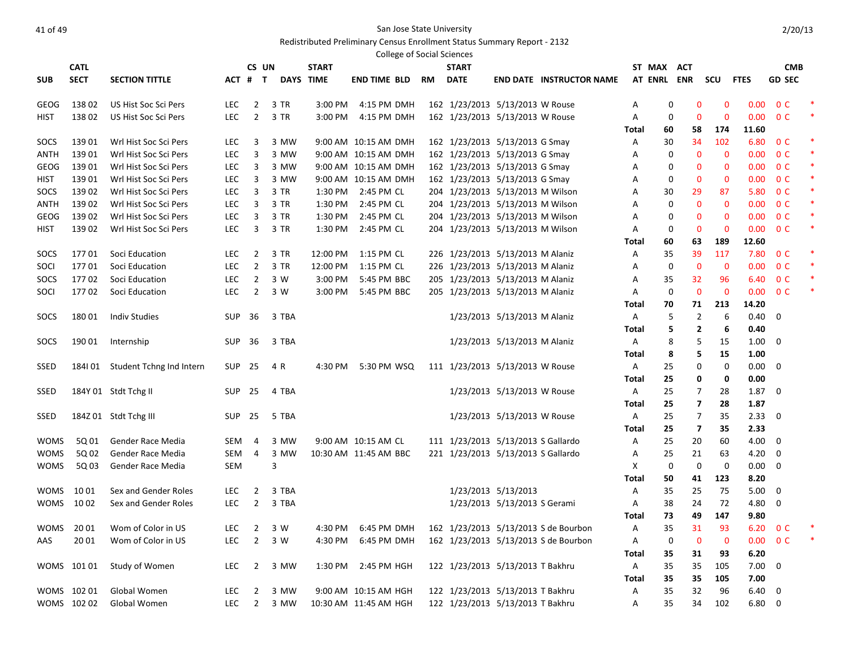|             |             |                                 |               |                |        |              | <b>College of Social Sciences</b>                                  |    |                                    |                              |                                      |              |    |                         |             |             |                |   |
|-------------|-------------|---------------------------------|---------------|----------------|--------|--------------|--------------------------------------------------------------------|----|------------------------------------|------------------------------|--------------------------------------|--------------|----|-------------------------|-------------|-------------|----------------|---|
|             | <b>CATL</b> |                                 |               | CS UN          |        | <b>START</b> |                                                                    |    | <b>START</b>                       |                              |                                      |              |    | ST MAX ACT              |             |             | <b>CMB</b>     |   |
| <b>SUB</b>  | <b>SECT</b> | <b>SECTION TITTLE</b>           |               | ACT # T        |        | DAYS TIME    | <b>END TIME BLD</b>                                                | RM | <b>DATE</b>                        |                              | <b>END DATE INSTRUCTOR NAME</b>      |              |    | AT ENRL ENR             | scu         | <b>FTES</b> | <b>GD SEC</b>  |   |
|             |             |                                 |               |                |        |              |                                                                    |    |                                    |                              |                                      |              |    |                         |             |             |                |   |
| GEOG        | 13802       | US Hist Soc Sci Pers            | <b>LEC</b>    | $\overline{2}$ | 3 TR   | 3:00 PM      | 4:15 PM DMH                                                        |    | 162 1/23/2013 5/13/2013 W Rouse    |                              |                                      | Α            | 0  | $\bf{0}$                | $\mathbf 0$ | 0.00        | 0 <sup>C</sup> |   |
| HIST        | 13802       | US Hist Soc Sci Pers            | LEC.          | $\overline{2}$ | 3 TR   |              | 3:00 PM 4:15 PM DMH                                                |    | 162 1/23/2013 5/13/2013 W Rouse    |                              |                                      | Α            | 0  | $\mathbf 0$             | 0           |             | $0.00 \t 0 C$  |   |
|             |             |                                 |               |                |        |              |                                                                    |    |                                    |                              |                                      | Total        | 60 | 58                      | 174         | 11.60       |                |   |
| SOCS        | 139 01      | Wrl Hist Soc Sci Pers           | <b>LEC</b>    | 3              | 3 MW   |              | 9:00 AM 10:15 AM DMH                                               |    | 162 1/23/2013 5/13/2013 G Smay     |                              |                                      | Α            | 30 | 34                      | 102         | 6.80        | 0 <sup>C</sup> |   |
| <b>ANTH</b> | 13901       | Wrl Hist Soc Sci Pers           | LEC.          | 3              | 3 MW   |              | 9:00 AM 10:15 AM DMH                                               |    | 162 1/23/2013 5/13/2013 G Smay     |                              |                                      | Α            | 0  | $\bf{0}$                | 0           | 0.00        | 0 <sup>C</sup> |   |
| GEOG        | 13901       | Wrl Hist Soc Sci Pers           | <b>LEC</b>    | 3              | 3 MW   |              | 9:00 AM 10:15 AM DMH                                               |    | 162 1/23/2013 5/13/2013 G Smay     |                              |                                      | А            | 0  | $\mathbf 0$             | 0           | 0.00        | 0 <sup>C</sup> |   |
| <b>HIST</b> | 139 01      | Wrl Hist Soc Sci Pers           | <b>LEC</b>    | 3              | 3 MW   |              | 9:00 AM 10:15 AM DMH                                               |    | 162 1/23/2013 5/13/2013 G Smay     |                              |                                      | Α            | 0  | $\mathbf 0$             | $\mathbf 0$ | 0.00        | 0 <sup>C</sup> |   |
| SOCS        | 139 02      | Wrl Hist Soc Sci Pers           | <b>LEC</b>    | 3              | 3 TR   | 1:30 PM      | 2:45 PM CL                                                         |    | 204 1/23/2013 5/13/2013 M Wilson   |                              |                                      | Α            | 30 | 29                      | 87          | 5.80        | 0 <sup>C</sup> |   |
| <b>ANTH</b> | 139 02      | Wrl Hist Soc Sci Pers           | LEC           | 3              | 3 TR   | 1:30 PM      | 2:45 PM CL                                                         |    | 204 1/23/2013 5/13/2013 M Wilson   |                              |                                      | Α            | 0  | $\mathbf 0$             | 0           | 0.00        | 0 <sup>C</sup> |   |
| GEOG        | 139 02      | Wrl Hist Soc Sci Pers           | <b>LEC</b>    | 3              | 3 TR   | 1:30 PM      | 2:45 PM CL                                                         |    | 204 1/23/2013 5/13/2013 M Wilson   |                              |                                      | А            | 0  | 0                       | 0           |             | $0.00 \t 0 C$  |   |
| <b>HIST</b> | 139 02      | Wrl Hist Soc Sci Pers           | <b>LEC</b>    | 3              | 3 TR   | 1:30 PM      | 2:45 PM CL                                                         |    | 204 1/23/2013 5/13/2013 M Wilson   |                              |                                      | Α            | 0  | $\mathbf 0$             | 0           |             | $0.00 \t 0 C$  |   |
|             |             |                                 |               |                |        |              |                                                                    |    |                                    |                              |                                      | Total        | 60 | 63                      | 189         | 12.60       |                |   |
| SOCS        | 17701       | Soci Education                  | <b>LEC</b>    | $\overline{2}$ | 3 TR   | 12:00 PM     | 1:15 PM CL                                                         |    | 226 1/23/2013 5/13/2013 M Alaniz   |                              |                                      | Α            | 35 | 39                      | 117         |             | 7.80 OC        |   |
| SOCI        | 17701       | Soci Education                  | <b>LEC</b>    | $\overline{2}$ | 3 TR   | 12:00 PM     | 1:15 PM CL                                                         |    | 226 1/23/2013 5/13/2013 M Alaniz   |                              |                                      | Α            | 0  | $\mathbf 0$             | 0           |             | $0.00 \t 0 C$  |   |
| SOCS        | 17702       | Soci Education                  | <b>LEC</b>    | 2              | 3 W    | 3:00 PM      | 5:45 PM BBC                                                        |    | 205 1/23/2013 5/13/2013 M Alaniz   |                              |                                      | Α            | 35 | 32                      | 96          | 6.40        | 0 <sup>C</sup> |   |
| SOCI        | 17702       | Soci Education                  | LEC           | $\overline{2}$ | 3 W    | 3:00 PM      | 5:45 PM BBC                                                        |    | 205 1/23/2013 5/13/2013 M Alaniz   |                              |                                      | Α            | 0  | $\mathbf 0$             | $\mathbf 0$ | 0.00        | 0 <sup>C</sup> |   |
|             |             |                                 |               |                |        |              |                                                                    |    |                                    |                              |                                      | Total        | 70 | 71                      | 213         | 14.20       |                |   |
| SOCS        | 18001       | <b>Indiv Studies</b>            | <b>SUP</b>    | 36             | 3 TBA  |              |                                                                    |    |                                    | 1/23/2013 5/13/2013 M Alaniz |                                      | Α            | 5  | $\overline{2}$          | 6           | 0.40        | - 0            |   |
|             |             |                                 |               |                |        |              |                                                                    |    |                                    |                              |                                      | Total        | 5  | $\overline{\mathbf{2}}$ | 6           | 0.40        |                |   |
| SOCS        | 190 01      | Internship                      | <b>SUP</b>    | 36             | 3 TBA  |              |                                                                    |    |                                    | 1/23/2013 5/13/2013 M Alaniz |                                      | Α            | 8  | 5                       | 15          | $1.00 \t 0$ |                |   |
|             |             |                                 |               |                |        |              |                                                                    |    |                                    |                              |                                      | Total        | 8  | 5                       | 15          | 1.00        |                |   |
| <b>SSED</b> |             | 184101 Student Tchng Ind Intern | SUP 25        |                | 4 R    | 4:30 PM      | 5:30 PM WSQ                                                        |    | 111 1/23/2013 5/13/2013 W Rouse    |                              |                                      | Α            | 25 | 0                       | 0           | $0.00 \t 0$ |                |   |
|             |             |                                 |               |                |        |              |                                                                    |    |                                    |                              |                                      | Total        | 25 | 0                       | 0           | 0.00        |                |   |
| <b>SSED</b> |             |                                 | <b>SUP 25</b> |                | 4 TBA  |              |                                                                    |    |                                    | 1/23/2013 5/13/2013 W Rouse  |                                      | Α            | 25 | 7                       | 28          | 1.87        | 0              |   |
|             |             | 184Y 01 Stdt Tchg II            |               |                |        |              |                                                                    |    |                                    |                              |                                      |              |    |                         |             |             |                |   |
|             |             |                                 |               |                |        |              |                                                                    |    |                                    |                              |                                      | Total        | 25 | 7                       | 28          | 1.87        |                |   |
| <b>SSED</b> |             | 184Z 01 Stdt Tchg III           | SUP 25        |                | 5 TBA  |              |                                                                    |    |                                    | 1/23/2013 5/13/2013 W Rouse  |                                      | Α            | 25 | 7                       | 35          | 2.33        | - 0            |   |
|             |             |                                 |               |                |        |              |                                                                    |    |                                    |                              |                                      | Total        | 25 | 7                       | 35          | 2.33        |                |   |
| <b>WOMS</b> | 5Q 01       | Gender Race Media               | SEM           | 4              | 3 MW   |              | 9:00 AM 10:15 AM CL                                                |    | 111 1/23/2013 5/13/2013 S Gallardo |                              |                                      | Α            | 25 | 20                      | 60          | $4.00 \ 0$  |                |   |
| <b>WOMS</b> | 5Q 02       | Gender Race Media               | SEM           | 4              | 3 MW   |              | 10:30 AM 11:45 AM BBC                                              |    | 221 1/23/2013 5/13/2013 S Gallardo |                              |                                      | Α            | 25 | 21                      | 63          | 4.20        | 0              |   |
| <b>WOMS</b> | 5Q 03       | Gender Race Media               | <b>SEM</b>    |                | 3      |              |                                                                    |    |                                    |                              |                                      | Х            | 0  | 0                       | 0           | 0.00        | - 0            |   |
|             |             |                                 |               |                |        |              |                                                                    |    |                                    |                              |                                      | Total        | 50 | 41                      | 123         | 8.20        |                |   |
| <b>WOMS</b> | 1001        | Sex and Gender Roles            | LEC.          | 2              | 3 TBA  |              |                                                                    |    |                                    | 1/23/2013 5/13/2013          |                                      | Α            | 35 | 25                      | 75          | 5.00        | 0              |   |
| WOMS 1002   |             | Sex and Gender Roles            | LEC           | $\overline{2}$ | 3 TBA  |              |                                                                    |    |                                    | 1/23/2013 5/13/2013 S Gerami |                                      | Α            | 38 | 24                      | 72          | 4.80        | 0              |   |
|             |             |                                 |               |                |        |              |                                                                    |    |                                    |                              |                                      | Total        | 73 | 49                      | 147         | 9.80        |                |   |
|             |             | WOMS 2001 Wom of Color in US    |               |                |        |              | LEC 2 3 W 4:30 PM 6:45 PM DMH 162 1/23/2013 5/13/2013 S de Bourbon |    |                                    |                              |                                      | A            | 35 | 31                      | 93          |             | 6.20 0 C       |   |
| AAS         | 20 01       | Wom of Color in US              | <b>LEC</b>    |                | 2 3 W  |              | 4:30 PM 6:45 PM DMH                                                |    |                                    |                              | 162 1/23/2013 5/13/2013 S de Bourbon | Α            | 0  | $\bf{0}$                | $\mathbf 0$ |             | $0.00 \t 0 C$  | × |
|             |             |                                 |               |                |        |              |                                                                    |    |                                    |                              |                                      | <b>Total</b> | 35 | 31                      | 93          | 6.20        |                |   |
|             | WOMS 10101  | Study of Women                  | LEC           | $\overline{2}$ | 3 MW   |              | 1:30 PM 2:45 PM HGH                                                |    | 122 1/23/2013 5/13/2013 T Bakhru   |                              |                                      | A            | 35 | 35                      | 105         | $7.00 \t 0$ |                |   |
|             |             |                                 |               |                |        |              |                                                                    |    |                                    |                              |                                      | <b>Total</b> | 35 | 35                      | 105         | 7.00        |                |   |
|             | WOMS 102 01 | Global Women                    | <b>LEC</b>    | $\mathbf{2}$   | 3 MW   |              | 9:00 AM 10:15 AM HGH                                               |    | 122 1/23/2013 5/13/2013 T Bakhru   |                              |                                      | Α            | 35 | 32                      | 96          | $6.40\ 0$   |                |   |
|             | WOMS 102 02 | Global Women                    | LEC           |                | 2 3 MW |              | 10:30 AM 11:45 AM HGH                                              |    | 122 1/23/2013 5/13/2013 T Bakhru   |                              |                                      | Α            | 35 | 34                      | 102         | 6.80 0      |                |   |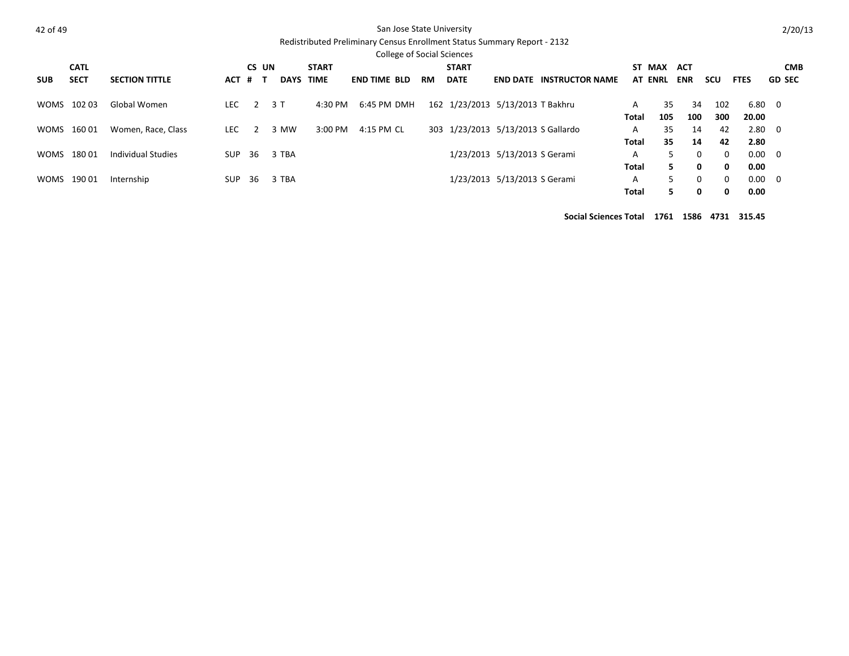|--|--|

### San Jose State University

# Redistributed Preliminary Census Enrollment Status Summary Report - 2132

|             |             |                       |            |                |             |              | <b>College of Social Sciences</b> |           |              |                                    |                                 |       |                |            |          |             |               |
|-------------|-------------|-----------------------|------------|----------------|-------------|--------------|-----------------------------------|-----------|--------------|------------------------------------|---------------------------------|-------|----------------|------------|----------|-------------|---------------|
|             | <b>CATL</b> |                       |            | CS UN          |             | <b>START</b> |                                   |           | <b>START</b> |                                    |                                 | ST.   | MAX            | ACT        |          |             | <b>CMB</b>    |
| <b>SUB</b>  | <b>SECT</b> | <b>SECTION TITTLE</b> | <b>ACT</b> | # T            | <b>DAYS</b> | <b>TIME</b>  | <b>END TIME BLD</b>               | <b>RM</b> | <b>DATE</b>  |                                    | <b>END DATE INSTRUCTOR NAME</b> |       | <b>AT ENRL</b> | <b>ENR</b> | scu      | <b>FTES</b> | <b>GD SEC</b> |
|             | WOMS 102 03 | Global Women          | LEC        |                | 2 3 T       | 4:30 PM      | 6:45 PM DMH                       |           |              | 162 1/23/2013 5/13/2013 T Bakhru   |                                 | A     | 35             | 34         | 102      | 6.80 0      |               |
|             |             |                       |            |                |             |              |                                   |           |              |                                    |                                 | Total | 105            | 100        | 300      | 20.00       |               |
|             | WOMS 160 01 | Women, Race, Class    | LEC.       | $\overline{2}$ | 3 MW        | 3:00 PM      | 4:15 PM CL                        |           |              | 303 1/23/2013 5/13/2013 S Gallardo |                                 | A     | 35             | 14         | 42       |             | $2.80\quad 0$ |
|             |             |                       |            |                |             |              |                                   |           |              |                                    |                                 | Total | 35             | 14         | 42       | 2.80        |               |
| <b>WOMS</b> | 18001       | Individual Studies    | SUP        | 36             | 3 TBA       |              |                                   |           |              | 1/23/2013 5/13/2013 S Gerami       |                                 | A     | 5.             | 0          | $\Omega$ | $0.00 \ 0$  |               |
|             |             |                       |            |                |             |              |                                   |           |              |                                    |                                 | Total | 5.             | 0          | 0        | 0.00        |               |
| WOMS        | 190 01      | Internship            | SUP        | 36             | 3 TBA       |              |                                   |           |              | 1/23/2013 5/13/2013 S Gerami       |                                 | A     | 5.             | 0          | $\Omega$ | 0.00        | $\Omega$      |
|             |             |                       |            |                |             |              |                                   |           |              |                                    |                                 | Total | 5.             | 0          | 0        | 0.00        |               |

**Social Sciences Total 1761 1586 4731 315.45**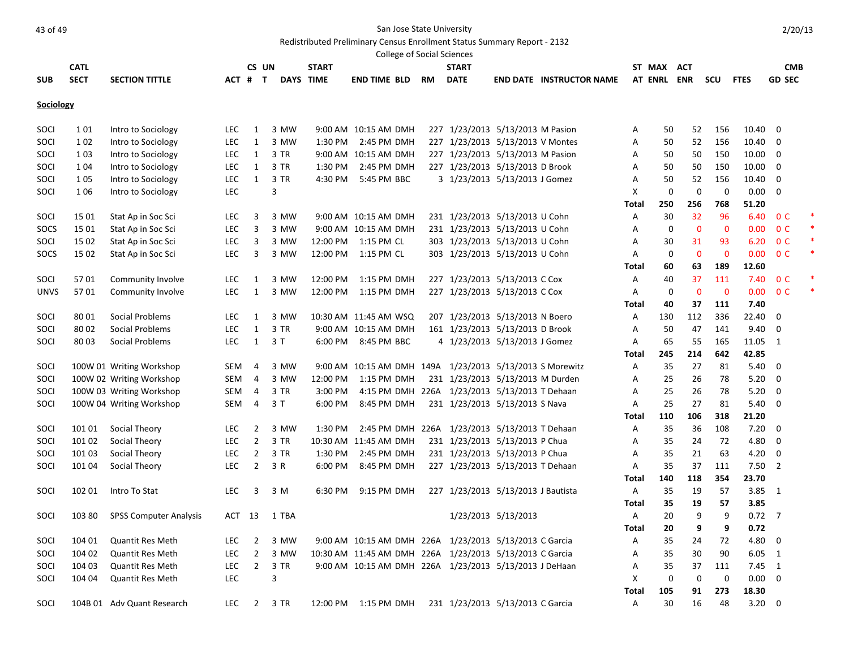Redistributed Preliminary Census Enrollment Status Summary Report - 2132

|             |             |                               |            |                |        |              |                       |           | <b>College of Social Sciences</b>                       |                              |                                                          |              |             |             |             |                |                |  |
|-------------|-------------|-------------------------------|------------|----------------|--------|--------------|-----------------------|-----------|---------------------------------------------------------|------------------------------|----------------------------------------------------------|--------------|-------------|-------------|-------------|----------------|----------------|--|
|             | <b>CATL</b> |                               |            | CS UN          |        | <b>START</b> |                       |           | <b>START</b>                                            |                              |                                                          |              | ST MAX ACT  |             |             |                | <b>CMB</b>     |  |
| <b>SUB</b>  | <b>SECT</b> | <b>SECTION TITTLE</b>         |            | ACT # T        |        | DAYS TIME    | <b>END TIME BLD</b>   | <b>RM</b> | <b>DATE</b>                                             |                              | <b>END DATE INSTRUCTOR NAME</b>                          |              | AT ENRL ENR |             | scu         | <b>FTES</b>    | <b>GD SEC</b>  |  |
| Sociology   |             |                               |            |                |        |              |                       |           |                                                         |                              |                                                          |              |             |             |             |                |                |  |
| SOCI        | 1 0 1       | Intro to Sociology            | <b>LEC</b> | 1              | 3 MW   |              | 9:00 AM 10:15 AM DMH  |           | 227 1/23/2013 5/13/2013 M Pasion                        |                              |                                                          | Α            | 50          | 52          | 156         | 10.40          | $\mathbf 0$    |  |
| SOCI        | 1 0 2       | Intro to Sociology            | <b>LEC</b> | 1              | 3 MW   | 1:30 PM      | 2:45 PM DMH           |           | 227 1/23/2013 5/13/2013 V Montes                        |                              |                                                          | Α            | 50          | 52          | 156         | 10.40          | 0              |  |
| SOCI        | 1 0 3       | Intro to Sociology            | <b>LEC</b> | $\mathbf{1}$   | 3 TR   |              | 9:00 AM 10:15 AM DMH  |           | 227 1/23/2013 5/13/2013 M Pasion                        |                              |                                                          | Α            | 50          | 50          | 150         | 10.00          | $\mathbf 0$    |  |
| SOCI        | 1 0 4       | Intro to Sociology            | LEC        | 1              | 3 TR   | 1:30 PM      | 2:45 PM DMH           |           | 227 1/23/2013 5/13/2013 D Brook                         |                              |                                                          | Α            | 50          | 50          | 150         | 10.00          | $\mathbf 0$    |  |
| SOCI        | 1 0 5       | Intro to Sociology            | <b>LEC</b> | 1              | 3 TR   | 4:30 PM      | 5:45 PM BBC           |           | 3 1/23/2013 5/13/2013 J Gomez                           |                              |                                                          | Α            | 50          | 52          | 156         | 10.40          | $\mathbf 0$    |  |
| SOCI        | 1 0 6       | Intro to Sociology            | <b>LEC</b> |                | 3      |              |                       |           |                                                         |                              |                                                          | X            | 0           | 0           | 0           | 0.00           | 0              |  |
|             |             |                               |            |                |        |              |                       |           |                                                         |                              |                                                          | Total        | 250         | 256         | 768         | 51.20          |                |  |
| SOCI        | 15 01       | Stat Ap in Soc Sci            | LEC        | 3              | 3 MW   |              | 9:00 AM 10:15 AM DMH  |           | 231 1/23/2013 5/13/2013 U Cohn                          |                              |                                                          | Α            | 30          | 32          | 96          | 6.40           | 0 <sup>C</sup> |  |
| SOCS        | 15 01       | Stat Ap in Soc Sci            | <b>LEC</b> | 3              | 3 MW   |              | 9:00 AM 10:15 AM DMH  |           | 231 1/23/2013 5/13/2013 U Cohn                          |                              |                                                          | Α            | 0           | $\mathbf 0$ | $\mathbf 0$ | 0.00           | 0 <sup>C</sup> |  |
| SOCI        | 15 02       | Stat Ap in Soc Sci            | <b>LEC</b> | 3              | 3 MW   |              | 12:00 PM 1:15 PM CL   |           | 303 1/23/2013 5/13/2013 U Cohn                          |                              |                                                          | Α            | 30          | 31          | 93          | 6.20           | 0 <sup>C</sup> |  |
| SOCS        | 15 02       | Stat Ap in Soc Sci            | <b>LEC</b> | 3              | 3 MW   |              | 12:00 PM 1:15 PM CL   |           | 303 1/23/2013 5/13/2013 U Cohn                          |                              |                                                          | Α            | 0           | $\mathbf 0$ | $\mathbf 0$ | 0.00           | 0 <sup>C</sup> |  |
|             |             |                               |            |                |        |              |                       |           |                                                         |                              |                                                          | Total        | 60          | 63          | 189         | 12.60          |                |  |
| SOCI        | 5701        | Community Involve             | <b>LEC</b> | 1              | 3 MW   | 12:00 PM     | 1:15 PM DMH           |           | 227 1/23/2013 5/13/2013 C Cox                           |                              |                                                          | Α            | 40          | 37          | 111         | 7.40           | 0 <sup>C</sup> |  |
| <b>UNVS</b> | 5701        | Community Involve             | <b>LEC</b> | 1              | 3 MW   | 12:00 PM     | 1:15 PM DMH           |           | 227 1/23/2013 5/13/2013 C Cox                           |                              |                                                          | Α            | 0           | $\mathbf 0$ | $\mathbf 0$ | 0.00           | 0 <sup>C</sup> |  |
|             |             |                               |            |                |        |              |                       |           |                                                         |                              |                                                          | Total        | 40          | 37          | 111         | 7.40           |                |  |
| SOCI        | 8001        | Social Problems               | <b>LEC</b> | 1              | 3 MW   |              | 10:30 AM 11:45 AM WSQ |           | 207 1/23/2013 5/13/2013 N Boero                         |                              |                                                          | Α            | 130         | 112         | 336         | 22.40          | 0              |  |
| SOCI        | 80 02       | Social Problems               | <b>LEC</b> | 1              | 3 TR   |              | 9:00 AM 10:15 AM DMH  |           | 161 1/23/2013 5/13/2013 D Brook                         |                              |                                                          | Α            | 50          | 47          | 141         | 9.40           | 0              |  |
| SOCI        | 8003        | Social Problems               | <b>LEC</b> | 1              | 3T     |              | 6:00 PM 8:45 PM BBC   |           | 4 1/23/2013 5/13/2013 J Gomez                           |                              |                                                          | Α            | 65          | 55          | 165         | 11.05          | 1              |  |
|             |             |                               |            |                |        |              |                       |           |                                                         |                              |                                                          | Total        | 245         | 214         | 642         | 42.85          |                |  |
| SOCI        |             | 100W 01 Writing Workshop      | SEM        | 4              | 3 MW   |              |                       |           |                                                         |                              | 9:00 AM 10:15 AM DMH 149A 1/23/2013 5/13/2013 S Morewitz | Α            | 35          | 27          | 81          | 5.40           | 0              |  |
| SOCI        |             | 100W 02 Writing Workshop      | SEM        | 4              | 3 MW   | 12:00 PM     | 1:15 PM DMH           |           | 231 1/23/2013 5/13/2013 M Durden                        |                              |                                                          | Α            | 25          | 26          | 78          | 5.20           | $\mathbf 0$    |  |
| SOCI        |             | 100W 03 Writing Workshop      | SEM        | 4              | 3 TR   | 3:00 PM      |                       |           | 4:15 PM DMH 226A 1/23/2013 5/13/2013 T Dehaan           |                              |                                                          | Α            | 25          | 26          | 78          | 5.20           | $\mathbf 0$    |  |
| SOCI        |             | 100W 04 Writing Workshop      | SEM        | 4              | 3T     | 6:00 PM      | 8:45 PM DMH           |           | 231 1/23/2013 5/13/2013 S Nava                          |                              |                                                          | Α            | 25          | 27          | 81          | 5.40           | 0              |  |
|             |             |                               |            |                |        |              |                       |           |                                                         |                              |                                                          | Total        | 110         | 106         | 318         | 21.20          |                |  |
| SOCI        | 101 01      | Social Theory                 | <b>LEC</b> | $\overline{2}$ | 3 MW   | 1:30 PM      | 2:45 PM DMH 226A      |           |                                                         | 1/23/2013 5/13/2013 T Dehaan |                                                          | Α            | 35          | 36          | 108         | 7.20           | $\mathbf 0$    |  |
| SOCI        | 101 02      | Social Theory                 | <b>LEC</b> | $\overline{2}$ | 3 TR   |              | 10:30 AM 11:45 AM DMH |           | 231 1/23/2013 5/13/2013 P Chua                          |                              |                                                          | Α            | 35          | 24          | 72          | 4.80           | 0              |  |
| SOCI        | 101 03      | Social Theory                 | <b>LEC</b> | $\overline{2}$ | 3 TR   | 1:30 PM      | 2:45 PM DMH           |           | 231 1/23/2013 5/13/2013 P Chua                          |                              |                                                          | А            | 35          | 21          | 63          | 4.20           | 0              |  |
| SOCI        | 101 04      | Social Theory                 | <b>LEC</b> | $\overline{2}$ | 3 R    | 6:00 PM      | 8:45 PM DMH           |           | 227 1/23/2013 5/13/2013 T Dehaan                        |                              |                                                          | Α            | 35          | 37          | 111         | $7.50$ 2       |                |  |
|             |             |                               |            |                |        |              |                       |           |                                                         |                              |                                                          | Total        | 140         | 118         | 354         | 23.70          |                |  |
| SOCI        | 102 01      | Intro To Stat                 | <b>LEC</b> | 3              | 3 M    | 6:30 PM      | 9:15 PM DMH           |           | 227 1/23/2013 5/13/2013 J Bautista                      |                              |                                                          | Α            | 35          | 19          | 57          | $3.85$ 1       |                |  |
|             |             |                               |            |                |        |              |                       |           |                                                         |                              |                                                          | Total        | 35          | 19          | 57          | 3.85           |                |  |
| SOCI        | 103 80      | <b>SPSS Computer Analysis</b> | ACT 13     |                | 1 TBA  |              |                       |           |                                                         | 1/23/2013 5/13/2013          |                                                          | Α            | 20          | 9           | 9           | $0.72$ 7       |                |  |
|             |             |                               |            |                |        |              |                       |           |                                                         |                              |                                                          | <b>Total</b> | 20          | 9           | 9           | 0.72           |                |  |
| SOCI        | 104 01      | <b>Quantit Res Meth</b>       | LEC.       | 2              | 3 MW   |              |                       |           | 9:00 AM 10:15 AM DMH 226A 1/23/2013 5/13/2013 C Garcia  |                              |                                                          | А            | 35          | 24          | 72          | 4.80 0         |                |  |
| SOCI        | 104 02      | Quantit Res Meth              | <b>LEC</b> | $\overline{2}$ | 3 MW   |              |                       |           | 10:30 AM 11:45 AM DMH 226A 1/23/2013 5/13/2013 C Garcia |                              |                                                          | Α            | 35          | 30          | 90          | $6.05$ 1       |                |  |
| SOCI        | 104 03      | <b>Quantit Res Meth</b>       | LEC        | $\overline{2}$ | 3 TR   |              |                       |           | 9:00 AM 10:15 AM DMH 226A 1/23/2013 5/13/2013 J DeHaan  |                              |                                                          | Α            | 35          | 37          | 111         | $7.45 \quad 1$ |                |  |
| SOCI        | 104 04      | Quantit Res Meth              | LEC        |                | 3      |              |                       |           |                                                         |                              |                                                          | X            | $\mathbf 0$ | $\mathbf 0$ | 0           | $0.00 \t 0$    |                |  |
|             |             |                               |            |                |        |              |                       |           |                                                         |                              |                                                          | Total        | 105         | 91          | 273         | 18.30          |                |  |
| SOCI        |             | 104B 01 Adv Quant Research    | LEC        |                | 2 3 TR |              |                       |           | 231 1/23/2013 5/13/2013 C Garcia                        |                              |                                                          | Α            | 30          | 16          | 48          | $3.20 \ 0$     |                |  |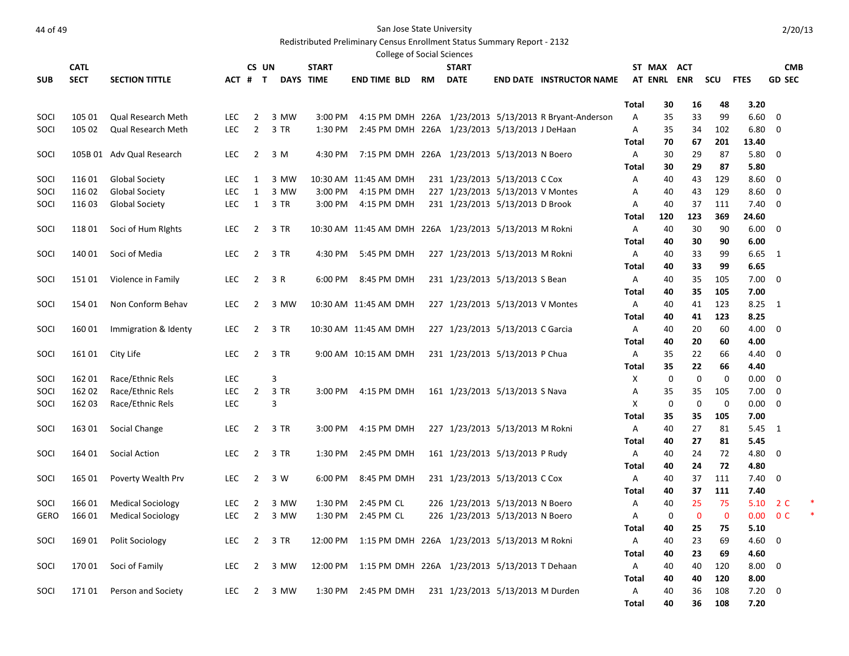# And the State University of 49

Redistributed Preliminary Census Enrollment Status Summary Report - 2132

|             |             |                           |            |                |           |              |                       |    | College of Social Sciences                             |                                                        |              |             |              |              |             |                |  |
|-------------|-------------|---------------------------|------------|----------------|-----------|--------------|-----------------------|----|--------------------------------------------------------|--------------------------------------------------------|--------------|-------------|--------------|--------------|-------------|----------------|--|
|             | <b>CATL</b> |                           |            | CS UN          |           | <b>START</b> |                       |    | START                                                  |                                                        |              | ST MAX ACT  |              |              |             | <b>CMB</b>     |  |
| <b>SUB</b>  | <b>SECT</b> | <b>SECTION TITTLE</b>     |            | ACT # T        | DAYS TIME |              | END TIME BLD          | RM | <b>DATE</b>                                            | <b>END DATE INSTRUCTOR NAME</b>                        |              | AT ENRL ENR |              | scu          | <b>FTES</b> | <b>GD SEC</b>  |  |
|             |             |                           |            |                |           |              |                       |    |                                                        |                                                        |              |             |              |              |             |                |  |
|             |             |                           |            |                |           |              |                       |    |                                                        |                                                        | <b>Total</b> | 30          | 16           | 48           | 3.20        |                |  |
| SOCI        | 105 01      | Qual Research Meth        | <b>LEC</b> | $\overline{2}$ | 3 MW      | 3:00 PM      |                       |    |                                                        | 4:15 PM DMH 226A 1/23/2013 5/13/2013 R Bryant-Anderson | A            | 35          | 33           | 99           | 6.60        | $\mathbf 0$    |  |
| <b>SOCI</b> | 105 02      | <b>Qual Research Meth</b> | <b>LEC</b> | $\overline{2}$ | 3 TR      | 1:30 PM      |                       |    | 2:45 PM DMH 226A 1/23/2013 5/13/2013 J DeHaan          |                                                        | A            | 35          | 34           | 102          | 6.80        | 0              |  |
|             |             |                           |            |                |           |              |                       |    |                                                        |                                                        | Total        | 70          | 67           | 201          | 13.40       |                |  |
| SOCI        |             | 105B 01 Adv Qual Research | <b>LEC</b> | $\overline{2}$ | 3 M       | 4:30 PM      |                       |    | 7:15 PM DMH 226A 1/23/2013 5/13/2013 N Boero           |                                                        | Α            | 30          | 29           | 87           | 5.80        | $\Omega$       |  |
|             |             |                           |            |                |           |              |                       |    |                                                        |                                                        | Total        | 30          | 29           | 87           | 5.80        |                |  |
| SOCI        | 116 01      | <b>Global Society</b>     | LEC.       | 1              | 3 MW      |              | 10:30 AM 11:45 AM DMH |    | 231 1/23/2013 5/13/2013 C Cox                          |                                                        | Α            | 40          | 43           | 129          | 8.60        | 0              |  |
| SOCI        | 116 02      | <b>Global Society</b>     | <b>LEC</b> | $\mathbf{1}$   | 3 MW      | 3:00 PM      | 4:15 PM DMH           |    | 227 1/23/2013 5/13/2013 V Montes                       |                                                        | Α            | 40          | 43           | 129          | 8.60        | $\mathbf 0$    |  |
| SOCI        | 116 03      | <b>Global Society</b>     | <b>LEC</b> | $\mathbf{1}$   | 3 TR      | 3:00 PM      | 4:15 PM DMH           |    | 231 1/23/2013 5/13/2013 D Brook                        |                                                        | A            | 40          | 37           | 111          | 7.40        | 0              |  |
|             |             |                           |            |                |           |              |                       |    |                                                        |                                                        | Total        | 120         | 123          | 369          | 24.60       |                |  |
| SOCI        | 11801       | Soci of Hum Rights        | <b>LEC</b> | $\overline{2}$ | 3 TR      |              |                       |    | 10:30 AM 11:45 AM DMH 226A 1/23/2013 5/13/2013 M Rokni |                                                        | Α            | 40          | 30           | 90           | 6.00        | - 0            |  |
|             |             |                           |            |                |           |              |                       |    |                                                        |                                                        | <b>Total</b> | 40          | 30           | 90           | 6.00        |                |  |
| SOCI        | 140 01      | Soci of Media             | <b>LEC</b> | $\overline{2}$ | 3 TR      | 4:30 PM      | 5:45 PM DMH           |    | 227 1/23/2013 5/13/2013 M Rokni                        |                                                        | A            | 40          | 33           | 99           | $6.65$ 1    |                |  |
|             |             |                           |            |                |           |              |                       |    |                                                        |                                                        | Total        | 40          | 33           | 99           | 6.65        |                |  |
| SOCI        | 15101       | Violence in Family        | <b>LEC</b> | $\overline{2}$ | 3 R       | 6:00 PM      | 8:45 PM DMH           |    | 231 1/23/2013 5/13/2013 S Bean                         |                                                        | Α            | 40          | 35           | 105          | 7.00        | 0              |  |
|             |             |                           |            |                |           |              |                       |    |                                                        |                                                        | <b>Total</b> | 40          | 35           | 105          | 7.00        |                |  |
| SOCI        | 154 01      | Non Conform Behav         | LEC.       | $\overline{2}$ | 3 MW      |              | 10:30 AM 11:45 AM DMH |    | 227 1/23/2013 5/13/2013 V Montes                       |                                                        | Α            | 40          | 41           | 123          | 8.25        | <sup>1</sup>   |  |
|             |             |                           |            |                |           |              |                       |    |                                                        |                                                        | Total        | 40          | 41           | 123          | 8.25        |                |  |
| SOCI        | 160 01      | Immigration & Identy      | <b>LEC</b> | $\overline{2}$ | 3 TR      |              | 10:30 AM 11:45 AM DMH |    | 227 1/23/2013 5/13/2013 C Garcia                       |                                                        | Α            | 40          | 20           | 60           | 4.00        | $\Omega$       |  |
|             |             |                           |            |                |           |              |                       |    |                                                        |                                                        | Total        | 40          | 20           | 60           | 4.00        |                |  |
| SOCI        | 161 01      | City Life                 | LEC        | $\overline{2}$ | 3 TR      |              | 9:00 AM 10:15 AM DMH  |    | 231 1/23/2013 5/13/2013 P Chua                         |                                                        | Α            | 35          | 22           | 66           | 4.40        | $\overline{0}$ |  |
|             |             |                           |            |                |           |              |                       |    |                                                        |                                                        | <b>Total</b> | 35          | 22           | 66           | 4.40        |                |  |
| SOCI        | 162 01      | Race/Ethnic Rels          | <b>LEC</b> |                | 3         |              |                       |    |                                                        |                                                        | Χ            | 0           | $\mathbf 0$  | $\mathbf 0$  | 0.00        | $\Omega$       |  |
| SOCI        | 162 02      | Race/Ethnic Rels          | <b>LEC</b> | $\overline{2}$ | 3 TR      | 3:00 PM      | 4:15 PM DMH           |    | 161 1/23/2013 5/13/2013 S Nava                         |                                                        | А            | 35          | 35           | 105          | 7.00        | 0              |  |
| SOCI        | 162 03      | Race/Ethnic Rels          | <b>LEC</b> |                | 3         |              |                       |    |                                                        |                                                        | Χ            | 0           | 0            | 0            | $0.00\,$    | $\mathbf 0$    |  |
|             |             |                           |            |                |           |              |                       |    |                                                        |                                                        | Total        | 35          | 35           | 105          | 7.00        |                |  |
| SOCI        | 163 01      | Social Change             | <b>LEC</b> | $\overline{2}$ | 3 TR      | 3:00 PM      | 4:15 PM DMH           |    | 227 1/23/2013 5/13/2013 M Rokni                        |                                                        | A            | 40          | 27           | 81           | 5.45        | $\overline{1}$ |  |
|             |             |                           |            |                |           |              |                       |    |                                                        |                                                        | <b>Total</b> | 40          | 27           | 81           | 5.45        |                |  |
| SOCI        | 164 01      | Social Action             | <b>LEC</b> | $\overline{2}$ | 3 TR      | 1:30 PM      | 2:45 PM DMH           |    | 161 1/23/2013 5/13/2013 P Rudy                         |                                                        | Α            | 40          | 24           | 72           | 4.80        | 0              |  |
|             |             |                           |            |                |           |              |                       |    |                                                        |                                                        | Total        | 40          | 24           | 72           | 4.80        |                |  |
| SOCI        | 165 01      | Poverty Wealth Prv        | <b>LEC</b> | $\overline{2}$ | 3 W       | 6:00 PM      | 8:45 PM DMH           |    | 231 1/23/2013 5/13/2013 C Cox                          |                                                        | Α            | 40          | 37           | 111          | 7.40        | - 0            |  |
|             |             |                           |            |                |           |              |                       |    |                                                        |                                                        | <b>Total</b> | 40          | 37           | 111          | 7.40        |                |  |
| <b>SOCI</b> | 166 01      | <b>Medical Sociology</b>  | <b>LEC</b> | $\overline{2}$ | 3 MW      | 1:30 PM      | 2:45 PM CL            |    | 226 1/23/2013 5/13/2013 N Boero                        |                                                        | A            | 40          | 25           | 75           | 5.10        | 2 C            |  |
| <b>GERO</b> | 166 01      | <b>Medical Sociology</b>  | <b>LEC</b> | $\overline{2}$ | 3 MW      | 1:30 PM      | 2:45 PM CL            |    | 226 1/23/2013 5/13/2013 N Boero                        |                                                        | Α            | 0           | $\mathbf{0}$ | $\mathbf{0}$ | 0.00        | 0 <sup>C</sup> |  |
|             |             |                           |            |                |           |              |                       |    |                                                        |                                                        | <b>Total</b> | 40          | 25           | 75           | 5.10        |                |  |
| SOCI        | 16901       | Polit Sociology           | <b>LEC</b> | $\overline{2}$ | 3 TR      | 12:00 PM     |                       |    | 1:15 PM DMH 226A 1/23/2013 5/13/2013 M Rokni           |                                                        | Α            | 40          | 23           | 69           | 4.60        | $\mathbf 0$    |  |
|             |             |                           |            |                |           |              |                       |    |                                                        |                                                        | Total        | 40          | 23           | 69           | 4.60        |                |  |
| SOCI        | 17001       | Soci of Family            | <b>LEC</b> | $\overline{2}$ | 3 MW      | 12:00 PM     |                       |    | 1:15 PM DMH 226A 1/23/2013 5/13/2013 T Dehaan          |                                                        | Α            | 40          | 40           | 120          | 8.00        | 0              |  |
|             |             |                           |            |                |           |              |                       |    |                                                        |                                                        | Total        | 40          | 40           | 120          | 8.00        |                |  |
| SOCI        | 17101       | Person and Society        | LEC.       | $\overline{2}$ | 3 MW      | 1:30 PM      | 2:45 PM DMH           |    | 231 1/23/2013 5/13/2013 M Durden                       |                                                        | A            | 40          | 36           | 108          | 7.20        | $\mathbf 0$    |  |
|             |             |                           |            |                |           |              |                       |    |                                                        |                                                        | <b>Total</b> | 40          | 36           | 108          | 7.20        |                |  |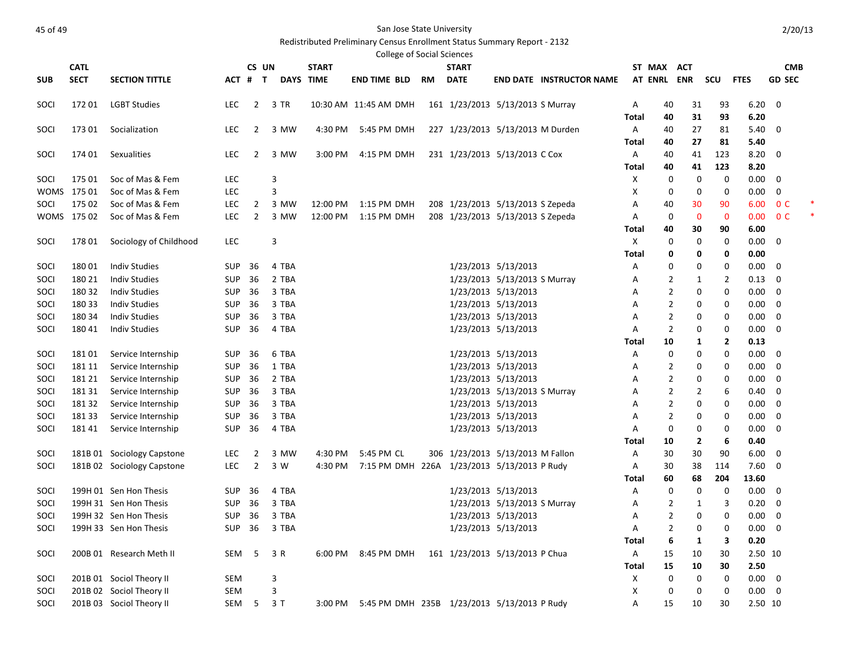# Redistributed Preliminary Census Enrollment Status Summary Report - 2132

|            |             |                            |               |                |       |              |                                                     |    | <b>College of Social Sciences</b>           |                              |                                 |              |                |                |             |              |                         |  |
|------------|-------------|----------------------------|---------------|----------------|-------|--------------|-----------------------------------------------------|----|---------------------------------------------|------------------------------|---------------------------------|--------------|----------------|----------------|-------------|--------------|-------------------------|--|
|            | <b>CATL</b> |                            |               | CS UN          |       | <b>START</b> |                                                     |    | <b>START</b>                                |                              |                                 |              | ST MAX ACT     |                |             |              | <b>CMB</b>              |  |
| <b>SUB</b> | <b>SECT</b> | <b>SECTION TITTLE</b>      |               | ACT # T        |       | DAYS TIME    | <b>END TIME BLD</b>                                 | RM | <b>DATE</b>                                 |                              | <b>END DATE INSTRUCTOR NAME</b> |              | AT ENRL ENR    |                | scu         | <b>FTES</b>  | <b>GD SEC</b>           |  |
| SOCI       | 17201       | <b>LGBT Studies</b>        | <b>LEC</b>    | $\overline{2}$ | 3 TR  |              | 10:30 AM 11:45 AM DMH                               |    | 161 1/23/2013 5/13/2013 S Murray            |                              |                                 | Α            | 40             | 31             | 93          | 6.20         | - 0                     |  |
|            |             |                            |               |                |       |              |                                                     |    |                                             |                              |                                 | Total        | 40             | 31             | 93          | 6.20         |                         |  |
| SOCI       | 173 01      | Socialization              | <b>LEC</b>    | 2              | 3 MW  | 4:30 PM      | 5:45 PM DMH                                         |    | 227 1/23/2013 5/13/2013 M Durden            |                              |                                 | Α            | 40             | 27             | 81          | 5.40         | $\mathbf 0$             |  |
|            |             |                            |               |                |       |              |                                                     |    |                                             |                              |                                 | Total        | 40             | 27             | 81          | 5.40         |                         |  |
| SOCI       | 174 01      | Sexualities                | LEC           | 2              | 3 MW  | 3:00 PM      | 4:15 PM DMH                                         |    | 231 1/23/2013 5/13/2013 C Cox               |                              |                                 | Α            | 40             | 41             | 123         | 8.20         | $\mathbf 0$             |  |
|            |             |                            |               |                |       |              |                                                     |    |                                             |                              |                                 | Total        | 40             | 41             | 123         | 8.20         |                         |  |
| SOCI       | 175 01      | Soc of Mas & Fem           | LEC           |                | 3     |              |                                                     |    |                                             |                              |                                 | х            | 0              | 0              | 0           | 0.00         | 0                       |  |
|            | WOMS 17501  | Soc of Mas & Fem           | <b>LEC</b>    |                | 3     |              |                                                     |    |                                             |                              |                                 | х            | 0              | 0              | 0           | 0.00         | 0                       |  |
| SOCI       | 175 02      | Soc of Mas & Fem           | LEC           | 2              | 3 MW  | 12:00 PM     | 1:15 PM DMH                                         |    | 208 1/23/2013 5/13/2013 S Zepeda            |                              |                                 | Α            | 40             | 30             | 90          | 6.00         | 0 <sup>C</sup>          |  |
|            | WOMS 17502  | Soc of Mas & Fem           | <b>LEC</b>    | $\overline{2}$ | 3 MW  | 12:00 PM     | 1:15 PM DMH                                         |    | 208 1/23/2013 5/13/2013 S Zepeda            |                              |                                 | Α            | 0              | $\mathbf 0$    | $\mathbf 0$ | 0.00         | 0 <sup>C</sup>          |  |
|            |             |                            |               |                |       |              |                                                     |    |                                             |                              |                                 | Total        | 40             | 30             | 90          | 6.00         |                         |  |
| SOCI       | 178 01      | Sociology of Childhood     | LEC           |                | 3     |              |                                                     |    |                                             |                              |                                 | х            | 0              | 0              | 0           | 0.00         | $\mathbf 0$             |  |
|            |             |                            |               |                |       |              |                                                     |    |                                             |                              |                                 | Total        | 0              | 0              | 0           | 0.00         |                         |  |
| SOCI       | 18001       | <b>Indiv Studies</b>       | SUP           | 36             | 4 TBA |              |                                                     |    |                                             | 1/23/2013 5/13/2013          |                                 | Α            | 0              | 0              | 0           | 0.00         | 0                       |  |
| SOCI       | 180 21      | <b>Indiv Studies</b>       | SUP           | 36             | 2 TBA |              |                                                     |    |                                             | 1/23/2013 5/13/2013 S Murray |                                 | Α            | 2              | 1              | 2           | 0.13         | 0                       |  |
| SOCI       | 180 32      | <b>Indiv Studies</b>       | SUP           | 36             | 3 TBA |              |                                                     |    |                                             | 1/23/2013 5/13/2013          |                                 | Α            | 2              | 0              | 0           | 0.00         | 0                       |  |
| SOCI       | 180 33      | <b>Indiv Studies</b>       | <b>SUP</b>    | 36             | 3 TBA |              |                                                     |    |                                             | 1/23/2013 5/13/2013          |                                 | А            | 2              | 0              | 0           | 0.00         | 0                       |  |
| SOCI       | 180 34      | <b>Indiv Studies</b>       | <b>SUP</b>    | 36             | 3 TBA |              |                                                     |    |                                             | 1/23/2013 5/13/2013          |                                 | Α            | 2              | 0              | 0           | 0.00         | 0                       |  |
| SOCI       | 18041       | <b>Indiv Studies</b>       | <b>SUP</b>    | 36             | 4 TBA |              |                                                     |    |                                             | 1/23/2013 5/13/2013          |                                 | Α            | 2              | 0              | 0           | 0.00<br>0.13 | 0                       |  |
| SOCI       | 18101       | Service Internship         | <b>SUP</b>    | 36             | 6 TBA |              |                                                     |    |                                             | 1/23/2013 5/13/2013          |                                 | Total<br>Α   | 10<br>0        | 1<br>0         | 2<br>0      | 0.00         | 0                       |  |
| SOCI       | 181 11      | Service Internship         | SUP           | 36             | 1 TBA |              |                                                     |    |                                             | 1/23/2013 5/13/2013          |                                 | А            | 2              | 0              | 0           | 0.00         | 0                       |  |
| SOCI       | 181 21      | Service Internship         | <b>SUP</b>    | 36             | 2 TBA |              |                                                     |    |                                             | 1/23/2013 5/13/2013          |                                 | А            | 2              | 0              | 0           | 0.00         | 0                       |  |
| SOCI       | 181 31      | Service Internship         | <b>SUP</b>    | 36             | 3 TBA |              |                                                     |    |                                             | 1/23/2013 5/13/2013 S Murray |                                 | А            | 2              | 2              | 6           | 0.40         | 0                       |  |
| SOCI       | 181 32      | Service Internship         | SUP           | 36             | 3 TBA |              |                                                     |    |                                             | 1/23/2013 5/13/2013          |                                 | А            | 2              | 0              | 0           | 0.00         | 0                       |  |
| SOCI       | 18133       | Service Internship         | SUP           | 36             | 3 TBA |              |                                                     |    |                                             | 1/23/2013 5/13/2013          |                                 | А            | 2              | 0              | 0           | 0.00         | 0                       |  |
| SOCI       | 18141       | Service Internship         | <b>SUP</b>    | 36             | 4 TBA |              |                                                     |    |                                             | 1/23/2013 5/13/2013          |                                 | Α            | 0              | 0              | 0           | 0.00         | 0                       |  |
|            |             |                            |               |                |       |              |                                                     |    |                                             |                              |                                 | Total        | 10             | $\overline{2}$ | 6           | 0.40         |                         |  |
| SOCI       |             | 181B 01 Sociology Capstone | LEC           | $\overline{2}$ | 3 MW  | 4:30 PM      | 5:45 PM CL                                          |    | 306 1/23/2013 5/13/2013 M Fallon            |                              |                                 | Α            | 30             | 30             | 90          | 6.00         | 0                       |  |
| SOCI       |             | 181B 02 Sociology Capstone | <b>LEC</b>    | $\overline{2}$ | 3 W   | 4:30 PM      |                                                     |    | 7:15 PM DMH 226A 1/23/2013 5/13/2013 P Rudy |                              |                                 | Α            | 30             | 38             | 114         | 7.60         | 0                       |  |
|            |             |                            |               |                |       |              |                                                     |    |                                             |                              |                                 | Total        | 60             | 68             | 204         | 13.60        |                         |  |
| SOCI       |             | 199H 01 Sen Hon Thesis     | SUP           | 36             | 4 TBA |              |                                                     |    |                                             | 1/23/2013 5/13/2013          |                                 | Α            | 0              | 0              | 0           | 0.00         | 0                       |  |
| SOCI       |             | 199H 31 Sen Hon Thesis     | SUP           | 36             | 3 TBA |              |                                                     |    |                                             | 1/23/2013 5/13/2013 S Murray |                                 | Α            | 2              | 1              | 3           | 0.20         | 0                       |  |
| SOCI       |             | 199H 32 Sen Hon Thesis     | <b>SUP 36</b> |                | 3 TBA |              |                                                     |    |                                             | 1/23/2013 5/13/2013          |                                 | Α            | 2              | 0              | 0           | 0.00         | $\overline{0}$          |  |
| SOCI       |             | 199H 33 Sen Hon Thesis     | SUP 36        |                | 3 TBA |              |                                                     |    |                                             | 1/23/2013 5/13/2013          |                                 | Α            | $\overline{2}$ | 0              | 0           | 0.00         | $\overline{\mathbf{0}}$ |  |
|            |             |                            |               |                |       |              |                                                     |    |                                             |                              |                                 | Total        | 6              | 1              | 3           | 0.20         |                         |  |
| SOCI       |             | 200B 01 Research Meth II   | SEM           | 5              | 3 R   |              | 6:00 PM 8:45 PM DMH                                 |    | 161 1/23/2013 5/13/2013 P Chua              |                              |                                 | Α            | 15             | 10             | 30          | 2.50 10      |                         |  |
|            |             |                            |               |                |       |              |                                                     |    |                                             |                              |                                 | <b>Total</b> | 15             | 10             | 30          | 2.50         |                         |  |
| SOCI       |             | 201B 01 Sociol Theory II   | SEM           |                | 3     |              |                                                     |    |                                             |                              |                                 | Χ            | 0              | 0              | 0           | $0.00 \t 0$  |                         |  |
| SOCI       |             | 201B 02 Sociol Theory II   | SEM           |                | 3     |              |                                                     |    |                                             |                              |                                 | х            | 0              | 0              | 0           | $0.00 \t 0$  |                         |  |
| SOCI       |             | 201B 03 Sociol Theory II   | SEM           | 5              | 3T    |              | 3:00 PM 5:45 PM DMH 235B 1/23/2013 5/13/2013 P Rudy |    |                                             |                              |                                 | Α            | 15             | 10             | 30          | 2.50 10      |                         |  |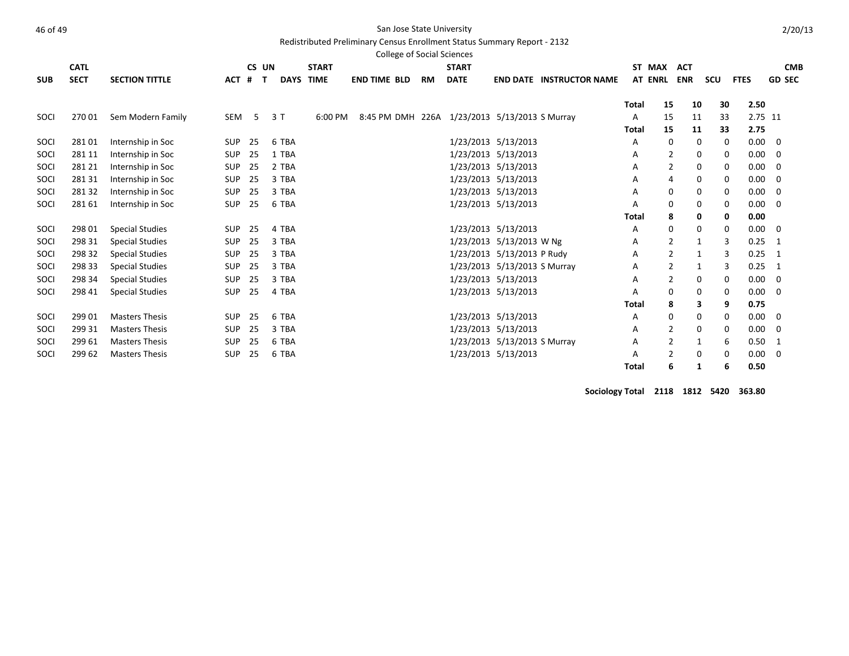# At the state of 49 San Jose State University

Redistributed Preliminary Census Enrollment Status Summary Report - 2132

|            |             |                        |            |       |             |              | <b>College of Social Sciences</b>             |           |              |                              |                                 |              |                |            |     |             |                |
|------------|-------------|------------------------|------------|-------|-------------|--------------|-----------------------------------------------|-----------|--------------|------------------------------|---------------------------------|--------------|----------------|------------|-----|-------------|----------------|
|            | <b>CATL</b> |                        |            | CS UN |             | <b>START</b> |                                               |           | <b>START</b> |                              |                                 |              | ST MAX         | <b>ACT</b> |     |             | <b>CMB</b>     |
| <b>SUB</b> | <b>SECT</b> | <b>SECTION TITTLE</b>  | <b>ACT</b> | #     | <b>DAYS</b> | <b>TIME</b>  | <b>END TIME BLD</b>                           | <b>RM</b> | <b>DATE</b>  |                              | <b>END DATE INSTRUCTOR NAME</b> |              | <b>AT ENRL</b> | <b>ENR</b> | scu | <b>FTES</b> | <b>GD SEC</b>  |
|            |             |                        |            |       |             |              |                                               |           |              |                              |                                 | <b>Total</b> | 15             | 10         | 30  | 2.50        |                |
| SOCI       | 270 01      | Sem Modern Family      | SEM        | 5     | 3T          | 6:00 PM      | 8:45 PM DMH 226A 1/23/2013 5/13/2013 S Murray |           |              |                              |                                 | Α            | 15             | 11         | 33  |             | 2.75 11        |
|            |             |                        |            |       |             |              |                                               |           |              |                              |                                 | <b>Total</b> | 15             | 11         | 33  | 2.75        |                |
| SOCI       | 28101       | Internship in Soc      | <b>SUP</b> | 25    | 6 TBA       |              |                                               |           |              | 1/23/2013 5/13/2013          |                                 | Α            | 0              | 0          | 0   | $0.00\,$    | 0              |
| SOCI       | 281 11      | Internship in Soc      | SUP        | 25    | 1 TBA       |              |                                               |           |              | 1/23/2013 5/13/2013          |                                 | Α            | 2              | 0          | 0   | 0.00        | 0              |
| SOCI       | 281 21      | Internship in Soc      | SUP        | 25    | 2 TBA       |              |                                               |           |              | 1/23/2013 5/13/2013          |                                 | A            | $\overline{2}$ | 0          | 0   | 0.00        | 0              |
| SOCI       | 281 31      | Internship in Soc      | <b>SUP</b> | 25    | 3 TBA       |              |                                               |           |              | 1/23/2013 5/13/2013          |                                 | A            | $\overline{4}$ | 0          | 0   | 0.00        | 0              |
| SOCI       | 28132       | Internship in Soc      | <b>SUP</b> | 25    | 3 TBA       |              |                                               |           |              | 1/23/2013 5/13/2013          |                                 | A            | 0              | 0          | 0   | 0.00        | $\mathbf 0$    |
| SOCI       | 281 61      | Internship in Soc      | <b>SUP</b> | 25    | 6 TBA       |              |                                               |           |              | 1/23/2013 5/13/2013          |                                 | Α            | $\mathbf 0$    | 0          | 0   | 0.00        | 0              |
|            |             |                        |            |       |             |              |                                               |           |              |                              |                                 | <b>Total</b> | 8              | 0          | 0   | 0.00        |                |
| SOCI       | 298 01      | <b>Special Studies</b> | <b>SUP</b> | 25    | 4 TBA       |              |                                               |           |              | 1/23/2013 5/13/2013          |                                 | Α            | 0              | 0          | 0   | 0.00        | 0              |
| SOCI       | 298 31      | <b>Special Studies</b> | <b>SUP</b> | 25    | 3 TBA       |              |                                               |           |              | 1/23/2013 5/13/2013 W Ng     |                                 | Α            | 2              | 1          | 3   | 0.25        | $\overline{1}$ |
| SOCI       | 298 32      | <b>Special Studies</b> | SUP        | 25    | 3 TBA       |              |                                               |           |              | 1/23/2013 5/13/2013 P Rudy   |                                 | Α            | 2              | 1          | 3   |             | $0.25$ 1       |
| SOCI       | 298 33      | <b>Special Studies</b> | <b>SUP</b> | 25    | 3 TBA       |              |                                               |           |              | 1/23/2013 5/13/2013 S Murray |                                 | A            | $\overline{2}$ | 1          | 3   | 0.25        | - 1            |
| SOCI       | 298 34      | <b>Special Studies</b> | SUP        | 25    | 3 TBA       |              |                                               |           |              | 1/23/2013 5/13/2013          |                                 | Α            | 2              | 0          | 0   |             | $0.00 \t 0$    |
| SOCI       | 298 41      | <b>Special Studies</b> | <b>SUP</b> | 25    | 4 TBA       |              |                                               |           |              | 1/23/2013 5/13/2013          |                                 | A            | 0              | 0          | 0   | 0.00        | $\mathbf 0$    |
|            |             |                        |            |       |             |              |                                               |           |              |                              |                                 | <b>Total</b> | 8              | 3          | 9   | 0.75        |                |
| SOCI       | 299 01      | <b>Masters Thesis</b>  | <b>SUP</b> | 25    | 6 TBA       |              |                                               |           |              | 1/23/2013 5/13/2013          |                                 | Α            | 0              | 0          | 0   | 0.00        | 0              |
| SOCI       | 299 31      | <b>Masters Thesis</b>  | <b>SUP</b> | 25    | 3 TBA       |              |                                               |           |              | 1/23/2013 5/13/2013          |                                 | Α            | 2              | 0          | 0   | 0.00        | 0              |
| SOCI       | 299 61      | <b>Masters Thesis</b>  | <b>SUP</b> | 25    | 6 TBA       |              |                                               |           |              | 1/23/2013 5/13/2013 S Murray |                                 | A            | $\overline{2}$ | 1          | 6   | 0.50        | - 1            |
| SOCI       | 299 62      | <b>Masters Thesis</b>  | <b>SUP</b> | 25    | 6 TBA       |              |                                               |           |              | 1/23/2013 5/13/2013          |                                 | A            | 2              | $\Omega$   | 0   | 0.00        | 0              |
|            |             |                        |            |       |             |              |                                               |           |              |                              |                                 | <b>Total</b> | 6              |            | 6   | 0.50        |                |

**Sociology Total 2118 1812 5420 363.80**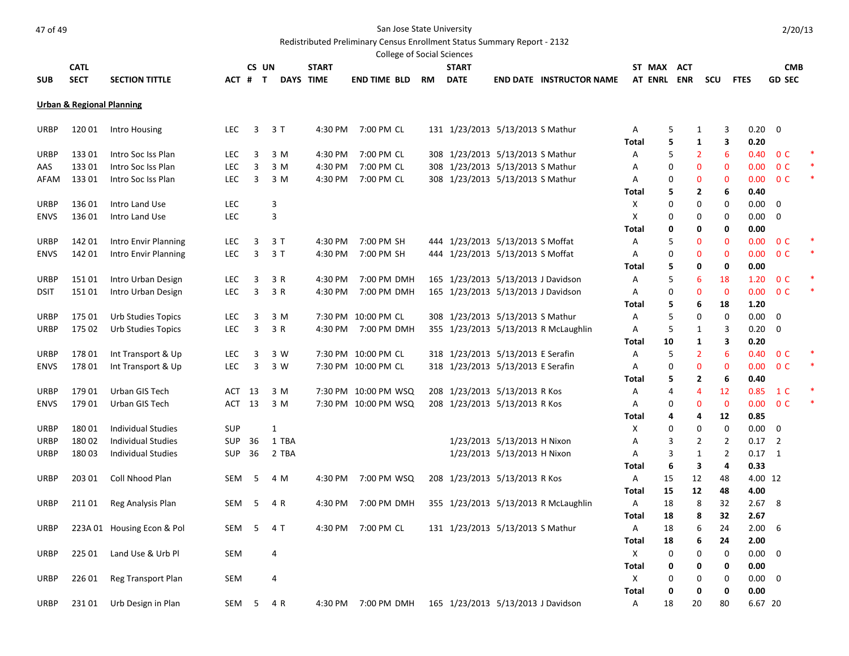# And the State University of 49 San Jose State University

# Redistributed Preliminary Census Enrollment Status Summary Report - 2132

|             |                                      |                            |            |         |              |       |                      |                     | College of Social Sciences |           |                                    |                             |                                      |              |             |                |     |                        |                |            |  |
|-------------|--------------------------------------|----------------------------|------------|---------|--------------|-------|----------------------|---------------------|----------------------------|-----------|------------------------------------|-----------------------------|--------------------------------------|--------------|-------------|----------------|-----|------------------------|----------------|------------|--|
|             | <b>CATL</b>                          |                            |            | CS UN   |              |       | <b>START</b>         |                     |                            |           | <b>START</b>                       |                             |                                      |              | ST MAX ACT  |                |     |                        |                | <b>CMB</b> |  |
| <b>SUB</b>  | <b>SECT</b>                          | <b>SECTION TITTLE</b>      |            | ACT # T |              |       | DAYS TIME            | <b>END TIME BLD</b> |                            | <b>RM</b> | <b>DATE</b>                        |                             | <b>END DATE INSTRUCTOR NAME</b>      |              | AT ENRL ENR |                | scu | <b>FTES</b>            | <b>GD SEC</b>  |            |  |
|             | <b>Urban &amp; Regional Planning</b> |                            |            |         |              |       |                      |                     |                            |           |                                    |                             |                                      |              |             |                |     |                        |                |            |  |
|             |                                      |                            |            |         |              |       |                      |                     |                            |           |                                    |                             |                                      |              |             |                |     |                        |                |            |  |
| URBP        | 120 01                               | Intro Housing              | <b>LEC</b> | 3       | 3T           |       | 4:30 PM              | 7:00 PM CL          |                            |           | 131 1/23/2013 5/13/2013 S Mathur   |                             |                                      | Α<br>Total   | 5<br>5      | 1<br>1         |     | 3<br>0.20<br>3<br>0.20 | 0              |            |  |
| URBP        | 133 01                               | Intro Soc Iss Plan         | <b>LEC</b> | 3       | 3 M          |       | 4:30 PM              | 7:00 PM CL          |                            |           | 308 1/23/2013 5/13/2013 S Mathur   |                             |                                      | Α            | 5           | $\overline{2}$ |     | 6<br>0.40              | 0 <sup>C</sup> |            |  |
| AAS         | 13301                                | Intro Soc Iss Plan         | <b>LEC</b> | 3       | 3 M          |       | 4:30 PM              | 7:00 PM CL          |                            |           | 308 1/23/2013 5/13/2013 S Mathur   |                             |                                      | Α            | $\mathbf 0$ | 0              |     | $\mathbf 0$<br>0.00    | 0 <sup>C</sup> |            |  |
| AFAM        | 13301                                | Intro Soc Iss Plan         | <b>LEC</b> | 3       | 3 M          |       | 4:30 PM              | 7:00 PM CL          |                            |           | 308 1/23/2013 5/13/2013 S Mathur   |                             |                                      | Α            | 0           | $\mathbf{0}$   |     | $\mathbf 0$<br>0.00    | 0 <sup>C</sup> |            |  |
|             |                                      |                            |            |         |              |       |                      |                     |                            |           |                                    |                             |                                      | Total        | 5           | 2              |     | 0.40<br>6              |                |            |  |
| URBP        | 136 01                               | Intro Land Use             | <b>LEC</b> |         | 3            |       |                      |                     |                            |           |                                    |                             |                                      | X            | $\mathbf 0$ | $\Omega$       |     | 0.00<br>0              | $\mathbf 0$    |            |  |
| <b>ENVS</b> | 136 01                               | Intro Land Use             | LEC        |         | 3            |       |                      |                     |                            |           |                                    |                             |                                      | X            | 0           | 0              |     | 0<br>0.00              | 0              |            |  |
|             |                                      |                            |            |         |              |       |                      |                     |                            |           |                                    |                             |                                      | <b>Total</b> | 0           | 0              |     | 0<br>0.00              |                |            |  |
| URBP        | 142 01                               | Intro Envir Planning       | <b>LEC</b> | 3       | 3 T          |       | 4:30 PM              | 7:00 PM SH          |                            |           | 444 1/23/2013 5/13/2013 S Moffat   |                             |                                      | Α            | 5           | 0              |     | 0<br>0.00              | 0 <sup>C</sup> |            |  |
| <b>ENVS</b> | 142 01                               | Intro Envir Planning       | <b>LEC</b> | 3       | 3T           |       | 4:30 PM              | 7:00 PM SH          |                            |           | 444 1/23/2013 5/13/2013 S Moffat   |                             |                                      | A            | 0           | 0              |     | $\mathbf 0$<br>0.00    | 0 <sup>C</sup> |            |  |
|             |                                      |                            |            |         |              |       |                      |                     |                            |           |                                    |                             |                                      | Total        | 5           | 0              |     | 0<br>0.00              |                |            |  |
| URBP        | 15101                                | Intro Urban Design         | <b>LEC</b> | 3       | 3 R          |       | 4:30 PM              |                     | 7:00 PM DMH                |           | 165 1/23/2013 5/13/2013 J Davidson |                             |                                      | Α            | 5           | 6              | 18  | 1.20                   | 0 <sup>C</sup> |            |  |
| <b>DSIT</b> | 15101                                | Intro Urban Design         | <b>LEC</b> | 3       | 3 R          |       | 4:30 PM              |                     | 7:00 PM DMH                |           | 165 1/23/2013 5/13/2013 J Davidson |                             |                                      | Α            | 0           | $\bf{0}$       |     | 0.00<br>$\mathbf 0$    | 0 <sup>C</sup> |            |  |
|             |                                      |                            |            |         |              |       |                      |                     |                            |           |                                    |                             |                                      | Total        | 5           | 6              | 18  | 1.20                   |                |            |  |
| URBP        | 175 01                               | <b>Urb Studies Topics</b>  | <b>LEC</b> | 3       | 3 M          |       | 7:30 PM              | 10:00 PM CL         |                            |           | 308 1/23/2013 5/13/2013 S Mathur   |                             |                                      | Α            | 5           | 0              |     | 0<br>0.00              | 0              |            |  |
| <b>URBP</b> | 175 02                               | <b>Urb Studies Topics</b>  | <b>LEC</b> | 3       | 3 R          |       | 4:30 PM              |                     | 7:00 PM DMH                |           |                                    |                             | 355 1/23/2013 5/13/2013 R McLaughlin | A            | 5           | 1              |     | 3<br>0.20              | 0              |            |  |
|             |                                      |                            |            |         |              |       |                      |                     |                            |           |                                    |                             |                                      | Total        | 10          | 1              |     | 3<br>0.20              |                |            |  |
| <b>URBP</b> | 17801                                | Int Transport & Up         | <b>LEC</b> | 3       | 3 W          |       | 7:30 PM 10:00 PM CL  |                     |                            |           | 318 1/23/2013 5/13/2013 E Serafin  |                             |                                      | A            | 5           | 2              |     | 6<br>0.40              | 0 <sup>C</sup> |            |  |
| <b>ENVS</b> | 178 01                               | Int Transport & Up         | <b>LEC</b> | 3       | 3 W          |       | 7:30 PM 10:00 PM CL  |                     |                            |           | 318 1/23/2013 5/13/2013 E Serafin  |                             |                                      | Α            | 0           | 0              |     | $\mathbf{0}$<br>0.00   | 0 <sup>C</sup> |            |  |
|             |                                      |                            |            |         |              |       |                      |                     |                            |           |                                    |                             |                                      | Total        | 5           | 2              |     | 6<br>0.40              |                |            |  |
| <b>URBP</b> | 179 01                               | Urban GIS Tech             | ACT        | 13      | 3 M          |       | 7:30 PM 10:00 PM WSQ |                     |                            |           | 208 1/23/2013 5/13/2013 R Kos      |                             |                                      | A            | 4           | 4              | 12  | 0.85                   | 1 <sup>C</sup> |            |  |
| <b>ENVS</b> | 179 01                               | Urban GIS Tech             | ACT        | 13      | 3 M          |       | 7:30 PM 10:00 PM WSQ |                     |                            |           | 208 1/23/2013 5/13/2013 R Kos      |                             |                                      | Α            | 0           | 0              |     | $\mathbf 0$<br>0.00    | 0 <sup>C</sup> |            |  |
|             |                                      |                            |            |         |              |       |                      |                     |                            |           |                                    |                             |                                      | Total        | 4           | 4              | 12  | 0.85                   |                |            |  |
| <b>URBP</b> | 18001                                | <b>Individual Studies</b>  | <b>SUP</b> |         | $\mathbf{1}$ |       |                      |                     |                            |           |                                    |                             |                                      | X            | $\Omega$    | 0              |     | 0<br>0.00              | $\Omega$       |            |  |
| URBP        | 18002                                | <b>Individual Studies</b>  | <b>SUP</b> | 36      |              | 1 TBA |                      |                     |                            |           |                                    | 1/23/2013 5/13/2013 H Nixon |                                      | Α            | 3           | $\overline{2}$ |     | 2<br>0.17              | $\overline{2}$ |            |  |
| URBP        | 18003                                | <b>Individual Studies</b>  | <b>SUP</b> | 36      |              | 2 TBA |                      |                     |                            |           |                                    | 1/23/2013 5/13/2013 H Nixon |                                      | Α            | 3           | 1              |     | $\overline{2}$<br>0.17 | $\overline{1}$ |            |  |
|             |                                      |                            |            |         |              |       |                      |                     |                            |           |                                    |                             |                                      | Total        | 6           | 3              |     | 4<br>0.33              |                |            |  |
| <b>URBP</b> | 203 01                               | Coll Nhood Plan            | SEM        | 5       | 4 M          |       | 4:30 PM              |                     | 7:00 PM WSQ                |           | 208 1/23/2013 5/13/2013 R Kos      |                             |                                      | Α            | 15          | 12             | 48  |                        | 4.00 12        |            |  |
|             |                                      |                            |            |         |              |       |                      |                     |                            |           |                                    |                             |                                      | Total        | 15          | 12             | 48  | 4.00                   |                |            |  |
| URBP        | 211 01                               | Reg Analysis Plan          | SEM        | 5       | 4 R          |       | 4:30 PM              |                     | 7:00 PM DMH                |           |                                    |                             | 355 1/23/2013 5/13/2013 R McLaughlin | Α            | 18          | 8              | 32  | 2.67                   | 8              |            |  |
|             |                                      |                            |            |         |              |       |                      |                     |                            |           |                                    |                             |                                      | Total        | 18          | 8              | 32  | 2.67                   |                |            |  |
| URBP        |                                      | 223A 01 Housing Econ & Pol | SEM        | 5       | 4 T          |       | 4:30 PM              | 7:00 PM CL          |                            |           | 131 1/23/2013 5/13/2013 S Mathur   |                             |                                      | Α            | 18          | 6              | 24  | 2.00                   | 6              |            |  |
|             |                                      |                            |            |         |              |       |                      |                     |                            |           |                                    |                             |                                      | Total        | 18          | 6              | 24  | 2.00                   |                |            |  |
| <b>URBP</b> | 225 01                               | Land Use & Urb Pl          | <b>SEM</b> |         | 4            |       |                      |                     |                            |           |                                    |                             |                                      | $\mathsf{x}$ | 0           | 0              |     | 0.00<br>$\mathbf 0$    | $\mathbf 0$    |            |  |
|             |                                      |                            |            |         |              |       |                      |                     |                            |           |                                    |                             |                                      | Total        | 0           | 0              |     | 0<br>0.00              |                |            |  |
| URBP        | 226 01                               | Reg Transport Plan         | <b>SEM</b> |         | 4            |       |                      |                     |                            |           |                                    |                             |                                      | X            | $\mathbf 0$ | 0              |     | 0<br>$0.00\,$          | - 0            |            |  |
|             |                                      |                            |            |         |              |       |                      |                     |                            |           |                                    |                             |                                      | <b>Total</b> | 0           | 0              |     | 0.00<br>0              |                |            |  |
| URBP        | 23101                                | Urb Design in Plan         | SEM        | 5       | 4 R          |       | 4:30 PM              |                     | 7:00 PM DMH                |           | 165 1/23/2013 5/13/2013 J Davidson |                             |                                      | Α            | 18          | 20             | 80  |                        | 6.67 20        |            |  |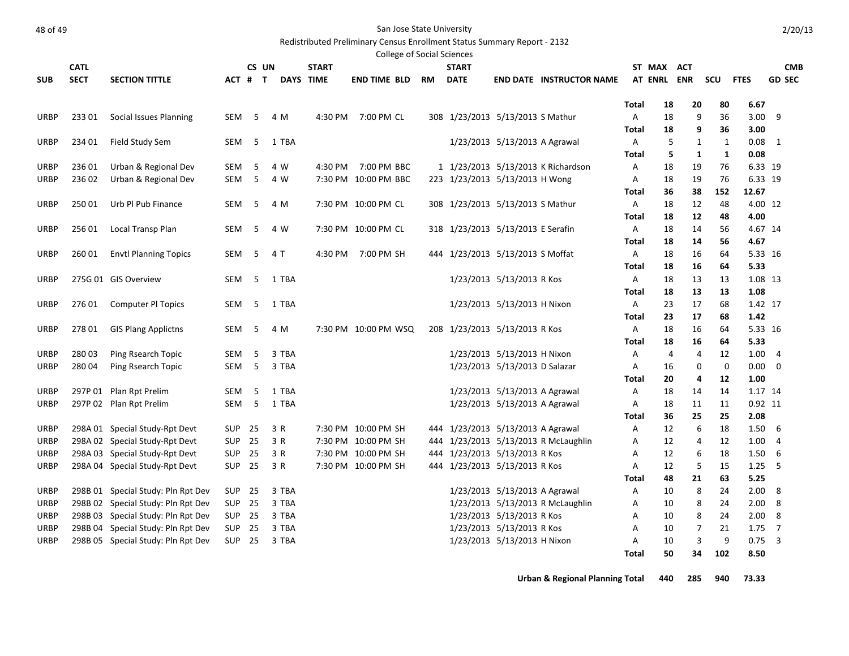Redistributed Preliminary Census Enrollment Status Summary Report - 2132

| <b>College of Social Sciences</b><br>CS UN<br>ST MAX |             |                                    |               |    |  |           |              |                      |           |                                   |                               |                                      |              |                |            |         |              |                |
|------------------------------------------------------|-------------|------------------------------------|---------------|----|--|-----------|--------------|----------------------|-----------|-----------------------------------|-------------------------------|--------------------------------------|--------------|----------------|------------|---------|--------------|----------------|
|                                                      | <b>CATL</b> |                                    |               |    |  |           | <b>START</b> |                      |           | <b>START</b>                      |                               |                                      |              |                | <b>ACT</b> |         |              | <b>CMB</b>     |
| <b>SUB</b>                                           | <b>SECT</b> | <b>SECTION TITTLE</b>              | ACT # T       |    |  | DAYS TIME |              | <b>END TIME BLD</b>  | <b>RM</b> | <b>DATE</b>                       |                               | <b>END DATE INSTRUCTOR NAME</b>      |              | <b>AT ENRL</b> | <b>ENR</b> | scu     | <b>FTES</b>  | <b>GD SEC</b>  |
|                                                      |             |                                    |               |    |  |           |              |                      |           |                                   |                               |                                      |              |                |            |         |              |                |
|                                                      |             |                                    |               |    |  |           |              |                      |           |                                   |                               |                                      | Total        | 18             | 20         | 80      | 6.67<br>3.00 | 9              |
| URBP                                                 | 233 01      | Social Issues Planning             | SEM           | 5  |  | 4 M       | 4:30 PM      | 7:00 PM CL           |           | 308 1/23/2013 5/13/2013 S Mathur  |                               |                                      | Α            | 18             | 9          | 36      | 3.00         |                |
| URBP                                                 | 234 01      | Field Study Sem                    | SEM           | -5 |  | 1 TBA     |              |                      |           |                                   | 1/23/2013 5/13/2013 A Agrawal |                                      | Total<br>A   | 18<br>5        | 9<br>1     | 36<br>1 | 0.08         | 1              |
|                                                      |             |                                    |               |    |  |           |              |                      |           |                                   |                               |                                      | Total        | 5              | 1          | 1       | 0.08         |                |
| URBP                                                 | 236 01      | Urban & Regional Dev               | <b>SEM</b>    | 5  |  | 4 W       | 4:30 PM      | 7:00 PM BBC          |           |                                   |                               | 1 1/23/2013 5/13/2013 K Richardson   | Α            | 18             | 19         | 76      | 6.33 19      |                |
| <b>URBP</b>                                          | 236 02      | Urban & Regional Dev               | <b>SEM</b>    | 5  |  | 4 W       |              | 7:30 PM 10:00 PM BBC |           | 223 1/23/2013 5/13/2013 H Wong    |                               |                                      | Α            | 18             | 19         | 76      | 6.33 19      |                |
|                                                      |             |                                    |               |    |  |           |              |                      |           |                                   |                               |                                      | Total        | 36             | 38         | 152     | 12.67        |                |
| <b>URBP</b>                                          | 250 01      | Urb Pl Pub Finance                 | SEM           | 5  |  | 4 M       |              | 7:30 PM 10:00 PM CL  |           | 308 1/23/2013 5/13/2013 S Mathur  |                               |                                      | Α            | 18             | 12         | 48      | 4.00 12      |                |
|                                                      |             |                                    |               |    |  |           |              |                      |           |                                   |                               |                                      | <b>Total</b> | 18             | 12         | 48      | 4.00         |                |
| <b>URBP</b>                                          | 25601       | Local Transp Plan                  | <b>SEM</b>    | 5  |  | 4 W       |              | 7:30 PM 10:00 PM CL  |           | 318 1/23/2013 5/13/2013 E Serafin |                               |                                      | Α            | 18             | 14         | 56      | 4.67 14      |                |
|                                                      |             |                                    |               |    |  |           |              |                      |           |                                   |                               |                                      | Total        | 18             | 14         | 56      | 4.67         |                |
| URBP                                                 | 260 01      | <b>Envtl Planning Topics</b>       | <b>SEM</b>    | 5  |  | 4 T       | 4:30 PM      | 7:00 PM SH           |           | 444 1/23/2013 5/13/2013 S Moffat  |                               |                                      | Α            | 18             | 16         | 64      | 5.33 16      |                |
|                                                      |             |                                    |               |    |  |           |              |                      |           |                                   |                               |                                      | Total        | 18             | 16         | 64      | 5.33         |                |
| URBP                                                 |             | 275G 01 GIS Overview               | SEM           | 5  |  | 1 TBA     |              |                      |           |                                   | 1/23/2013 5/13/2013 R Kos     |                                      | Α            | 18             | 13         | 13      | 1.08 13      |                |
|                                                      |             |                                    |               |    |  |           |              |                      |           |                                   |                               |                                      | <b>Total</b> | 18             | 13         | 13      | 1.08         |                |
| URBP                                                 | 276 01      | <b>Computer PI Topics</b>          | SEM           | 5  |  | 1 TBA     |              |                      |           |                                   | 1/23/2013 5/13/2013 H Nixon   |                                      | Α            | 23             | 17         | 68      | 1.42 17      |                |
|                                                      |             |                                    |               |    |  |           |              |                      |           |                                   |                               |                                      | Total        | 23             | 17         | 68      | 1.42         |                |
| URBP                                                 | 278 01      | <b>GIS Plang Applictns</b>         | <b>SEM</b>    | 5  |  | 4 M       |              | 7:30 PM 10:00 PM WSQ |           | 208 1/23/2013 5/13/2013 R Kos     |                               |                                      | Α            | 18             | 16         | 64      | 5.33 16      |                |
|                                                      |             |                                    |               |    |  |           |              |                      |           |                                   |                               |                                      | <b>Total</b> | 18             | 16         | 64      | 5.33         |                |
| <b>URBP</b>                                          | 28003       | Ping Rsearch Topic                 | SEM           | 5  |  | 3 TBA     |              |                      |           |                                   | 1/23/2013 5/13/2013 H Nixon   |                                      | Α            | 4              | 4          | 12      | 1.00         | 4              |
| <b>URBP</b>                                          | 280 04      | Ping Rsearch Topic                 | SEM           | 5  |  | 3 TBA     |              |                      |           |                                   | 1/23/2013 5/13/2013 D Salazar |                                      | Α            | 16             | 0          | 0       | 0.00         | $\mathbf 0$    |
|                                                      |             |                                    |               |    |  |           |              |                      |           |                                   |                               |                                      | Total        | 20             | 4          | 12      | 1.00         |                |
| URBP                                                 |             | 297P 01 Plan Rpt Prelim            | SEM           | 5  |  | 1 TBA     |              |                      |           |                                   | 1/23/2013 5/13/2013 A Agrawal |                                      | Α            | 18             | 14         | 14      | 1.17 14      |                |
| <b>URBP</b>                                          |             | 297P 02 Plan Rpt Prelim            | SEM           | 5  |  | 1 TBA     |              |                      |           |                                   | 1/23/2013 5/13/2013 A Agrawal |                                      | Α            | 18             | 11         | 11      | 0.92 11      |                |
|                                                      |             |                                    |               |    |  |           |              |                      |           |                                   |                               |                                      | <b>Total</b> | 36             | 25         | 25      | 2.08         |                |
| <b>URBP</b>                                          |             | 298A 01 Special Study-Rpt Devt     | SUP           | 25 |  | 3 R       |              | 7:30 PM 10:00 PM SH  |           | 444 1/23/2013 5/13/2013 A Agrawal |                               |                                      | Α            | 12             | 6          | 18      | 1.50         | 6              |
| <b>URBP</b>                                          |             | 298A 02 Special Study-Rpt Devt     | <b>SUP</b>    | 25 |  | 3 R       |              | 7:30 PM 10:00 PM SH  |           |                                   |                               | 444 1/23/2013 5/13/2013 R McLaughlin | Α            | 12             | 4          | 12      | 1.00         | $\overline{4}$ |
| URBP                                                 |             | 298A 03 Special Study-Rpt Devt     | <b>SUP</b>    | 25 |  | 3 R       |              | 7:30 PM 10:00 PM SH  |           | 444 1/23/2013 5/13/2013 R Kos     |                               |                                      | Α            | 12             | 6          | 18      | 1.50         | -6             |
| URBP                                                 |             | 298A 04 Special Study-Rpt Devt     | <b>SUP 25</b> |    |  | 3 R       |              | 7:30 PM 10:00 PM SH  |           | 444 1/23/2013 5/13/2013 R Kos     |                               |                                      | A            | 12             | 5          | 15      | 1.25         | -5             |
|                                                      |             |                                    |               |    |  |           |              |                      |           |                                   |                               |                                      | <b>Total</b> | 48             | 21         | 63      | 5.25         |                |
| URBP                                                 |             | 298B 01 Special Study: Pln Rpt Dev | SUP           | 25 |  | 3 TBA     |              |                      |           |                                   | 1/23/2013 5/13/2013 A Agrawal |                                      | Α            | 10             | 8          | 24      | 2.00         | 8              |
| URBP                                                 |             | 298B 02 Special Study: Pln Rpt Dev | <b>SUP</b>    | 25 |  | 3 TBA     |              |                      |           |                                   |                               | 1/23/2013 5/13/2013 R McLaughlin     | Α            | 10             | 8          | 24      | 2.00         | 8              |
| <b>URBP</b>                                          |             | 298B 03 Special Study: Pln Rpt Dev | <b>SUP</b>    | 25 |  | 3 TBA     |              |                      |           |                                   | 1/23/2013 5/13/2013 R Kos     |                                      | Α            | 10             | 8          | 24      | 2.00         | 8              |
| <b>URBP</b>                                          |             | 298B 04 Special Study: Pln Rpt Dev | <b>SUP</b>    | 25 |  | 3 TBA     |              |                      |           |                                   | 1/23/2013 5/13/2013 R Kos     |                                      | Α            | 10             | 7          | 21      | 1.75         | 7              |
| <b>URBP</b>                                          |             | 298B 05 Special Study: Pln Rpt Dev | <b>SUP 25</b> |    |  | 3 TBA     |              |                      |           |                                   | 1/23/2013 5/13/2013 H Nixon   |                                      | Α            | 10             | 3          | 9       | 0.75         | $\overline{3}$ |
|                                                      |             |                                    |               |    |  |           |              |                      |           |                                   |                               |                                      | <b>Total</b> | 50             | 34         | 102     | 8.50         |                |

**Urban & Regional Planning Total 440 285 940 73.33**